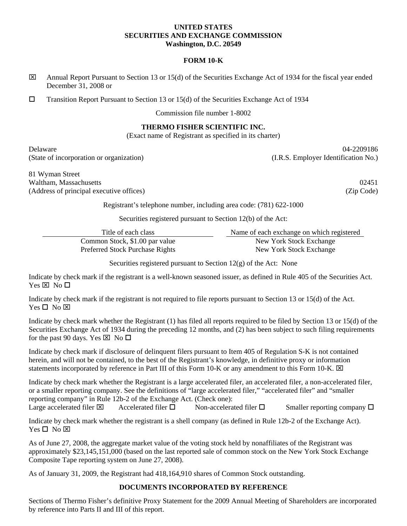## **UNITED STATES SECURITIES AND EXCHANGE COMMISSION Washington, D.C. 20549**

### **FORM 10-K**

- $\boxtimes$  Annual Report Pursuant to Section 13 or 15(d) of the Securities Exchange Act of 1934 for the fiscal year ended December 31, 2008 or
- $\Box$  Transition Report Pursuant to Section 13 or 15(d) of the Securities Exchange Act of 1934

Commission file number 1-8002

## **THERMO FISHER SCIENTIFIC INC.**

(Exact name of Registrant as specified in its charter)

Delaware 04-2209186 (State of incorporation or organization) (I.R.S. Employer Identification No.)

81 Wyman Street Waltham, Massachusetts 02451 (Address of principal executive offices) (Zip Code)

Registrant's telephone number, including area code: (781) 622-1000

Securities registered pursuant to Section 12(b) of the Act:

| Title of each class             | Name of each exchange on which registered |
|---------------------------------|-------------------------------------------|
| Common Stock, \$1.00 par value  | New York Stock Exchange                   |
| Preferred Stock Purchase Rights | New York Stock Exchange                   |

Securities registered pursuant to Section 12(g) of the Act: None

Indicate by check mark if the registrant is a well-known seasoned issuer, as defined in Rule 405 of the Securities Act. Yes  $\boxtimes$  No  $\square$ 

Indicate by check mark if the registrant is not required to file reports pursuant to Section 13 or 15(d) of the Act.  $Yes \Box No \boxtimes$ 

Indicate by check mark whether the Registrant (1) has filed all reports required to be filed by Section 13 or 15(d) of the Securities Exchange Act of 1934 during the preceding 12 months, and (2) has been subject to such filing requirements for the past 90 days. Yes  $\boxtimes$  No  $\square$ 

Indicate by check mark if disclosure of delinquent filers pursuant to Item 405 of Regulation S-K is not contained herein, and will not be contained, to the best of the Registrant's knowledge, in definitive proxy or information statements incorporated by reference in Part III of this Form 10-K or any amendment to this Form 10-K.  $\boxtimes$ 

Indicate by check mark whether the Registrant is a large accelerated filer, an accelerated filer, a non-accelerated filer, or a smaller reporting company. See the definitions of "large accelerated filer," "accelerated filer" and "smaller reporting company" in Rule 12b-2 of the Exchange Act. (Check one): Large accelerated filer  $\boxtimes$  Accelerated filer  $\square$  Non-accelerated filer  $\square$  Smaller reporting company  $\square$ Indicate by check mark whether the registrant is a shell company (as defined in Rule 12b-2 of the Exchange Act).  $Yes \Box No \boxtimes$ 

As of June 27, 2008, the aggregate market value of the voting stock held by nonaffiliates of the Registrant was approximately \$23,145,151,000 (based on the last reported sale of common stock on the New York Stock Exchange Composite Tape reporting system on June 27, 2008).

As of January 31, 2009, the Registrant had 418,164,910 shares of Common Stock outstanding.

## **DOCUMENTS INCORPORATED BY REFERENCE**

Sections of Thermo Fisher's definitive Proxy Statement for the 2009 Annual Meeting of Shareholders are incorporated by reference into Parts II and III of this report.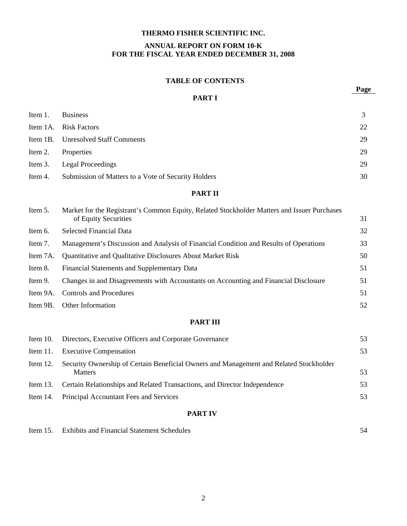## **THERMO FISHER SCIENTIFIC INC.**

# **ANNUAL REPORT ON FORM 10-K FOR THE FISCAL YEAR ENDED DECEMBER 31, 2008**

# **TABLE OF CONTENTS Page**

# **PART I**

| Item 1. | <b>Business</b>                                             | 3  |
|---------|-------------------------------------------------------------|----|
|         | Item 1A. Risk Factors                                       | 22 |
|         | Item 1B. Unresolved Staff Comments                          | 29 |
| Item 2. | Properties                                                  | 29 |
|         | Item 3. Legal Proceedings                                   | 29 |
|         | Item 4. Submission of Matters to a Vote of Security Holders | 30 |

# **PART II**

| Item 5.  | Market for the Registrant's Common Equity, Related Stockholder Matters and Issuer Purchases |    |
|----------|---------------------------------------------------------------------------------------------|----|
|          | of Equity Securities                                                                        | 31 |
| Item 6.  | <b>Selected Financial Data</b>                                                              | 32 |
| Item 7.  | Management's Discussion and Analysis of Financial Condition and Results of Operations       | 33 |
| Item 7A. | Quantitative and Qualitative Disclosures About Market Risk                                  | 50 |
| Item 8.  | Financial Statements and Supplementary Data                                                 | 51 |
| Item 9.  | Changes in and Disagreements with Accountants on Accounting and Financial Disclosure        | 51 |
| Item 9A. | Controls and Procedures                                                                     | 51 |
| Item 9B. | Other Information                                                                           | 52 |

## **PART III**

| <b>Executive Compensation</b><br>Item $11$ .<br>Security Ownership of Certain Beneficial Owners and Management and Related Stockholder<br>Item $12.$<br><b>Matters</b><br>Item 13. Certain Relationships and Related Transactions, and Director Independence<br>Item 14. Principal Accountant Fees and Services | Item 10. Directors, Executive Officers and Corporate Governance | 53 |
|-----------------------------------------------------------------------------------------------------------------------------------------------------------------------------------------------------------------------------------------------------------------------------------------------------------------|-----------------------------------------------------------------|----|
|                                                                                                                                                                                                                                                                                                                 |                                                                 | 53 |
|                                                                                                                                                                                                                                                                                                                 |                                                                 | 53 |
|                                                                                                                                                                                                                                                                                                                 |                                                                 | 53 |
|                                                                                                                                                                                                                                                                                                                 |                                                                 | 53 |

## **PART IV**

| <b>Exhibits and Financial Statement Schedules</b><br>Item $15$ . |  |
|------------------------------------------------------------------|--|
|------------------------------------------------------------------|--|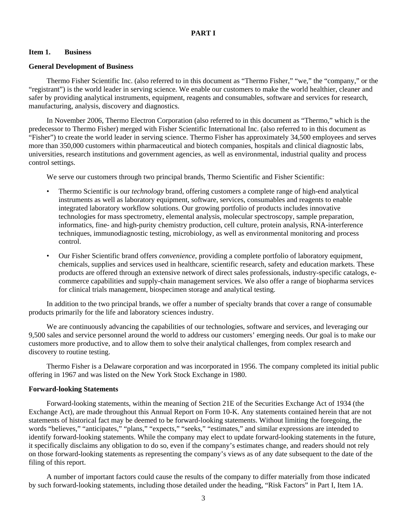## **PART I**

#### **Item 1. Business**

#### **General Development of Business**

 Thermo Fisher Scientific Inc. (also referred to in this document as "Thermo Fisher," "we," the "company," or the "registrant") is the world leader in serving science*.* We enable our customers to make the world healthier, cleaner and safer by providing analytical instruments, equipment, reagents and consumables, software and services for research, manufacturing, analysis, discovery and diagnostics.

 In November 2006, Thermo Electron Corporation (also referred to in this document as "Thermo," which is the predecessor to Thermo Fisher) merged with Fisher Scientific International Inc. (also referred to in this document as "Fisher") to create the world leader in serving science. Thermo Fisher has approximately 34,500 employees and serves more than 350,000 customers within pharmaceutical and biotech companies, hospitals and clinical diagnostic labs, universities, research institutions and government agencies, as well as environmental, industrial quality and process control settings.

We serve our customers through two principal brands, Thermo Scientific and Fisher Scientific:

- Thermo Scientific is our *technology* brand, offering customers a complete range of high-end analytical instruments as well as laboratory equipment, software, services, consumables and reagents to enable integrated laboratory workflow solutions. Our growing portfolio of products includes innovative technologies for mass spectrometry, elemental analysis, molecular spectroscopy, sample preparation, informatics, fine- and high-purity chemistry production, cell culture, protein analysis, RNA-interference techniques, immunodiagnostic testing, microbiology, as well as environmental monitoring and process control.
- Our Fisher Scientific brand offers *convenience*, providing a complete portfolio of laboratory equipment, chemicals, supplies and services used in healthcare, scientific research, safety and education markets. These products are offered through an extensive network of direct sales professionals, industry-specific catalogs, ecommerce capabilities and supply-chain management services. We also offer a range of biopharma services for clinical trials management, biospecimen storage and analytical testing.

 In addition to the two principal brands, we offer a number of specialty brands that cover a range of consumable products primarily for the life and laboratory sciences industry.

 We are continuously advancing the capabilities of our technologies, software and services, and leveraging our 9,500 sales and service personnel around the world to address our customers' emerging needs. Our goal is to make our customers more productive, and to allow them to solve their analytical challenges, from complex research and discovery to routine testing.

 Thermo Fisher is a Delaware corporation and was incorporated in 1956. The company completed its initial public offering in 1967 and was listed on the New York Stock Exchange in 1980.

### **Forward-looking Statements**

 Forward-looking statements, within the meaning of Section 21E of the Securities Exchange Act of 1934 (the Exchange Act), are made throughout this Annual Report on Form 10-K. Any statements contained herein that are not statements of historical fact may be deemed to be forward-looking statements. Without limiting the foregoing, the words "believes," "anticipates," "plans," "expects," "seeks," "estimates," and similar expressions are intended to identify forward-looking statements. While the company may elect to update forward-looking statements in the future, it specifically disclaims any obligation to do so, even if the company's estimates change, and readers should not rely on those forward-looking statements as representing the company's views as of any date subsequent to the date of the filing of this report.

 A number of important factors could cause the results of the company to differ materially from those indicated by such forward-looking statements, including those detailed under the heading, "Risk Factors" in Part I, Item 1A.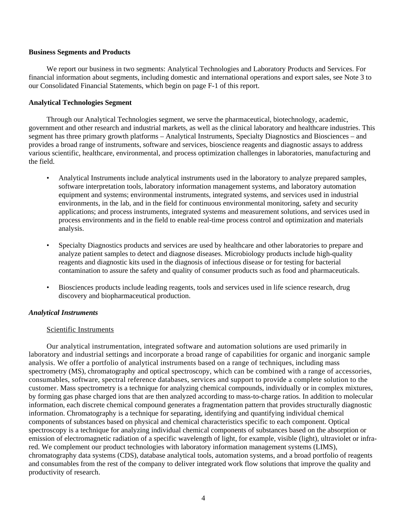### **Business Segments and Products**

 We report our business in two segments: Analytical Technologies and Laboratory Products and Services. For financial information about segments, including domestic and international operations and export sales, see Note 3 to our Consolidated Financial Statements, which begin on page F-1 of this report.

## **Analytical Technologies Segment**

 Through our Analytical Technologies segment, we serve the pharmaceutical, biotechnology, academic, government and other research and industrial markets, as well as the clinical laboratory and healthcare industries. This segment has three primary growth platforms – Analytical Instruments, Specialty Diagnostics and Biosciences – and provides a broad range of instruments, software and services, bioscience reagents and diagnostic assays to address various scientific, healthcare, environmental, and process optimization challenges in laboratories, manufacturing and the field.

- Analytical Instruments include analytical instruments used in the laboratory to analyze prepared samples, software interpretation tools, laboratory information management systems, and laboratory automation equipment and systems; environmental instruments, integrated systems, and services used in industrial environments, in the lab, and in the field for continuous environmental monitoring, safety and security applications; and process instruments, integrated systems and measurement solutions, and services used in process environments and in the field to enable real-time process control and optimization and materials analysis.
- Specialty Diagnostics products and services are used by healthcare and other laboratories to prepare and analyze patient samples to detect and diagnose diseases. Microbiology products include high-quality reagents and diagnostic kits used in the diagnosis of infectious disease or for testing for bacterial contamination to assure the safety and quality of consumer products such as food and pharmaceuticals.
- Biosciences products include leading reagents, tools and services used in life science research, drug discovery and biopharmaceutical production.

## *Analytical Instruments*

## Scientific Instruments

 Our analytical instrumentation, integrated software and automation solutions are used primarily in laboratory and industrial settings and incorporate a broad range of capabilities for organic and inorganic sample analysis. We offer a portfolio of analytical instruments based on a range of techniques, including mass spectrometry (MS), chromatography and optical spectroscopy, which can be combined with a range of accessories, consumables, software, spectral reference databases, services and support to provide a complete solution to the customer. Mass spectrometry is a technique for analyzing chemical compounds, individually or in complex mixtures, by forming gas phase charged ions that are then analyzed according to mass-to-charge ratios. In addition to molecular information, each discrete chemical compound generates a fragmentation pattern that provides structurally diagnostic information. Chromatography is a technique for separating, identifying and quantifying individual chemical components of substances based on physical and chemical characteristics specific to each component. Optical spectroscopy is a technique for analyzing individual chemical components of substances based on the absorption or emission of electromagnetic radiation of a specific wavelength of light, for example, visible (light), ultraviolet or infrared. We complement our product technologies with laboratory information management systems (LIMS), chromatography data systems (CDS), database analytical tools, automation systems, and a broad portfolio of reagents and consumables from the rest of the company to deliver integrated work flow solutions that improve the quality and productivity of research.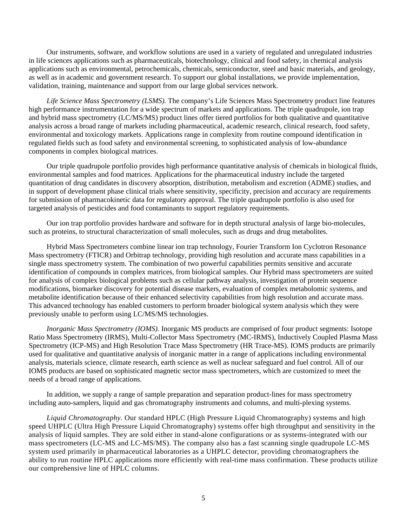Our instruments, software, and workflow solutions are used in a variety of regulated and unregulated industries in life sciences applications such as pharmaceuticals, biotechnology, clinical and food safety, in chemical analysis applications such as environmental, petrochemicals, chemicals, semiconductor, steel and basic materials, and geology, as well as in academic and government research. To support our global installations, we provide implementation, validation, training, maintenance and support from our large global services network.

*Life Science Mass Spectrometry (LSMS).* The company's Life Sciences Mass Spectrometry product line features high performance instrumentation for a wide spectrum of markets and applications. The triple quadrupole, ion trap and hybrid mass spectrometry (LC/MS/MS) product lines offer tiered portfolios for both qualitative and quantitative analysis across a broad range of markets including pharmaceutical, academic research, clinical research, food safety, environmental and toxicology markets. Applications range in complexity from routine compound identification in regulated fields such as food safety and environmental screening, to sophisticated analysis of low-abundance components in complex biological matrices.

 Our triple quadrupole portfolio provides high performance quantitative analysis of chemicals in biological fluids, environmental samples and food matrices. Applications for the pharmaceutical industry include the targeted quantitation of drug candidates in discovery absorption, distribution, metabolism and excretion (ADME) studies, and in support of development phase clinical trials where sensitivity, specificity, precision and accuracy are requirements for submission of pharmacokinetic data for regulatory approval. The triple quadrupole portfolio is also used for targeted analysis of pesticides and food contaminants to support regulatory requirements.

 Our ion trap portfolio provides hardware and software for in depth structural analysis of large bio-molecules, such as proteins, to structural characterization of small molecules, such as drugs and drug metabolites.

 Hybrid Mass Spectrometers combine linear ion trap technology, Fourier Transform Ion Cyclotron Resonance Mass spectrometry (FTICR) and Orbitrap technology, providing high resolution and accurate mass capabilities in a single mass spectrometry system. The combination of two powerful capabilities permits sensitive and accurate identification of compounds in complex matrices, from biological samples. Our Hybrid mass spectrometers are suited for analysis of complex biological problems such as cellular pathway analysis, investigation of protein sequence modifications, biomarker discovery for potential disease markers, evaluation of complex metabolomic systems, and metabolite identification because of their enhanced selectivity capabilities from high resolution and accurate mass. This advanced technology has enabled customers to perform broader biological system analysis which they were previously unable to perform using LC/MS/MS technologies.

*Inorganic Mass Spectrometry (IOMS).* Inorganic MS products are comprised of four product segments: Isotope Ratio Mass Spectrometry (IRMS), Multi-Collector Mass Spectrometry (MC-IRMS), Inductively Coupled Plasma Mass Spectrometry (ICP-MS) and High Resolution Trace Mass Spectrometry (HR Trace-MS). IOMS products are primarily used for qualitative and quantitative analysis of inorganic matter in a range of applications including environmental analysis, materials science, climate research, earth science as well as nuclear safeguard and fuel control. All of our IOMS products are based on sophisticated magnetic sector mass spectrometers, which are customized to meet the needs of a broad range of applications.

 In addition, we supply a range of sample preparation and separation product-lines for mass spectrometry including auto-samplers, liquid and gas chromatography instruments and columns, and multi-plexing systems.

*Liquid Chromatography.* Our standard HPLC (High Pressure Liquid Chromatography) systems and high speed UHPLC (Ultra High Pressure Liquid Chromatography) systems offer high throughput and sensitivity in the analysis of liquid samples. They are sold either in stand-alone configurations or as systems-integrated with our mass spectrometers (LC-MS and LC-MS/MS). The company also has a fast scanning single quadrupole LC-MS system used primarily in pharmaceutical laboratories as a UHPLC detector, providing chromatographers the ability to run routine HPLC applications more efficiently with real-time mass confirmation. These products utilize our comprehensive line of HPLC columns.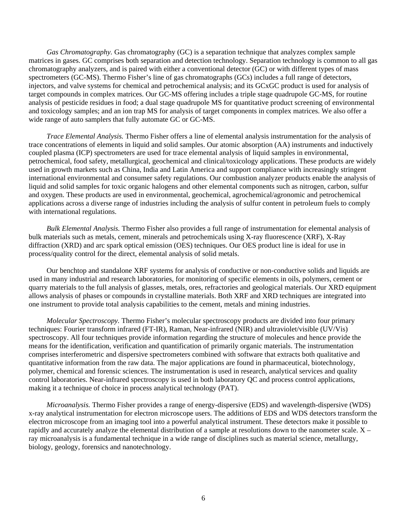*Gas Chromatography.* Gas chromatography (GC) is a separation technique that analyzes complex sample matrices in gases. GC comprises both separation and detection technology. Separation technology is common to all gas chromatography analyzers, and is paired with either a conventional detector (GC) or with different types of mass spectrometers (GC-MS). Thermo Fisher's line of gas chromatographs (GCs) includes a full range of detectors, injectors, and valve systems for chemical and petrochemical analysis; and its GCxGC product is used for analysis of target compounds in complex matrices. Our GC-MS offering includes a triple stage quadrupole GC-MS, for routine analysis of pesticide residues in food; a dual stage quadrupole MS for quantitative product screening of environmental and toxicology samples; and an ion trap MS for analysis of target components in complex matrices. We also offer a wide range of auto samplers that fully automate GC or GC-MS.

 *Trace Elemental Analysis.* Thermo Fisher offers a line of elemental analysis instrumentation for the analysis of trace concentrations of elements in liquid and solid samples. Our atomic absorption (AA) instruments and inductively coupled plasma (ICP) spectrometers are used for trace elemental analysis of liquid samples in environmental, petrochemical, food safety, metallurgical, geochemical and clinical/toxicology applications. These products are widely used in growth markets such as China, India and Latin America and support compliance with increasingly stringent international environmental and consumer safety regulations. Our combustion analyzer products enable the analysis of liquid and solid samples for toxic organic halogens and other elemental components such as nitrogen, carbon, sulfur and oxygen. These products are used in environmental, geochemical, agrochemical/agronomic and petrochemical applications across a diverse range of industries including the analysis of sulfur content in petroleum fuels to comply with international regulations.

*Bulk Elemental Analysis.* Thermo Fisher also provides a full range of instrumentation for elemental analysis of bulk materials such as metals, cement, minerals and petrochemicals using X-ray fluorescence (XRF), X-Ray diffraction (XRD) and arc spark optical emission (OES) techniques. Our OES product line is ideal for use in process/quality control for the direct, elemental analysis of solid metals.

 Our benchtop and standalone XRF systems for analysis of conductive or non-conductive solids and liquids are used in many industrial and research laboratories, for monitoring of specific elements in oils, polymers, cement or quarry materials to the full analysis of glasses, metals, ores, refractories and geological materials. Our XRD equipment allows analysis of phases or compounds in crystalline materials. Both XRF and XRD techniques are integrated into one instrument to provide total analysis capabilities to the cement, metals and mining industries.

 *Molecular Spectroscopy.* Thermo Fisher's molecular spectroscopy products are divided into four primary techniques: Fourier transform infrared (FT-IR), Raman, Near-infrared (NIR) and ultraviolet/visible (UV/Vis) spectroscopy. All four techniques provide information regarding the structure of molecules and hence provide the means for the identification, verification and quantification of primarily organic materials. The instrumentation comprises interferometric and dispersive spectrometers combined with software that extracts both qualitative and quantitative information from the raw data. The major applications are found in pharmaceutical, biotechnology, polymer, chemical and forensic sciences. The instrumentation is used in research, analytical services and quality control laboratories. Near-infrared spectroscopy is used in both laboratory QC and process control applications, making it a technique of choice in process analytical technology (PAT).

 *Microanalysis.* Thermo Fisher provides a range of energy-dispersive (EDS) and wavelength-dispersive (WDS) x-ray analytical instrumentation for electron microscope users. The additions of EDS and WDS detectors transform the electron microscope from an imaging tool into a powerful analytical instrument. These detectors make it possible to rapidly and accurately analyze the elemental distribution of a sample at resolutions down to the nanometer scale. X – ray microanalysis is a fundamental technique in a wide range of disciplines such as material science, metallurgy, biology, geology, forensics and nanotechnology.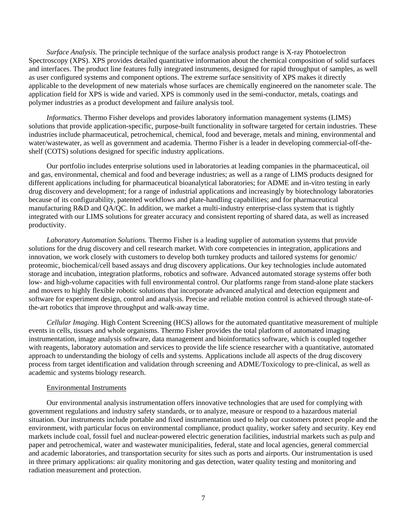*Surface Analysis.* The principle technique of the surface analysis product range is X-ray Photoelectron Spectroscopy (XPS). XPS provides detailed quantitative information about the chemical composition of solid surfaces and interfaces. The product line features fully integrated instruments, designed for rapid throughput of samples, as well as user configured systems and component options. The extreme surface sensitivity of XPS makes it directly applicable to the development of new materials whose surfaces are chemically engineered on the nanometer scale. The application field for XPS is wide and varied. XPS is commonly used in the semi-conductor, metals, coatings and polymer industries as a product development and failure analysis tool.

 *Informatics.* Thermo Fisher develops and provides laboratory information management systems (LIMS) solutions that provide application-specific, purpose-built functionality in software targeted for certain industries. These industries include pharmaceutical, petrochemical, chemical, food and beverage, metals and mining, environmental and water/wastewater, as well as government and academia. Thermo Fisher is a leader in developing commercial-off-theshelf (COTS) solutions designed for specific industry applications.

 Our portfolio includes enterprise solutions used in laboratories at leading companies in the pharmaceutical, oil and gas, environmental, chemical and food and beverage industries; as well as a range of LIMS products designed for different applications including for pharmaceutical bioanalytical laboratories; for ADME and in-vitro testing in early drug discovery and development; for a range of industrial applications and increasingly by biotechnology laboratories because of its configurability, patented workflows and plate-handling capabilities; and for pharmaceutical manufacturing R&D and QA/QC. In addition, we market a multi-industry enterprise-class system that is tightly integrated with our LIMS solutions for greater accuracy and consistent reporting of shared data, as well as increased productivity.

 *Laboratory Automation Solutions.* Thermo Fisher is a leading supplier of automation systems that provide solutions for the drug discovery and cell research market. With core competencies in integration, applications and innovation, we work closely with customers to develop both turnkey products and tailored systems for genomic/ proteomic, biochemical/cell based assays and drug discovery applications. Our key technologies include automated storage and incubation, integration platforms, robotics and software. Advanced automated storage systems offer both low- and high-volume capacities with full environmental control. Our platforms range from stand-alone plate stackers and movers to highly flexible robotic solutions that incorporate advanced analytical and detection equipment and software for experiment design, control and analysis. Precise and reliable motion control is achieved through state-ofthe-art robotics that improve throughput and walk-away time.

 *Cellular Imaging.* High Content Screening (HCS) allows for the automated quantitative measurement of multiple events in cells, tissues and whole organisms. Thermo Fisher provides the total platform of automated imaging instrumentation, image analysis software, data management and bioinformatics software, which is coupled together with reagents, laboratory automation and services to provide the life science researcher with a quantitative, automated approach to understanding the biology of cells and systems. Applications include all aspects of the drug discovery process from target identification and validation through screening and ADME/Toxicology to pre-clinical, as well as academic and systems biology research.

#### Environmental Instruments

 Our environmental analysis instrumentation offers innovative technologies that are used for complying with government regulations and industry safety standards, or to analyze, measure or respond to a hazardous material situation. Our instruments include portable and fixed instrumentation used to help our customers protect people and the environment, with particular focus on environmental compliance, product quality, worker safety and security. Key end markets include coal, fossil fuel and nuclear-powered electric generation facilities, industrial markets such as pulp and paper and petrochemical, water and wastewater municipalities, federal, state and local agencies, general commercial and academic laboratories, and transportation security for sites such as ports and airports. Our instrumentation is used in three primary applications: air quality monitoring and gas detection, water quality testing and monitoring and radiation measurement and protection.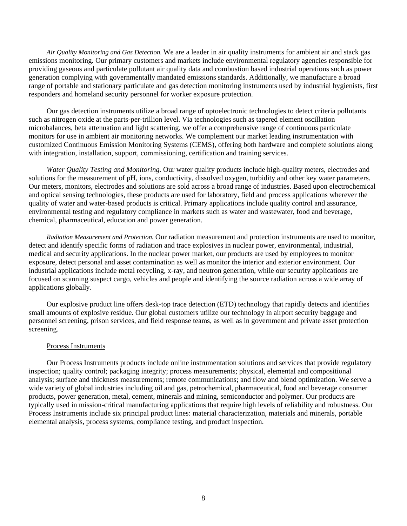*Air Quality Monitoring and Gas Detection.* We are a leader in air quality instruments for ambient air and stack gas emissions monitoring. Our primary customers and markets include environmental regulatory agencies responsible for providing gaseous and particulate pollutant air quality data and combustion based industrial operations such as power generation complying with governmentally mandated emissions standards. Additionally, we manufacture a broad range of portable and stationary particulate and gas detection monitoring instruments used by industrial hygienists, first responders and homeland security personnel for worker exposure protection.

 Our gas detection instruments utilize a broad range of optoelectronic technologies to detect criteria pollutants such as nitrogen oxide at the parts-per-trillion level. Via technologies such as tapered element oscillation microbalances, beta attenuation and light scattering, we offer a comprehensive range of continuous particulate monitors for use in ambient air monitoring networks. We complement our market leading instrumentation with customized Continuous Emission Monitoring Systems (CEMS), offering both hardware and complete solutions along with integration, installation, support, commissioning, certification and training services.

*Water Quality Testing and Monitoring.* Our water quality products include high-quality meters, electrodes and solutions for the measurement of pH, ions, conductivity, dissolved oxygen, turbidity and other key water parameters. Our meters, monitors, electrodes and solutions are sold across a broad range of industries. Based upon electrochemical and optical sensing technologies, these products are used for laboratory, field and process applications wherever the quality of water and water-based products is critical. Primary applications include quality control and assurance, environmental testing and regulatory compliance in markets such as water and wastewater, food and beverage, chemical, pharmaceutical, education and power generation.

 *Radiation Measurement and Protection.* Our radiation measurement and protection instruments are used to monitor, detect and identify specific forms of radiation and trace explosives in nuclear power, environmental, industrial, medical and security applications. In the nuclear power market, our products are used by employees to monitor exposure, detect personal and asset contamination as well as monitor the interior and exterior environment. Our industrial applications include metal recycling, x-ray, and neutron generation, while our security applications are focused on scanning suspect cargo, vehicles and people and identifying the source radiation across a wide array of applications globally.

 Our explosive product line offers desk-top trace detection (ETD) technology that rapidly detects and identifies small amounts of explosive residue. Our global customers utilize our technology in airport security baggage and personnel screening, prison services, and field response teams, as well as in government and private asset protection screening.

#### Process Instruments

 Our Process Instruments products include online instrumentation solutions and services that provide regulatory inspection; quality control; packaging integrity; process measurements; physical, elemental and compositional analysis; surface and thickness measurements; remote communications; and flow and blend optimization. We serve a wide variety of global industries including oil and gas, petrochemical, pharmaceutical, food and beverage consumer products, power generation, metal, cement, minerals and mining, semiconductor and polymer. Our products are typically used in mission-critical manufacturing applications that require high levels of reliability and robustness. Our Process Instruments include six principal product lines: material characterization, materials and minerals, portable elemental analysis, process systems, compliance testing, and product inspection.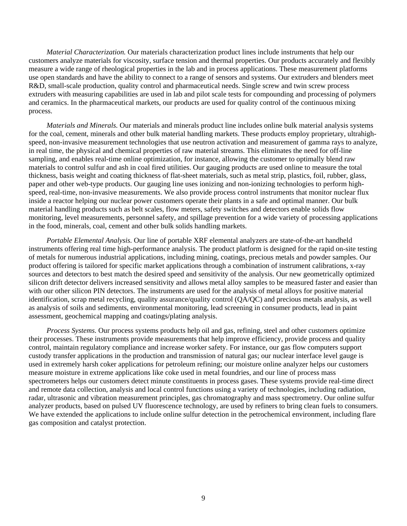*Material Characterization.* Our materials characterization product lines include instruments that help our customers analyze materials for viscosity, surface tension and thermal properties. Our products accurately and flexibly measure a wide range of rheological properties in the lab and in process applications. These measurement platforms use open standards and have the ability to connect to a range of sensors and systems. Our extruders and blenders meet R&D, small-scale production, quality control and pharmaceutical needs. Single screw and twin screw process extruders with measuring capabilities are used in lab and pilot scale tests for compounding and processing of polymers and ceramics. In the pharmaceutical markets, our products are used for quality control of the continuous mixing process.

 *Materials and Minerals.* Our materials and minerals product line includes online bulk material analysis systems for the coal, cement, minerals and other bulk material handling markets. These products employ proprietary, ultrahighspeed, non-invasive measurement technologies that use neutron activation and measurement of gamma rays to analyze, in real time, the physical and chemical properties of raw material streams. This eliminates the need for off-line sampling, and enables real-time online optimization, for instance, allowing the customer to optimally blend raw materials to control sulfur and ash in coal fired utilities. Our gauging products are used online to measure the total thickness, basis weight and coating thickness of flat-sheet materials, such as metal strip, plastics, foil, rubber, glass, paper and other web-type products. Our gauging line uses ionizing and non-ionizing technologies to perform highspeed, real-time, non-invasive measurements. We also provide process control instruments that monitor nuclear flux inside a reactor helping our nuclear power customers operate their plants in a safe and optimal manner. Our bulk material handling products such as belt scales, flow meters, safety switches and detectors enable solids flow monitoring, level measurements, personnel safety, and spillage prevention for a wide variety of processing applications in the food, minerals, coal, cement and other bulk solids handling markets.

 *Portable Elemental Analysis.* Our line of portable XRF elemental analyzers are state-of-the-art handheld instruments offering real time high-performance analysis. The product platform is designed for the rapid on-site testing of metals for numerous industrial applications, including mining, coatings, precious metals and powder samples. Our product offering is tailored for specific market applications through a combination of instrument calibrations, x-ray sources and detectors to best match the desired speed and sensitivity of the analysis. Our new geometrically optimized silicon drift detector delivers increased sensitivity and allows metal alloy samples to be measured faster and easier than with our other silicon PIN detectors. The instruments are used for the analysis of metal alloys for positive material identification, scrap metal recycling, quality assurance/quality control (QA/QC) and precious metals analysis, as well as analysis of soils and sediments, environmental monitoring, lead screening in consumer products, lead in paint assessment, geochemical mapping and coatings/plating analysis.

 *Process Systems.* Our process systems products help oil and gas, refining, steel and other customers optimize their processes. These instruments provide measurements that help improve efficiency, provide process and quality control, maintain regulatory compliance and increase worker safety. For instance, our gas flow computers support custody transfer applications in the production and transmission of natural gas; our nuclear interface level gauge is used in extremely harsh coker applications for petroleum refining; our moisture online analyzer helps our customers measure moisture in extreme applications like coke used in metal foundries, and our line of process mass spectrometers helps our customers detect minute constituents in process gases. These systems provide real-time direct and remote data collection, analysis and local control functions using a variety of technologies, including radiation, radar, ultrasonic and vibration measurement principles, gas chromatography and mass spectrometry. Our online sulfur analyzer products, based on pulsed UV fluorescence technology, are used by refiners to bring clean fuels to consumers. We have extended the applications to include online sulfur detection in the petrochemical environment, including flare gas composition and catalyst protection.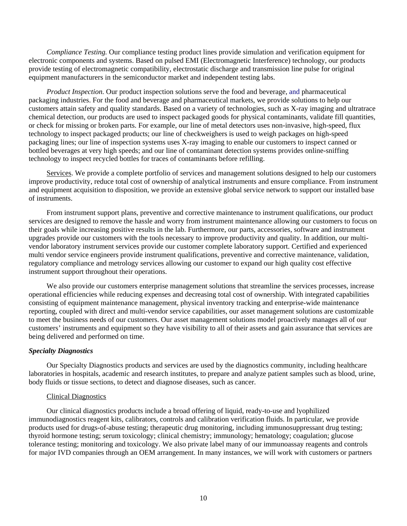*Compliance Testing.* Our compliance testing product lines provide simulation and verification equipment for electronic components and systems. Based on pulsed EMI (Electromagnetic Interference) technology, our products provide testing of electromagnetic compatibility, electrostatic discharge and transmission line pulse for original equipment manufacturers in the semiconductor market and independent testing labs.

 *Product Inspection.* Our product inspection solutions serve the food and beverage, and pharmaceutical packaging industries. For the food and beverage and pharmaceutical markets, we provide solutions to help our customers attain safety and quality standards. Based on a variety of technologies, such as X-ray imaging and ultratrace chemical detection, our products are used to inspect packaged goods for physical contaminants, validate fill quantities, or check for missing or broken parts. For example, our line of metal detectors uses non-invasive, high-speed, flux technology to inspect packaged products; our line of checkweighers is used to weigh packages on high-speed packaging lines; our line of inspection systems uses X-ray imaging to enable our customers to inspect canned or bottled beverages at very high speeds; and our line of contaminant detection systems provides online-sniffing technology to inspect recycled bottles for traces of contaminants before refilling.

Services. We provide a complete portfolio of services and management solutions designed to help our customers improve productivity, reduce total cost of ownership of analytical instruments and ensure compliance. From instrument and equipment acquisition to disposition, we provide an extensive global service network to support our installed base of instruments.

 From instrument support plans, preventive and corrective maintenance to instrument qualifications, our product services are designed to remove the hassle and worry from instrument maintenance allowing our customers to focus on their goals while increasing positive results in the lab. Furthermore, our parts, accessories, software and instrument upgrades provide our customers with the tools necessary to improve productivity and quality. In addition, our multivendor laboratory instrument services provide our customer complete laboratory support. Certified and experienced multi vendor service engineers provide instrument qualifications, preventive and corrective maintenance, validation, regulatory compliance and metrology services allowing our customer to expand our high quality cost effective instrument support throughout their operations.

We also provide our customers enterprise management solutions that streamline the services processes, increase operational efficiencies while reducing expenses and decreasing total cost of ownership. With integrated capabilities consisting of equipment maintenance management, physical inventory tracking and enterprise-wide maintenance reporting, coupled with direct and multi-vendor service capabilities, our asset management solutions are customizable to meet the business needs of our customers. Our asset management solutions model proactively manages all of our customers' instruments and equipment so they have visibility to all of their assets and gain assurance that services are being delivered and performed on time.

### *Specialty Diagnostics*

 Our Specialty Diagnostics products and services are used by the diagnostics community, including healthcare laboratories in hospitals, academic and research institutes, to prepare and analyze patient samples such as blood, urine, body fluids or tissue sections, to detect and diagnose diseases, such as cancer.

### Clinical Diagnostics

 Our clinical diagnostics products include a broad offering of liquid, ready-to-use and lyophilized immunodiagnostics reagent kits, calibrators, controls and calibration verification fluids. In particular, we provide products used for drugs-of-abuse testing; therapeutic drug monitoring, including immunosuppressant drug testing; thyroid hormone testing; serum toxicology; clinical chemistry; immunology; hematology; coagulation; glucose tolerance testing; monitoring and toxicology. We also private label many of our immunoassay reagents and controls for major IVD companies through an OEM arrangement. In many instances, we will work with customers or partners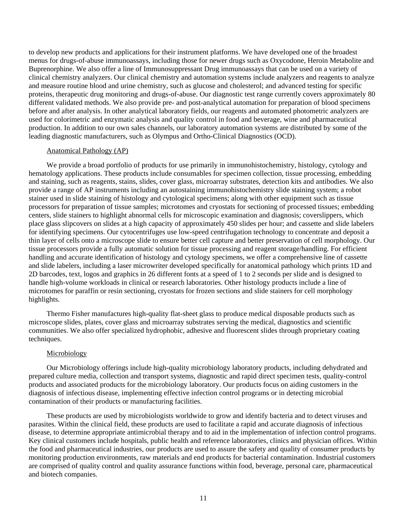to develop new products and applications for their instrument platforms. We have developed one of the broadest menus for drugs-of-abuse immunoassays, including those for newer drugs such as Oxycodone, Heroin Metabolite and Buprenorphine. We also offer a line of Immunosuppressant Drug immunoassays that can be used on a variety of clinical chemistry analyzers. Our clinical chemistry and automation systems include analyzers and reagents to analyze and measure routine blood and urine chemistry, such as glucose and cholesterol; and advanced testing for specific proteins, therapeutic drug monitoring and drugs-of-abuse. Our diagnostic test range currently covers approximately 80 different validated methods. We also provide pre- and post-analytical automation for preparation of blood specimens before and after analysis. In other analytical laboratory fields, our reagents and automated photometric analyzers are used for colorimetric and enzymatic analysis and quality control in food and beverage, wine and pharmaceutical production. In addition to our own sales channels, our laboratory automation systems are distributed by some of the leading diagnostic manufacturers, such as Olympus and Ortho-Clinical Diagnostics (OCD).

### Anatomical Pathology (AP)

We provide a broad portfolio of products for use primarily in immunohistochemistry, histology, cytology and hematology applications. These products include consumables for specimen collection, tissue processing, embedding and staining, such as reagents, stains, slides, cover glass, microarray substrates, detection kits and antibodies. We also provide a range of AP instruments including an autostaining immunohistochemistry slide staining system; a robot stainer used in slide staining of histology and cytological specimens; along with other equipment such as tissue processors for preparation of tissue samples; microtomes and cryostats for sectioning of processed tissues; embedding centers, slide stainers to highlight abnormal cells for microscopic examination and diagnosis; coverslippers, which place glass slipcovers on slides at a high capacity of approximately 450 slides per hour; and cassette and slide labelers for identifying specimens. Our cytocentrifuges use low-speed centrifugation technology to concentrate and deposit a thin layer of cells onto a microscope slide to ensure better cell capture and better preservation of cell morphology. Our tissue processors provide a fully automatic solution for tissue processing and reagent storage/handling. For efficient handling and accurate identification of histology and cytology specimens, we offer a comprehensive line of cassette and slide labelers, including a laser microwriter developed specifically for anatomical pathology which prints 1D and 2D barcodes, text, logos and graphics in 26 different fonts at a speed of 1 to 2 seconds per slide and is designed to handle high-volume workloads in clinical or research laboratories. Other histology products include a line of microtomes for paraffin or resin sectioning, cryostats for frozen sections and slide stainers for cell morphology highlights.

Thermo Fisher manufactures high-quality flat-sheet glass to produce medical disposable products such as microscope slides, plates, cover glass and microarray substrates serving the medical, diagnostics and scientific communities. We also offer specialized hydrophobic, adhesive and fluorescent slides through proprietary coating techniques.

### Microbiology

 Our Microbiology offerings include high-quality microbiology laboratory products, including dehydrated and prepared culture media, collection and transport systems, diagnostic and rapid direct specimen tests, quality-control products and associated products for the microbiology laboratory. Our products focus on aiding customers in the diagnosis of infectious disease, implementing effective infection control programs or in detecting microbial contamination of their products or manufacturing facilities.

 These products are used by microbiologists worldwide to grow and identify bacteria and to detect viruses and parasites. Within the clinical field, these products are used to facilitate a rapid and accurate diagnosis of infectious disease, to determine appropriate antimicrobial therapy and to aid in the implementation of infection control programs. Key clinical customers include hospitals, public health and reference laboratories, clinics and physician offices. Within the food and pharmaceutical industries, our products are used to assure the safety and quality of consumer products by monitoring production environments, raw materials and end products for bacterial contamination. Industrial customers are comprised of quality control and quality assurance functions within food, beverage, personal care, pharmaceutical and biotech companies.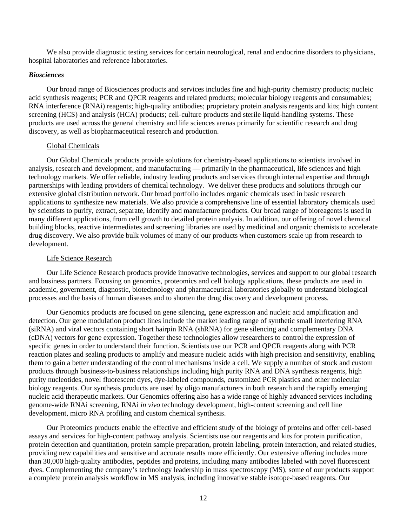We also provide diagnostic testing services for certain neurological, renal and endocrine disorders to physicians, hospital laboratories and reference laboratories.

### *Biosciences*

 Our broad range of Biosciences products and services includes fine and high-purity chemistry products; nucleic acid synthesis reagents; PCR and QPCR reagents and related products; molecular biology reagents and consumables; RNA interference (RNAi) reagents; high-quality antibodies; proprietary protein analysis reagents and kits; high content screening (HCS) and analysis (HCA) products; cell-culture products and sterile liquid-handling systems. These products are used across the general chemistry and life sciences arenas primarily for scientific research and drug discovery, as well as biopharmaceutical research and production.

### Global Chemicals

 Our Global Chemicals products provide solutions for chemistry-based applications to scientists involved in analysis, research and development, and manufacturing — primarily in the pharmaceutical, life sciences and high technology markets. We offer reliable, industry leading products and services through internal expertise and through partnerships with leading providers of chemical technology. We deliver these products and solutions through our extensive global distribution network. Our broad portfolio includes organic chemicals used in basic research applications to synthesize new materials. We also provide a comprehensive line of essential laboratory chemicals used by scientists to purify, extract, separate, identify and manufacture products. Our broad range of bioreagents is used in many different applications, from cell growth to detailed protein analysis. In addition, our offering of novel chemical building blocks, reactive intermediates and screening libraries are used by medicinal and organic chemists to accelerate drug discovery. We also provide bulk volumes of many of our products when customers scale up from research to development.

#### Life Science Research

 Our Life Science Research products provide innovative technologies, services and support to our global research and business partners. Focusing on genomics, proteomics and cell biology applications, these products are used in academic, government, diagnostic, biotechnology and pharmaceutical laboratories globally to understand biological processes and the basis of human diseases and to shorten the drug discovery and development process.

 Our Genomics products are focused on gene silencing, gene expression and nucleic acid amplification and detection. Our gene modulation product lines include the market leading range of synthetic small interfering RNA (siRNA) and viral vectors containing short hairpin RNA (shRNA) for gene silencing and complementary DNA (cDNA) vectors for gene expression. Together these technologies allow researchers to control the expression of specific genes in order to understand their function. Scientists use our PCR and QPCR reagents along with PCR reaction plates and sealing products to amplify and measure nucleic acids with high precision and sensitivity, enabling them to gain a better understanding of the control mechanisms inside a cell. We supply a number of stock and custom products through business-to-business relationships including high purity RNA and DNA synthesis reagents, high purity nucleotides, novel fluorescent dyes, dye-labeled compounds, customized PCR plastics and other molecular biology reagents. Our synthesis products are used by oligo manufacturers in both research and the rapidly emerging nucleic acid therapeutic markets. Our Genomics offering also has a wide range of highly advanced services including genome-wide RNAi screening, RNAi *in vivo* technology development, high-content screening and cell line development, micro RNA profiling and custom chemical synthesis.

 Our Proteomics products enable the effective and efficient study of the biology of proteins and offer cell-based assays and services for high-content pathway analysis. Scientists use our reagents and kits for protein purification, protein detection and quantitation, protein sample preparation, protein labeling, protein interaction, and related studies, providing new capabilities and sensitive and accurate results more efficiently. Our extensive offering includes more than 30,000 high-quality antibodies, peptides and proteins, including many antibodies labeled with novel fluorescent dyes. Complementing the company's technology leadership in mass spectroscopy (MS), some of our products support a complete protein analysis workflow in MS analysis, including innovative stable isotope-based reagents. Our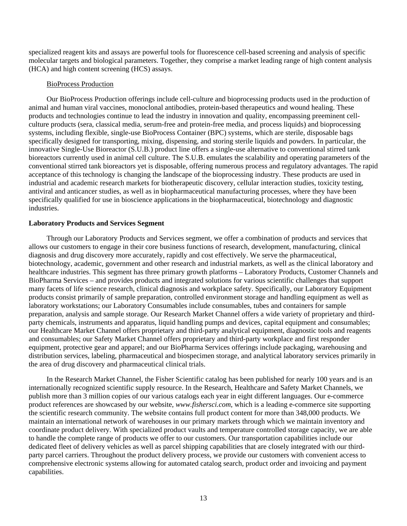specialized reagent kits and assays are powerful tools for fluorescence cell-based screening and analysis of specific molecular targets and biological parameters. Together, they comprise a market leading range of high content analysis (HCA) and high content screening (HCS) assays.

#### BioProcess Production

 Our BioProcess Production offerings include cell-culture and bioprocessing products used in the production of animal and human viral vaccines, monoclonal antibodies, protein-based therapeutics and wound healing. These products and technologies continue to lead the industry in innovation and quality, encompassing preeminent cellculture products (sera, classical media, serum-free and protein-free media, and process liquids) and bioprocessing systems, including flexible, single-use BioProcess Container (BPC) systems, which are sterile, disposable bags specifically designed for transporting, mixing, dispensing, and storing sterile liquids and powders. In particular, the innovative Single-Use Bioreactor (S.U.B.) product line offers a single-use alternative to conventional stirred tank bioreactors currently used in animal cell culture. The S.U.B. emulates the scalability and operating parameters of the conventional stirred tank bioreactors yet is disposable, offering numerous process and regulatory advantages. The rapid acceptance of this technology is changing the landscape of the bioprocessing industry. These products are used in industrial and academic research markets for biotherapeutic discovery, cellular interaction studies, toxicity testing, antiviral and anticancer studies, as well as in biopharmaceutical manufacturing processes, where they have been specifically qualified for use in bioscience applications in the biopharmaceutical, biotechnology and diagnostic industries.

### **Laboratory Products and Services Segment**

 Through our Laboratory Products and Services segment, we offer a combination of products and services that allows our customers to engage in their core business functions of research, development, manufacturing, clinical diagnosis and drug discovery more accurately, rapidly and cost effectively. We serve the pharmaceutical, biotechnology, academic, government and other research and industrial markets, as well as the clinical laboratory and healthcare industries. This segment has three primary growth platforms – Laboratory Products, Customer Channels and BioPharma Services – and provides products and integrated solutions for various scientific challenges that support many facets of life science research, clinical diagnosis and workplace safety. Specifically, our Laboratory Equipment products consist primarily of sample preparation, controlled environment storage and handling equipment as well as laboratory workstations; our Laboratory Consumables include consumables, tubes and containers for sample preparation, analysis and sample storage. Our Research Market Channel offers a wide variety of proprietary and thirdparty chemicals, instruments and apparatus, liquid handling pumps and devices, capital equipment and consumables; our Healthcare Market Channel offers proprietary and third-party analytical equipment, diagnostic tools and reagents and consumables; our Safety Market Channel offers proprietary and third-party workplace and first responder equipment, protective gear and apparel; and our BioPharma Services offerings include packaging, warehousing and distribution services, labeling, pharmaceutical and biospecimen storage, and analytical laboratory services primarily in the area of drug discovery and pharmaceutical clinical trials.

 In the Research Market Channel, the Fisher Scientific catalog has been published for nearly 100 years and is an internationally recognized scientific supply resource. In the Research, Healthcare and Safety Market Channels, we publish more than 3 million copies of our various catalogs each year in eight different languages. Our e-commerce product references are showcased by our website, *www.fishersci.com*, which is a leading e-commerce site supporting the scientific research community. The website contains full product content for more than 348,000 products. We maintain an international network of warehouses in our primary markets through which we maintain inventory and coordinate product delivery. With specialized product vaults and temperature controlled storage capacity, we are able to handle the complete range of products we offer to our customers. Our transportation capabilities include our dedicated fleet of delivery vehicles as well as parcel shipping capabilities that are closely integrated with our thirdparty parcel carriers. Throughout the product delivery process, we provide our customers with convenient access to comprehensive electronic systems allowing for automated catalog search, product order and invoicing and payment capabilities.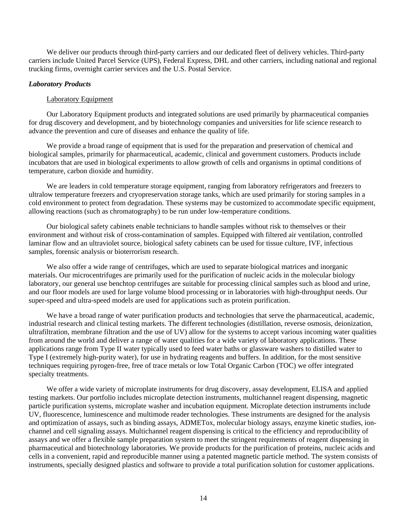We deliver our products through third-party carriers and our dedicated fleet of delivery vehicles. Third-party carriers include United Parcel Service (UPS), Federal Express, DHL and other carriers, including national and regional trucking firms, overnight carrier services and the U.S. Postal Service.

#### *Laboratory Products*

#### Laboratory Equipment

 Our Laboratory Equipment products and integrated solutions are used primarily by pharmaceutical companies for drug discovery and development, and by biotechnology companies and universities for life science research to advance the prevention and cure of diseases and enhance the quality of life.

 We provide a broad range of equipment that is used for the preparation and preservation of chemical and biological samples, primarily for pharmaceutical, academic, clinical and government customers. Products include incubators that are used in biological experiments to allow growth of cells and organisms in optimal conditions of temperature, carbon dioxide and humidity.

 We are leaders in cold temperature storage equipment, ranging from laboratory refrigerators and freezers to ultralow temperature freezers and cryopreservation storage tanks, which are used primarily for storing samples in a cold environment to protect from degradation. These systems may be customized to accommodate specific equipment, allowing reactions (such as chromatography) to be run under low-temperature conditions.

 Our biological safety cabinets enable technicians to handle samples without risk to themselves or their environment and without risk of cross-contamination of samples. Equipped with filtered air ventilation, controlled laminar flow and an ultraviolet source, biological safety cabinets can be used for tissue culture, IVF, infectious samples, forensic analysis or bioterrorism research.

 We also offer a wide range of centrifuges, which are used to separate biological matrices and inorganic materials. Our microcentrifuges are primarily used for the purification of nucleic acids in the molecular biology laboratory, our general use benchtop centrifuges are suitable for processing clinical samples such as blood and urine, and our floor models are used for large volume blood processing or in laboratories with high-throughput needs. Our super-speed and ultra-speed models are used for applications such as protein purification.

We have a broad range of water purification products and technologies that serve the pharmaceutical, academic, industrial research and clinical testing markets. The different technologies (distillation, reverse osmosis, deionization, ultrafiltration, membrane filtration and the use of UV) allow for the systems to accept various incoming water qualities from around the world and deliver a range of water qualities for a wide variety of laboratory applications. These applications range from Type II water typically used to feed water baths or glassware washers to distilled water to Type I (extremely high-purity water), for use in hydrating reagents and buffers. In addition, for the most sensitive techniques requiring pyrogen-free, free of trace metals or low Total Organic Carbon (TOC) we offer integrated specialty treatments.

We offer a wide variety of microplate instruments for drug discovery, assay development, ELISA and applied testing markets. Our portfolio includes microplate detection instruments, multichannel reagent dispensing, magnetic particle purification systems, microplate washer and incubation equipment. Microplate detection instruments include UV, fluorescence, luminescence and multimode reader technologies. These instruments are designed for the analysis and optimization of assays, such as binding assays, ADMETox, molecular biology assays, enzyme kinetic studies, ionchannel and cell signaling assays. Multichannel reagent dispensing is critical to the efficiency and reproducibility of assays and we offer a flexible sample preparation system to meet the stringent requirements of reagent dispensing in pharmaceutical and biotechnology laboratories. We provide products for the purification of proteins, nucleic acids and cells in a convenient, rapid and reproducible manner using a patented magnetic particle method. The system consists of instruments, specially designed plastics and software to provide a total purification solution for customer applications.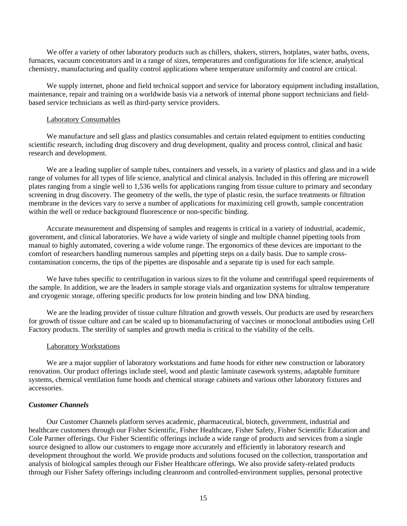We offer a variety of other laboratory products such as chillers, shakers, stirrers, hotplates, water baths, ovens, furnaces, vacuum concentrators and in a range of sizes, temperatures and configurations for life science, analytical chemistry, manufacturing and quality control applications where temperature uniformity and control are critical.

We supply internet, phone and field technical support and service for laboratory equipment including installation, maintenance, repair and training on a worldwide basis via a network of internal phone support technicians and fieldbased service technicians as well as third-party service providers.

### Laboratory Consumables

We manufacture and sell glass and plastics consumables and certain related equipment to entities conducting scientific research, including drug discovery and drug development, quality and process control, clinical and basic research and development.

 We are a leading supplier of sample tubes, containers and vessels, in a variety of plastics and glass and in a wide range of volumes for all types of life science, analytical and clinical analysis. Included in this offering are microwell plates ranging from a single well to 1,536 wells for applications ranging from tissue culture to primary and secondary screening in drug discovery. The geometry of the wells, the type of plastic resin, the surface treatments or filtration membrane in the devices vary to serve a number of applications for maximizing cell growth, sample concentration within the well or reduce background fluorescence or non-specific binding.

 Accurate measurement and dispensing of samples and reagents is critical in a variety of industrial, academic, government, and clinical laboratories. We have a wide variety of single and multiple channel pipetting tools from manual to highly automated, covering a wide volume range. The ergonomics of these devices are important to the comfort of researchers handling numerous samples and pipetting steps on a daily basis. Due to sample crosscontamination concerns, the tips of the pipettes are disposable and a separate tip is used for each sample.

 We have tubes specific to centrifugation in various sizes to fit the volume and centrifugal speed requirements of the sample. In addition, we are the leaders in sample storage vials and organization systems for ultralow temperature and cryogenic storage, offering specific products for low protein binding and low DNA binding.

We are the leading provider of tissue culture filtration and growth vessels. Our products are used by researchers for growth of tissue culture and can be scaled up to biomanufacturing of vaccines or monoclonal antibodies using Cell Factory products. The sterility of samples and growth media is critical to the viability of the cells.

#### Laboratory Workstations

We are a major supplier of laboratory workstations and fume hoods for either new construction or laboratory renovation. Our product offerings include steel, wood and plastic laminate casework systems, adaptable furniture systems, chemical ventilation fume hoods and chemical storage cabinets and various other laboratory fixtures and accessories.

### *Customer Channels*

 Our Customer Channels platform serves academic, pharmaceutical, biotech, government, industrial and healthcare customers through our Fisher Scientific, Fisher Healthcare, Fisher Safety, Fisher Scientific Education and Cole Parmer offerings. Our Fisher Scientific offerings include a wide range of products and services from a single source designed to allow our customers to engage more accurately and efficiently in laboratory research and development throughout the world. We provide products and solutions focused on the collection, transportation and analysis of biological samples through our Fisher Healthcare offerings. We also provide safety-related products through our Fisher Safety offerings including cleanroom and controlled-environment supplies, personal protective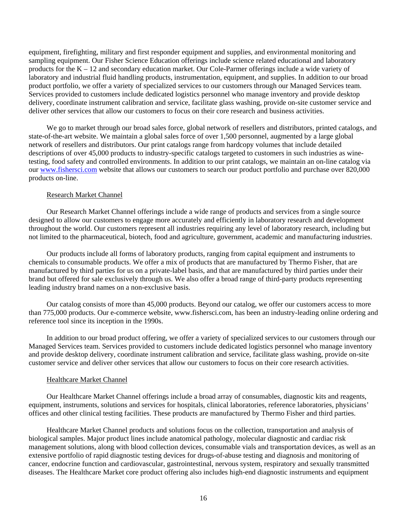equipment, firefighting, military and first responder equipment and supplies, and environmental monitoring and sampling equipment. Our Fisher Science Education offerings include science related educational and laboratory products for the K – 12 and secondary education market. Our Cole-Parmer offerings include a wide variety of laboratory and industrial fluid handling products, instrumentation, equipment, and supplies. In addition to our broad product portfolio, we offer a variety of specialized services to our customers through our Managed Services team. Services provided to customers include dedicated logistics personnel who manage inventory and provide desktop delivery, coordinate instrument calibration and service, facilitate glass washing, provide on-site customer service and deliver other services that allow our customers to focus on their core research and business activities.

 We go to market through our broad sales force, global network of resellers and distributors, printed catalogs, and state-of-the-art website. We maintain a global sales force of over 1,500 personnel, augmented by a large global network of resellers and distributors. Our print catalogs range from hardcopy volumes that include detailed descriptions of over 45,000 products to industry-specific catalogs targeted to customers in such industries as winetesting, food safety and controlled environments. In addition to our print catalogs, we maintain an on-line catalog via our www.fishersci.com website that allows our customers to search our product portfolio and purchase over 820,000 products on-line.

#### Research Market Channel

 Our Research Market Channel offerings include a wide range of products and services from a single source designed to allow our customers to engage more accurately and efficiently in laboratory research and development throughout the world. Our customers represent all industries requiring any level of laboratory research, including but not limited to the pharmaceutical, biotech, food and agriculture, government, academic and manufacturing industries.

 Our products include all forms of laboratory products, ranging from capital equipment and instruments to chemicals to consumable products. We offer a mix of products that are manufactured by Thermo Fisher, that are manufactured by third parties for us on a private-label basis, and that are manufactured by third parties under their brand but offered for sale exclusively through us. We also offer a broad range of third-party products representing leading industry brand names on a non-exclusive basis.

 Our catalog consists of more than 45,000 products. Beyond our catalog, we offer our customers access to more than 775,000 products. Our e-commerce website, www.fishersci.com, has been an industry-leading online ordering and reference tool since its inception in the 1990s.

 In addition to our broad product offering, we offer a variety of specialized services to our customers through our Managed Services team. Services provided to customers include dedicated logistics personnel who manage inventory and provide desktop delivery, coordinate instrument calibration and service, facilitate glass washing, provide on-site customer service and deliver other services that allow our customers to focus on their core research activities.

#### Healthcare Market Channel

 Our Healthcare Market Channel offerings include a broad array of consumables, diagnostic kits and reagents, equipment, instruments, solutions and services for hospitals, clinical laboratories, reference laboratories, physicians' offices and other clinical testing facilities. These products are manufactured by Thermo Fisher and third parties.

 Healthcare Market Channel products and solutions focus on the collection, transportation and analysis of biological samples. Major product lines include anatomical pathology, molecular diagnostic and cardiac risk management solutions, along with blood collection devices, consumable vials and transportation devices, as well as an extensive portfolio of rapid diagnostic testing devices for drugs-of-abuse testing and diagnosis and monitoring of cancer, endocrine function and cardiovascular, gastrointestinal, nervous system, respiratory and sexually transmitted diseases. The Healthcare Market core product offering also includes high-end diagnostic instruments and equipment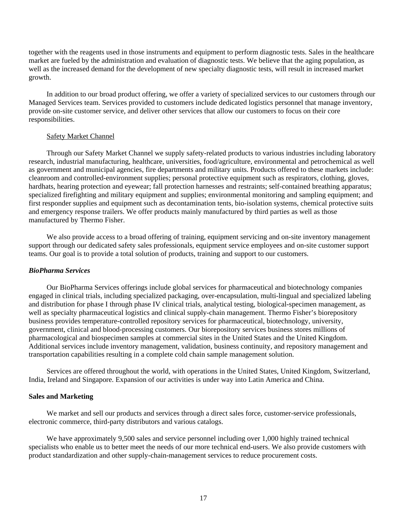together with the reagents used in those instruments and equipment to perform diagnostic tests. Sales in the healthcare market are fueled by the administration and evaluation of diagnostic tests. We believe that the aging population, as well as the increased demand for the development of new specialty diagnostic tests, will result in increased market growth.

 In addition to our broad product offering, we offer a variety of specialized services to our customers through our Managed Services team. Services provided to customers include dedicated logistics personnel that manage inventory, provide on-site customer service, and deliver other services that allow our customers to focus on their core responsibilities.

### Safety Market Channel

 Through our Safety Market Channel we supply safety-related products to various industries including laboratory research, industrial manufacturing, healthcare, universities, food/agriculture, environmental and petrochemical as well as government and municipal agencies, fire departments and military units. Products offered to these markets include: cleanroom and controlled-environment supplies; personal protective equipment such as respirators, clothing, gloves, hardhats, hearing protection and eyewear; fall protection harnesses and restraints; self-contained breathing apparatus; specialized firefighting and military equipment and supplies; environmental monitoring and sampling equipment; and first responder supplies and equipment such as decontamination tents, bio-isolation systems, chemical protective suits and emergency response trailers. We offer products mainly manufactured by third parties as well as those manufactured by Thermo Fisher.

We also provide access to a broad offering of training, equipment servicing and on-site inventory management support through our dedicated safety sales professionals, equipment service employees and on-site customer support teams. Our goal is to provide a total solution of products, training and support to our customers.

## *BioPharma Services*

Our BioPharma Services offerings include global services for pharmaceutical and biotechnology companies engaged in clinical trials, including specialized packaging, over-encapsulation, multi-lingual and specialized labeling and distribution for phase I through phase IV clinical trials, analytical testing, biological-specimen management, as well as specialty pharmaceutical logistics and clinical supply-chain management. Thermo Fisher's biorepository business provides temperature-controlled repository services for pharmaceutical, biotechnology, university, government, clinical and blood-processing customers. Our biorepository services business stores millions of pharmacological and biospecimen samples at commercial sites in the United States and the United Kingdom. Additional services include inventory management, validation, business continuity, and repository management and transportation capabilities resulting in a complete cold chain sample management solution.

 Services are offered throughout the world, with operations in the United States, United Kingdom, Switzerland, India, Ireland and Singapore. Expansion of our activities is under way into Latin America and China.

#### **Sales and Marketing**

We market and sell our products and services through a direct sales force, customer-service professionals, electronic commerce, third-party distributors and various catalogs.

We have approximately 9,500 sales and service personnel including over 1,000 highly trained technical specialists who enable us to better meet the needs of our more technical end-users. We also provide customers with product standardization and other supply-chain-management services to reduce procurement costs.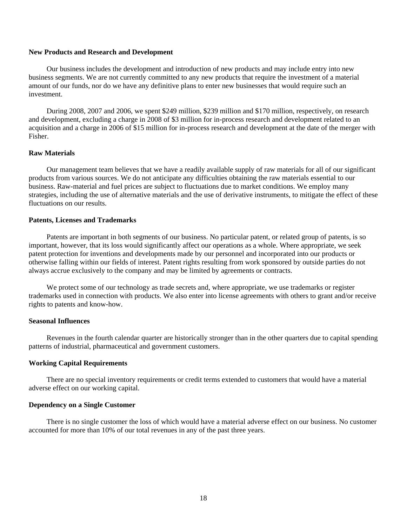#### **New Products and Research and Development**

 Our business includes the development and introduction of new products and may include entry into new business segments. We are not currently committed to any new products that require the investment of a material amount of our funds, nor do we have any definitive plans to enter new businesses that would require such an investment.

 During 2008, 2007 and 2006, we spent \$249 million, \$239 million and \$170 million, respectively, on research and development, excluding a charge in 2008 of \$3 million for in-process research and development related to an acquisition and a charge in 2006 of \$15 million for in-process research and development at the date of the merger with Fisher.

### **Raw Materials**

 Our management team believes that we have a readily available supply of raw materials for all of our significant products from various sources. We do not anticipate any difficulties obtaining the raw materials essential to our business. Raw-material and fuel prices are subject to fluctuations due to market conditions. We employ many strategies, including the use of alternative materials and the use of derivative instruments, to mitigate the effect of these fluctuations on our results.

### **Patents, Licenses and Trademarks**

 Patents are important in both segments of our business. No particular patent, or related group of patents, is so important, however, that its loss would significantly affect our operations as a whole. Where appropriate, we seek patent protection for inventions and developments made by our personnel and incorporated into our products or otherwise falling within our fields of interest. Patent rights resulting from work sponsored by outside parties do not always accrue exclusively to the company and may be limited by agreements or contracts.

We protect some of our technology as trade secrets and, where appropriate, we use trademarks or register trademarks used in connection with products. We also enter into license agreements with others to grant and/or receive rights to patents and know-how.

#### **Seasonal Influences**

 Revenues in the fourth calendar quarter are historically stronger than in the other quarters due to capital spending patterns of industrial, pharmaceutical and government customers.

#### **Working Capital Requirements**

 There are no special inventory requirements or credit terms extended to customers that would have a material adverse effect on our working capital.

### **Dependency on a Single Customer**

 There is no single customer the loss of which would have a material adverse effect on our business. No customer accounted for more than 10% of our total revenues in any of the past three years.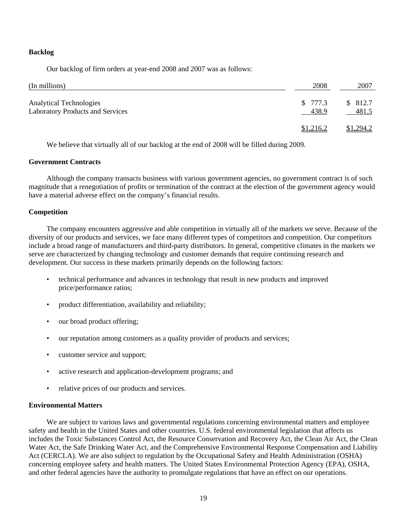## **Backlog**

Our backlog of firm orders at year-end 2008 and 2007 was as follows:

| (In millions)                                                             | 2008             | 2007             |
|---------------------------------------------------------------------------|------------------|------------------|
| <b>Analytical Technologies</b><br><b>Laboratory Products and Services</b> | \$777.3<br>438.9 | \$812.7<br>481.5 |
|                                                                           | \$1,216.2        | \$1,294.2        |

We believe that virtually all of our backlog at the end of 2008 will be filled during 2009.

## **Government Contracts**

 Although the company transacts business with various government agencies, no government contract is of such magnitude that a renegotiation of profits or termination of the contract at the election of the government agency would have a material adverse effect on the company's financial results.

## **Competition**

 The company encounters aggressive and able competition in virtually all of the markets we serve. Because of the diversity of our products and services, we face many different types of competitors and competition. Our competitors include a broad range of manufacturers and third-party distributors. In general, competitive climates in the markets we serve are characterized by changing technology and customer demands that require continuing research and development. Our success in these markets primarily depends on the following factors:

- technical performance and advances in technology that result in new products and improved price/performance ratios;
- product differentiation, availability and reliability;
- our broad product offering;
- our reputation among customers as a quality provider of products and services;
- customer service and support;
- active research and application-development programs; and
- relative prices of our products and services.

## **Environmental Matters**

 We are subject to various laws and governmental regulations concerning environmental matters and employee safety and health in the United States and other countries. U.S. federal environmental legislation that affects us includes the Toxic Substances Control Act, the Resource Conservation and Recovery Act, the Clean Air Act, the Clean Water Act, the Safe Drinking Water Act, and the Comprehensive Environmental Response Compensation and Liability Act (CERCLA). We are also subject to regulation by the Occupational Safety and Health Administration (OSHA) concerning employee safety and health matters. The United States Environmental Protection Agency (EPA), OSHA, and other federal agencies have the authority to promulgate regulations that have an effect on our operations.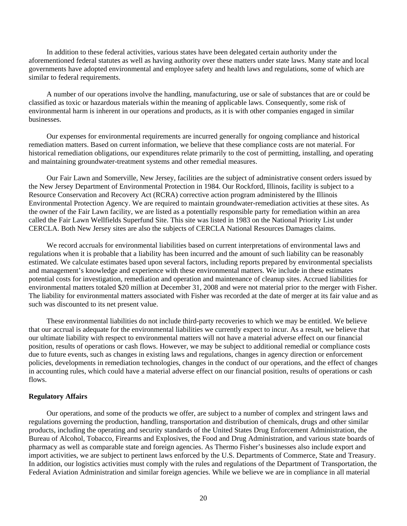In addition to these federal activities, various states have been delegated certain authority under the aforementioned federal statutes as well as having authority over these matters under state laws. Many state and local governments have adopted environmental and employee safety and health laws and regulations, some of which are similar to federal requirements.

 A number of our operations involve the handling, manufacturing, use or sale of substances that are or could be classified as toxic or hazardous materials within the meaning of applicable laws. Consequently, some risk of environmental harm is inherent in our operations and products, as it is with other companies engaged in similar businesses.

 Our expenses for environmental requirements are incurred generally for ongoing compliance and historical remediation matters. Based on current information, we believe that these compliance costs are not material. For historical remediation obligations, our expenditures relate primarily to the cost of permitting, installing, and operating and maintaining groundwater-treatment systems and other remedial measures.

 Our Fair Lawn and Somerville, New Jersey, facilities are the subject of administrative consent orders issued by the New Jersey Department of Environmental Protection in 1984. Our Rockford, Illinois, facility is subject to a Resource Conservation and Recovery Act (RCRA) corrective action program administered by the Illinois Environmental Protection Agency. We are required to maintain groundwater-remediation activities at these sites. As the owner of the Fair Lawn facility, we are listed as a potentially responsible party for remediation within an area called the Fair Lawn Wellfields Superfund Site. This site was listed in 1983 on the National Priority List under CERCLA. Both New Jersey sites are also the subjects of CERCLA National Resources Damages claims.

 We record accruals for environmental liabilities based on current interpretations of environmental laws and regulations when it is probable that a liability has been incurred and the amount of such liability can be reasonably estimated. We calculate estimates based upon several factors, including reports prepared by environmental specialists and management's knowledge and experience with these environmental matters. We include in these estimates potential costs for investigation, remediation and operation and maintenance of cleanup sites. Accrued liabilities for environmental matters totaled \$20 million at December 31, 2008 and were not material prior to the merger with Fisher. The liability for environmental matters associated with Fisher was recorded at the date of merger at its fair value and as such was discounted to its net present value.

 These environmental liabilities do not include third-party recoveries to which we may be entitled. We believe that our accrual is adequate for the environmental liabilities we currently expect to incur. As a result, we believe that our ultimate liability with respect to environmental matters will not have a material adverse effect on our financial position, results of operations or cash flows. However, we may be subject to additional remedial or compliance costs due to future events, such as changes in existing laws and regulations, changes in agency direction or enforcement policies, developments in remediation technologies, changes in the conduct of our operations, and the effect of changes in accounting rules, which could have a material adverse effect on our financial position, results of operations or cash flows.

### **Regulatory Affairs**

 Our operations, and some of the products we offer, are subject to a number of complex and stringent laws and regulations governing the production, handling, transportation and distribution of chemicals, drugs and other similar products, including the operating and security standards of the United States Drug Enforcement Administration, the Bureau of Alcohol, Tobacco, Firearms and Explosives, the Food and Drug Administration, and various state boards of pharmacy as well as comparable state and foreign agencies. As Thermo Fisher's businesses also include export and import activities, we are subject to pertinent laws enforced by the U.S. Departments of Commerce, State and Treasury. In addition, our logistics activities must comply with the rules and regulations of the Department of Transportation, the Federal Aviation Administration and similar foreign agencies. While we believe we are in compliance in all material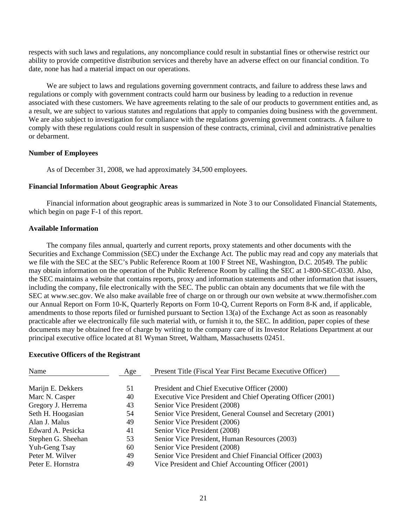respects with such laws and regulations, any noncompliance could result in substantial fines or otherwise restrict our ability to provide competitive distribution services and thereby have an adverse effect on our financial condition. To date, none has had a material impact on our operations.

 We are subject to laws and regulations governing government contracts, and failure to address these laws and regulations or comply with government contracts could harm our business by leading to a reduction in revenue associated with these customers. We have agreements relating to the sale of our products to government entities and, as a result, we are subject to various statutes and regulations that apply to companies doing business with the government. We are also subject to investigation for compliance with the regulations governing government contracts. A failure to comply with these regulations could result in suspension of these contracts, criminal, civil and administrative penalties or debarment.

## **Number of Employees**

As of December 31, 2008, we had approximately 34,500 employees.

## **Financial Information About Geographic Areas**

 Financial information about geographic areas is summarized in Note 3 to our Consolidated Financial Statements, which begin on page F-1 of this report.

## **Available Information**

 The company files annual, quarterly and current reports, proxy statements and other documents with the Securities and Exchange Commission (SEC) under the Exchange Act. The public may read and copy any materials that we file with the SEC at the SEC's Public Reference Room at 100 F Street NE, Washington, D.C. 20549. The public may obtain information on the operation of the Public Reference Room by calling the SEC at 1-800-SEC-0330. Also, the SEC maintains a website that contains reports, proxy and information statements and other information that issuers, including the company, file electronically with the SEC. The public can obtain any documents that we file with the SEC at www.sec.gov. We also make available free of charge on or through our own website at www.thermofisher.com our Annual Report on Form 10-K, Quarterly Reports on Form 10-Q, Current Reports on Form 8-K and, if applicable, amendments to those reports filed or furnished pursuant to Section 13(a) of the Exchange Act as soon as reasonably practicable after we electronically file such material with, or furnish it to, the SEC. In addition, paper copies of these documents may be obtained free of charge by writing to the company care of its Investor Relations Department at our principal executive office located at 81 Wyman Street, Waltham, Massachusetts 02451.

### **Executive Officers of the Registrant**

| Name               | Age | Present Title (Fiscal Year First Became Executive Officer)  |  |
|--------------------|-----|-------------------------------------------------------------|--|
|                    |     |                                                             |  |
| Marijn E. Dekkers  | 51  | President and Chief Executive Officer (2000)                |  |
| Marc N. Casper     | 40  | Executive Vice President and Chief Operating Officer (2001) |  |
| Gregory J. Herrema | 43  | Senior Vice President (2008)                                |  |
| Seth H. Hoogasian  | 54  | Senior Vice President, General Counsel and Secretary (2001) |  |
| Alan J. Malus      | 49  | Senior Vice President (2006)                                |  |
| Edward A. Pesicka  | 41  | Senior Vice President (2008)                                |  |
| Stephen G. Sheehan | 53  | Senior Vice President, Human Resources (2003)               |  |
| Yuh-Geng Tsay      | 60  | Senior Vice President (2008)                                |  |
| Peter M. Wilver    | 49  | Senior Vice President and Chief Financial Officer (2003)    |  |
| Peter E. Hornstra  | 49  | Vice President and Chief Accounting Officer (2001)          |  |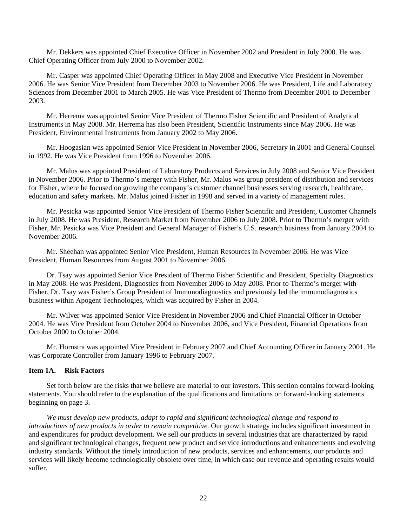Mr. Dekkers was appointed Chief Executive Officer in November 2002 and President in July 2000. He was Chief Operating Officer from July 2000 to November 2002.

 Mr. Casper was appointed Chief Operating Officer in May 2008 and Executive Vice President in November 2006. He was Senior Vice President from December 2003 to November 2006. He was President, Life and Laboratory Sciences from December 2001 to March 2005. He was Vice President of Thermo from December 2001 to December 2003.

 Mr. Herrema was appointed Senior Vice President of Thermo Fisher Scientific and President of Analytical Instruments in May 2008. Mr. Herrema has also been President, Scientific Instruments since May 2006. He was President, Environmental Instruments from January 2002 to May 2006.

 Mr. Hoogasian was appointed Senior Vice President in November 2006, Secretary in 2001 and General Counsel in 1992. He was Vice President from 1996 to November 2006.

 Mr. Malus was appointed President of Laboratory Products and Services in July 2008 and Senior Vice President in November 2006. Prior to Thermo's merger with Fisher, Mr. Malus was group president of distribution and services for Fisher, where he focused on growing the company's customer channel businesses serving research, healthcare, education and safety markets. Mr. Malus joined Fisher in 1998 and served in a variety of management roles.

 Mr. Pesicka was appointed Senior Vice President of Thermo Fisher Scientific and President, Customer Channels in July 2008. He was President, Research Market from November 2006 to July 2008. Prior to Thermo's merger with Fisher, Mr. Pesicka was Vice President and General Manager of Fisher's U.S. research business from January 2004 to November 2006.

Mr. Sheehan was appointed Senior Vice President, Human Resources in November 2006. He was Vice President, Human Resources from August 2001 to November 2006.

 Dr. Tsay was appointed Senior Vice President of Thermo Fisher Scientific and President, Specialty Diagnostics in May 2008. He was President, Diagnostics from November 2006 to May 2008. Prior to Thermo's merger with Fisher, Dr. Tsay was Fisher's Group President of Immunodiagnostics and previously led the immunodiagnostics business within Apogent Technologies, which was acquired by Fisher in 2004.

 Mr. Wilver was appointed Senior Vice President in November 2006 and Chief Financial Officer in October 2004. He was Vice President from October 2004 to November 2006, and Vice President, Financial Operations from October 2000 to October 2004.

 Mr. Hornstra was appointed Vice President in February 2007 and Chief Accounting Officer in January 2001. He was Corporate Controller from January 1996 to February 2007.

## **Item 1A. Risk Factors**

 Set forth below are the risks that we believe are material to our investors. This section contains forward-looking statements. You should refer to the explanation of the qualifications and limitations on forward-looking statements beginning on page 3.

 *We must develop new products, adapt to rapid and significant technological change and respond to introductions of new products in order to remain competitive.* Our growth strategy includes significant investment in and expenditures for product development. We sell our products in several industries that are characterized by rapid and significant technological changes, frequent new product and service introductions and enhancements and evolving industry standards. Without the timely introduction of new products, services and enhancements, our products and services will likely become technologically obsolete over time, in which case our revenue and operating results would suffer.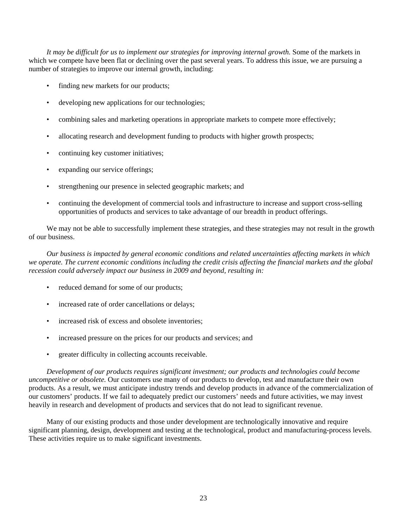It may be difficult for us to implement our strategies for improving internal growth. Some of the markets in which we compete have been flat or declining over the past several years. To address this issue, we are pursuing a number of strategies to improve our internal growth, including:

- finding new markets for our products;
- developing new applications for our technologies;
- combining sales and marketing operations in appropriate markets to compete more effectively;
- allocating research and development funding to products with higher growth prospects;
- continuing key customer initiatives;
- expanding our service offerings;
- strengthening our presence in selected geographic markets; and
- continuing the development of commercial tools and infrastructure to increase and support cross-selling opportunities of products and services to take advantage of our breadth in product offerings.

We may not be able to successfully implement these strategies, and these strategies may not result in the growth of our business.

*Our business is impacted by general economic conditions and related uncertainties affecting markets in which we operate. The current economic conditions including the credit crisis affecting the financial markets and the global recession could adversely impact our business in 2009 and beyond, resulting in:* 

- reduced demand for some of our products;
- increased rate of order cancellations or delays;
- increased risk of excess and obsolete inventories:
- increased pressure on the prices for our products and services; and
- greater difficulty in collecting accounts receivable.

*Development of our products requires significant investment; our products and technologies could become uncompetitive or obsolete.* Our customers use many of our products to develop, test and manufacture their own products. As a result, we must anticipate industry trends and develop products in advance of the commercialization of our customers' products. If we fail to adequately predict our customers' needs and future activities, we may invest heavily in research and development of products and services that do not lead to significant revenue.

 Many of our existing products and those under development are technologically innovative and require significant planning, design, development and testing at the technological, product and manufacturing-process levels. These activities require us to make significant investments.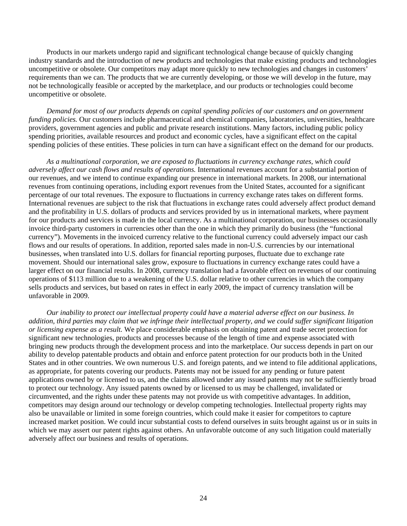Products in our markets undergo rapid and significant technological change because of quickly changing industry standards and the introduction of new products and technologies that make existing products and technologies uncompetitive or obsolete. Our competitors may adapt more quickly to new technologies and changes in customers' requirements than we can. The products that we are currently developing, or those we will develop in the future, may not be technologically feasible or accepted by the marketplace, and our products or technologies could become uncompetitive or obsolete.

*Demand for most of our products depends on capital spending policies of our customers and on government funding policies*. Our customers include pharmaceutical and chemical companies, laboratories, universities, healthcare providers, government agencies and public and private research institutions. Many factors, including public policy spending priorities, available resources and product and economic cycles, have a significant effect on the capital spending policies of these entities. These policies in turn can have a significant effect on the demand for our products.

 *As a multinational corporation, we are exposed to fluctuations in currency exchange rates, which could adversely affect our cash flows and results of operations.* International revenues account for a substantial portion of our revenues, and we intend to continue expanding our presence in international markets. In 2008, our international revenues from continuing operations, including export revenues from the United States, accounted for a significant percentage of our total revenues. The exposure to fluctuations in currency exchange rates takes on different forms. International revenues are subject to the risk that fluctuations in exchange rates could adversely affect product demand and the profitability in U.S. dollars of products and services provided by us in international markets, where payment for our products and services is made in the local currency. As a multinational corporation, our businesses occasionally invoice third-party customers in currencies other than the one in which they primarily do business (the "functional currency"). Movements in the invoiced currency relative to the functional currency could adversely impact our cash flows and our results of operations. In addition, reported sales made in non-U.S. currencies by our international businesses, when translated into U.S. dollars for financial reporting purposes, fluctuate due to exchange rate movement. Should our international sales grow, exposure to fluctuations in currency exchange rates could have a larger effect on our financial results. In 2008, currency translation had a favorable effect on revenues of our continuing operations of \$113 million due to a weakening of the U.S. dollar relative to other currencies in which the company sells products and services, but based on rates in effect in early 2009, the impact of currency translation will be unfavorable in 2009.

 *Our inability to protect our intellectual property could have a material adverse effect on our business. In addition, third parties may claim that we infringe their intellectual property, and we could suffer significant litigation or licensing expense as a result.* We place considerable emphasis on obtaining patent and trade secret protection for significant new technologies, products and processes because of the length of time and expense associated with bringing new products through the development process and into the marketplace. Our success depends in part on our ability to develop patentable products and obtain and enforce patent protection for our products both in the United States and in other countries. We own numerous U.S. and foreign patents, and we intend to file additional applications, as appropriate, for patents covering our products. Patents may not be issued for any pending or future patent applications owned by or licensed to us, and the claims allowed under any issued patents may not be sufficiently broad to protect our technology. Any issued patents owned by or licensed to us may be challenged, invalidated or circumvented, and the rights under these patents may not provide us with competitive advantages. In addition, competitors may design around our technology or develop competing technologies. Intellectual property rights may also be unavailable or limited in some foreign countries, which could make it easier for competitors to capture increased market position. We could incur substantial costs to defend ourselves in suits brought against us or in suits in which we may assert our patent rights against others. An unfavorable outcome of any such litigation could materially adversely affect our business and results of operations.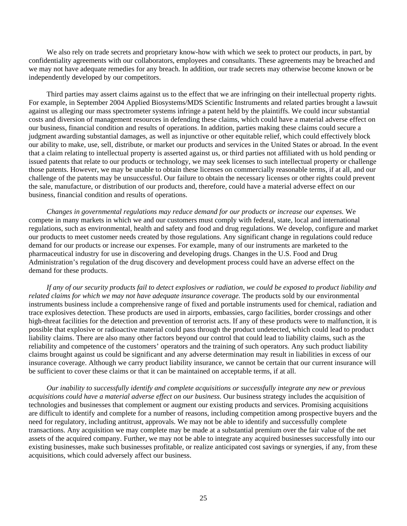We also rely on trade secrets and proprietary know-how with which we seek to protect our products, in part, by confidentiality agreements with our collaborators, employees and consultants. These agreements may be breached and we may not have adequate remedies for any breach. In addition, our trade secrets may otherwise become known or be independently developed by our competitors.

 Third parties may assert claims against us to the effect that we are infringing on their intellectual property rights. For example, in September 2004 Applied Biosystems/MDS Scientific Instruments and related parties brought a lawsuit against us alleging our mass spectrometer systems infringe a patent held by the plaintiffs. We could incur substantial costs and diversion of management resources in defending these claims, which could have a material adverse effect on our business, financial condition and results of operations. In addition, parties making these claims could secure a judgment awarding substantial damages, as well as injunctive or other equitable relief, which could effectively block our ability to make, use, sell, distribute, or market our products and services in the United States or abroad. In the event that a claim relating to intellectual property is asserted against us, or third parties not affiliated with us hold pending or issued patents that relate to our products or technology, we may seek licenses to such intellectual property or challenge those patents. However, we may be unable to obtain these licenses on commercially reasonable terms, if at all, and our challenge of the patents may be unsuccessful. Our failure to obtain the necessary licenses or other rights could prevent the sale, manufacture, or distribution of our products and, therefore, could have a material adverse effect on our business, financial condition and results of operations.

*Changes in governmental regulations may reduce demand for our products or increase our expenses.* We compete in many markets in which we and our customers must comply with federal, state, local and international regulations, such as environmental, health and safety and food and drug regulations. We develop, configure and market our products to meet customer needs created by those regulations. Any significant change in regulations could reduce demand for our products or increase our expenses. For example, many of our instruments are marketed to the pharmaceutical industry for use in discovering and developing drugs. Changes in the U.S. Food and Drug Administration's regulation of the drug discovery and development process could have an adverse effect on the demand for these products.

 *If any of our security products fail to detect explosives or radiation, we could be exposed to product liability and related claims for which we may not have adequate insurance coverage. The products sold by our environmental* instruments business include a comprehensive range of fixed and portable instruments used for chemical, radiation and trace explosives detection. These products are used in airports, embassies, cargo facilities, border crossings and other high-threat facilities for the detection and prevention of terrorist acts. If any of these products were to malfunction, it is possible that explosive or radioactive material could pass through the product undetected, which could lead to product liability claims. There are also many other factors beyond our control that could lead to liability claims, such as the reliability and competence of the customers' operators and the training of such operators. Any such product liability claims brought against us could be significant and any adverse determination may result in liabilities in excess of our insurance coverage. Although we carry product liability insurance, we cannot be certain that our current insurance will be sufficient to cover these claims or that it can be maintained on acceptable terms, if at all.

*Our inability to successfully identify and complete acquisitions or successfully integrate any new or previous acquisitions could have a material adverse effect on our business.* Our business strategy includes the acquisition of technologies and businesses that complement or augment our existing products and services. Promising acquisitions are difficult to identify and complete for a number of reasons, including competition among prospective buyers and the need for regulatory, including antitrust, approvals. We may not be able to identify and successfully complete transactions. Any acquisition we may complete may be made at a substantial premium over the fair value of the net assets of the acquired company. Further, we may not be able to integrate any acquired businesses successfully into our existing businesses, make such businesses profitable, or realize anticipated cost savings or synergies, if any, from these acquisitions, which could adversely affect our business.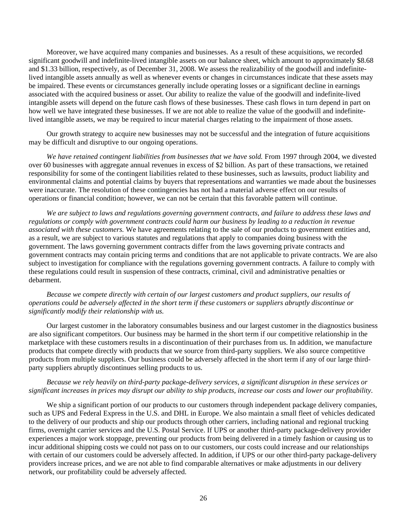Moreover, we have acquired many companies and businesses. As a result of these acquisitions, we recorded significant goodwill and indefinite-lived intangible assets on our balance sheet, which amount to approximately \$8.68 and \$1.33 billion, respectively, as of December 31, 2008. We assess the realizability of the goodwill and indefinitelived intangible assets annually as well as whenever events or changes in circumstances indicate that these assets may be impaired. These events or circumstances generally include operating losses or a significant decline in earnings associated with the acquired business or asset. Our ability to realize the value of the goodwill and indefinite-lived intangible assets will depend on the future cash flows of these businesses. These cash flows in turn depend in part on how well we have integrated these businesses. If we are not able to realize the value of the goodwill and indefinitelived intangible assets, we may be required to incur material charges relating to the impairment of those assets.

 Our growth strategy to acquire new businesses may not be successful and the integration of future acquisitions may be difficult and disruptive to our ongoing operations.

We have retained contingent liabilities from businesses that we have sold. From 1997 through 2004, we divested over 60 businesses with aggregate annual revenues in excess of \$2 billion. As part of these transactions, we retained responsibility for some of the contingent liabilities related to these businesses, such as lawsuits, product liability and environmental claims and potential claims by buyers that representations and warranties we made about the businesses were inaccurate. The resolution of these contingencies has not had a material adverse effect on our results of operations or financial condition; however, we can not be certain that this favorable pattern will continue.

 *We are subject to laws and regulations governing government contracts, and failure to address these laws and regulations or comply with government contracts could harm our business by leading to a reduction in revenue associated with these customers.* We have agreements relating to the sale of our products to government entities and, as a result, we are subject to various statutes and regulations that apply to companies doing business with the government. The laws governing government contracts differ from the laws governing private contracts and government contracts may contain pricing terms and conditions that are not applicable to private contracts. We are also subject to investigation for compliance with the regulations governing government contracts. A failure to comply with these regulations could result in suspension of these contracts, criminal, civil and administrative penalties or debarment.

 *Because we compete directly with certain of our largest customers and product suppliers, our results of operations could be adversely affected in the short term if these customers or suppliers abruptly discontinue or significantly modify their relationship with us.* 

 Our largest customer in the laboratory consumables business and our largest customer in the diagnostics business are also significant competitors. Our business may be harmed in the short term if our competitive relationship in the marketplace with these customers results in a discontinuation of their purchases from us. In addition, we manufacture products that compete directly with products that we source from third-party suppliers. We also source competitive products from multiple suppliers. Our business could be adversely affected in the short term if any of our large thirdparty suppliers abruptly discontinues selling products to us.

## *Because we rely heavily on third-party package-delivery services, a significant disruption in these services or significant increases in prices may disrupt our ability to ship products, increase our costs and lower our profitability*.

We ship a significant portion of our products to our customers through independent package delivery companies, such as UPS and Federal Express in the U.S. and DHL in Europe. We also maintain a small fleet of vehicles dedicated to the delivery of our products and ship our products through other carriers, including national and regional trucking firms, overnight carrier services and the U.S. Postal Service. If UPS or another third-party package-delivery provider experiences a major work stoppage, preventing our products from being delivered in a timely fashion or causing us to incur additional shipping costs we could not pass on to our customers, our costs could increase and our relationships with certain of our customers could be adversely affected. In addition, if UPS or our other third-party package-delivery providers increase prices, and we are not able to find comparable alternatives or make adjustments in our delivery network, our profitability could be adversely affected.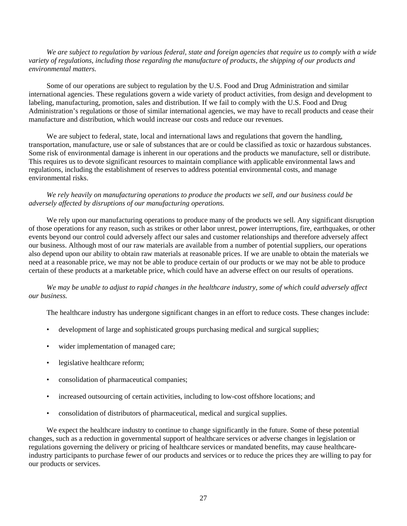*We are subject to regulation by various federal, state and foreign agencies that require us to comply with a wide variety of regulations, including those regarding the manufacture of products, the shipping of our products and environmental matters.* 

Some of our operations are subject to regulation by the U.S. Food and Drug Administration and similar international agencies. These regulations govern a wide variety of product activities, from design and development to labeling, manufacturing, promotion, sales and distribution. If we fail to comply with the U.S. Food and Drug Administration's regulations or those of similar international agencies, we may have to recall products and cease their manufacture and distribution, which would increase our costs and reduce our revenues.

We are subject to federal, state, local and international laws and regulations that govern the handling, transportation, manufacture, use or sale of substances that are or could be classified as toxic or hazardous substances. Some risk of environmental damage is inherent in our operations and the products we manufacture, sell or distribute. This requires us to devote significant resources to maintain compliance with applicable environmental laws and regulations, including the establishment of reserves to address potential environmental costs, and manage environmental risks.

 *We rely heavily on manufacturing operations to produce the products we sell, and our business could be adversely affected by disruptions of our manufacturing operations.* 

We rely upon our manufacturing operations to produce many of the products we sell. Any significant disruption of those operations for any reason, such as strikes or other labor unrest, power interruptions, fire, earthquakes, or other events beyond our control could adversely affect our sales and customer relationships and therefore adversely affect our business. Although most of our raw materials are available from a number of potential suppliers, our operations also depend upon our ability to obtain raw materials at reasonable prices. If we are unable to obtain the materials we need at a reasonable price, we may not be able to produce certain of our products or we may not be able to produce certain of these products at a marketable price, which could have an adverse effect on our results of operations.

## *We may be unable to adjust to rapid changes in the healthcare industry, some of which could adversely affect our business.*

The healthcare industry has undergone significant changes in an effort to reduce costs. These changes include:

- development of large and sophisticated groups purchasing medical and surgical supplies;
- wider implementation of managed care;
- legislative healthcare reform;
- consolidation of pharmaceutical companies;
- increased outsourcing of certain activities, including to low-cost offshore locations; and
- consolidation of distributors of pharmaceutical, medical and surgical supplies.

 We expect the healthcare industry to continue to change significantly in the future. Some of these potential changes, such as a reduction in governmental support of healthcare services or adverse changes in legislation or regulations governing the delivery or pricing of healthcare services or mandated benefits, may cause healthcareindustry participants to purchase fewer of our products and services or to reduce the prices they are willing to pay for our products or services.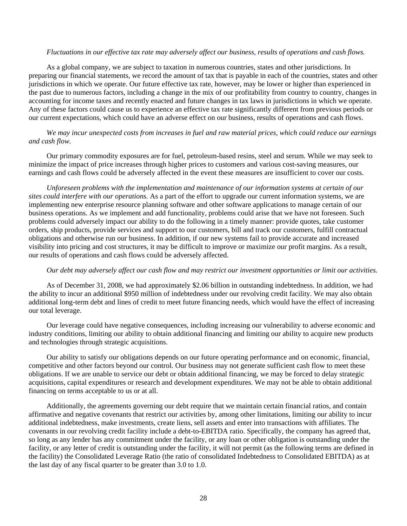#### *Fluctuations in our effective tax rate may adversely affect our business, results of operations and cash flows.*

 As a global company, we are subject to taxation in numerous countries, states and other jurisdictions. In preparing our financial statements, we record the amount of tax that is payable in each of the countries, states and other jurisdictions in which we operate. Our future effective tax rate, however, may be lower or higher than experienced in the past due to numerous factors, including a change in the mix of our profitability from country to country, changes in accounting for income taxes and recently enacted and future changes in tax laws in jurisdictions in which we operate. Any of these factors could cause us to experience an effective tax rate significantly different from previous periods or our current expectations, which could have an adverse effect on our business, results of operations and cash flows.

## *We may incur unexpected costs from increases in fuel and raw material prices, which could reduce our earnings and cash flow.*

 Our primary commodity exposures are for fuel, petroleum-based resins, steel and serum. While we may seek to minimize the impact of price increases through higher prices to customers and various cost-saving measures, our earnings and cash flows could be adversely affected in the event these measures are insufficient to cover our costs.

 *Unforeseen problems with the implementation and maintenance of our information systems at certain of our sites could interfere with our operations.* As a part of the effort to upgrade our current information systems, we are implementing new enterprise resource planning software and other software applications to manage certain of our business operations. As we implement and add functionality, problems could arise that we have not foreseen. Such problems could adversely impact our ability to do the following in a timely manner: provide quotes, take customer orders, ship products, provide services and support to our customers, bill and track our customers, fulfill contractual obligations and otherwise run our business. In addition, if our new systems fail to provide accurate and increased visibility into pricing and cost structures, it may be difficult to improve or maximize our profit margins. As a result, our results of operations and cash flows could be adversely affected.

## *Our debt may adversely affect our cash flow and may restrict our investment opportunities or limit our activities.*

 As of December 31, 2008, we had approximately \$2.06 billion in outstanding indebtedness. In addition, we had the ability to incur an additional \$950 million of indebtedness under our revolving credit facility. We may also obtain additional long-term debt and lines of credit to meet future financing needs, which would have the effect of increasing our total leverage.

 Our leverage could have negative consequences, including increasing our vulnerability to adverse economic and industry conditions, limiting our ability to obtain additional financing and limiting our ability to acquire new products and technologies through strategic acquisitions.

 Our ability to satisfy our obligations depends on our future operating performance and on economic, financial, competitive and other factors beyond our control. Our business may not generate sufficient cash flow to meet these obligations. If we are unable to service our debt or obtain additional financing, we may be forced to delay strategic acquisitions, capital expenditures or research and development expenditures. We may not be able to obtain additional financing on terms acceptable to us or at all.

 Additionally, the agreements governing our debt require that we maintain certain financial ratios, and contain affirmative and negative covenants that restrict our activities by, among other limitations, limiting our ability to incur additional indebtedness, make investments, create liens, sell assets and enter into transactions with affiliates. The covenants in our revolving credit facility include a debt-to-EBITDA ratio. Specifically, the company has agreed that, so long as any lender has any commitment under the facility, or any loan or other obligation is outstanding under the facility, or any letter of credit is outstanding under the facility, it will not permit (as the following terms are defined in the facility) the Consolidated Leverage Ratio (the ratio of consolidated Indebtedness to Consolidated EBITDA) as at the last day of any fiscal quarter to be greater than 3.0 to 1.0.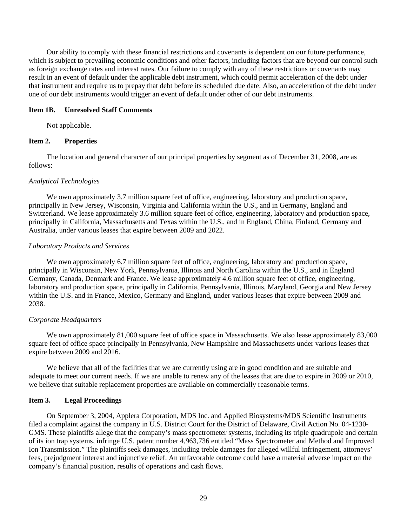Our ability to comply with these financial restrictions and covenants is dependent on our future performance, which is subject to prevailing economic conditions and other factors, including factors that are beyond our control such as foreign exchange rates and interest rates. Our failure to comply with any of these restrictions or covenants may result in an event of default under the applicable debt instrument, which could permit acceleration of the debt under that instrument and require us to prepay that debt before its scheduled due date. Also, an acceleration of the debt under one of our debt instruments would trigger an event of default under other of our debt instruments.

### **Item 1B. Unresolved Staff Comments**

Not applicable.

#### **Item 2. Properties**

 The location and general character of our principal properties by segment as of December 31, 2008, are as follows:

#### *Analytical Technologies*

 We own approximately 3.7 million square feet of office, engineering, laboratory and production space, principally in New Jersey, Wisconsin, Virginia and California within the U.S., and in Germany, England and Switzerland. We lease approximately 3.6 million square feet of office, engineering, laboratory and production space, principally in California, Massachusetts and Texas within the U.S., and in England, China, Finland, Germany and Australia, under various leases that expire between 2009 and 2022.

#### *Laboratory Products and Services*

We own approximately 6.7 million square feet of office, engineering, laboratory and production space, principally in Wisconsin, New York, Pennsylvania, Illinois and North Carolina within the U.S., and in England Germany, Canada, Denmark and France. We lease approximately 4.6 million square feet of office, engineering, laboratory and production space, principally in California, Pennsylvania, Illinois, Maryland, Georgia and New Jersey within the U.S. and in France, Mexico, Germany and England, under various leases that expire between 2009 and 2038.

### *Corporate Headquarters*

We own approximately 81,000 square feet of office space in Massachusetts. We also lease approximately 83,000 square feet of office space principally in Pennsylvania, New Hampshire and Massachusetts under various leases that expire between 2009 and 2016.

We believe that all of the facilities that we are currently using are in good condition and are suitable and adequate to meet our current needs. If we are unable to renew any of the leases that are due to expire in 2009 or 2010, we believe that suitable replacement properties are available on commercially reasonable terms.

### **Item 3. Legal Proceedings**

 On September 3, 2004, Applera Corporation, MDS Inc. and Applied Biosystems/MDS Scientific Instruments filed a complaint against the company in U.S. District Court for the District of Delaware, Civil Action No. 04-1230- GMS. These plaintiffs allege that the company's mass spectrometer systems, including its triple quadrupole and certain of its ion trap systems, infringe U.S. patent number 4,963,736 entitled "Mass Spectrometer and Method and Improved Ion Transmission." The plaintiffs seek damages, including treble damages for alleged willful infringement, attorneys' fees, prejudgment interest and injunctive relief. An unfavorable outcome could have a material adverse impact on the company's financial position, results of operations and cash flows.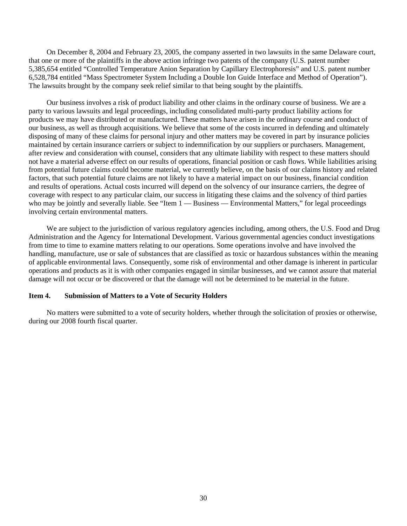On December 8, 2004 and February 23, 2005, the company asserted in two lawsuits in the same Delaware court, that one or more of the plaintiffs in the above action infringe two patents of the company (U.S. patent number 5,385,654 entitled "Controlled Temperature Anion Separation by Capillary Electrophoresis" and U.S. patent number 6,528,784 entitled "Mass Spectrometer System Including a Double Ion Guide Interface and Method of Operation"). The lawsuits brought by the company seek relief similar to that being sought by the plaintiffs.

 Our business involves a risk of product liability and other claims in the ordinary course of business. We are a party to various lawsuits and legal proceedings, including consolidated multi-party product liability actions for products we may have distributed or manufactured. These matters have arisen in the ordinary course and conduct of our business, as well as through acquisitions. We believe that some of the costs incurred in defending and ultimately disposing of many of these claims for personal injury and other matters may be covered in part by insurance policies maintained by certain insurance carriers or subject to indemnification by our suppliers or purchasers. Management, after review and consideration with counsel, considers that any ultimate liability with respect to these matters should not have a material adverse effect on our results of operations, financial position or cash flows. While liabilities arising from potential future claims could become material, we currently believe, on the basis of our claims history and related factors, that such potential future claims are not likely to have a material impact on our business, financial condition and results of operations. Actual costs incurred will depend on the solvency of our insurance carriers, the degree of coverage with respect to any particular claim, our success in litigating these claims and the solvency of third parties who may be jointly and severally liable. See "Item 1 — Business — Environmental Matters," for legal proceedings involving certain environmental matters.

We are subject to the jurisdiction of various regulatory agencies including, among others, the U.S. Food and Drug Administration and the Agency for International Development. Various governmental agencies conduct investigations from time to time to examine matters relating to our operations. Some operations involve and have involved the handling, manufacture, use or sale of substances that are classified as toxic or hazardous substances within the meaning of applicable environmental laws. Consequently, some risk of environmental and other damage is inherent in particular operations and products as it is with other companies engaged in similar businesses, and we cannot assure that material damage will not occur or be discovered or that the damage will not be determined to be material in the future.

## **Item 4. Submission of Matters to a Vote of Security Holders**

 No matters were submitted to a vote of security holders, whether through the solicitation of proxies or otherwise, during our 2008 fourth fiscal quarter.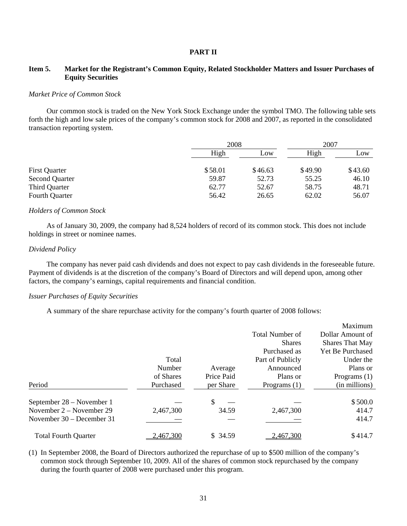### **PART II**

## **Item 5. Market for the Registrant's Common Equity, Related Stockholder Matters and Issuer Purchases of Equity Securities**

#### *Market Price of Common Stock*

 Our common stock is traded on the New York Stock Exchange under the symbol TMO. The following table sets forth the high and low sale prices of the company's common stock for 2008 and 2007, as reported in the consolidated transaction reporting system.

|                       |         | 2008    |         | 2007    |  |
|-----------------------|---------|---------|---------|---------|--|
|                       | High    | Low     | High    | Low     |  |
| <b>First Quarter</b>  | \$58.01 | \$46.63 | \$49.90 | \$43.60 |  |
| <b>Second Quarter</b> | 59.87   | 52.73   | 55.25   | 46.10   |  |
| Third Quarter         | 62.77   | 52.67   | 58.75   | 48.71   |  |
| Fourth Quarter        | 56.42   | 26.65   | 62.02   | 56.07   |  |

#### *Holders of Common Stock*

 As of January 30, 2009, the company had 8,524 holders of record of its common stock. This does not include holdings in street or nominee names.

#### *Dividend Policy*

 The company has never paid cash dividends and does not expect to pay cash dividends in the foreseeable future. Payment of dividends is at the discretion of the company's Board of Directors and will depend upon, among other factors, the company's earnings, capital requirements and financial condition.

### *Issuer Purchases of Equity Securities*

A summary of the share repurchase activity for the company's fourth quarter of 2008 follows:

|                             |           |            |                        | Maximum                 |
|-----------------------------|-----------|------------|------------------------|-------------------------|
|                             |           |            | <b>Total Number of</b> | Dollar Amount of        |
|                             |           |            | <b>Shares</b>          | <b>Shares That May</b>  |
|                             |           |            | Purchased as           | <b>Yet Be Purchased</b> |
|                             | Total     |            | Part of Publicly       | Under the               |
|                             | Number    | Average    | Announced              | Plans or                |
|                             | of Shares | Price Paid | Plans or               | Programs $(1)$          |
| Period                      | Purchased | per Share  | Programs $(1)$         | (in millions)           |
| September 28 – November 1   |           | \$         |                        | \$500.0                 |
| November 2 – November 29    | 2,467,300 | 34.59      | 2,467,300              | 414.7                   |
| November 30 – December 31   |           |            |                        | 414.7                   |
| <b>Total Fourth Quarter</b> | 2,467,300 | \$ 34.59   | 2.467.300              | \$414.7                 |

(1) In September 2008, the Board of Directors authorized the repurchase of up to \$500 million of the company's common stock through September 10, 2009. All of the shares of common stock repurchased by the company during the fourth quarter of 2008 were purchased under this program.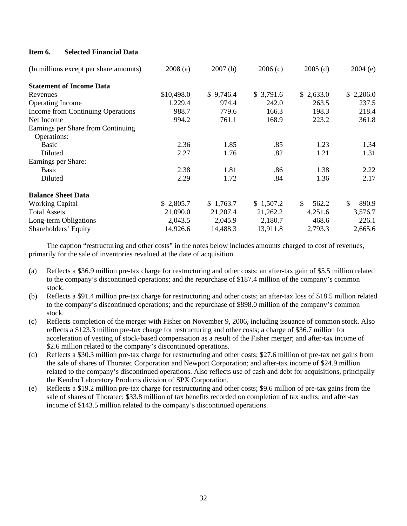## **Item 6. Selected Financial Data**

| (In millions except per share amounts) | 2008(a)    | 2007(b)   | 2006(c)   | $2005$ (d)  | 2004(e)     |
|----------------------------------------|------------|-----------|-----------|-------------|-------------|
| <b>Statement of Income Data</b>        |            |           |           |             |             |
| Revenues                               | \$10,498.0 | \$9,746.4 | \$3,791.6 | \$2,633.0   | \$2,206.0   |
| Operating Income                       | 1,229.4    | 974.4     | 242.0     | 263.5       | 237.5       |
| Income from Continuing Operations      | 988.7      | 779.6     | 166.3     | 198.3       | 218.4       |
| Net Income                             | 994.2      | 761.1     | 168.9     | 223.2       | 361.8       |
| Earnings per Share from Continuing     |            |           |           |             |             |
| Operations:                            |            |           |           |             |             |
| Basic                                  | 2.36       | 1.85      | .85       | 1.23        | 1.34        |
| Diluted                                | 2.27       | 1.76      | .82       | 1.21        | 1.31        |
| Earnings per Share:                    |            |           |           |             |             |
| <b>Basic</b>                           | 2.38       | 1.81      | .86       | 1.38        | 2.22        |
| Diluted                                | 2.29       | 1.72      | .84       | 1.36        | 2.17        |
| <b>Balance Sheet Data</b>              |            |           |           |             |             |
| <b>Working Capital</b>                 | \$2,805.7  | \$1,763.7 | \$1,507.2 | \$<br>562.2 | \$<br>890.9 |
| <b>Total Assets</b>                    | 21,090.0   | 21,207.4  | 21,262.2  | 4,251.6     | 3,576.7     |
| Long-term Obligations                  | 2,043.5    | 2,045.9   | 2,180.7   | 468.6       | 226.1       |
| Shareholders' Equity                   | 14,926.6   | 14,488.3  | 13,911.8  | 2,793.3     | 2,665.6     |

 The caption "restructuring and other costs" in the notes below includes amounts charged to cost of revenues, primarily for the sale of inventories revalued at the date of acquisition.

- (a) Reflects a \$36.9 million pre-tax charge for restructuring and other costs; an after-tax gain of \$5.5 million related to the company's discontinued operations; and the repurchase of \$187.4 million of the company's common stock.
- (b) Reflects a \$91.4 million pre-tax charge for restructuring and other costs; an after-tax loss of \$18.5 million related to the company's discontinued operations; and the repurchase of \$898.0 million of the company's common stock.
- (c) Reflects completion of the merger with Fisher on November 9, 2006, including issuance of common stock. Also reflects a \$123.3 million pre-tax charge for restructuring and other costs; a charge of \$36.7 million for acceleration of vesting of stock-based compensation as a result of the Fisher merger; and after-tax income of \$2.6 million related to the company's discontinued operations.
- (d) Reflects a \$30.3 million pre-tax charge for restructuring and other costs; \$27.6 million of pre-tax net gains from the sale of shares of Thoratec Corporation and Newport Corporation; and after-tax income of \$24.9 million related to the company's discontinued operations. Also reflects use of cash and debt for acquisitions, principally the Kendro Laboratory Products division of SPX Corporation.
- (e) Reflects a \$19.2 million pre-tax charge for restructuring and other costs; \$9.6 million of pre-tax gains from the sale of shares of Thoratec; \$33.8 million of tax benefits recorded on completion of tax audits; and after-tax income of \$143.5 million related to the company's discontinued operations.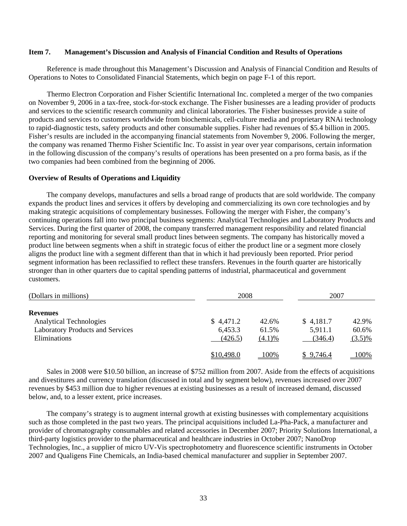### **Item 7. Management's Discussion and Analysis of Financial Condition and Results of Operations**

 Reference is made throughout this Management's Discussion and Analysis of Financial Condition and Results of Operations to Notes to Consolidated Financial Statements, which begin on page F-1 of this report.

 Thermo Electron Corporation and Fisher Scientific International Inc. completed a merger of the two companies on November 9, 2006 in a tax-free, stock-for-stock exchange. The Fisher businesses are a leading provider of products and services to the scientific research community and clinical laboratories. The Fisher businesses provide a suite of products and services to customers worldwide from biochemicals, cell-culture media and proprietary RNAi technology to rapid-diagnostic tests, safety products and other consumable supplies. Fisher had revenues of \$5.4 billion in 2005. Fisher's results are included in the accompanying financial statements from November 9, 2006. Following the merger, the company was renamed Thermo Fisher Scientific Inc. To assist in year over year comparisons, certain information in the following discussion of the company's results of operations has been presented on a pro forma basis, as if the two companies had been combined from the beginning of 2006.

#### **Overview of Results of Operations and Liquidity**

 The company develops, manufactures and sells a broad range of products that are sold worldwide. The company expands the product lines and services it offers by developing and commercializing its own core technologies and by making strategic acquisitions of complementary businesses. Following the merger with Fisher, the company's continuing operations fall into two principal business segments: Analytical Technologies and Laboratory Products and Services. During the first quarter of 2008, the company transferred management responsibility and related financial reporting and monitoring for several small product lines between segments. The company has historically moved a product line between segments when a shift in strategic focus of either the product line or a segment more closely aligns the product line with a segment different than that in which it had previously been reported. Prior period segment information has been reclassified to reflect these transfers. Revenues in the fourth quarter are historically stronger than in other quarters due to capital spending patterns of industrial, pharmaceutical and government customers.

| (Dollars in millions)            |            | 2008   |           | 2007      |  |
|----------------------------------|------------|--------|-----------|-----------|--|
| <b>Revenues</b>                  |            |        |           |           |  |
| <b>Analytical Technologies</b>   | \$4,471.2  | 42.6%  | \$4,181.7 | 42.9%     |  |
| Laboratory Products and Services | 6,453.3    | 61.5%  | 5,911.1   | 60.6%     |  |
| Eliminations                     | (426.5)    | (4.1)% | (346.4)   | $(3.5)\%$ |  |
|                                  | \$10,498.0 | 100%   | \$9,746.4 | 100%      |  |

 Sales in 2008 were \$10.50 billion, an increase of \$752 million from 2007. Aside from the effects of acquisitions and divestitures and currency translation (discussed in total and by segment below), revenues increased over 2007 revenues by \$453 million due to higher revenues at existing businesses as a result of increased demand, discussed below, and, to a lesser extent, price increases.

 The company's strategy is to augment internal growth at existing businesses with complementary acquisitions such as those completed in the past two years. The principal acquisitions included La-Pha-Pack, a manufacturer and provider of chromatography consumables and related accessories in December 2007; Priority Solutions International, a third-party logistics provider to the pharmaceutical and healthcare industries in October 2007; NanoDrop Technologies, Inc., a supplier of micro UV-Vis spectrophotometry and fluorescence scientific instruments in October 2007 and Qualigens Fine Chemicals, an India-based chemical manufacturer and supplier in September 2007.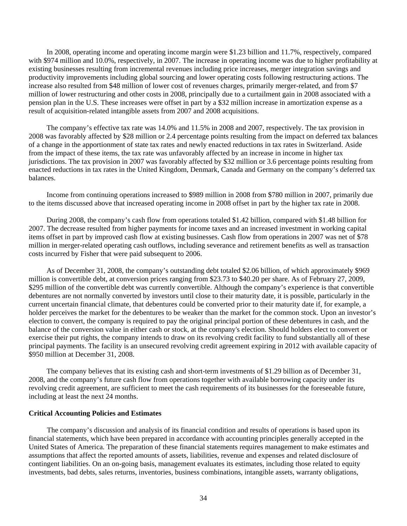In 2008, operating income and operating income margin were \$1.23 billion and 11.7%, respectively, compared with \$974 million and 10.0%, respectively, in 2007. The increase in operating income was due to higher profitability at existing businesses resulting from incremental revenues including price increases, merger integration savings and productivity improvements including global sourcing and lower operating costs following restructuring actions. The increase also resulted from \$48 million of lower cost of revenues charges, primarily merger-related, and from \$7 million of lower restructuring and other costs in 2008, principally due to a curtailment gain in 2008 associated with a pension plan in the U.S. These increases were offset in part by a \$32 million increase in amortization expense as a result of acquisition-related intangible assets from 2007 and 2008 acquisitions.

 The company's effective tax rate was 14.0% and 11.5% in 2008 and 2007, respectively. The tax provision in 2008 was favorably affected by \$28 million or 2.4 percentage points resulting from the impact on deferred tax balances of a change in the apportionment of state tax rates and newly enacted reductions in tax rates in Switzerland. Aside from the impact of these items, the tax rate was unfavorably affected by an increase in income in higher tax jurisdictions. The tax provision in 2007 was favorably affected by \$32 million or 3.6 percentage points resulting from enacted reductions in tax rates in the United Kingdom, Denmark, Canada and Germany on the company's deferred tax balances.

 Income from continuing operations increased to \$989 million in 2008 from \$780 million in 2007, primarily due to the items discussed above that increased operating income in 2008 offset in part by the higher tax rate in 2008.

 During 2008, the company's cash flow from operations totaled \$1.42 billion, compared with \$1.48 billion for 2007. The decrease resulted from higher payments for income taxes and an increased investment in working capital items offset in part by improved cash flow at existing businesses. Cash flow from operations in 2007 was net of \$78 million in merger-related operating cash outflows, including severance and retirement benefits as well as transaction costs incurred by Fisher that were paid subsequent to 2006.

 As of December 31, 2008, the company's outstanding debt totaled \$2.06 billion, of which approximately \$969 million is convertible debt, at conversion prices ranging from \$23.73 to \$40.20 per share. As of February 27, 2009, \$295 million of the convertible debt was currently convertible. Although the company's experience is that convertible debentures are not normally converted by investors until close to their maturity date, it is possible, particularly in the current uncertain financial climate, that debentures could be converted prior to their maturity date if, for example, a holder perceives the market for the debentures to be weaker than the market for the common stock. Upon an investor's election to convert, the company is required to pay the original principal portion of these debentures in cash, and the balance of the conversion value in either cash or stock, at the company's election. Should holders elect to convert or exercise their put rights, the company intends to draw on its revolving credit facility to fund substantially all of these principal payments. The facility is an unsecured revolving credit agreement expiring in 2012 with available capacity of \$950 million at December 31, 2008.

 The company believes that its existing cash and short-term investments of \$1.29 billion as of December 31, 2008, and the company's future cash flow from operations together with available borrowing capacity under its revolving credit agreement, are sufficient to meet the cash requirements of its businesses for the foreseeable future, including at least the next 24 months.

### **Critical Accounting Policies and Estimates**

 The company's discussion and analysis of its financial condition and results of operations is based upon its financial statements, which have been prepared in accordance with accounting principles generally accepted in the United States of America. The preparation of these financial statements requires management to make estimates and assumptions that affect the reported amounts of assets, liabilities, revenue and expenses and related disclosure of contingent liabilities. On an on-going basis, management evaluates its estimates, including those related to equity investments, bad debts, sales returns, inventories, business combinations, intangible assets, warranty obligations,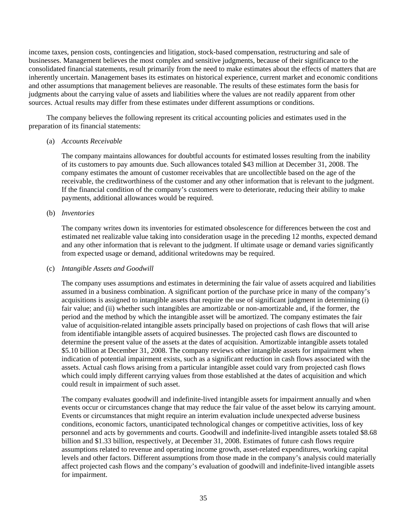income taxes, pension costs, contingencies and litigation, stock-based compensation, restructuring and sale of businesses. Management believes the most complex and sensitive judgments, because of their significance to the consolidated financial statements, result primarily from the need to make estimates about the effects of matters that are inherently uncertain. Management bases its estimates on historical experience, current market and economic conditions and other assumptions that management believes are reasonable. The results of these estimates form the basis for judgments about the carrying value of assets and liabilities where the values are not readily apparent from other sources. Actual results may differ from these estimates under different assumptions or conditions.

 The company believes the following represent its critical accounting policies and estimates used in the preparation of its financial statements:

### (a) *Accounts Receivable*

 The company maintains allowances for doubtful accounts for estimated losses resulting from the inability of its customers to pay amounts due. Such allowances totaled \$43 million at December 31, 2008. The company estimates the amount of customer receivables that are uncollectible based on the age of the receivable, the creditworthiness of the customer and any other information that is relevant to the judgment. If the financial condition of the company's customers were to deteriorate, reducing their ability to make payments, additional allowances would be required.

## (b) *Inventories*

 The company writes down its inventories for estimated obsolescence for differences between the cost and estimated net realizable value taking into consideration usage in the preceding 12 months, expected demand and any other information that is relevant to the judgment. If ultimate usage or demand varies significantly from expected usage or demand, additional writedowns may be required.

### (c) *Intangible Assets and Goodwill*

 The company uses assumptions and estimates in determining the fair value of assets acquired and liabilities assumed in a business combination. A significant portion of the purchase price in many of the company's acquisitions is assigned to intangible assets that require the use of significant judgment in determining (i) fair value; and (ii) whether such intangibles are amortizable or non-amortizable and, if the former, the period and the method by which the intangible asset will be amortized. The company estimates the fair value of acquisition-related intangible assets principally based on projections of cash flows that will arise from identifiable intangible assets of acquired businesses. The projected cash flows are discounted to determine the present value of the assets at the dates of acquisition. Amortizable intangible assets totaled \$5.10 billion at December 31, 2008. The company reviews other intangible assets for impairment when indication of potential impairment exists, such as a significant reduction in cash flows associated with the assets. Actual cash flows arising from a particular intangible asset could vary from projected cash flows which could imply different carrying values from those established at the dates of acquisition and which could result in impairment of such asset.

 The company evaluates goodwill and indefinite-lived intangible assets for impairment annually and when events occur or circumstances change that may reduce the fair value of the asset below its carrying amount. Events or circumstances that might require an interim evaluation include unexpected adverse business conditions, economic factors, unanticipated technological changes or competitive activities, loss of key personnel and acts by governments and courts. Goodwill and indefinite-lived intangible assets totaled \$8.68 billion and \$1.33 billion, respectively, at December 31, 2008. Estimates of future cash flows require assumptions related to revenue and operating income growth, asset-related expenditures, working capital levels and other factors. Different assumptions from those made in the company's analysis could materially affect projected cash flows and the company's evaluation of goodwill and indefinite-lived intangible assets for impairment.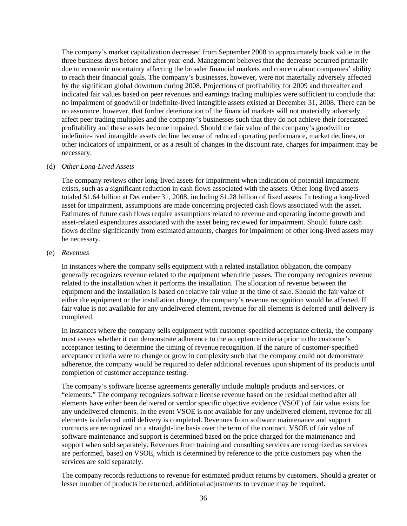The company's market capitalization decreased from September 2008 to approximately book value in the three business days before and after year-end. Management believes that the decrease occurred primarily due to economic uncertainty affecting the broader financial markets and concern about companies' ability to reach their financial goals. The company's businesses, however, were not materially adversely affected by the significant global downturn during 2008. Projections of profitability for 2009 and thereafter and indicated fair values based on peer revenues and earnings trading multiples were sufficient to conclude that no impairment of goodwill or indefinite-lived intangible assets existed at December 31, 2008. There can be no assurance, however, that further deterioration of the financial markets will not materially adversely affect peer trading multiples and the company's businesses such that they do not achieve their forecasted profitability and these assets become impaired. Should the fair value of the company's goodwill or indefinite-lived intangible assets decline because of reduced operating performance, market declines, or other indicators of impairment, or as a result of changes in the discount rate, charges for impairment may be necessary.

### (d) *Other Long-Lived Assets*

 The company reviews other long-lived assets for impairment when indication of potential impairment exists, such as a significant reduction in cash flows associated with the assets. Other long-lived assets totaled \$1.64 billion at December 31, 2008, including \$1.28 billion of fixed assets. In testing a long-lived asset for impairment, assumptions are made concerning projected cash flows associated with the asset. Estimates of future cash flows require assumptions related to revenue and operating income growth and asset-related expenditures associated with the asset being reviewed for impairment. Should future cash flows decline significantly from estimated amounts, charges for impairment of other long-lived assets may be necessary.

## (e) *Revenues*

 In instances where the company sells equipment with a related installation obligation, the company generally recognizes revenue related to the equipment when title passes. The company recognizes revenue related to the installation when it performs the installation. The allocation of revenue between the equipment and the installation is based on relative fair value at the time of sale. Should the fair value of either the equipment or the installation change, the company's revenue recognition would be affected. If fair value is not available for any undelivered element, revenue for all elements is deferred until delivery is completed.

 In instances where the company sells equipment with customer-specified acceptance criteria, the company must assess whether it can demonstrate adherence to the acceptance criteria prior to the customer's acceptance testing to determine the timing of revenue recognition. If the nature of customer-specified acceptance criteria were to change or grow in complexity such that the company could not demonstrate adherence, the company would be required to defer additional revenues upon shipment of its products until completion of customer acceptance testing.

 The company's software license agreements generally include multiple products and services, or "elements." The company recognizes software license revenue based on the residual method after all elements have either been delivered or vendor specific objective evidence (VSOE) of fair value exists for any undelivered elements. In the event VSOE is not available for any undelivered element, revenue for all elements is deferred until delivery is completed. Revenues from software maintenance and support contracts are recognized on a straight-line basis over the term of the contract. VSOE of fair value of software maintenance and support is determined based on the price charged for the maintenance and support when sold separately. Revenues from training and consulting services are recognized as services are performed, based on VSOE, which is determined by reference to the price customers pay when the services are sold separately.

 The company records reductions to revenue for estimated product returns by customers. Should a greater or lesser number of products be returned, additional adjustments to revenue may be required.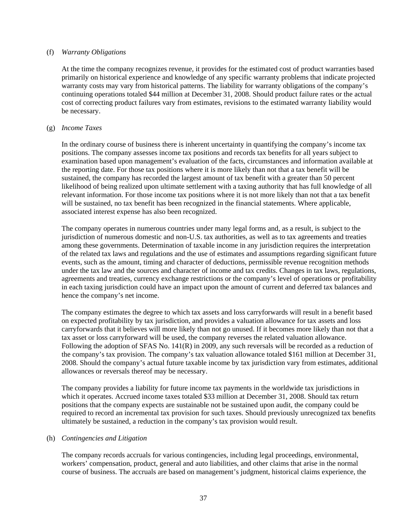#### (f) *Warranty Obligations*

 At the time the company recognizes revenue, it provides for the estimated cost of product warranties based primarily on historical experience and knowledge of any specific warranty problems that indicate projected warranty costs may vary from historical patterns. The liability for warranty obligations of the company's continuing operations totaled \$44 million at December 31, 2008. Should product failure rates or the actual cost of correcting product failures vary from estimates, revisions to the estimated warranty liability would be necessary.

### (g) *Income Taxes*

In the ordinary course of business there is inherent uncertainty in quantifying the company's income tax positions. The company assesses income tax positions and records tax benefits for all years subject to examination based upon management's evaluation of the facts, circumstances and information available at the reporting date. For those tax positions where it is more likely than not that a tax benefit will be sustained, the company has recorded the largest amount of tax benefit with a greater than 50 percent likelihood of being realized upon ultimate settlement with a taxing authority that has full knowledge of all relevant information. For those income tax positions where it is not more likely than not that a tax benefit will be sustained, no tax benefit has been recognized in the financial statements. Where applicable, associated interest expense has also been recognized.

 The company operates in numerous countries under many legal forms and, as a result, is subject to the jurisdiction of numerous domestic and non-U.S. tax authorities, as well as to tax agreements and treaties among these governments. Determination of taxable income in any jurisdiction requires the interpretation of the related tax laws and regulations and the use of estimates and assumptions regarding significant future events, such as the amount, timing and character of deductions, permissible revenue recognition methods under the tax law and the sources and character of income and tax credits. Changes in tax laws, regulations, agreements and treaties, currency exchange restrictions or the company's level of operations or profitability in each taxing jurisdiction could have an impact upon the amount of current and deferred tax balances and hence the company's net income.

 The company estimates the degree to which tax assets and loss carryforwards will result in a benefit based on expected profitability by tax jurisdiction, and provides a valuation allowance for tax assets and loss carryforwards that it believes will more likely than not go unused. If it becomes more likely than not that a tax asset or loss carryforward will be used, the company reverses the related valuation allowance. Following the adoption of SFAS No. 141(R) in 2009, any such reversals will be recorded as a reduction of the company's tax provision. The company's tax valuation allowance totaled \$161 million at December 31, 2008. Should the company's actual future taxable income by tax jurisdiction vary from estimates, additional allowances or reversals thereof may be necessary.

 The company provides a liability for future income tax payments in the worldwide tax jurisdictions in which it operates. Accrued income taxes totaled \$33 million at December 31, 2008. Should tax return positions that the company expects are sustainable not be sustained upon audit, the company could be required to record an incremental tax provision for such taxes. Should previously unrecognized tax benefits ultimately be sustained, a reduction in the company's tax provision would result.

# (h) *Contingencies and Litigation*

 The company records accruals for various contingencies, including legal proceedings, environmental, workers' compensation, product, general and auto liabilities, and other claims that arise in the normal course of business. The accruals are based on management's judgment, historical claims experience, the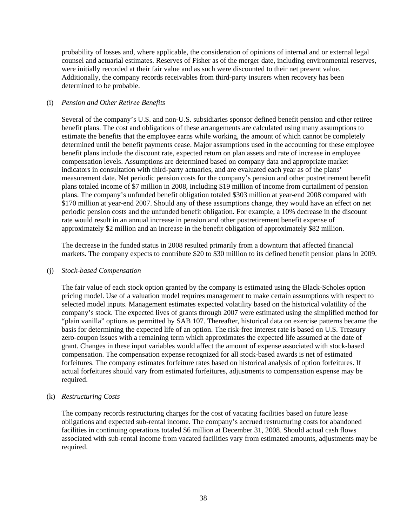probability of losses and, where applicable, the consideration of opinions of internal and or external legal counsel and actuarial estimates. Reserves of Fisher as of the merger date, including environmental reserves, were initially recorded at their fair value and as such were discounted to their net present value. Additionally, the company records receivables from third-party insurers when recovery has been determined to be probable.

### (i) *Pension and Other Retiree Benefits*

 Several of the company's U.S. and non-U.S. subsidiaries sponsor defined benefit pension and other retiree benefit plans. The cost and obligations of these arrangements are calculated using many assumptions to estimate the benefits that the employee earns while working, the amount of which cannot be completely determined until the benefit payments cease. Major assumptions used in the accounting for these employee benefit plans include the discount rate, expected return on plan assets and rate of increase in employee compensation levels. Assumptions are determined based on company data and appropriate market indicators in consultation with third-party actuaries, and are evaluated each year as of the plans' measurement date. Net periodic pension costs for the company's pension and other postretirement benefit plans totaled income of \$7 million in 2008, including \$19 million of income from curtailment of pension plans. The company's unfunded benefit obligation totaled \$303 million at year-end 2008 compared with \$170 million at year-end 2007. Should any of these assumptions change, they would have an effect on net periodic pension costs and the unfunded benefit obligation. For example, a 10% decrease in the discount rate would result in an annual increase in pension and other postretirement benefit expense of approximately \$2 million and an increase in the benefit obligation of approximately \$82 million.

 The decrease in the funded status in 2008 resulted primarily from a downturn that affected financial markets. The company expects to contribute \$20 to \$30 million to its defined benefit pension plans in 2009.

### (j) *Stock-based Compensation*

 The fair value of each stock option granted by the company is estimated using the Black-Scholes option pricing model. Use of a valuation model requires management to make certain assumptions with respect to selected model inputs. Management estimates expected volatility based on the historical volatility of the company's stock. The expected lives of grants through 2007 were estimated using the simplified method for "plain vanilla" options as permitted by SAB 107. Thereafter, historical data on exercise patterns became the basis for determining the expected life of an option. The risk-free interest rate is based on U.S. Treasury zero-coupon issues with a remaining term which approximates the expected life assumed at the date of grant. Changes in these input variables would affect the amount of expense associated with stock-based compensation. The compensation expense recognized for all stock-based awards is net of estimated forfeitures. The company estimates forfeiture rates based on historical analysis of option forfeitures. If actual forfeitures should vary from estimated forfeitures, adjustments to compensation expense may be required.

# (k) *Restructuring Costs*

 The company records restructuring charges for the cost of vacating facilities based on future lease obligations and expected sub-rental income. The company's accrued restructuring costs for abandoned facilities in continuing operations totaled \$6 million at December 31, 2008. Should actual cash flows associated with sub-rental income from vacated facilities vary from estimated amounts, adjustments may be required.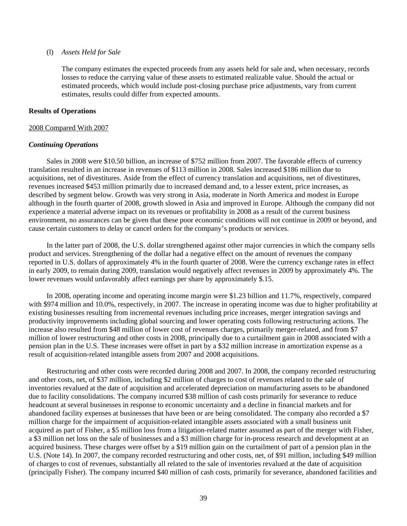#### (l) *Assets Held for Sale*

 The company estimates the expected proceeds from any assets held for sale and, when necessary, records losses to reduce the carrying value of these assets to estimated realizable value. Should the actual or estimated proceeds, which would include post-closing purchase price adjustments, vary from current estimates, results could differ from expected amounts.

#### **Results of Operations**

#### 2008 Compared With 2007

#### *Continuing Operations*

 Sales in 2008 were \$10.50 billion, an increase of \$752 million from 2007. The favorable effects of currency translation resulted in an increase in revenues of \$113 million in 2008. Sales increased \$186 million due to acquisitions, net of divestitures. Aside from the effect of currency translation and acquisitions, net of divestitures, revenues increased \$453 million primarily due to increased demand and, to a lesser extent, price increases, as described by segment below. Growth was very strong in Asia, moderate in North America and modest in Europe although in the fourth quarter of 2008, growth slowed in Asia and improved in Europe. Although the company did not experience a material adverse impact on its revenues or profitability in 2008 as a result of the current business environment, no assurances can be given that these poor economic conditions will not continue in 2009 or beyond, and cause certain customers to delay or cancel orders for the company's products or services.

 In the latter part of 2008, the U.S. dollar strengthened against other major currencies in which the company sells product and services. Strengthening of the dollar had a negative effect on the amount of revenues the company reported in U.S. dollars of approximately 4% in the fourth quarter of 2008. Were the currency exchange rates in effect in early 2009, to remain during 2009, translation would negatively affect revenues in 2009 by approximately 4%. The lower revenues would unfavorably affect earnings per share by approximately \$.15.

 In 2008, operating income and operating income margin were \$1.23 billion and 11.7%, respectively, compared with \$974 million and 10.0%, respectively, in 2007. The increase in operating income was due to higher profitability at existing businesses resulting from incremental revenues including price increases, merger integration savings and productivity improvements including global sourcing and lower operating costs following restructuring actions. The increase also resulted from \$48 million of lower cost of revenues charges, primarily merger-related, and from \$7 million of lower restructuring and other costs in 2008, principally due to a curtailment gain in 2008 associated with a pension plan in the U.S. These increases were offset in part by a \$32 million increase in amortization expense as a result of acquisition-related intangible assets from 2007 and 2008 acquisitions.

 Restructuring and other costs were recorded during 2008 and 2007. In 2008, the company recorded restructuring and other costs, net, of \$37 million, including \$2 million of charges to cost of revenues related to the sale of inventories revalued at the date of acquisition and accelerated depreciation on manufacturing assets to be abandoned due to facility consolidations. The company incurred \$38 million of cash costs primarily for severance to reduce headcount at several businesses in response to economic uncertainty and a decline in financial markets and for abandoned facility expenses at businesses that have been or are being consolidated. The company also recorded a \$7 million charge for the impairment of acquisition-related intangible assets associated with a small business unit acquired as part of Fisher, a \$5 million loss from a litigation-related matter assumed as part of the merger with Fisher, a \$3 million net loss on the sale of businesses and a \$3 million charge for in-process research and development at an acquired business. These charges were offset by a \$19 million gain on the curtailment of part of a pension plan in the U.S. (Note 14). In 2007, the company recorded restructuring and other costs, net, of \$91 million, including \$49 million of charges to cost of revenues, substantially all related to the sale of inventories revalued at the date of acquisition (principally Fisher). The company incurred \$40 million of cash costs, primarily for severance, abandoned facilities and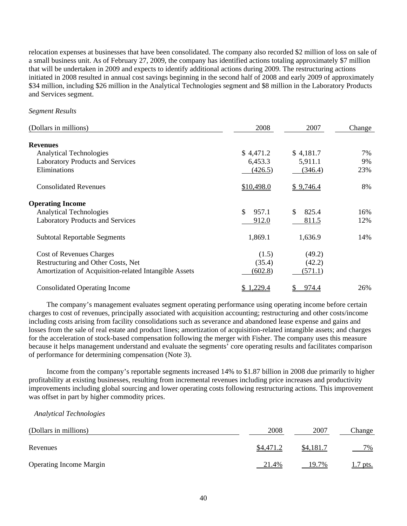relocation expenses at businesses that have been consolidated. The company also recorded \$2 million of loss on sale of a small business unit. As of February 27, 2009, the company has identified actions totaling approximately \$7 million that will be undertaken in 2009 and expects to identify additional actions during 2009. The restructuring actions initiated in 2008 resulted in annual cost savings beginning in the second half of 2008 and early 2009 of approximately \$34 million, including \$26 million in the Analytical Technologies segment and \$8 million in the Laboratory Products and Services segment.

### *Segment Results*

| (Dollars in millions)                                 | 2008          | 2007       | Change |
|-------------------------------------------------------|---------------|------------|--------|
| <b>Revenues</b>                                       |               |            |        |
| <b>Analytical Technologies</b>                        | \$4,471.2     | \$4,181.7  | 7%     |
| <b>Laboratory Products and Services</b>               | 6,453.3       | 5,911.1    | 9%     |
| Eliminations                                          | (426.5)       | (346.4)    | 23%    |
| <b>Consolidated Revenues</b>                          | \$10,498.0    | \$9,746.4  | 8%     |
| <b>Operating Income</b>                               |               |            |        |
| <b>Analytical Technologies</b>                        | \$<br>957.1   | 825.4<br>S | 16%    |
| <b>Laboratory Products and Services</b>               | 912.0         | 811.5      | 12%    |
| <b>Subtotal Reportable Segments</b>                   | 1,869.1       | 1,636.9    | 14%    |
| <b>Cost of Revenues Charges</b>                       | (1.5)         | (49.2)     |        |
| Restructuring and Other Costs, Net                    | (35.4)        | (42.2)     |        |
| Amortization of Acquisition-related Intangible Assets | (602.8)       | (571.1)    |        |
| <b>Consolidated Operating Income</b>                  | <u>.229.4</u> | 974.4      | 26%    |

 The company's management evaluates segment operating performance using operating income before certain charges to cost of revenues, principally associated with acquisition accounting; restructuring and other costs/income including costs arising from facility consolidations such as severance and abandoned lease expense and gains and losses from the sale of real estate and product lines; amortization of acquisition-related intangible assets; and charges for the acceleration of stock-based compensation following the merger with Fisher. The company uses this measure because it helps management understand and evaluate the segments' core operating results and facilitates comparison of performance for determining compensation (Note 3).

 Income from the company's reportable segments increased 14% to \$1.87 billion in 2008 due primarily to higher profitability at existing businesses, resulting from incremental revenues including price increases and productivity improvements including global sourcing and lower operating costs following restructuring actions. This improvement was offset in part by higher commodity prices.

 *Analytical Technologies* 

| (Dollars in millions)          | 2008      | 2007      | Change     |
|--------------------------------|-----------|-----------|------------|
| Revenues                       | \$4,471.2 | \$4,181.7 | $-7\%$     |
| <b>Operating Income Margin</b> | 21.4%     | 19.7%     | $1.7$ pts. |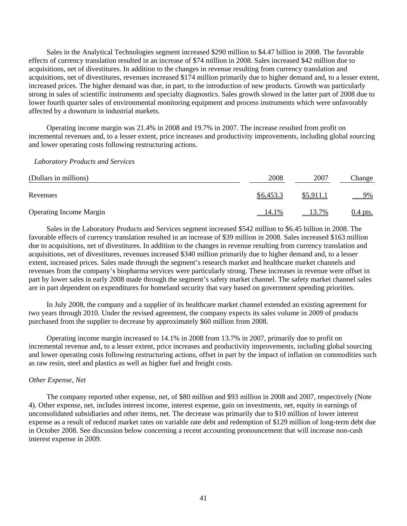Sales in the Analytical Technologies segment increased \$290 million to \$4.47 billion in 2008. The favorable effects of currency translation resulted in an increase of \$74 million in 2008. Sales increased \$42 million due to acquisitions, net of divestitures. In addition to the changes in revenue resulting from currency translation and acquisitions, net of divestitures, revenues increased \$174 million primarily due to higher demand and, to a lesser extent, increased prices. The higher demand was due, in part, to the introduction of new products. Growth was particularly strong in sales of scientific instruments and specialty diagnostics. Sales growth slowed in the latter part of 2008 due to lower fourth quarter sales of environmental monitoring equipment and process instruments which were unfavorably affected by a downturn in industrial markets.

 Operating income margin was 21.4% in 2008 and 19.7% in 2007. The increase resulted from profit on incremental revenues and, to a lesser extent, price increases and productivity improvements, including global sourcing and lower operating costs following restructuring actions.

 *Laboratory Products and Services* 

| (Dollars in millions)          | 2008         | 2007             | Change     |
|--------------------------------|--------------|------------------|------------|
| Revenues                       | \$6,453.3    | <u>\$5,911.1</u> | 9%         |
| <b>Operating Income Margin</b> | <u>14.1%</u> | 13.7%            | $0.4$ pts. |

 Sales in the Laboratory Products and Services segment increased \$542 million to \$6.45 billion in 2008. The favorable effects of currency translation resulted in an increase of \$39 million in 2008. Sales increased \$163 million due to acquisitions, net of divestitures. In addition to the changes in revenue resulting from currency translation and acquisitions, net of divestitures, revenues increased \$340 million primarily due to higher demand and, to a lesser extent, increased prices. Sales made through the segment's research market and healthcare market channels and revenues from the company's biopharma services were particularly strong. These increases in revenue were offset in part by lower sales in early 2008 made through the segment's safety market channel. The safety market channel sales are in part dependent on expenditures for homeland security that vary based on government spending priorities.

 In July 2008, the company and a supplier of its healthcare market channel extended an existing agreement for two years through 2010. Under the revised agreement, the company expects its sales volume in 2009 of products purchased from the supplier to decrease by approximately \$60 million from 2008.

 Operating income margin increased to 14.1% in 2008 from 13.7% in 2007, primarily due to profit on incremental revenue and, to a lesser extent, price increases and productivity improvements, including global sourcing and lower operating costs following restructuring actions, offset in part by the impact of inflation on commodities such as raw resin, steel and plastics as well as higher fuel and freight costs.

# *Other Expense, Net*

 The company reported other expense, net, of \$80 million and \$93 million in 2008 and 2007, respectively (Note 4). Other expense, net, includes interest income, interest expense, gain on investments, net, equity in earnings of unconsolidated subsidiaries and other items, net. The decrease was primarily due to \$10 million of lower interest expense as a result of reduced market rates on variable rate debt and redemption of \$129 million of long-term debt due in October 2008. See discussion below concerning a recent accounting pronouncement that will increase non-cash interest expense in 2009.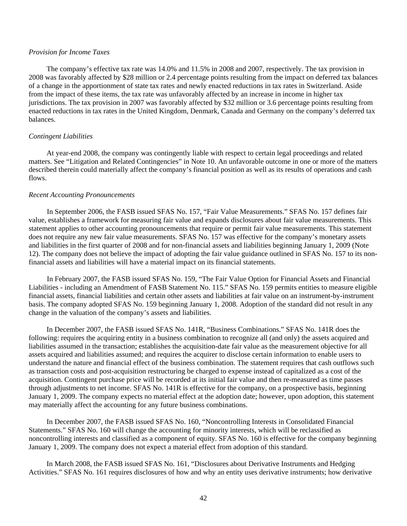#### *Provision for Income Taxes*

 The company's effective tax rate was 14.0% and 11.5% in 2008 and 2007, respectively. The tax provision in 2008 was favorably affected by \$28 million or 2.4 percentage points resulting from the impact on deferred tax balances of a change in the apportionment of state tax rates and newly enacted reductions in tax rates in Switzerland. Aside from the impact of these items, the tax rate was unfavorably affected by an increase in income in higher tax jurisdictions. The tax provision in 2007 was favorably affected by \$32 million or 3.6 percentage points resulting from enacted reductions in tax rates in the United Kingdom, Denmark, Canada and Germany on the company's deferred tax balances.

#### *Contingent Liabilities*

 At year-end 2008, the company was contingently liable with respect to certain legal proceedings and related matters. See "Litigation and Related Contingencies" in Note 10. An unfavorable outcome in one or more of the matters described therein could materially affect the company's financial position as well as its results of operations and cash flows.

#### *Recent Accounting Pronouncements*

 In September 2006, the FASB issued SFAS No. 157, "Fair Value Measurements." SFAS No. 157 defines fair value, establishes a framework for measuring fair value and expands disclosures about fair value measurements. This statement applies to other accounting pronouncements that require or permit fair value measurements. This statement does not require any new fair value measurements. SFAS No. 157 was effective for the company's monetary assets and liabilities in the first quarter of 2008 and for non-financial assets and liabilities beginning January 1, 2009 (Note 12). The company does not believe the impact of adopting the fair value guidance outlined in SFAS No. 157 to its nonfinancial assets and liabilities will have a material impact on its financial statements.

 In February 2007, the FASB issued SFAS No. 159, "The Fair Value Option for Financial Assets and Financial Liabilities - including an Amendment of FASB Statement No. 115." SFAS No. 159 permits entities to measure eligible financial assets, financial liabilities and certain other assets and liabilities at fair value on an instrument-by-instrument basis. The company adopted SFAS No. 159 beginning January 1, 2008. Adoption of the standard did not result in any change in the valuation of the company's assets and liabilities.

 In December 2007, the FASB issued SFAS No. 141R, "Business Combinations." SFAS No. 141R does the following: requires the acquiring entity in a business combination to recognize all (and only) the assets acquired and liabilities assumed in the transaction; establishes the acquisition-date fair value as the measurement objective for all assets acquired and liabilities assumed; and requires the acquirer to disclose certain information to enable users to understand the nature and financial effect of the business combination. The statement requires that cash outflows such as transaction costs and post-acquisition restructuring be charged to expense instead of capitalized as a cost of the acquisition. Contingent purchase price will be recorded at its initial fair value and then re-measured as time passes through adjustments to net income. SFAS No. 141R is effective for the company, on a prospective basis, beginning January 1, 2009. The company expects no material effect at the adoption date; however, upon adoption, this statement may materially affect the accounting for any future business combinations.

 In December 2007, the FASB issued SFAS No. 160, "Noncontrolling Interests in Consolidated Financial Statements." SFAS No. 160 will change the accounting for minority interests, which will be reclassified as noncontrolling interests and classified as a component of equity. SFAS No. 160 is effective for the company beginning January 1, 2009. The company does not expect a material effect from adoption of this standard.

 In March 2008, the FASB issued SFAS No. 161, "Disclosures about Derivative Instruments and Hedging Activities." SFAS No. 161 requires disclosures of how and why an entity uses derivative instruments; how derivative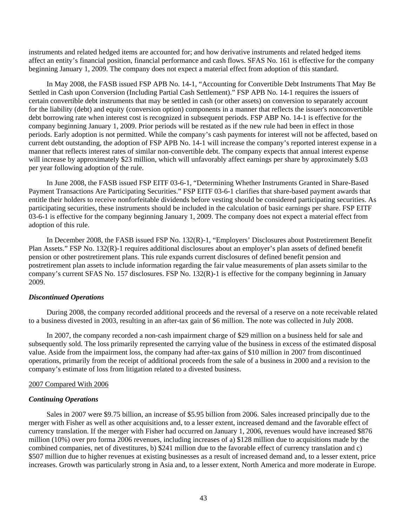instruments and related hedged items are accounted for; and how derivative instruments and related hedged items affect an entity's financial position, financial performance and cash flows. SFAS No. 161 is effective for the company beginning January 1, 2009. The company does not expect a material effect from adoption of this standard.

 In May 2008, the FASB issued FSP APB No. 14-1, "Accounting for Convertible Debt Instruments That May Be Settled in Cash upon Conversion (Including Partial Cash Settlement)." FSP APB No. 14-1 requires the issuers of certain convertible debt instruments that may be settled in cash (or other assets) on conversion to separately account for the liability (debt) and equity (conversion option) components in a manner that reflects the issuer's nonconvertible debt borrowing rate when interest cost is recognized in subsequent periods. FSP ABP No. 14-1 is effective for the company beginning January 1, 2009. Prior periods will be restated as if the new rule had been in effect in those periods. Early adoption is not permitted. While the company's cash payments for interest will not be affected, based on current debt outstanding, the adoption of FSP APB No. 14-1 will increase the company's reported interest expense in a manner that reflects interest rates of similar non-convertible debt. The company expects that annual interest expense will increase by approximately \$23 million, which will unfavorably affect earnings per share by approximately \$.03 per year following adoption of the rule.

 In June 2008, the FASB issued FSP EITF 03-6-1, "Determining Whether Instruments Granted in Share-Based Payment Transactions Are Participating Securities." FSP EITF 03-6-1 clarifies that share-based payment awards that entitle their holders to receive nonforfeitable dividends before vesting should be considered participating securities. As participating securities, these instruments should be included in the calculation of basic earnings per share. FSP EITF 03-6-1 is effective for the company beginning January 1, 2009. The company does not expect a material effect from adoption of this rule.

 In December 2008, the FASB issued FSP No. 132(R)-1, "Employers' Disclosures about Postretirement Benefit Plan Assets." FSP No. 132(R)-1 requires additional disclosures about an employer's plan assets of defined benefit pension or other postretirement plans. This rule expands current disclosures of defined benefit pension and postretirement plan assets to include information regarding the fair value measurements of plan assets similar to the company's current SFAS No. 157 disclosures. FSP No. 132(R)-1 is effective for the company beginning in January 2009.

#### *Discontinued Operations*

 During 2008, the company recorded additional proceeds and the reversal of a reserve on a note receivable related to a business divested in 2003, resulting in an after-tax gain of \$6 million. The note was collected in July 2008.

 In 2007, the company recorded a non-cash impairment charge of \$29 million on a business held for sale and subsequently sold. The loss primarily represented the carrying value of the business in excess of the estimated disposal value. Aside from the impairment loss, the company had after-tax gains of \$10 million in 2007 from discontinued operations, primarily from the receipt of additional proceeds from the sale of a business in 2000 and a revision to the company's estimate of loss from litigation related to a divested business.

#### 2007 Compared With 2006

#### *Continuing Operations*

 Sales in 2007 were \$9.75 billion, an increase of \$5.95 billion from 2006. Sales increased principally due to the merger with Fisher as well as other acquisitions and, to a lesser extent, increased demand and the favorable effect of currency translation. If the merger with Fisher had occurred on January 1, 2006, revenues would have increased \$876 million (10%) over pro forma 2006 revenues, including increases of a) \$128 million due to acquisitions made by the combined companies, net of divestitures, b) \$241 million due to the favorable effect of currency translation and c) \$507 million due to higher revenues at existing businesses as a result of increased demand and, to a lesser extent, price increases. Growth was particularly strong in Asia and, to a lesser extent, North America and more moderate in Europe.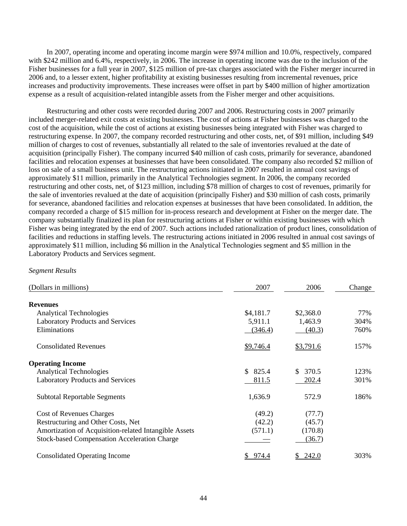In 2007, operating income and operating income margin were \$974 million and 10.0%, respectively, compared with \$242 million and 6.4%, respectively, in 2006. The increase in operating income was due to the inclusion of the Fisher businesses for a full year in 2007, \$125 million of pre-tax charges associated with the Fisher merger incurred in 2006 and, to a lesser extent, higher profitability at existing businesses resulting from incremental revenues, price increases and productivity improvements. These increases were offset in part by \$400 million of higher amortization expense as a result of acquisition-related intangible assets from the Fisher merger and other acquisitions.

 Restructuring and other costs were recorded during 2007 and 2006. Restructuring costs in 2007 primarily included merger-related exit costs at existing businesses. The cost of actions at Fisher businesses was charged to the cost of the acquisition, while the cost of actions at existing businesses being integrated with Fisher was charged to restructuring expense. In 2007, the company recorded restructuring and other costs, net, of \$91 million, including \$49 million of charges to cost of revenues, substantially all related to the sale of inventories revalued at the date of acquisition (principally Fisher). The company incurred \$40 million of cash costs, primarily for severance, abandoned facilities and relocation expenses at businesses that have been consolidated. The company also recorded \$2 million of loss on sale of a small business unit. The restructuring actions initiated in 2007 resulted in annual cost savings of approximately \$11 million, primarily in the Analytical Technologies segment. In 2006, the company recorded restructuring and other costs, net, of \$123 million, including \$78 million of charges to cost of revenues, primarily for the sale of inventories revalued at the date of acquisition (principally Fisher) and \$30 million of cash costs, primarily for severance, abandoned facilities and relocation expenses at businesses that have been consolidated. In addition, the company recorded a charge of \$15 million for in-process research and development at Fisher on the merger date. The company substantially finalized its plan for restructuring actions at Fisher or within existing businesses with which Fisher was being integrated by the end of 2007. Such actions included rationalization of product lines, consolidation of facilities and reductions in staffing levels. The restructuring actions initiated in 2006 resulted in annual cost savings of approximately \$11 million, including \$6 million in the Analytical Technologies segment and \$5 million in the Laboratory Products and Services segment.

### *Segment Results*

| (Dollars in millions)                                 | 2007        | 2006        | Change |
|-------------------------------------------------------|-------------|-------------|--------|
| <b>Revenues</b>                                       |             |             |        |
| <b>Analytical Technologies</b>                        | \$4,181.7   | \$2,368.0   | 77%    |
| <b>Laboratory Products and Services</b>               | 5,911.1     | 1,463.9     | 304%   |
| Eliminations                                          | (346.4)     | (40.3)      | 760%   |
| <b>Consolidated Revenues</b>                          | \$9,746.4   | \$3,791.6   | 157%   |
| <b>Operating Income</b>                               |             |             |        |
| <b>Analytical Technologies</b>                        | \$825.4     | 370.5<br>S. | 123%   |
| <b>Laboratory Products and Services</b>               | 811.5       | 202.4       | 301%   |
| <b>Subtotal Reportable Segments</b>                   | 1,636.9     | 572.9       | 186%   |
| Cost of Revenues Charges                              | (49.2)      | (77.7)      |        |
| Restructuring and Other Costs, Net                    | (42.2)      | (45.7)      |        |
| Amortization of Acquisition-related Intangible Assets | (571.1)     | (170.8)     |        |
| <b>Stock-based Compensation Acceleration Charge</b>   |             | (36.7)      |        |
| <b>Consolidated Operating Income</b>                  | 974.4<br>\$ | 242.0       | 303%   |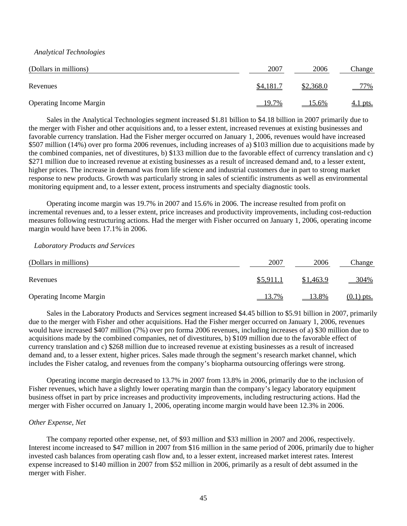*Analytical Technologies* 

| (Dollars in millions)          | 2007      | 2006      | Change |
|--------------------------------|-----------|-----------|--------|
| Revenues                       | \$4,181.7 | \$2,368.0 | 77%    |
| <b>Operating Income Margin</b> | 19.7%     | 15.6%     | l pts. |

 Sales in the Analytical Technologies segment increased \$1.81 billion to \$4.18 billion in 2007 primarily due to the merger with Fisher and other acquisitions and, to a lesser extent, increased revenues at existing businesses and favorable currency translation. Had the Fisher merger occurred on January 1, 2006, revenues would have increased \$507 million (14%) over pro forma 2006 revenues, including increases of a) \$103 million due to acquisitions made by the combined companies, net of divestitures, b) \$133 million due to the favorable effect of currency translation and c) \$271 million due to increased revenue at existing businesses as a result of increased demand and, to a lesser extent, higher prices. The increase in demand was from life science and industrial customers due in part to strong market response to new products. Growth was particularly strong in sales of scientific instruments as well as environmental monitoring equipment and, to a lesser extent, process instruments and specialty diagnostic tools.

 Operating income margin was 19.7% in 2007 and 15.6% in 2006. The increase resulted from profit on incremental revenues and, to a lesser extent, price increases and productivity improvements, including cost-reduction measures following restructuring actions. Had the merger with Fisher occurred on January 1, 2006, operating income margin would have been 17.1% in 2006.

 *Laboratory Products and Services* 

| (Dollars in millions)          | 2007      | 2006      | Change       |
|--------------------------------|-----------|-----------|--------------|
| Revenues                       | \$5,911.1 | \$1,463.9 | $-304\%$     |
| <b>Operating Income Margin</b> | 13.7%     | 13.8%     | $(0.1)$ pts. |

 Sales in the Laboratory Products and Services segment increased \$4.45 billion to \$5.91 billion in 2007, primarily due to the merger with Fisher and other acquisitions. Had the Fisher merger occurred on January 1, 2006, revenues would have increased \$407 million (7%) over pro forma 2006 revenues, including increases of a) \$30 million due to acquisitions made by the combined companies, net of divestitures, b) \$109 million due to the favorable effect of currency translation and c) \$268 million due to increased revenue at existing businesses as a result of increased demand and, to a lesser extent, higher prices. Sales made through the segment's research market channel, which includes the Fisher catalog, and revenues from the company's biopharma outsourcing offerings were strong.

 Operating income margin decreased to 13.7% in 2007 from 13.8% in 2006, primarily due to the inclusion of Fisher revenues, which have a slightly lower operating margin than the company's legacy laboratory equipment business offset in part by price increases and productivity improvements, including restructuring actions. Had the merger with Fisher occurred on January 1, 2006, operating income margin would have been 12.3% in 2006.

#### *Other Expense, Net*

 The company reported other expense, net, of \$93 million and \$33 million in 2007 and 2006, respectively. Interest income increased to \$47 million in 2007 from \$16 million in the same period of 2006, primarily due to higher invested cash balances from operating cash flow and, to a lesser extent, increased market interest rates. Interest expense increased to \$140 million in 2007 from \$52 million in 2006, primarily as a result of debt assumed in the merger with Fisher.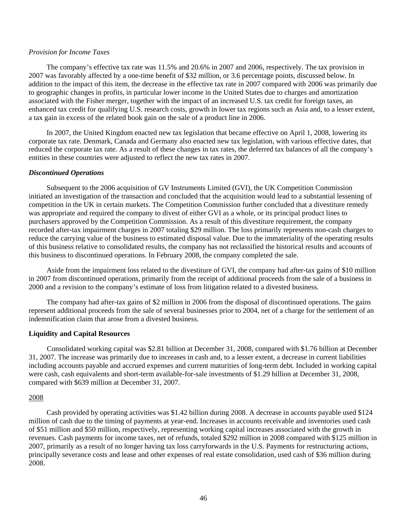#### *Provision for Income Taxes*

 The company's effective tax rate was 11.5% and 20.6% in 2007 and 2006, respectively. The tax provision in 2007 was favorably affected by a one-time benefit of \$32 million, or 3.6 percentage points, discussed below. In addition to the impact of this item, the decrease in the effective tax rate in 2007 compared with 2006 was primarily due to geographic changes in profits, in particular lower income in the United States due to charges and amortization associated with the Fisher merger, together with the impact of an increased U.S. tax credit for foreign taxes, an enhanced tax credit for qualifying U.S. research costs, growth in lower tax regions such as Asia and, to a lesser extent, a tax gain in excess of the related book gain on the sale of a product line in 2006.

 In 2007, the United Kingdom enacted new tax legislation that became effective on April 1, 2008, lowering its corporate tax rate. Denmark, Canada and Germany also enacted new tax legislation, with various effective dates, that reduced the corporate tax rate. As a result of these changes in tax rates, the deferred tax balances of all the company's entities in these countries were adjusted to reflect the new tax rates in 2007.

#### *Discontinued Operations*

 Subsequent to the 2006 acquisition of GV Instruments Limited (GVI), the UK Competition Commission initiated an investigation of the transaction and concluded that the acquisition would lead to a substantial lessening of competition in the UK in certain markets. The Competition Commission further concluded that a divestiture remedy was appropriate and required the company to divest of either GVI as a whole, or its principal product lines to purchasers approved by the Competition Commission. As a result of this divestiture requirement, the company recorded after-tax impairment charges in 2007 totaling \$29 million. The loss primarily represents non-cash charges to reduce the carrying value of the business to estimated disposal value. Due to the immateriality of the operating results of this business relative to consolidated results, the company has not reclassified the historical results and accounts of this business to discontinued operations. In February 2008, the company completed the sale.

 Aside from the impairment loss related to the divestiture of GVI, the company had after-tax gains of \$10 million in 2007 from discontinued operations, primarily from the receipt of additional proceeds from the sale of a business in 2000 and a revision to the company's estimate of loss from litigation related to a divested business.

 The company had after-tax gains of \$2 million in 2006 from the disposal of discontinued operations. The gains represent additional proceeds from the sale of several businesses prior to 2004, net of a charge for the settlement of an indemnification claim that arose from a divested business.

#### **Liquidity and Capital Resources**

 Consolidated working capital was \$2.81 billion at December 31, 2008, compared with \$1.76 billion at December 31, 2007. The increase was primarily due to increases in cash and, to a lesser extent, a decrease in current liabilities including accounts payable and accrued expenses and current maturities of long-term debt. Included in working capital were cash, cash equivalents and short-term available-for-sale investments of \$1.29 billion at December 31, 2008, compared with \$639 million at December 31, 2007.

#### 2008

 Cash provided by operating activities was \$1.42 billion during 2008. A decrease in accounts payable used \$124 million of cash due to the timing of payments at year-end. Increases in accounts receivable and inventories used cash of \$51 million and \$50 million, respectively, representing working capital increases associated with the growth in revenues. Cash payments for income taxes, net of refunds, totaled \$292 million in 2008 compared with \$125 million in 2007, primarily as a result of no longer having tax loss carryforwards in the U.S. Payments for restructuring actions, principally severance costs and lease and other expenses of real estate consolidation, used cash of \$36 million during 2008.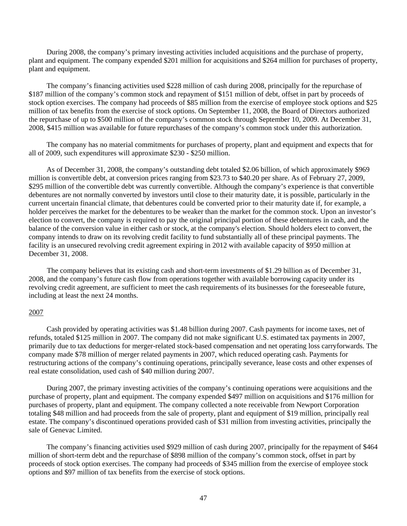During 2008, the company's primary investing activities included acquisitions and the purchase of property, plant and equipment. The company expended \$201 million for acquisitions and \$264 million for purchases of property, plant and equipment.

 The company's financing activities used \$228 million of cash during 2008, principally for the repurchase of \$187 million of the company's common stock and repayment of \$151 million of debt, offset in part by proceeds of stock option exercises. The company had proceeds of \$85 million from the exercise of employee stock options and \$25 million of tax benefits from the exercise of stock options. On September 11, 2008, the Board of Directors authorized the repurchase of up to \$500 million of the company's common stock through September 10, 2009. At December 31, 2008, \$415 million was available for future repurchases of the company's common stock under this authorization.

 The company has no material commitments for purchases of property, plant and equipment and expects that for all of 2009, such expenditures will approximate \$230 - \$250 million.

 As of December 31, 2008, the company's outstanding debt totaled \$2.06 billion, of which approximately \$969 million is convertible debt, at conversion prices ranging from \$23.73 to \$40.20 per share. As of February 27, 2009, \$295 million of the convertible debt was currently convertible. Although the company's experience is that convertible debentures are not normally converted by investors until close to their maturity date, it is possible, particularly in the current uncertain financial climate, that debentures could be converted prior to their maturity date if, for example, a holder perceives the market for the debentures to be weaker than the market for the common stock. Upon an investor's election to convert, the company is required to pay the original principal portion of these debentures in cash, and the balance of the conversion value in either cash or stock, at the company's election. Should holders elect to convert, the company intends to draw on its revolving credit facility to fund substantially all of these principal payments. The facility is an unsecured revolving credit agreement expiring in 2012 with available capacity of \$950 million at December 31, 2008.

 The company believes that its existing cash and short-term investments of \$1.29 billion as of December 31, 2008, and the company's future cash flow from operations together with available borrowing capacity under its revolving credit agreement, are sufficient to meet the cash requirements of its businesses for the foreseeable future, including at least the next 24 months.

#### 2007

 Cash provided by operating activities was \$1.48 billion during 2007. Cash payments for income taxes, net of refunds, totaled \$125 million in 2007. The company did not make significant U.S. estimated tax payments in 2007, primarily due to tax deductions for merger-related stock-based compensation and net operating loss carryforwards. The company made \$78 million of merger related payments in 2007, which reduced operating cash. Payments for restructuring actions of the company's continuing operations, principally severance, lease costs and other expenses of real estate consolidation, used cash of \$40 million during 2007.

 During 2007, the primary investing activities of the company's continuing operations were acquisitions and the purchase of property, plant and equipment. The company expended \$497 million on acquisitions and \$176 million for purchases of property, plant and equipment. The company collected a note receivable from Newport Corporation totaling \$48 million and had proceeds from the sale of property, plant and equipment of \$19 million, principally real estate. The company's discontinued operations provided cash of \$31 million from investing activities, principally the sale of Genevac Limited.

 The company's financing activities used \$929 million of cash during 2007, principally for the repayment of \$464 million of short-term debt and the repurchase of \$898 million of the company's common stock, offset in part by proceeds of stock option exercises. The company had proceeds of \$345 million from the exercise of employee stock options and \$97 million of tax benefits from the exercise of stock options.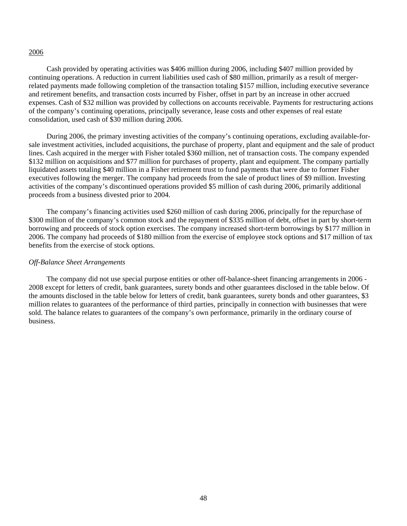#### 2006

 Cash provided by operating activities was \$406 million during 2006, including \$407 million provided by continuing operations. A reduction in current liabilities used cash of \$80 million, primarily as a result of mergerrelated payments made following completion of the transaction totaling \$157 million, including executive severance and retirement benefits, and transaction costs incurred by Fisher, offset in part by an increase in other accrued expenses. Cash of \$32 million was provided by collections on accounts receivable. Payments for restructuring actions of the company's continuing operations, principally severance, lease costs and other expenses of real estate consolidation, used cash of \$30 million during 2006.

 During 2006, the primary investing activities of the company's continuing operations, excluding available-forsale investment activities, included acquisitions, the purchase of property, plant and equipment and the sale of product lines. Cash acquired in the merger with Fisher totaled \$360 million, net of transaction costs. The company expended \$132 million on acquisitions and \$77 million for purchases of property, plant and equipment. The company partially liquidated assets totaling \$40 million in a Fisher retirement trust to fund payments that were due to former Fisher executives following the merger. The company had proceeds from the sale of product lines of \$9 million. Investing activities of the company's discontinued operations provided \$5 million of cash during 2006, primarily additional proceeds from a business divested prior to 2004.

 The company's financing activities used \$260 million of cash during 2006, principally for the repurchase of \$300 million of the company's common stock and the repayment of \$335 million of debt, offset in part by short-term borrowing and proceeds of stock option exercises. The company increased short-term borrowings by \$177 million in 2006. The company had proceeds of \$180 million from the exercise of employee stock options and \$17 million of tax benefits from the exercise of stock options.

#### *Off-Balance Sheet Arrangements*

 The company did not use special purpose entities or other off-balance-sheet financing arrangements in 2006 - 2008 except for letters of credit, bank guarantees, surety bonds and other guarantees disclosed in the table below. Of the amounts disclosed in the table below for letters of credit, bank guarantees, surety bonds and other guarantees, \$3 million relates to guarantees of the performance of third parties, principally in connection with businesses that were sold. The balance relates to guarantees of the company's own performance, primarily in the ordinary course of business.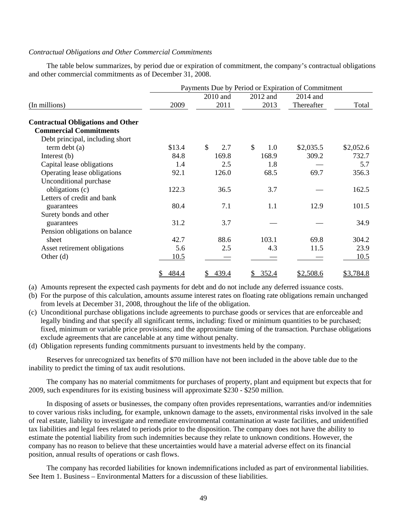#### *Contractual Obligations and Other Commercial Commitments*

 The table below summarizes, by period due or expiration of commitment, the company's contractual obligations and other commercial commitments as of December 31, 2008.

|                                          |        |                      |           | Payments Due by Period or Expiration of Commitment |           |
|------------------------------------------|--------|----------------------|-----------|----------------------------------------------------|-----------|
|                                          |        | 2010 and             | 2012 and  | 2014 and                                           |           |
| (In millions)                            | 2009   | 2011                 | 2013      | Thereafter                                         | Total     |
| <b>Contractual Obligations and Other</b> |        |                      |           |                                                    |           |
| <b>Commercial Commitments</b>            |        |                      |           |                                                    |           |
| Debt principal, including short          |        |                      |           |                                                    |           |
| term debt (a)                            | \$13.4 | $\mathcal{S}$<br>2.7 | \$<br>1.0 | \$2,035.5                                          | \$2,052.6 |
| Interest $(b)$                           | 84.8   | 169.8                | 168.9     | 309.2                                              | 732.7     |
| Capital lease obligations                | 1.4    | 2.5                  | 1.8       |                                                    | 5.7       |
| Operating lease obligations              | 92.1   | 126.0                | 68.5      | 69.7                                               | 356.3     |
| Unconditional purchase                   |        |                      |           |                                                    |           |
| obligations (c)                          | 122.3  | 36.5                 | 3.7       |                                                    | 162.5     |
| Letters of credit and bank               |        |                      |           |                                                    |           |
| guarantees                               | 80.4   | 7.1                  | 1.1       | 12.9                                               | 101.5     |
| Surety bonds and other                   |        |                      |           |                                                    |           |
| guarantees                               | 31.2   | 3.7                  |           |                                                    | 34.9      |
| Pension obligations on balance           |        |                      |           |                                                    |           |
| sheet                                    | 42.7   | 88.6                 | 103.1     | 69.8                                               | 304.2     |
| Asset retirement obligations             | 5.6    | 2.5                  | 4.3       | 11.5                                               | 23.9      |
| Other $(d)$                              | 10.5   |                      |           |                                                    | 10.5      |
|                                          | 484.4  | 439.4                | 352.4     | \$2,508.6                                          | \$3,784.8 |

(a) Amounts represent the expected cash payments for debt and do not include any deferred issuance costs.

(b) For the purpose of this calculation, amounts assume interest rates on floating rate obligations remain unchanged from levels at December 31, 2008, throughout the life of the obligation.

- (c) Unconditional purchase obligations include agreements to purchase goods or services that are enforceable and legally binding and that specify all significant terms, including: fixed or minimum quantities to be purchased; fixed, minimum or variable price provisions; and the approximate timing of the transaction. Purchase obligations exclude agreements that are cancelable at any time without penalty.
- (d) Obligation represents funding commitments pursuant to investments held by the company.

 Reserves for unrecognized tax benefits of \$70 million have not been included in the above table due to the inability to predict the timing of tax audit resolutions.

 The company has no material commitments for purchases of property, plant and equipment but expects that for 2009, such expenditures for its existing business will approximate \$230 - \$250 million.

 In disposing of assets or businesses, the company often provides representations, warranties and/or indemnities to cover various risks including, for example, unknown damage to the assets, environmental risks involved in the sale of real estate, liability to investigate and remediate environmental contamination at waste facilities, and unidentified tax liabilities and legal fees related to periods prior to the disposition. The company does not have the ability to estimate the potential liability from such indemnities because they relate to unknown conditions. However, the company has no reason to believe that these uncertainties would have a material adverse effect on its financial position, annual results of operations or cash flows.

 The company has recorded liabilities for known indemnifications included as part of environmental liabilities. See Item 1. Business – Environmental Matters for a discussion of these liabilities.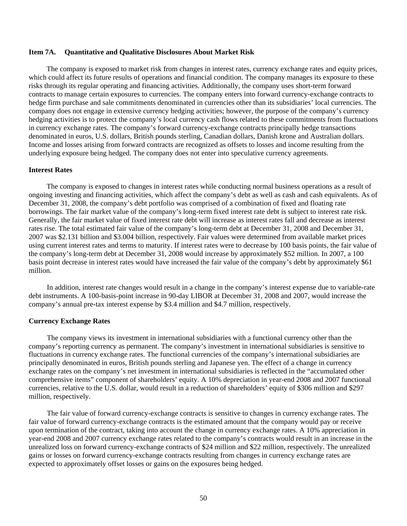#### **Item 7A. Quantitative and Qualitative Disclosures About Market Risk**

 The company is exposed to market risk from changes in interest rates, currency exchange rates and equity prices, which could affect its future results of operations and financial condition. The company manages its exposure to these risks through its regular operating and financing activities. Additionally, the company uses short-term forward contracts to manage certain exposures to currencies. The company enters into forward currency-exchange contracts to hedge firm purchase and sale commitments denominated in currencies other than its subsidiaries' local currencies. The company does not engage in extensive currency hedging activities; however, the purpose of the company's currency hedging activities is to protect the company's local currency cash flows related to these commitments from fluctuations in currency exchange rates. The company's forward currency-exchange contracts principally hedge transactions denominated in euros, U.S. dollars, British pounds sterling, Canadian dollars, Danish krone and Australian dollars. Income and losses arising from forward contracts are recognized as offsets to losses and income resulting from the underlying exposure being hedged. The company does not enter into speculative currency agreements.

#### **Interest Rates**

 The company is exposed to changes in interest rates while conducting normal business operations as a result of ongoing investing and financing activities, which affect the company's debt as well as cash and cash equivalents. As of December 31, 2008, the company's debt portfolio was comprised of a combination of fixed and floating rate borrowings. The fair market value of the company's long-term fixed interest rate debt is subject to interest rate risk. Generally, the fair market value of fixed interest rate debt will increase as interest rates fall and decrease as interest rates rise. The total estimated fair value of the company's long-term debt at December 31, 2008 and December 31, 2007 was \$2.131 billion and \$3.004 billion, respectively. Fair values were determined from available market prices using current interest rates and terms to maturity. If interest rates were to decrease by 100 basis points, the fair value of the company's long-term debt at December 31, 2008 would increase by approximately \$52 million. In 2007, a 100 basis point decrease in interest rates would have increased the fair value of the company's debt by approximately \$61 million.

 In addition, interest rate changes would result in a change in the company's interest expense due to variable-rate debt instruments. A 100-basis-point increase in 90-day LIBOR at December 31, 2008 and 2007, would increase the company's annual pre-tax interest expense by \$3.4 million and \$4.7 million, respectively.

#### **Currency Exchange Rates**

 The company views its investment in international subsidiaries with a functional currency other than the company's reporting currency as permanent. The company's investment in international subsidiaries is sensitive to fluctuations in currency exchange rates. The functional currencies of the company's international subsidiaries are principally denominated in euros, British pounds sterling and Japanese yen. The effect of a change in currency exchange rates on the company's net investment in international subsidiaries is reflected in the "accumulated other comprehensive items" component of shareholders' equity. A 10% depreciation in year-end 2008 and 2007 functional currencies, relative to the U.S. dollar, would result in a reduction of shareholders' equity of \$306 million and \$297 million, respectively.

 The fair value of forward currency-exchange contracts is sensitive to changes in currency exchange rates. The fair value of forward currency-exchange contracts is the estimated amount that the company would pay or receive upon termination of the contract, taking into account the change in currency exchange rates. A 10% appreciation in year-end 2008 and 2007 currency exchange rates related to the company's contracts would result in an increase in the unrealized loss on forward currency-exchange contracts of \$24 million and \$22 million, respectively. The unrealized gains or losses on forward currency-exchange contracts resulting from changes in currency exchange rates are expected to approximately offset losses or gains on the exposures being hedged.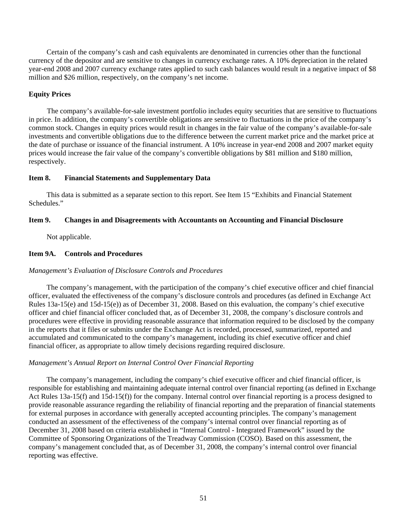Certain of the company's cash and cash equivalents are denominated in currencies other than the functional currency of the depositor and are sensitive to changes in currency exchange rates. A 10% depreciation in the related year-end 2008 and 2007 currency exchange rates applied to such cash balances would result in a negative impact of \$8 million and \$26 million, respectively, on the company's net income.

#### **Equity Prices**

 The company's available-for-sale investment portfolio includes equity securities that are sensitive to fluctuations in price. In addition, the company's convertible obligations are sensitive to fluctuations in the price of the company's common stock. Changes in equity prices would result in changes in the fair value of the company's available-for-sale investments and convertible obligations due to the difference between the current market price and the market price at the date of purchase or issuance of the financial instrument. A 10% increase in year-end 2008 and 2007 market equity prices would increase the fair value of the company's convertible obligations by \$81 million and \$180 million, respectively.

#### **Item 8. Financial Statements and Supplementary Data**

 This data is submitted as a separate section to this report. See Item 15 "Exhibits and Financial Statement Schedules."

# **Item 9. Changes in and Disagreements with Accountants on Accounting and Financial Disclosure**

Not applicable.

### **Item 9A. Controls and Procedures**

#### *Management's Evaluation of Disclosure Controls and Procedures*

 The company's management, with the participation of the company's chief executive officer and chief financial officer, evaluated the effectiveness of the company's disclosure controls and procedures (as defined in Exchange Act Rules 13a-15(e) and 15d-15(e)) as of December 31, 2008. Based on this evaluation, the company's chief executive officer and chief financial officer concluded that, as of December 31, 2008, the company's disclosure controls and procedures were effective in providing reasonable assurance that information required to be disclosed by the company in the reports that it files or submits under the Exchange Act is recorded, processed, summarized, reported and accumulated and communicated to the company's management, including its chief executive officer and chief financial officer, as appropriate to allow timely decisions regarding required disclosure.

# *Management's Annual Report on Internal Control Over Financial Reporting*

 The company's management, including the company's chief executive officer and chief financial officer, is responsible for establishing and maintaining adequate internal control over financial reporting (as defined in Exchange Act Rules 13a-15(f) and 15d-15(f)) for the company. Internal control over financial reporting is a process designed to provide reasonable assurance regarding the reliability of financial reporting and the preparation of financial statements for external purposes in accordance with generally accepted accounting principles. The company's management conducted an assessment of the effectiveness of the company's internal control over financial reporting as of December 31, 2008 based on criteria established in "Internal Control - Integrated Framework" issued by the Committee of Sponsoring Organizations of the Treadway Commission (COSO). Based on this assessment, the company's management concluded that, as of December 31, 2008, the company's internal control over financial reporting was effective.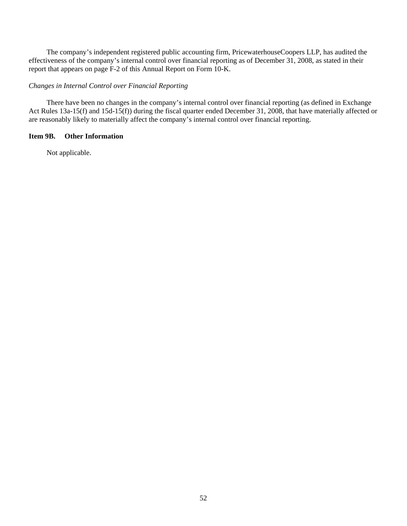The company's independent registered public accounting firm, PricewaterhouseCoopers LLP, has audited the effectiveness of the company's internal control over financial reporting as of December 31, 2008, as stated in their report that appears on page F-2 of this Annual Report on Form 10-K.

# *Changes in Internal Control over Financial Reporting*

 There have been no changes in the company's internal control over financial reporting (as defined in Exchange Act Rules 13a-15(f) and 15d-15(f)) during the fiscal quarter ended December 31, 2008, that have materially affected or are reasonably likely to materially affect the company's internal control over financial reporting.

# **Item 9B. Other Information**

Not applicable.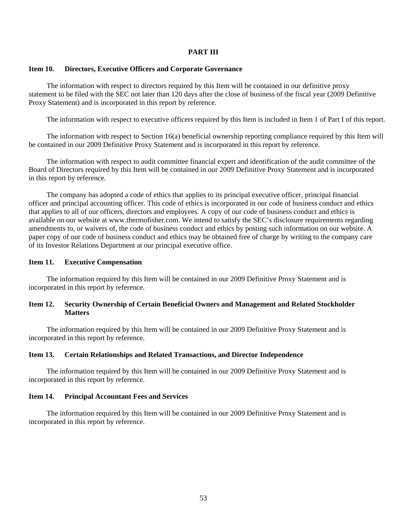#### **PART III**

### **Item 10. Directors, Executive Officers and Corporate Governance**

 The information with respect to directors required by this Item will be contained in our definitive proxy statement to be filed with the SEC not later than 120 days after the close of business of the fiscal year (2009 Definitive Proxy Statement) and is incorporated in this report by reference.

The information with respect to executive officers required by this Item is included in Item 1 of Part I of this report.

 The information with respect to Section 16(a) beneficial ownership reporting compliance required by this Item will be contained in our 2009 Definitive Proxy Statement and is incorporated in this report by reference.

 The information with respect to audit committee financial expert and identification of the audit committee of the Board of Directors required by this Item will be contained in our 2009 Definitive Proxy Statement and is incorporated in this report by reference.

 The company has adopted a code of ethics that applies to its principal executive officer, principal financial officer and principal accounting officer. This code of ethics is incorporated in our code of business conduct and ethics that applies to all of our officers, directors and employees. A copy of our code of business conduct and ethics is available on our website at www.thermofisher.com. We intend to satisfy the SEC's disclosure requirements regarding amendments to, or waivers of, the code of business conduct and ethics by posting such information on our website. A paper copy of our code of business conduct and ethics may be obtained free of charge by writing to the company care of its Investor Relations Department at our principal executive office.

#### **Item 11. Executive Compensation**

 The information required by this Item will be contained in our 2009 Definitive Proxy Statement and is incorporated in this report by reference.

### **Item 12. Security Ownership of Certain Beneficial Owners and Management and Related Stockholder Matters**

 The information required by this Item will be contained in our 2009 Definitive Proxy Statement and is incorporated in this report by reference.

#### **Item 13. Certain Relationships and Related Transactions, and Director Independence**

 The information required by this Item will be contained in our 2009 Definitive Proxy Statement and is incorporated in this report by reference.

#### **Item 14. Principal Accountant Fees and Services**

 The information required by this Item will be contained in our 2009 Definitive Proxy Statement and is incorporated in this report by reference.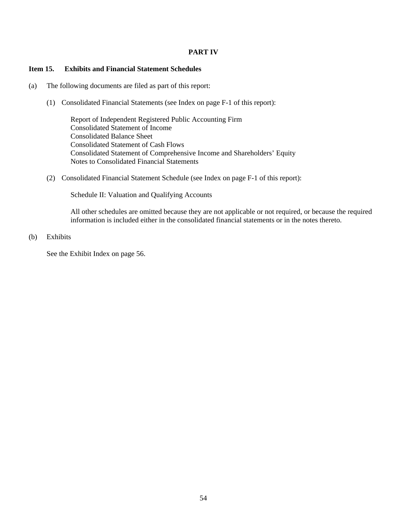### **PART IV**

#### **Item 15. Exhibits and Financial Statement Schedules**

- (a) The following documents are filed as part of this report:
	- (1) Consolidated Financial Statements (see Index on page F-1 of this report):

Report of Independent Registered Public Accounting Firm Consolidated Statement of Income Consolidated Balance Sheet Consolidated Statement of Cash Flows Consolidated Statement of Comprehensive Income and Shareholders' Equity Notes to Consolidated Financial Statements

(2) Consolidated Financial Statement Schedule (see Index on page F-1 of this report):

Schedule II: Valuation and Qualifying Accounts

All other schedules are omitted because they are not applicable or not required, or because the required information is included either in the consolidated financial statements or in the notes thereto.

# (b) Exhibits

See the Exhibit Index on page 56.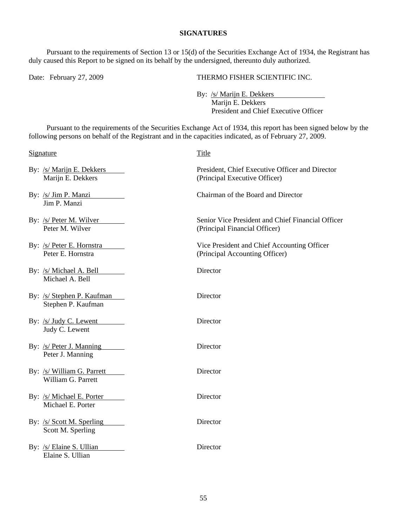### **SIGNATURES**

 Pursuant to the requirements of Section 13 or 15(d) of the Securities Exchange Act of 1934, the Registrant has duly caused this Report to be signed on its behalf by the undersigned, thereunto duly authorized.

Date: February 27, 2009 THERMO FISHER SCIENTIFIC INC.

 By: /s/ Marijn E. Dekkers Marijn E. Dekkers President and Chief Executive Officer

 Pursuant to the requirements of the Securities Exchange Act of 1934, this report has been signed below by the following persons on behalf of the Registrant and in the capacities indicated, as of February 27, 2009.

Signature Title

By: /s/ Marijn E. Dekkers Marijn E. Dekkers

By: /s/ Jim P. Manzi Jim P. Manzi

- By: /s/ Peter M. Wilver Peter M. Wilver
- By: /s/ Peter E. Hornstra Peter E. Hornstra

By: /s/ Michael A. Bell Michael A. Bell

- By: /s/ Stephen P. Kaufman Stephen P. Kaufman
- By: /s/ Judy C. Lewent Judy C. Lewent
- By: /s/ Peter J. Manning Peter J. Manning
- By: /s/ William G. Parrett William G. Parrett
- By: /s/ Michael E. Porter Michael E. Porter
- By: <u>/s/ Scott M. Sperling</u> Scott M. Sperling

By: /s/ Elaine S. Ullian Elaine S. Ullian

 President, Chief Executive Officer and Director (Principal Executive Officer)

Chairman of the Board and Director

 Senior Vice President and Chief Financial Officer (Principal Financial Officer)

 Vice President and Chief Accounting Officer (Principal Accounting Officer)

**Director** 

**Director** 

**Director** 

**Director** 

**Director** 

**Director** 

**Director** 

**Director**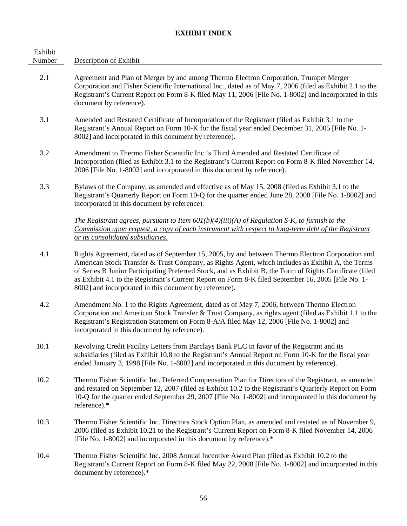| Exhibit<br>Number | Description of Exhibit                                                                                                                                                                                                                                                                                                                                                                                                                                                             |
|-------------------|------------------------------------------------------------------------------------------------------------------------------------------------------------------------------------------------------------------------------------------------------------------------------------------------------------------------------------------------------------------------------------------------------------------------------------------------------------------------------------|
| 2.1               | Agreement and Plan of Merger by and among Thermo Electron Corporation, Trumpet Merger<br>Corporation and Fisher Scientific International Inc., dated as of May 7, 2006 (filed as Exhibit 2.1 to the<br>Registrant's Current Report on Form 8-K filed May 11, 2006 [File No. 1-8002] and incorporated in this<br>document by reference).                                                                                                                                            |
| 3.1               | Amended and Restated Certificate of Incorporation of the Registrant (filed as Exhibit 3.1 to the<br>Registrant's Annual Report on Form 10-K for the fiscal year ended December 31, 2005 [File No. 1-<br>8002] and incorporated in this document by reference).                                                                                                                                                                                                                     |
| 3.2               | Amendment to Thermo Fisher Scientific Inc.'s Third Amended and Restated Certificate of<br>Incorporation (filed as Exhibit 3.1 to the Registrant's Current Report on Form 8-K filed November 14,<br>2006 [File No. 1-8002] and incorporated in this document by reference).                                                                                                                                                                                                         |
| 3.3               | Bylaws of the Company, as amended and effective as of May 15, 2008 (filed as Exhibit 3.1 to the<br>Registrant's Quarterly Report on Form 10-Q for the quarter ended June 28, 2008 [File No. 1-8002] and<br>incorporated in this document by reference).                                                                                                                                                                                                                            |
|                   | The Registrant agrees, pursuant to Item $601(b)(4)(iii)(A)$ of Regulation S-K, to furnish to the<br>Commission upon request, a copy of each instrument with respect to long-term debt of the Registrant<br>or its consolidated subsidiaries.                                                                                                                                                                                                                                       |
| 4.1               | Rights Agreement, dated as of September 15, 2005, by and between Thermo Electron Corporation and<br>American Stock Transfer & Trust Company, as Rights Agent, which includes as Exhibit A, the Terms<br>of Series B Junior Participating Preferred Stock, and as Exhibit B, the Form of Rights Certificate (filed<br>as Exhibit 4.1 to the Registrant's Current Report on Form 8-K filed September 16, 2005 [File No. 1-<br>8002] and incorporated in this document by reference). |
| 4.2               | Amendment No. 1 to the Rights Agreement, dated as of May 7, 2006, between Thermo Electron<br>Corporation and American Stock Transfer & Trust Company, as rights agent (filed as Exhibit 1.1 to the<br>Registrant's Registration Statement on Form 8-A/A filed May 12, 2006 [File No. 1-8002] and<br>incorporated in this document by reference).                                                                                                                                   |
| 10.1              | Revolving Credit Facility Letters from Barclays Bank PLC in favor of the Registrant and its<br>subsidiaries (filed as Exhibit 10.8 to the Registrant's Annual Report on Form 10-K for the fiscal year<br>ended January 3, 1998 [File No. 1-8002] and incorporated in this document by reference).                                                                                                                                                                                  |
| 10.2              | Thermo Fisher Scientific Inc. Deferred Compensation Plan for Directors of the Registrant, as amended<br>and restated on September 12, 2007 (filed as Exhibit 10.2 to the Registrant's Quarterly Report on Form<br>10-Q for the quarter ended September 29, 2007 [File No. 1-8002] and incorporated in this document by<br>reference).*                                                                                                                                             |
| 10.3              | Thermo Fisher Scientific Inc. Directors Stock Option Plan, as amended and restated as of November 9,<br>2006 (filed as Exhibit 10.21 to the Registrant's Current Report on Form 8-K filed November 14, 2006<br>[File No. 1-8002] and incorporated in this document by reference).*                                                                                                                                                                                                 |
| 10.4              | Thermo Fisher Scientific Inc. 2008 Annual Incentive Award Plan (filed as Exhibit 10.2 to the<br>Registrant's Current Report on Form 8-K filed May 22, 2008 [File No. 1-8002] and incorporated in this<br>document by reference).*                                                                                                                                                                                                                                                  |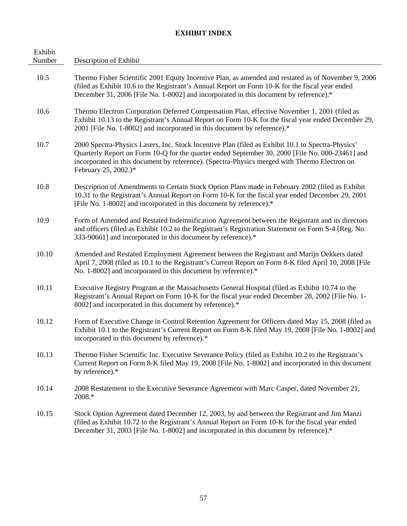| Exhibit<br>Number | Description of Exhibit                                                                                                                                                                                                                                                                                                       |
|-------------------|------------------------------------------------------------------------------------------------------------------------------------------------------------------------------------------------------------------------------------------------------------------------------------------------------------------------------|
| 10.5              | Thermo Fisher Scientific 2001 Equity Incentive Plan, as amended and restated as of November 9, 2006<br>(filed as Exhibit 10.6 to the Registrant's Annual Report on Form 10-K for the fiscal year ended<br>December 31, 2006 [File No. 1-8002] and incorporated in this document by reference).*                              |
| 10.6              | Thermo Electron Corporation Deferred Compensation Plan, effective November 1, 2001 (filed as<br>Exhibit 10.13 to the Registrant's Annual Report on Form 10-K for the fiscal year ended December 29,<br>2001 [File No. 1-8002] and incorporated in this document by reference).*                                              |
| 10.7              | 2000 Spectra-Physics Lasers, Inc. Stock Incentive Plan (filed as Exhibit 10.1 to Spectra-Physics'<br>Quarterly Report on Form 10-Q for the quarter ended September 30, 2000 [File No. 000-23461] and<br>incorporated in this document by reference). (Spectra-Physics merged with Thermo Electron on<br>February 25, 2002.)* |
| 10.8              | Description of Amendments to Certain Stock Option Plans made in February 2002 (filed as Exhibit<br>10.31 to the Registrant's Annual Report on Form 10-K for the fiscal year ended December 29, 2001<br>[File No. 1-8002] and incorporated in this document by reference).*                                                   |
| 10.9              | Form of Amended and Restated Indemnification Agreement between the Registrant and its directors<br>and officers (filed as Exhibit 10.2 to the Registrant's Registration Statement on Form S-4 [Reg. No.<br>333-90661] and incorporated in this document by reference).*                                                      |
| 10.10             | Amended and Restated Employment Agreement between the Registrant and Marijn Dekkers dated<br>April 7, 2008 (filed as 10.1 to the Registrant's Current Report on Form 8-K filed April 10, 2008 [File<br>No. 1-8002] and incorporated in this document by reference).*                                                         |
| 10.11             | Executive Registry Program at the Massachusetts General Hospital (filed as Exhibit 10.74 to the<br>Registrant's Annual Report on Form 10-K for the fiscal year ended December 28, 2002 [File No. 1-<br>8002] and incorporated in this document by reference).*                                                               |
| 10.12             | Form of Executive Change in Control Retention Agreement for Officers dated May 15, 2008 (filed as<br>Exhibit 10.1 to the Registrant's Current Report on Form 8-K filed May 19, 2008 [File No. 1-8002] and<br>incorporated in this document by reference).*                                                                   |
| 10.13             | Thermo Fisher Scientific Inc. Executive Severance Policy (filed as Exhibit 10.2 to the Registrant's<br>Current Report on Form 8-K filed May 19, 2008 [File No. 1-8002] and incorporated in this document<br>by reference).*                                                                                                  |
| 10.14             | 2008 Restatement to the Executive Severance Agreement with Marc Casper, dated November 21,<br>2008.*                                                                                                                                                                                                                         |
| 10.15             | Stock Option Agreement dated December 12, 2003, by and between the Registrant and Jim Manzi<br>(filed as Exhibit 10.72 to the Registrant's Annual Report on Form 10-K for the fiscal year ended<br>December 31, 2003 [File No. 1-8002] and incorporated in this document by reference).*                                     |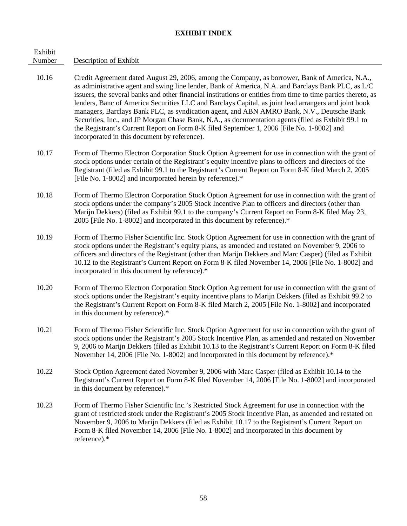Exhibit Number Description of Exhibit

10.16 Credit Agreement dated August 29, 2006, among the Company, as borrower, Bank of America, N.A., as administrative agent and swing line lender, Bank of America, N.A. and Barclays Bank PLC, as L/C issuers, the several banks and other financial institutions or entities from time to time parties thereto, as lenders, Banc of America Securities LLC and Barclays Capital, as joint lead arrangers and joint book managers, Barclays Bank PLC, as syndication agent, and ABN AMRO Bank, N.V., Deutsche Bank Securities, Inc., and JP Morgan Chase Bank, N.A., as documentation agents (filed as Exhibit 99.1 to the Registrant's Current Report on Form 8-K filed September 1, 2006 [File No. 1-8002] and incorporated in this document by reference).

- 10.17 Form of Thermo Electron Corporation Stock Option Agreement for use in connection with the grant of stock options under certain of the Registrant's equity incentive plans to officers and directors of the Registrant (filed as Exhibit 99.1 to the Registrant's Current Report on Form 8-K filed March 2, 2005 [File No. 1-8002] and incorporated herein by reference).\*
- 10.18 Form of Thermo Electron Corporation Stock Option Agreement for use in connection with the grant of stock options under the company's 2005 Stock Incentive Plan to officers and directors (other than Marijn Dekkers) (filed as Exhibit 99.1 to the company's Current Report on Form 8-K filed May 23, 2005 [File No. 1-8002] and incorporated in this document by reference).\*
- 10.19 Form of Thermo Fisher Scientific Inc. Stock Option Agreement for use in connection with the grant of stock options under the Registrant's equity plans, as amended and restated on November 9, 2006 to officers and directors of the Registrant (other than Marijn Dekkers and Marc Casper) (filed as Exhibit 10.12 to the Registrant's Current Report on Form 8-K filed November 14, 2006 [File No. 1-8002] and incorporated in this document by reference).\*
- 10.20 Form of Thermo Electron Corporation Stock Option Agreement for use in connection with the grant of stock options under the Registrant's equity incentive plans to Marijn Dekkers (filed as Exhibit 99.2 to the Registrant's Current Report on Form 8-K filed March 2, 2005 [File No. 1-8002] and incorporated in this document by reference).\*
- 10.21 Form of Thermo Fisher Scientific Inc. Stock Option Agreement for use in connection with the grant of stock options under the Registrant's 2005 Stock Incentive Plan, as amended and restated on November 9, 2006 to Marijn Dekkers (filed as Exhibit 10.13 to the Registrant's Current Report on Form 8-K filed November 14, 2006 [File No. 1-8002] and incorporated in this document by reference).\*
- 10.22 Stock Option Agreement dated November 9, 2006 with Marc Casper (filed as Exhibit 10.14 to the Registrant's Current Report on Form 8-K filed November 14, 2006 [File No. 1-8002] and incorporated in this document by reference).\*
- 10.23 Form of Thermo Fisher Scientific Inc.'s Restricted Stock Agreement for use in connection with the grant of restricted stock under the Registrant's 2005 Stock Incentive Plan, as amended and restated on November 9, 2006 to Marijn Dekkers (filed as Exhibit 10.17 to the Registrant's Current Report on Form 8-K filed November 14, 2006 [File No. 1-8002] and incorporated in this document by reference).\*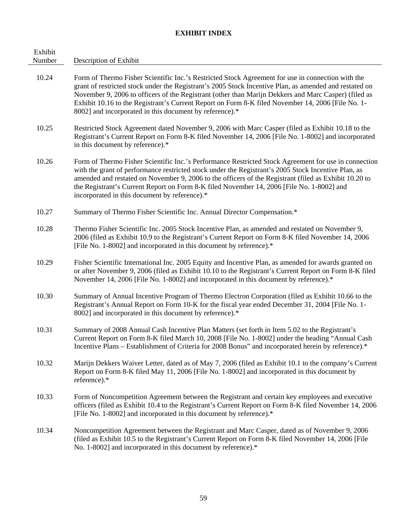| Exhibit<br>Number | Description of Exhibit                                                                                                                                                                                                                                                                                                                                                                                                                                                              |
|-------------------|-------------------------------------------------------------------------------------------------------------------------------------------------------------------------------------------------------------------------------------------------------------------------------------------------------------------------------------------------------------------------------------------------------------------------------------------------------------------------------------|
| 10.24             | Form of Thermo Fisher Scientific Inc.'s Restricted Stock Agreement for use in connection with the<br>grant of restricted stock under the Registrant's 2005 Stock Incentive Plan, as amended and restated on<br>November 9, 2006 to officers of the Registrant (other than Marijn Dekkers and Marc Casper) (filed as<br>Exhibit 10.16 to the Registrant's Current Report on Form 8-K filed November 14, 2006 [File No. 1-<br>8002] and incorporated in this document by reference).* |
| 10.25             | Restricted Stock Agreement dated November 9, 2006 with Marc Casper (filed as Exhibit 10.18 to the<br>Registrant's Current Report on Form 8-K filed November 14, 2006 [File No. 1-8002] and incorporated<br>in this document by reference).*                                                                                                                                                                                                                                         |
| 10.26             | Form of Thermo Fisher Scientific Inc.'s Performance Restricted Stock Agreement for use in connection<br>with the grant of performance restricted stock under the Registrant's 2005 Stock Incentive Plan, as<br>amended and restated on November 9, 2006 to the officers of the Registrant (filed as Exhibit 10.20 to<br>the Registrant's Current Report on Form 8-K filed November 14, 2006 [File No. 1-8002] and<br>incorporated in this document by reference).*                  |
| 10.27             | Summary of Thermo Fisher Scientific Inc. Annual Director Compensation.*                                                                                                                                                                                                                                                                                                                                                                                                             |
| 10.28             | Thermo Fisher Scientific Inc. 2005 Stock Incentive Plan, as amended and restated on November 9,<br>2006 (filed as Exhibit 10.9 to the Registrant's Current Report on Form 8-K filed November 14, 2006<br>[File No. 1-8002] and incorporated in this document by reference).*                                                                                                                                                                                                        |
| 10.29             | Fisher Scientific International Inc. 2005 Equity and Incentive Plan, as amended for awards granted on<br>or after November 9, 2006 (filed as Exhibit 10.10 to the Registrant's Current Report on Form 8-K filed<br>November 14, 2006 [File No. 1-8002] and incorporated in this document by reference).*                                                                                                                                                                            |
| 10.30             | Summary of Annual Incentive Program of Thermo Electron Corporation (filed as Exhibit 10.66 to the<br>Registrant's Annual Report on Form 10-K for the fiscal year ended December 31, 2004 [File No. 1-<br>8002] and incorporated in this document by reference).*                                                                                                                                                                                                                    |
| 10.31             | Summary of 2008 Annual Cash Incentive Plan Matters (set forth in Item 5.02 to the Registrant's<br>Current Report on Form 8-K filed March 10, 2008 [File No. 1-8002] under the heading "Annual Cash<br>Incentive Plans – Establishment of Criteria for 2008 Bonus" and incorporated herein by reference).*                                                                                                                                                                           |
| 10.32             | Marijn Dekkers Waiver Letter, dated as of May 7, 2006 (filed as Exhibit 10.1 to the company's Current<br>Report on Form 8-K filed May 11, 2006 [File No. 1-8002] and incorporated in this document by<br>reference).*                                                                                                                                                                                                                                                               |
| 10.33             | Form of Noncompetition Agreement between the Registrant and certain key employees and executive<br>officers (filed as Exhibit 10.4 to the Registrant's Current Report on Form 8-K filed November 14, 2006<br>[File No. 1-8002] and incorporated in this document by reference).*                                                                                                                                                                                                    |
| 10.34             | Noncompetition Agreement between the Registrant and Marc Casper, dated as of November 9, 2006<br>(filed as Exhibit 10.5 to the Registrant's Current Report on Form 8-K filed November 14, 2006 [File<br>No. 1-8002] and incorporated in this document by reference).*                                                                                                                                                                                                               |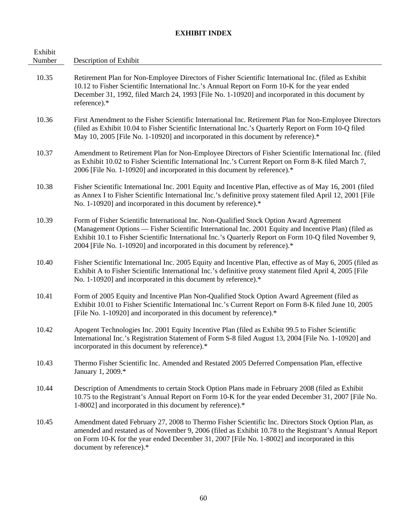| Exhibit<br>Number | Description of Exhibit                                                                                                                                                                                                                                                                                                                                                                 |
|-------------------|----------------------------------------------------------------------------------------------------------------------------------------------------------------------------------------------------------------------------------------------------------------------------------------------------------------------------------------------------------------------------------------|
| 10.35             | Retirement Plan for Non-Employee Directors of Fisher Scientific International Inc. (filed as Exhibit<br>10.12 to Fisher Scientific International Inc.'s Annual Report on Form 10-K for the year ended<br>December 31, 1992, filed March 24, 1993 [File No. 1-10920] and incorporated in this document by<br>reference).*                                                               |
| 10.36             | First Amendment to the Fisher Scientific International Inc. Retirement Plan for Non-Employee Directors<br>(filed as Exhibit 10.04 to Fisher Scientific International Inc.'s Quarterly Report on Form 10-Q filed<br>May 10, 2005 [File No. 1-10920] and incorporated in this document by reference).*                                                                                   |
| 10.37             | Amendment to Retirement Plan for Non-Employee Directors of Fisher Scientific International Inc. (filed<br>as Exhibit 10.02 to Fisher Scientific International Inc.'s Current Report on Form 8-K filed March 7,<br>2006 [File No. 1-10920] and incorporated in this document by reference).*                                                                                            |
| 10.38             | Fisher Scientific International Inc. 2001 Equity and Incentive Plan, effective as of May 16, 2001 (filed<br>as Annex I to Fisher Scientific International Inc.'s definitive proxy statement filed April 12, 2001 [File<br>No. 1-10920] and incorporated in this document by reference).*                                                                                               |
| 10.39             | Form of Fisher Scientific International Inc. Non-Qualified Stock Option Award Agreement<br>(Management Options — Fisher Scientific International Inc. 2001 Equity and Incentive Plan) (filed as<br>Exhibit 10.1 to Fisher Scientific International Inc.'s Quarterly Report on Form 10-Q filed November 9,<br>2004 [File No. 1-10920] and incorporated in this document by reference).* |
| 10.40             | Fisher Scientific International Inc. 2005 Equity and Incentive Plan, effective as of May 6, 2005 (filed as<br>Exhibit A to Fisher Scientific International Inc.'s definitive proxy statement filed April 4, 2005 [File<br>No. 1-10920] and incorporated in this document by reference).*                                                                                               |
| 10.41             | Form of 2005 Equity and Incentive Plan Non-Qualified Stock Option Award Agreement (filed as<br>Exhibit 10.01 to Fisher Scientific International Inc.'s Current Report on Form 8-K filed June 10, 2005<br>[File No. 1-10920] and incorporated in this document by reference).*                                                                                                          |
| 10.42             | Apogent Technologies Inc. 2001 Equity Incentive Plan (filed as Exhibit 99.5 to Fisher Scientific<br>International Inc.'s Registration Statement of Form S-8 filed August 13, 2004 [File No. 1-10920] and<br>incorporated in this document by reference).*                                                                                                                              |
| 10.43             | Thermo Fisher Scientific Inc. Amended and Restated 2005 Deferred Compensation Plan, effective<br>January 1, 2009.*                                                                                                                                                                                                                                                                     |
| 10.44             | Description of Amendments to certain Stock Option Plans made in February 2008 (filed as Exhibit<br>10.75 to the Registrant's Annual Report on Form 10-K for the year ended December 31, 2007 [File No.<br>1-8002] and incorporated in this document by reference).*                                                                                                                    |
| 10.45             | Amendment dated February 27, 2008 to Thermo Fisher Scientific Inc. Directors Stock Option Plan, as<br>amended and restated as of November 9, 2006 (filed as Exhibit 10.78 to the Registrant's Annual Report<br>on Form 10-K for the year ended December 31, 2007 [File No. 1-8002] and incorporated in this<br>document by reference).*                                                |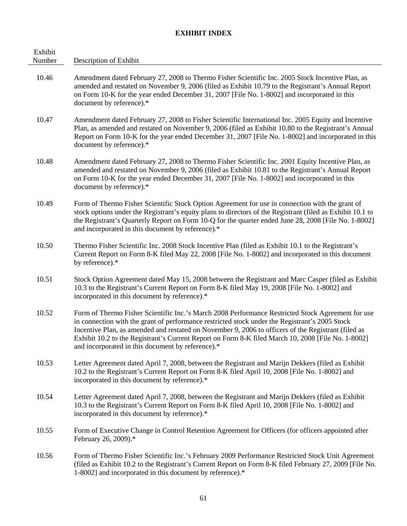| Exhibit<br>Number | Description of Exhibit                                                                                                                                                                                                                                                                                                                                                                                                                                                |
|-------------------|-----------------------------------------------------------------------------------------------------------------------------------------------------------------------------------------------------------------------------------------------------------------------------------------------------------------------------------------------------------------------------------------------------------------------------------------------------------------------|
| 10.46             | Amendment dated February 27, 2008 to Thermo Fisher Scientific Inc. 2005 Stock Incentive Plan, as<br>amended and restated on November 9, 2006 (filed as Exhibit 10.79 to the Registrant's Annual Report<br>on Form 10-K for the year ended December 31, 2007 [File No. 1-8002] and incorporated in this<br>document by reference).*                                                                                                                                    |
| 10.47             | Amendment dated February 27, 2008 to Fisher Scientific International Inc. 2005 Equity and Incentive<br>Plan, as amended and restated on November 9, 2006 (filed as Exhibit 10.80 to the Registrant's Annual<br>Report on Form 10-K for the year ended December 31, 2007 [File No. 1-8002] and incorporated in this<br>document by reference).*                                                                                                                        |
| 10.48             | Amendment dated February 27, 2008 to Thermo Fisher Scientific Inc. 2001 Equity Incentive Plan, as<br>amended and restated on November 9, 2006 (filed as Exhibit 10.81 to the Registrant's Annual Report<br>on Form 10-K for the year ended December 31, 2007 [File No. 1-8002] and incorporated in this<br>document by reference).*                                                                                                                                   |
| 10.49             | Form of Thermo Fisher Scientific Stock Option Agreement for use in connection with the grant of<br>stock options under the Registrant's equity plans to directors of the Registrant (filed as Exhibit 10.1 to<br>the Registrant's Quarterly Report on Form 10-Q for the quarter ended June 28, 2008 [File No. 1-8002]<br>and incorporated in this document by reference).*                                                                                            |
| 10.50             | Thermo Fisher Scientific Inc. 2008 Stock Incentive Plan (filed as Exhibit 10.1 to the Registrant's<br>Current Report on Form 8-K filed May 22, 2008 [File No. 1-8002] and incorporated in this document<br>by reference).*                                                                                                                                                                                                                                            |
| 10.51             | Stock Option Agreement dated May 15, 2008 between the Registrant and Marc Casper (filed as Exhibit<br>10.3 to the Registrant's Current Report on Form 8-K filed May 19, 2008 [File No. 1-8002] and<br>incorporated in this document by reference).*                                                                                                                                                                                                                   |
| 10.52             | Form of Thermo Fisher Scientific Inc.'s March 2008 Performance Restricted Stock Agreement for use<br>in connection with the grant of performance restricted stock under the Registrant's 2005 Stock<br>Incentive Plan, as amended and restated on November 9, 2006 to officers of the Registrant (filed as<br>Exhibit 10.2 to the Registrant's Current Report on Form 8-K filed March 10, 2008 [File No. 1-8002]<br>and incorporated in this document by reference).* |
| 10.53             | Letter Agreement dated April 7, 2008, between the Registrant and Marijn Dekkers (filed as Exhibit<br>10.2 to the Registrant's Current Report on Form 8-K filed April 10, 2008 [File No. 1-8002] and<br>incorporated in this document by reference).*                                                                                                                                                                                                                  |
| 10.54             | Letter Agreement dated April 7, 2008, between the Registrant and Marijn Dekkers (filed as Exhibit<br>10.3 to the Registrant's Current Report on Form 8-K filed April 10, 2008 [File No. 1-8002] and<br>incorporated in this document by reference).*                                                                                                                                                                                                                  |
| 10.55             | Form of Executive Change in Control Retention Agreement for Officers (for officers appointed after<br>February 26, 2009).*                                                                                                                                                                                                                                                                                                                                            |
| 10.56             | Form of Thermo Fisher Scientific Inc.'s February 2009 Performance Restricted Stock Unit Agreement<br>(filed as Exhibit 10.2 to the Registrant's Current Report on Form 8-K filed February 27, 2009 [File No.<br>1-8002] and incorporated in this document by reference).*                                                                                                                                                                                             |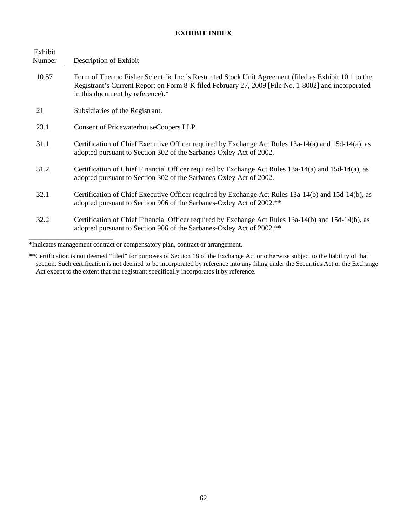$\overline{\phantom{0}}$ 

| Exhibit<br>Number | Description of Exhibit                                                                                                                                                                                                                          |
|-------------------|-------------------------------------------------------------------------------------------------------------------------------------------------------------------------------------------------------------------------------------------------|
| 10.57             | Form of Thermo Fisher Scientific Inc.'s Restricted Stock Unit Agreement (filed as Exhibit 10.1 to the<br>Registrant's Current Report on Form 8-K filed February 27, 2009 [File No. 1-8002] and incorporated<br>in this document by reference).* |
| 21                | Subsidiaries of the Registrant.                                                                                                                                                                                                                 |
| 23.1              | Consent of PricewaterhouseCoopers LLP.                                                                                                                                                                                                          |
| 31.1              | Certification of Chief Executive Officer required by Exchange Act Rules 13a-14(a) and 15d-14(a), as<br>adopted pursuant to Section 302 of the Sarbanes-Oxley Act of 2002.                                                                       |
| 31.2              | Certification of Chief Financial Officer required by Exchange Act Rules 13a-14(a) and 15d-14(a), as<br>adopted pursuant to Section 302 of the Sarbanes-Oxley Act of 2002.                                                                       |
| 32.1              | Certification of Chief Executive Officer required by Exchange Act Rules 13a-14(b) and 15d-14(b), as<br>adopted pursuant to Section 906 of the Sarbanes-Oxley Act of 2002.**                                                                     |
| 32.2              | Certification of Chief Financial Officer required by Exchange Act Rules 13a-14(b) and 15d-14(b), as<br>adopted pursuant to Section 906 of the Sarbanes-Oxley Act of 2002.**                                                                     |

\*Indicates management contract or compensatory plan, contract or arrangement.

<sup>\*\*</sup>Certification is not deemed "filed" for purposes of Section 18 of the Exchange Act or otherwise subject to the liability of that section. Such certification is not deemed to be incorporated by reference into any filing under the Securities Act or the Exchange Act except to the extent that the registrant specifically incorporates it by reference.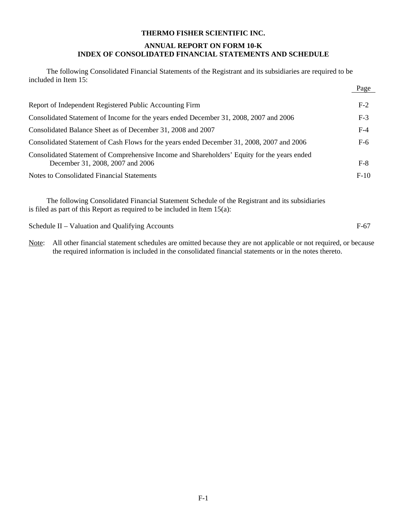# **THERMO FISHER SCIENTIFIC INC.**

# **ANNUAL REPORT ON FORM 10-K INDEX OF CONSOLIDATED FINANCIAL STATEMENTS AND SCHEDULE**

 The following Consolidated Financial Statements of the Registrant and its subsidiaries are required to be included in Item 15:

|                                                                                                                                 | Page   |
|---------------------------------------------------------------------------------------------------------------------------------|--------|
| Report of Independent Registered Public Accounting Firm                                                                         | $F-2$  |
| Consolidated Statement of Income for the years ended December 31, 2008, 2007 and 2006                                           | $F-3$  |
| Consolidated Balance Sheet as of December 31, 2008 and 2007                                                                     | $F-4$  |
| Consolidated Statement of Cash Flows for the years ended December 31, 2008, 2007 and 2006                                       | $F-6$  |
| Consolidated Statement of Comprehensive Income and Shareholders' Equity for the years ended<br>December 31, 2008, 2007 and 2006 | $F-8$  |
| Notes to Consolidated Financial Statements                                                                                      | $F-10$ |
|                                                                                                                                 |        |

 The following Consolidated Financial Statement Schedule of the Registrant and its subsidiaries is filed as part of this Report as required to be included in Item 15(a):

Schedule II – Valuation and Qualifying Accounts F-67

Note: All other financial statement schedules are omitted because they are not applicable or not required, or because the required information is included in the consolidated financial statements or in the notes thereto.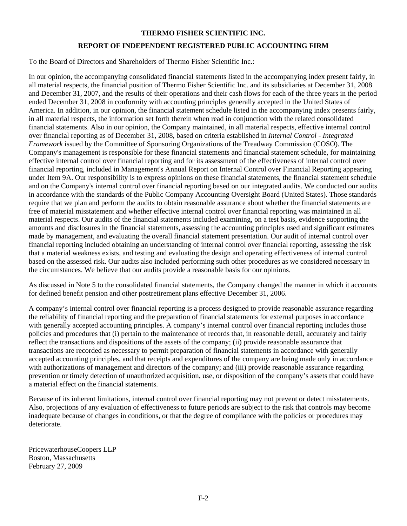# **THERMO FISHER SCIENTIFIC INC. REPORT OF INDEPENDENT REGISTERED PUBLIC ACCOUNTING FIRM**

To the Board of Directors and Shareholders of Thermo Fisher Scientific Inc.:

In our opinion, the accompanying consolidated financial statements listed in the accompanying index present fairly, in all material respects, the financial position of Thermo Fisher Scientific Inc. and its subsidiaries at December 31, 2008 and December 31, 2007, and the results of their operations and their cash flows for each of the three years in the period ended December 31, 2008 in conformity with accounting principles generally accepted in the United States of America. In addition, in our opinion, the financial statement schedule listed in the accompanying index presents fairly, in all material respects, the information set forth therein when read in conjunction with the related consolidated financial statements. Also in our opinion, the Company maintained, in all material respects, effective internal control over financial reporting as of December 31, 2008, based on criteria established in *Internal Control - Integrated Framework* issued by the Committee of Sponsoring Organizations of the Treadway Commission (COSO). The Company's management is responsible for these financial statements and financial statement schedule, for maintaining effective internal control over financial reporting and for its assessment of the effectiveness of internal control over financial reporting, included in Management's Annual Report on Internal Control over Financial Reporting appearing under Item 9A. Our responsibility is to express opinions on these financial statements, the financial statement schedule and on the Company's internal control over financial reporting based on our integrated audits. We conducted our audits in accordance with the standards of the Public Company Accounting Oversight Board (United States). Those standards require that we plan and perform the audits to obtain reasonable assurance about whether the financial statements are free of material misstatement and whether effective internal control over financial reporting was maintained in all material respects. Our audits of the financial statements included examining, on a test basis, evidence supporting the amounts and disclosures in the financial statements, assessing the accounting principles used and significant estimates made by management, and evaluating the overall financial statement presentation. Our audit of internal control over financial reporting included obtaining an understanding of internal control over financial reporting, assessing the risk that a material weakness exists, and testing and evaluating the design and operating effectiveness of internal control based on the assessed risk. Our audits also included performing such other procedures as we considered necessary in the circumstances. We believe that our audits provide a reasonable basis for our opinions.

As discussed in Note 5 to the consolidated financial statements, the Company changed the manner in which it accounts for defined benefit pension and other postretirement plans effective December 31, 2006.

A company's internal control over financial reporting is a process designed to provide reasonable assurance regarding the reliability of financial reporting and the preparation of financial statements for external purposes in accordance with generally accepted accounting principles. A company's internal control over financial reporting includes those policies and procedures that (i) pertain to the maintenance of records that, in reasonable detail, accurately and fairly reflect the transactions and dispositions of the assets of the company; (ii) provide reasonable assurance that transactions are recorded as necessary to permit preparation of financial statements in accordance with generally accepted accounting principles, and that receipts and expenditures of the company are being made only in accordance with authorizations of management and directors of the company; and (iii) provide reasonable assurance regarding prevention or timely detection of unauthorized acquisition, use, or disposition of the company's assets that could have a material effect on the financial statements.

Because of its inherent limitations, internal control over financial reporting may not prevent or detect misstatements. Also, projections of any evaluation of effectiveness to future periods are subject to the risk that controls may become inadequate because of changes in conditions, or that the degree of compliance with the policies or procedures may deteriorate.

PricewaterhouseCoopers LLP Boston, Massachusetts February 27, 2009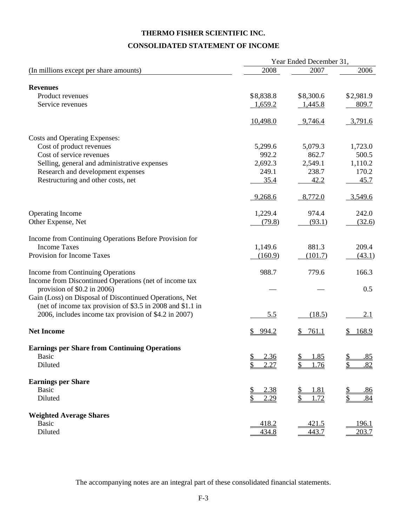# **THERMO FISHER SCIENTIFIC INC. CONSOLIDATED STATEMENT OF INCOME**

|                                                                                        |                         | Year Ended December 31,           |                      |
|----------------------------------------------------------------------------------------|-------------------------|-----------------------------------|----------------------|
| (In millions except per share amounts)                                                 | 2008                    | 2007                              | 2006                 |
| <b>Revenues</b>                                                                        |                         |                                   |                      |
| Product revenues                                                                       | \$8,838.8               | \$8,300.6                         | \$2,981.9            |
| Service revenues                                                                       | 1,659.2                 | <u>1,445.8</u>                    | 809.7                |
|                                                                                        |                         |                                   |                      |
|                                                                                        | 10,498.0                | 9,746.4                           | 3,791.6              |
| Costs and Operating Expenses:                                                          |                         |                                   |                      |
| Cost of product revenues                                                               | 5,299.6                 | 5,079.3                           | 1,723.0              |
| Cost of service revenues                                                               | 992.2                   | 862.7                             | 500.5                |
| Selling, general and administrative expenses                                           | 2,692.3                 | 2,549.1                           | 1,110.2              |
| Research and development expenses                                                      | 249.1                   | 238.7                             | 170.2                |
| Restructuring and other costs, net                                                     | 35.4                    | 42.2                              | 45.7                 |
|                                                                                        | 9,268.6                 | 8,772.0                           | 3,549.6              |
| <b>Operating Income</b>                                                                | 1,229.4                 | 974.4                             | 242.0                |
| Other Expense, Net                                                                     | (79.8)                  | (93.1)                            | (32.6)               |
| Income from Continuing Operations Before Provision for                                 |                         |                                   |                      |
| <b>Income Taxes</b>                                                                    | 1,149.6                 | 881.3                             | 209.4                |
| Provision for Income Taxes                                                             | (160.9)                 | (101.7)                           | (43.1)               |
| Income from Continuing Operations                                                      | 988.7                   | 779.6                             | 166.3                |
| Income from Discontinued Operations (net of income tax<br>provision of $$0.2$ in 2006) |                         |                                   | 0.5                  |
| Gain (Loss) on Disposal of Discontinued Operations, Net                                |                         |                                   |                      |
| (net of income tax provision of \$3.5 in 2008 and \$1.1 in                             |                         |                                   |                      |
| 2006, includes income tax provision of \$4.2 in 2007)                                  | 5.5                     | (18.5)                            | 2.1                  |
| <b>Net Income</b>                                                                      | \$994.2                 | 761.1<br>$\mathbb{S}^-$           | 168.9                |
| <b>Earnings per Share from Continuing Operations</b>                                   |                         |                                   |                      |
| Basic                                                                                  | $rac{S}{S}$<br>2.36     | 1.85<br>S                         | .85<br>¢.            |
| Diluted                                                                                | 2.27                    | \$<br>1.76                        | $\frac{1}{2}$<br>.82 |
| <b>Earnings per Share</b>                                                              |                         |                                   |                      |
| <b>Basic</b>                                                                           | 2.38                    | <u>1.81</u><br><u>\$</u>          | <u>.86</u>           |
| Diluted                                                                                | $\overline{\$}$<br>2.29 | $\mathbf{\underline{\$}}$<br>1.72 | .84                  |
| <b>Weighted Average Shares</b>                                                         |                         |                                   |                      |
| <b>Basic</b>                                                                           | 418.2                   | 421.5                             | 196.1                |
| Diluted                                                                                | 434.8                   | 443.7                             | 203.7                |

The accompanying notes are an integral part of these consolidated financial statements.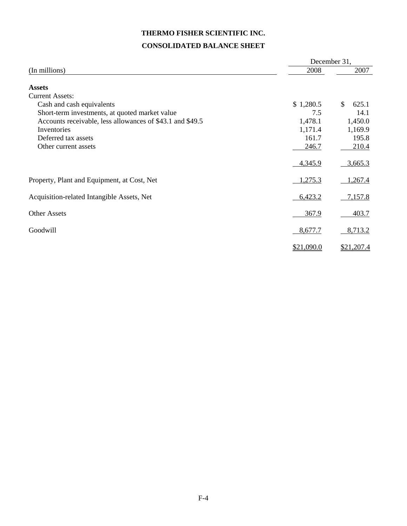# **THERMO FISHER SCIENTIFIC INC. CONSOLIDATED BALANCE SHEET**

|                                                           | December 31, |             |
|-----------------------------------------------------------|--------------|-------------|
| (In millions)                                             | 2008         | 2007        |
| <b>Assets</b>                                             |              |             |
| <b>Current Assets:</b>                                    |              |             |
| Cash and cash equivalents                                 | \$1,280.5    | \$<br>625.1 |
| Short-term investments, at quoted market value            | 7.5          | 14.1        |
| Accounts receivable, less allowances of \$43.1 and \$49.5 | 1,478.1      | 1,450.0     |
| Inventories                                               | 1,171.4      | 1,169.9     |
| Deferred tax assets                                       | 161.7        | 195.8       |
| Other current assets                                      | 246.7        | 210.4       |
|                                                           | 4,345.9      | 3,665.3     |
| Property, Plant and Equipment, at Cost, Net               | 1,275.3      | 1,267.4     |
| Acquisition-related Intangible Assets, Net                | 6,423.2      | 7,157.8     |
| <b>Other Assets</b>                                       | 367.9        | 403.7       |
| Goodwill                                                  | 8,677.7      | 8,713.2     |
|                                                           | \$21,090.0   | \$21,207.4  |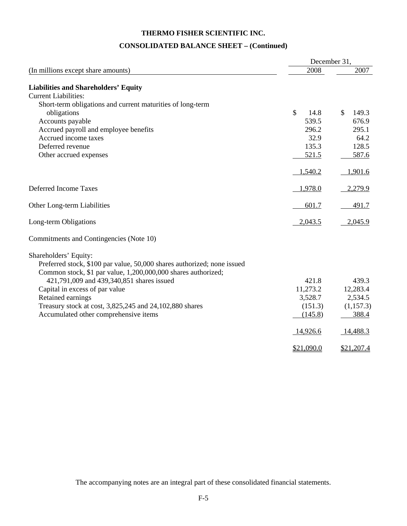# **THERMO FISHER SCIENTIFIC INC.**

# **CONSOLIDATED BALANCE SHEET – (Continued)**

|                                                                         | December 31,          |                       |
|-------------------------------------------------------------------------|-----------------------|-----------------------|
| (In millions except share amounts)                                      | 2008                  | 2007                  |
| <b>Liabilities and Shareholders' Equity</b>                             |                       |                       |
| <b>Current Liabilities:</b>                                             |                       |                       |
| Short-term obligations and current maturities of long-term              |                       |                       |
| obligations                                                             | $\mathcal{S}$<br>14.8 | $\mathbb{S}$<br>149.3 |
| Accounts payable                                                        | 539.5                 | 676.9                 |
| Accrued payroll and employee benefits                                   | 296.2                 | 295.1                 |
| Accrued income taxes                                                    | 32.9                  | 64.2                  |
| Deferred revenue                                                        | 135.3                 | 128.5                 |
| Other accrued expenses                                                  | 521.5                 | 587.6                 |
|                                                                         |                       |                       |
|                                                                         | 1,540.2               | 1,901.6               |
|                                                                         |                       |                       |
| <b>Deferred Income Taxes</b>                                            | 1,978.0               | 2,279.9               |
| Other Long-term Liabilities                                             | 601.7                 | 491.7                 |
| Long-term Obligations                                                   | 2,043.5               | 2,045.9               |
| Commitments and Contingencies (Note 10)                                 |                       |                       |
| Shareholders' Equity:                                                   |                       |                       |
| Preferred stock, \$100 par value, 50,000 shares authorized; none issued |                       |                       |
| Common stock, \$1 par value, 1,200,000,000 shares authorized;           |                       |                       |
| 421,791,009 and 439,340,851 shares issued                               | 421.8                 | 439.3                 |
| Capital in excess of par value                                          | 11,273.2              | 12,283.4              |
| Retained earnings                                                       | 3,528.7               | 2,534.5               |
| Treasury stock at cost, 3,825,245 and 24,102,880 shares                 | (151.3)               | (1, 157.3)            |
| Accumulated other comprehensive items                                   | (145.8)               | 388.4                 |
|                                                                         |                       |                       |
|                                                                         | 14,926.6              | 14,488.3              |
|                                                                         | \$21,090.0            | \$21,207.4            |

The accompanying notes are an integral part of these consolidated financial statements.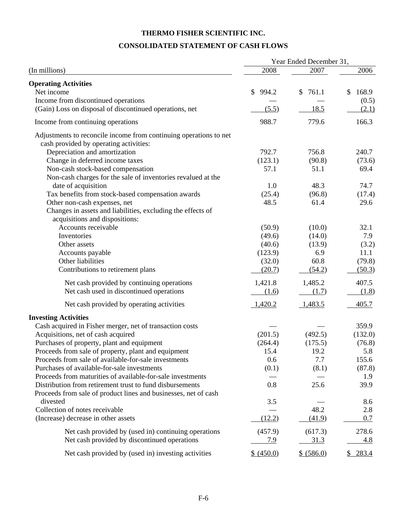# **THERMO FISHER SCIENTIFIC INC. CONSOLIDATED STATEMENT OF CASH FLOWS**

|                                                                                                             | Year Ended December 31, |                       |             |
|-------------------------------------------------------------------------------------------------------------|-------------------------|-----------------------|-------------|
| (In millions)                                                                                               | 2008                    | 2007                  | 2006        |
| <b>Operating Activities</b>                                                                                 |                         |                       |             |
| Net income                                                                                                  | \$<br>994.2             | 761.1<br>$\mathbb{S}$ | 168.9<br>\$ |
| Income from discontinued operations                                                                         |                         |                       | (0.5)       |
| (Gain) Loss on disposal of discontinued operations, net                                                     | (5.5)                   | 18.5                  | (2.1)       |
| Income from continuing operations                                                                           | 988.7                   | 779.6                 | 166.3       |
| Adjustments to reconcile income from continuing operations to net<br>cash provided by operating activities: |                         |                       |             |
| Depreciation and amortization                                                                               | 792.7                   | 756.8                 | 240.7       |
|                                                                                                             |                         |                       |             |
| Change in deferred income taxes                                                                             | (123.1)                 | (90.8)                | (73.6)      |
| Non-cash stock-based compensation                                                                           | 57.1                    | 51.1                  | 69.4        |
| Non-cash charges for the sale of inventories revalued at the                                                |                         |                       |             |
| date of acquisition                                                                                         | 1.0                     | 48.3                  | 74.7        |
| Tax benefits from stock-based compensation awards                                                           | (25.4)                  | (96.8)                | (17.4)      |
| Other non-cash expenses, net                                                                                | 48.5                    | 61.4                  | 29.6        |
| Changes in assets and liabilities, excluding the effects of                                                 |                         |                       |             |
| acquisitions and dispositions:                                                                              |                         |                       |             |
| Accounts receivable                                                                                         | (50.9)                  | (10.0)                | 32.1        |
| Inventories                                                                                                 | (49.6)                  | (14.0)                | 7.9         |
| Other assets                                                                                                | (40.6)                  | (13.9)                | (3.2)       |
| Accounts payable                                                                                            | (123.9)                 | 6.9                   | 11.1        |
| Other liabilities                                                                                           | (32.0)                  | 60.8                  | (79.8)      |
| Contributions to retirement plans                                                                           | (20.7)                  | (54.2)                | (50.3)      |
| Net cash provided by continuing operations                                                                  | 1,421.8                 | 1,485.2               | 407.5       |
| Net cash used in discontinued operations                                                                    | (1.6)                   | (1.7)                 | (1.8)       |
| Net cash provided by operating activities                                                                   | 1,420.2                 | 1,483.5               | 405.7       |
| <b>Investing Activities</b>                                                                                 |                         |                       |             |
| Cash acquired in Fisher merger, net of transaction costs                                                    |                         |                       | 359.9       |
| Acquisitions, net of cash acquired                                                                          | (201.5)                 | (492.5)               | (132.0)     |
| Purchases of property, plant and equipment                                                                  | (264.4)                 | (175.5)               | (76.8)      |
| Proceeds from sale of property, plant and equipment                                                         | 15.4                    | 19.2                  | 5.8         |
| Proceeds from sale of available-for-sale investments                                                        | 0.6                     | 7.7                   | 155.6       |
| Purchases of available-for-sale investments                                                                 | (0.1)                   | (8.1)                 | (87.8)      |
| Proceeds from maturities of available-for-sale investments                                                  |                         |                       | 1.9         |
| Distribution from retirement trust to fund disbursements                                                    | 0.8                     | 25.6                  | 39.9        |
| Proceeds from sale of product lines and businesses, net of cash                                             |                         |                       |             |
| divested                                                                                                    | 3.5                     |                       | 8.6         |
| Collection of notes receivable                                                                              |                         | 48.2                  | 2.8         |
| (Increase) decrease in other assets                                                                         | (12.2)                  | (41.9)                | 0.7         |
|                                                                                                             |                         |                       |             |
| Net cash provided by (used in) continuing operations                                                        | (457.9)                 | (617.3)               | 278.6       |
| Net cash provided by discontinued operations                                                                | <u>7.9</u>              | 31.3                  | 4.8         |
| Net cash provided by (used in) investing activities                                                         | \$ (450.0)              | \$ (586.0)            | \$283.4     |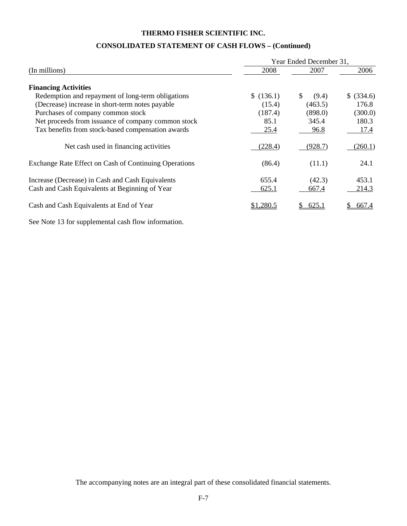# **THERMO FISHER SCIENTIFIC INC. CONSOLIDATED STATEMENT OF CASH FLOWS – (Continued)**

|                                                       | Year Ended December 31, |              |            |
|-------------------------------------------------------|-------------------------|--------------|------------|
| (In millions)                                         | 2008                    | 2007         | 2006       |
| <b>Financing Activities</b>                           |                         |              |            |
| Redemption and repayment of long-term obligations     | \$(136.1)               | \$<br>(9.4)  | \$ (334.6) |
| (Decrease) increase in short-term notes payable       | (15.4)                  | (463.5)      | 176.8      |
| Purchases of company common stock                     | (187.4)                 | (898.0)      | (300.0)    |
| Net proceeds from issuance of company common stock    | 85.1                    | 345.4        | 180.3      |
| Tax benefits from stock-based compensation awards     | 25.4                    | 96.8         | 17.4       |
| Net cash used in financing activities                 | (228.4)                 | (928.7)      | (260.1)    |
| Exchange Rate Effect on Cash of Continuing Operations | (86.4)                  | (11.1)       | 24.1       |
| Increase (Decrease) in Cash and Cash Equivalents      | 655.4                   | (42.3)       | 453.1      |
| Cash and Cash Equivalents at Beginning of Year        | 625.1                   | 667.4        | 214.3      |
| Cash and Cash Equivalents at End of Year              | \$1.280.5               | <u>625.1</u> | 667.4      |

See Note 13 for supplemental cash flow information.

The accompanying notes are an integral part of these consolidated financial statements.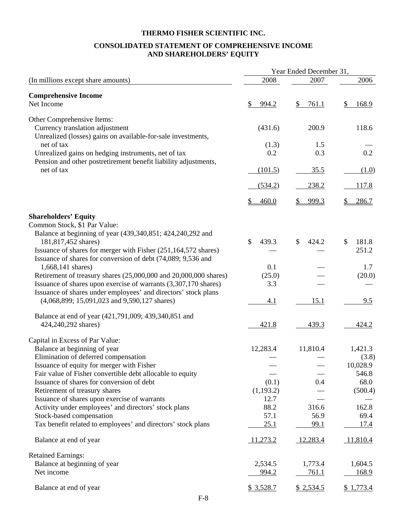# **THERMO FISHER SCIENTIFIC INC.**

# **CONSOLIDATED STATEMENT OF COMPREHENSIVE INCOME AND SHAREHOLDERS' EQUITY**

|                                                                                                                                                                                   | Year Ended December 31, |                  |                              |
|-----------------------------------------------------------------------------------------------------------------------------------------------------------------------------------|-------------------------|------------------|------------------------------|
| (In millions except share amounts)                                                                                                                                                | 2008                    | 2007             | 2006                         |
| <b>Comprehensive Income</b><br>Net Income                                                                                                                                         | 994.2<br>\$             | \$<br>761.1      | \$<br>168.9                  |
| Other Comprehensive Items:<br>Currency translation adjustment                                                                                                                     | (431.6)                 | 200.9            | 118.6                        |
| Unrealized (losses) gains on available-for-sale investments,<br>net of tax<br>Unrealized gains on hedging instruments, net of tax                                                 | (1.3)<br>0.2            | 1.5<br>0.3       | 0.2                          |
| Pension and other postretirement benefit liability adjustments,<br>net of tax                                                                                                     | (101.5)                 | 35.5             | (1.0)                        |
|                                                                                                                                                                                   | (534.2)                 | 238.2            | 117.8                        |
|                                                                                                                                                                                   | 460.0                   | 999.3            | 286.7<br>\$                  |
| <b>Shareholders' Equity</b><br>Common Stock, \$1 Par Value:<br>Balance at beginning of year (439,340,851; 424,240,292 and                                                         |                         |                  |                              |
| 181,817,452 shares)<br>Issuance of shares for merger with Fisher (251,164,572 shares)                                                                                             | \$<br>439.3             | \$<br>424.2      | \$<br>181.8<br>251.2         |
| Issuance of shares for conversion of debt (74,089; 9,536 and<br>1,668,141 shares)<br>Retirement of treasury shares (25,000,000 and 20,000,000 shares)                             | 0.1<br>(25.0)           |                  | 1.7<br>(20.0)                |
| Issuance of shares upon exercise of warrants (3,307,170 shares)<br>Issuance of shares under employees' and directors' stock plans<br>(4,068,899; 15,091,023 and 9,590,127 shares) | 3.3<br>4.1              | 15.1             | 9.5                          |
| Balance at end of year (421,791,009; 439,340,851 and<br>424,240,292 shares)                                                                                                       | 421.8                   | 439.3            | 424.2                        |
| Capital in Excess of Par Value:                                                                                                                                                   |                         |                  |                              |
| Balance at beginning of year<br>Elimination of deferred compensation<br>Issuance of equity for merger with Fisher                                                                 | 12,283.4                | 11,810.4         | 1,421.3<br>(3.8)<br>10,028.9 |
| Fair value of Fisher convertible debt allocable to equity<br>Issuance of shares for conversion of debt<br>Retirement of treasury shares                                           | (0.1)<br>(1, 193.2)     | 0.4              | 546.8<br>68.0<br>(500.4)     |
| Issuance of shares upon exercise of warrants<br>Activity under employees' and directors' stock plans<br>Stock-based compensation                                                  | 12.7<br>88.2<br>57.1    | 316.6<br>56.9    | 162.8<br>69.4                |
| Tax benefit related to employees' and directors' stock plans                                                                                                                      | 25.1                    | 99.1             | 17.4                         |
| Balance at end of year                                                                                                                                                            | 11,273.2                | 12,283.4         | 11,810.4                     |
| <b>Retained Earnings:</b><br>Balance at beginning of year<br>Net income                                                                                                           | 2,534.5<br>994.2        | 1,773.4<br>761.1 | 1,604.5<br><u>168.9</u>      |
| Balance at end of year                                                                                                                                                            | \$3,528.7               | \$2,534.5        | \$1,773.4                    |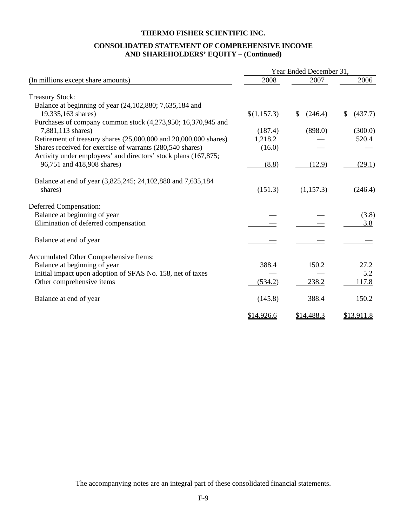# **THERMO FISHER SCIENTIFIC INC.**

# **CONSOLIDATED STATEMENT OF COMPREHENSIVE INCOME AND SHAREHOLDERS' EQUITY – (Continued)**

|                                                                  | Year Ended December 31, |               |               |
|------------------------------------------------------------------|-------------------------|---------------|---------------|
| (In millions except share amounts)                               | 2008                    | 2007          | 2006          |
| <b>Treasury Stock:</b>                                           |                         |               |               |
| Balance at beginning of year (24,102,880; 7,635,184 and          |                         |               |               |
| 19,335,163 shares)                                               | \$(1,157.3)             | \$<br>(246.4) | (437.7)<br>\$ |
| Purchases of company common stock (4,273,950; 16,370,945 and     |                         |               |               |
| 7,881,113 shares)                                                | (187.4)                 | (898.0)       | (300.0)       |
| Retirement of treasury shares (25,000,000 and 20,000,000 shares) | 1,218.2                 |               | 520.4         |
| Shares received for exercise of warrants (280,540 shares)        | (16.0)                  |               |               |
| Activity under employees' and directors' stock plans (167,875;   |                         |               |               |
| 96,751 and 418,908 shares)                                       | (8.8)                   | (12.9)        | (29.1)        |
| Balance at end of year (3,825,245; 24,102,880 and 7,635,184      |                         |               |               |
| shares)                                                          | (151.3)                 | (1,157.3)     | (246.4)       |
| Deferred Compensation:                                           |                         |               |               |
| Balance at beginning of year                                     |                         |               | (3.8)         |
| Elimination of deferred compensation                             |                         |               | 3.8           |
| Balance at end of year                                           |                         |               |               |
| Accumulated Other Comprehensive Items:                           |                         |               |               |
| Balance at beginning of year                                     | 388.4                   | 150.2         | 27.2          |
| Initial impact upon adoption of SFAS No. 158, net of taxes       |                         |               | 5.2           |
| Other comprehensive items                                        | (534.2)                 | 238.2         | 117.8         |
| Balance at end of year                                           | (145.8)                 | 388.4         | 150.2         |
|                                                                  | \$14,926.6              | \$14,488.3    | \$13,911.8    |

The accompanying notes are an integral part of these consolidated financial statements.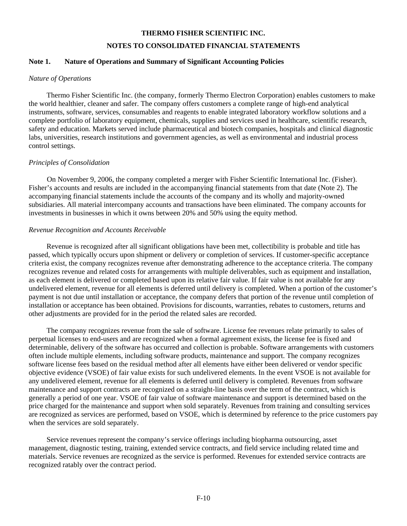# **THERMO FISHER SCIENTIFIC INC. NOTES TO CONSOLIDATED FINANCIAL STATEMENTS**

# **Note 1. Nature of Operations and Summary of Significant Accounting Policies**

#### *Nature of Operations*

 Thermo Fisher Scientific Inc. (the company, formerly Thermo Electron Corporation) enables customers to make the world healthier, cleaner and safer. The company offers customers a complete range of high-end analytical instruments, software, services, consumables and reagents to enable integrated laboratory workflow solutions and a complete portfolio of laboratory equipment, chemicals, supplies and services used in healthcare, scientific research, safety and education. Markets served include pharmaceutical and biotech companies, hospitals and clinical diagnostic labs, universities, research institutions and government agencies, as well as environmental and industrial process control settings.

# *Principles of Consolidation*

 On November 9, 2006, the company completed a merger with Fisher Scientific International Inc. (Fisher). Fisher's accounts and results are included in the accompanying financial statements from that date (Note 2). The accompanying financial statements include the accounts of the company and its wholly and majority-owned subsidiaries. All material intercompany accounts and transactions have been eliminated. The company accounts for investments in businesses in which it owns between 20% and 50% using the equity method.

# *Revenue Recognition and Accounts Receivable*

 Revenue is recognized after all significant obligations have been met, collectibility is probable and title has passed, which typically occurs upon shipment or delivery or completion of services. If customer-specific acceptance criteria exist, the company recognizes revenue after demonstrating adherence to the acceptance criteria. The company recognizes revenue and related costs for arrangements with multiple deliverables, such as equipment and installation, as each element is delivered or completed based upon its relative fair value. If fair value is not available for any undelivered element, revenue for all elements is deferred until delivery is completed. When a portion of the customer's payment is not due until installation or acceptance, the company defers that portion of the revenue until completion of installation or acceptance has been obtained. Provisions for discounts, warranties, rebates to customers, returns and other adjustments are provided for in the period the related sales are recorded.

 The company recognizes revenue from the sale of software. License fee revenues relate primarily to sales of perpetual licenses to end-users and are recognized when a formal agreement exists, the license fee is fixed and determinable, delivery of the software has occurred and collection is probable. Software arrangements with customers often include multiple elements, including software products, maintenance and support. The company recognizes software license fees based on the residual method after all elements have either been delivered or vendor specific objective evidence (VSOE) of fair value exists for such undelivered elements. In the event VSOE is not available for any undelivered element, revenue for all elements is deferred until delivery is completed. Revenues from software maintenance and support contracts are recognized on a straight-line basis over the term of the contract, which is generally a period of one year. VSOE of fair value of software maintenance and support is determined based on the price charged for the maintenance and support when sold separately. Revenues from training and consulting services are recognized as services are performed, based on VSOE, which is determined by reference to the price customers pay when the services are sold separately.

 Service revenues represent the company's service offerings including biopharma outsourcing, asset management, diagnostic testing, training, extended service contracts, and field service including related time and materials. Service revenues are recognized as the service is performed. Revenues for extended service contracts are recognized ratably over the contract period.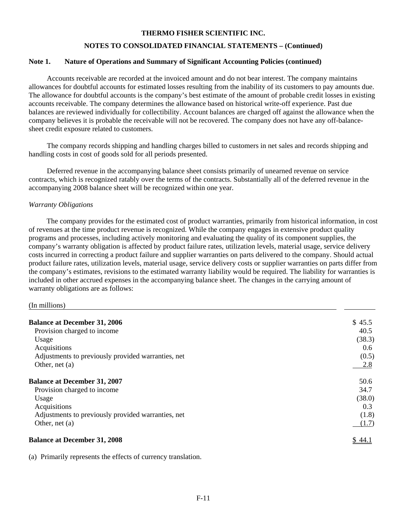## **NOTES TO CONSOLIDATED FINANCIAL STATEMENTS – (Continued)**

#### **Note 1. Nature of Operations and Summary of Significant Accounting Policies (continued)**

 Accounts receivable are recorded at the invoiced amount and do not bear interest. The company maintains allowances for doubtful accounts for estimated losses resulting from the inability of its customers to pay amounts due. The allowance for doubtful accounts is the company's best estimate of the amount of probable credit losses in existing accounts receivable. The company determines the allowance based on historical write-off experience. Past due balances are reviewed individually for collectibility. Account balances are charged off against the allowance when the company believes it is probable the receivable will not be recovered. The company does not have any off-balancesheet credit exposure related to customers.

 The company records shipping and handling charges billed to customers in net sales and records shipping and handling costs in cost of goods sold for all periods presented.

 Deferred revenue in the accompanying balance sheet consists primarily of unearned revenue on service contracts, which is recognized ratably over the terms of the contracts. Substantially all of the deferred revenue in the accompanying 2008 balance sheet will be recognized within one year.

#### *Warranty Obligations*

 The company provides for the estimated cost of product warranties, primarily from historical information, in cost of revenues at the time product revenue is recognized. While the company engages in extensive product quality programs and processes, including actively monitoring and evaluating the quality of its component supplies, the company's warranty obligation is affected by product failure rates, utilization levels, material usage, service delivery costs incurred in correcting a product failure and supplier warranties on parts delivered to the company. Should actual product failure rates, utilization levels, material usage, service delivery costs or supplier warranties on parts differ from the company's estimates, revisions to the estimated warranty liability would be required. The liability for warranties is included in other accrued expenses in the accompanying balance sheet. The changes in the carrying amount of warranty obligations are as follows:

#### (In millions)

| <b>Balance at December 31, 2006</b>                | \$45.5 |
|----------------------------------------------------|--------|
| Provision charged to income                        | 40.5   |
| Usage                                              | (38.3) |
| Acquisitions                                       | 0.6    |
| Adjustments to previously provided warranties, net | (0.5)  |
| Other, net $(a)$                                   | 2.8    |
| <b>Balance at December 31, 2007</b>                | 50.6   |
| Provision charged to income                        | 34.7   |
| Usage                                              | (38.0) |
| Acquisitions                                       | 0.3    |
| Adjustments to previously provided warranties, net | (1.8)  |
| Other, net $(a)$                                   | (1.7)  |
| <b>Balance at December 31, 2008</b>                | \$44.1 |

(a) Primarily represents the effects of currency translation.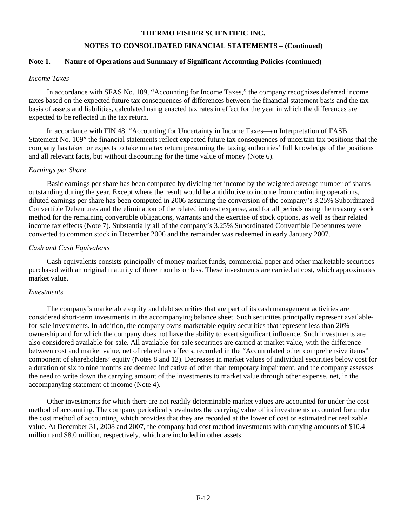## **NOTES TO CONSOLIDATED FINANCIAL STATEMENTS – (Continued)**

## **Note 1. Nature of Operations and Summary of Significant Accounting Policies (continued)**

#### *Income Taxes*

 In accordance with SFAS No. 109, "Accounting for Income Taxes," the company recognizes deferred income taxes based on the expected future tax consequences of differences between the financial statement basis and the tax basis of assets and liabilities, calculated using enacted tax rates in effect for the year in which the differences are expected to be reflected in the tax return.

 In accordance with FIN 48, "Accounting for Uncertainty in Income Taxes—an Interpretation of FASB Statement No. 109" the financial statements reflect expected future tax consequences of uncertain tax positions that the company has taken or expects to take on a tax return presuming the taxing authorities' full knowledge of the positions and all relevant facts, but without discounting for the time value of money (Note 6).

#### *Earnings per Share*

 Basic earnings per share has been computed by dividing net income by the weighted average number of shares outstanding during the year. Except where the result would be antidilutive to income from continuing operations, diluted earnings per share has been computed in 2006 assuming the conversion of the company's 3.25% Subordinated Convertible Debentures and the elimination of the related interest expense, and for all periods using the treasury stock method for the remaining convertible obligations, warrants and the exercise of stock options, as well as their related income tax effects (Note 7). Substantially all of the company's 3.25% Subordinated Convertible Debentures were converted to common stock in December 2006 and the remainder was redeemed in early January 2007.

#### *Cash and Cash Equivalents*

 Cash equivalents consists principally of money market funds, commercial paper and other marketable securities purchased with an original maturity of three months or less. These investments are carried at cost, which approximates market value.

#### *Investments*

 The company's marketable equity and debt securities that are part of its cash management activities are considered short-term investments in the accompanying balance sheet. Such securities principally represent availablefor-sale investments. In addition, the company owns marketable equity securities that represent less than 20% ownership and for which the company does not have the ability to exert significant influence. Such investments are also considered available-for-sale. All available-for-sale securities are carried at market value, with the difference between cost and market value, net of related tax effects, recorded in the "Accumulated other comprehensive items" component of shareholders' equity (Notes 8 and 12). Decreases in market values of individual securities below cost for a duration of six to nine months are deemed indicative of other than temporary impairment, and the company assesses the need to write down the carrying amount of the investments to market value through other expense, net, in the accompanying statement of income (Note 4).

 Other investments for which there are not readily determinable market values are accounted for under the cost method of accounting. The company periodically evaluates the carrying value of its investments accounted for under the cost method of accounting, which provides that they are recorded at the lower of cost or estimated net realizable value. At December 31, 2008 and 2007, the company had cost method investments with carrying amounts of \$10.4 million and \$8.0 million, respectively, which are included in other assets.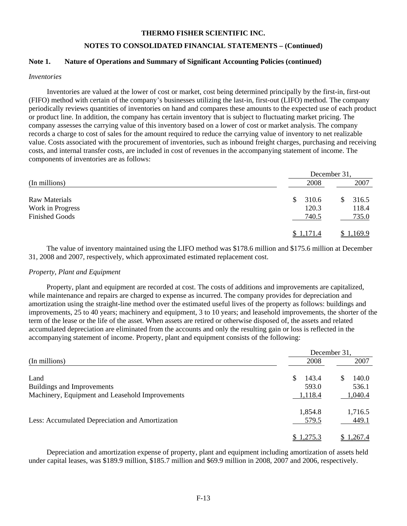## **NOTES TO CONSOLIDATED FINANCIAL STATEMENTS – (Continued)**

## **Note 1. Nature of Operations and Summary of Significant Accounting Policies (continued)**

#### *Inventories*

 Inventories are valued at the lower of cost or market, cost being determined principally by the first-in, first-out (FIFO) method with certain of the company's businesses utilizing the last-in, first-out (LIFO) method. The company periodically reviews quantities of inventories on hand and compares these amounts to the expected use of each product or product line. In addition, the company has certain inventory that is subject to fluctuating market pricing. The company assesses the carrying value of this inventory based on a lower of cost or market analysis. The company records a charge to cost of sales for the amount required to reduce the carrying value of inventory to net realizable value. Costs associated with the procurement of inventories, such as inbound freight charges, purchasing and receiving costs, and internal transfer costs, are included in cost of revenues in the accompanying statement of income. The components of inventories are as follows:

|                       |             | December 31, |
|-----------------------|-------------|--------------|
| (In millions)         | 2008        | 2007         |
| Raw Materials         | 310.6<br>\$ | 316.5<br>\$  |
| Work in Progress      | 120.3       | 118.4        |
| <b>Finished Goods</b> | 740.5       | 735.0        |
|                       | \$1,171.4   | \$1,169.9    |

 The value of inventory maintained using the LIFO method was \$178.6 million and \$175.6 million at December 31, 2008 and 2007, respectively, which approximated estimated replacement cost.

#### *Property, Plant and Equipment*

 Property, plant and equipment are recorded at cost. The costs of additions and improvements are capitalized, while maintenance and repairs are charged to expense as incurred. The company provides for depreciation and amortization using the straight-line method over the estimated useful lives of the property as follows: buildings and improvements, 25 to 40 years; machinery and equipment, 3 to 10 years; and leasehold improvements, the shorter of the term of the lease or the life of the asset. When assets are retired or otherwise disposed of, the assets and related accumulated depreciation are eliminated from the accounts and only the resulting gain or loss is reflected in the accompanying statement of income. Property, plant and equipment consists of the following:

|                                                 |              | December 31, |  |  |
|-------------------------------------------------|--------------|--------------|--|--|
| (In millions)                                   | 2008         | 2007         |  |  |
| Land                                            | 143.4<br>\$. | 140.0<br>\$  |  |  |
| Buildings and Improvements                      | 593.0        | 536.1        |  |  |
| Machinery, Equipment and Leasehold Improvements | 1,118.4      | 1,040.4      |  |  |
|                                                 | 1,854.8      | 1,716.5      |  |  |
| Less: Accumulated Depreciation and Amortization | 579.5        | 449.1        |  |  |
|                                                 | \$1,275.3    | .267.4       |  |  |

 Depreciation and amortization expense of property, plant and equipment including amortization of assets held under capital leases, was \$189.9 million, \$185.7 million and \$69.9 million in 2008, 2007 and 2006, respectively.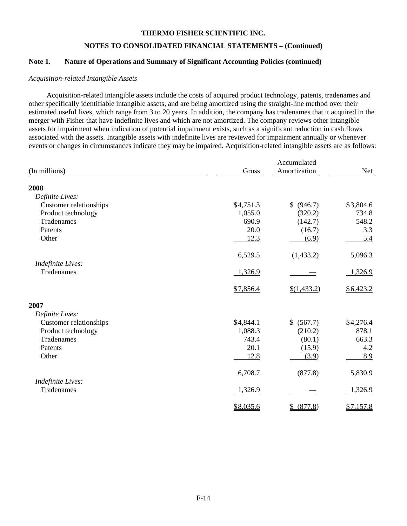## **NOTES TO CONSOLIDATED FINANCIAL STATEMENTS – (Continued)**

## Note 1. Nature of Operations and Summary of Significant Accounting Policies (continued)

#### *Acquisition-related Intangible Assets*

 Acquisition-related intangible assets include the costs of acquired product technology, patents, tradenames and other specifically identifiable intangible assets, and are being amortized using the straight-line method over their estimated useful lives, which range from 3 to 20 years. In addition, the company has tradenames that it acquired in the merger with Fisher that have indefinite lives and which are not amortized. The company reviews other intangible assets for impairment when indication of potential impairment exists, such as a significant reduction in cash flows associated with the assets. Intangible assets with indefinite lives are reviewed for impairment annually or whenever events or changes in circumstances indicate they may be impaired. Acquisition-related intangible assets are as follows:

|                                 |           | Accumulated  |           |
|---------------------------------|-----------|--------------|-----------|
| (In millions)                   | Gross     | Amortization | Net       |
| 2008                            |           |              |           |
| Definite Lives:                 |           |              |           |
| Customer relationships          | \$4,751.3 | \$ (946.7)   | \$3,804.6 |
| Product technology              | 1,055.0   | (320.2)      | 734.8     |
| Tradenames                      | 690.9     | (142.7)      | 548.2     |
| Patents                         | 20.0      | (16.7)       | 3.3       |
| Other                           | 12.3      | (6.9)        | 5.4       |
|                                 | 6,529.5   | (1,433.2)    | 5,096.3   |
| <b>Indefinite Lives:</b>        |           |              |           |
| Tradenames                      | 1,326.9   |              | 1,326.9   |
|                                 | \$7,856.4 | \$(1,433.2)  | \$6,423.2 |
| 2007                            |           |              |           |
| Definite Lives:                 |           |              |           |
| <b>Customer relationships</b>   | \$4,844.1 | \$ (567.7)   | \$4,276.4 |
| Product technology              | 1,088.3   | (210.2)      | 878.1     |
| Tradenames                      | 743.4     | (80.1)       | 663.3     |
| Patents                         | 20.1      | (15.9)       | 4.2       |
| Other                           | 12.8      | (3.9)        | 8.9       |
|                                 | 6,708.7   | (877.8)      | 5,830.9   |
| Indefinite Lives:<br>Tradenames | 1,326.9   |              | 1,326.9   |
|                                 | \$8,035.6 | \$ (877.8)   | \$7,157.8 |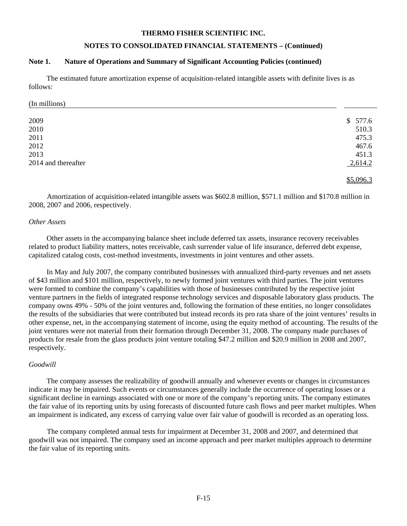#### **NOTES TO CONSOLIDATED FINANCIAL STATEMENTS – (Continued)**

## **Note 1. Nature of Operations and Summary of Significant Accounting Policies (continued)**

 The estimated future amortization expense of acquisition-related intangible assets with definite lives is as follows:

#### (In millions)

| 2009                | \$577.6 |
|---------------------|---------|
| 2010                | 510.3   |
| 2011                | 475.3   |
| 2012                | 467.6   |
| 2013                | 451.3   |
| 2014 and thereafter | 2,614.2 |
|                     |         |

\$5,096.3

 Amortization of acquisition-related intangible assets was \$602.8 million, \$571.1 million and \$170.8 million in 2008, 2007 and 2006, respectively.

#### *Other Assets*

 Other assets in the accompanying balance sheet include deferred tax assets, insurance recovery receivables related to product liability matters, notes receivable, cash surrender value of life insurance, deferred debt expense, capitalized catalog costs, cost-method investments, investments in joint ventures and other assets.

 In May and July 2007, the company contributed businesses with annualized third-party revenues and net assets of \$43 million and \$101 million, respectively, to newly formed joint ventures with third parties. The joint ventures were formed to combine the company's capabilities with those of businesses contributed by the respective joint venture partners in the fields of integrated response technology services and disposable laboratory glass products. The company owns 49% - 50% of the joint ventures and, following the formation of these entities, no longer consolidates the results of the subsidiaries that were contributed but instead records its pro rata share of the joint ventures' results in other expense, net, in the accompanying statement of income, using the equity method of accounting. The results of the joint ventures were not material from their formation through December 31, 2008. The company made purchases of products for resale from the glass products joint venture totaling \$47.2 million and \$20.9 million in 2008 and 2007, respectively.

#### *Goodwill*

 The company assesses the realizability of goodwill annually and whenever events or changes in circumstances indicate it may be impaired. Such events or circumstances generally include the occurrence of operating losses or a significant decline in earnings associated with one or more of the company's reporting units. The company estimates the fair value of its reporting units by using forecasts of discounted future cash flows and peer market multiples. When an impairment is indicated, any excess of carrying value over fair value of goodwill is recorded as an operating loss.

 The company completed annual tests for impairment at December 31, 2008 and 2007, and determined that goodwill was not impaired. The company used an income approach and peer market multiples approach to determine the fair value of its reporting units.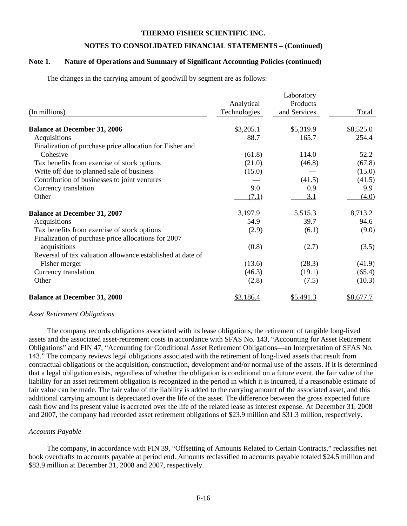#### **NOTES TO CONSOLIDATED FINANCIAL STATEMENTS – (Continued)**

## **Note 1. Nature of Operations and Summary of Significant Accounting Policies (continued)**

The changes in the carrying amount of goodwill by segment are as follows:

|                                                            |              | Laboratory   |           |
|------------------------------------------------------------|--------------|--------------|-----------|
|                                                            | Analytical   | Products     |           |
| (In millions)                                              | Technologies | and Services | Total     |
| <b>Balance at December 31, 2006</b>                        | \$3,205.1    | \$5,319.9    | \$8,525.0 |
| Acquisitions                                               | 88.7         | 165.7        | 254.4     |
| Finalization of purchase price allocation for Fisher and   |              |              |           |
| Cohesive                                                   | (61.8)       | 114.0        | 52.2      |
| Tax benefits from exercise of stock options                | (21.0)       | (46.8)       | (67.8)    |
| Write off due to planned sale of business                  | (15.0)       |              | (15.0)    |
| Contribution of businesses to joint ventures               |              | (41.5)       | (41.5)    |
| Currency translation                                       | 9.0          | 0.9          | 9.9       |
| Other                                                      | (7.1)        | 3.1          | (4.0)     |
| <b>Balance at December 31, 2007</b>                        | 3,197.9      | 5,515.3      | 8,713.2   |
| Acquisitions                                               | 54.9         | 39.7         | 94.6      |
| Tax benefits from exercise of stock options                | (2.9)        | (6.1)        | (9.0)     |
| Finalization of purchase price allocations for 2007        |              |              |           |
| acquisitions                                               | (0.8)        | (2.7)        | (3.5)     |
| Reversal of tax valuation allowance established at date of |              |              |           |
| Fisher merger                                              | (13.6)       | (28.3)       | (41.9)    |
| Currency translation                                       | (46.3)       | (19.1)       | (65.4)    |
| Other                                                      | (2.8)        | (7.5)        | (10.3)    |
| <b>Balance at December 31, 2008</b>                        | \$3,186.4    | \$5,491.3    | \$8,677.7 |

#### *Asset Retirement Obligations*

 The company records obligations associated with its lease obligations, the retirement of tangible long-lived assets and the associated asset-retirement costs in accordance with SFAS No. 143, "Accounting for Asset Retirement Obligations" and FIN 47, "Accounting for Conditional Asset Retirement Obligations—an Interpretation of SFAS No. 143." The company reviews legal obligations associated with the retirement of long-lived assets that result from contractual obligations or the acquisition, construction, development and/or normal use of the assets. If it is determined that a legal obligation exists, regardless of whether the obligation is conditional on a future event, the fair value of the liability for an asset retirement obligation is recognized in the period in which it is incurred, if a reasonable estimate of fair value can be made. The fair value of the liability is added to the carrying amount of the associated asset, and this additional carrying amount is depreciated over the life of the asset. The difference between the gross expected future cash flow and its present value is accreted over the life of the related lease as interest expense. At December 31, 2008 and 2007, the company had recorded asset retirement obligations of \$23.9 million and \$31.3 million, respectively.

#### *Accounts Payable*

 The company, in accordance with FIN 39, "Offsetting of Amounts Related to Certain Contracts," reclassifies net book overdrafts to accounts payable at period end. Amounts reclassified to accounts payable totaled \$24.5 million and \$83.9 million at December 31, 2008 and 2007, respectively.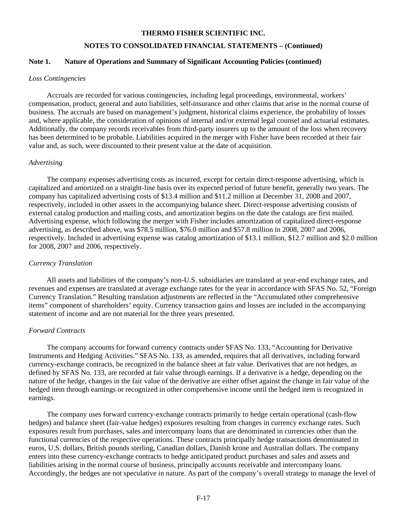#### **NOTES TO CONSOLIDATED FINANCIAL STATEMENTS – (Continued)**

## **Note 1. Nature of Operations and Summary of Significant Accounting Policies (continued)**

#### *Loss Contingencies*

 Accruals are recorded for various contingencies, including legal proceedings, environmental, workers' compensation, product, general and auto liabilities, self-insurance and other claims that arise in the normal course of business. The accruals are based on management's judgment, historical claims experience, the probability of losses and, where applicable, the consideration of opinions of internal and/or external legal counsel and actuarial estimates. Additionally, the company records receivables from third-party insurers up to the amount of the loss when recovery has been determined to be probable. Liabilities acquired in the merger with Fisher have been recorded at their fair value and, as such, were discounted to their present value at the date of acquisition.

#### *Advertising*

 The company expenses advertising costs as incurred, except for certain direct-response advertising, which is capitalized and amortized on a straight-line basis over its expected period of future benefit, generally two years. The company has capitalized advertising costs of \$13.4 million and \$11.2 million at December 31, 2008 and 2007, respectively, included in other assets in the accompanying balance sheet. Direct-response advertising consists of external catalog production and mailing costs, and amortization begins on the date the catalogs are first mailed. Advertising expense, which following the merger with Fisher includes amortization of capitalized direct-response advertising, as described above, was \$78.5 million, \$76.0 million and \$57.8 million in 2008, 2007 and 2006, respectively. Included in advertising expense was catalog amortization of \$13.1 million, \$12.7 million and \$2.0 million for 2008, 2007 and 2006, respectively.

#### *Currency Translation*

 All assets and liabilities of the company's non-U.S. subsidiaries are translated at year-end exchange rates, and revenues and expenses are translated at average exchange rates for the year in accordance with SFAS No. 52, "Foreign Currency Translation." Resulting translation adjustments are reflected in the "Accumulated other comprehensive items" component of shareholders' equity. Currency transaction gains and losses are included in the accompanying statement of income and are not material for the three years presented.

## *Forward Contracts*

 The company accounts for forward currency contracts under SFAS No. 133, "Accounting for Derivative Instruments and Hedging Activities." SFAS No. 133, as amended, requires that all derivatives, including forward currency-exchange contracts, be recognized in the balance sheet at fair value. Derivatives that are not hedges, as defined by SFAS No. 133, are recorded at fair value through earnings. If a derivative is a hedge, depending on the nature of the hedge, changes in the fair value of the derivative are either offset against the change in fair value of the hedged item through earnings or recognized in other comprehensive income until the hedged item is recognized in earnings.

 The company uses forward currency-exchange contracts primarily to hedge certain operational (cash-flow hedges) and balance sheet (fair-value hedges) exposures resulting from changes in currency exchange rates. Such exposures result from purchases, sales and intercompany loans that are denominated in currencies other than the functional currencies of the respective operations. These contracts principally hedge transactions denominated in euros, U.S. dollars, British pounds sterling, Canadian dollars, Danish krone and Australian dollars. The company enters into these currency-exchange contracts to hedge anticipated product purchases and sales and assets and liabilities arising in the normal course of business, principally accounts receivable and intercompany loans. Accordingly, the hedges are not speculative in nature. As part of the company's overall strategy to manage the level of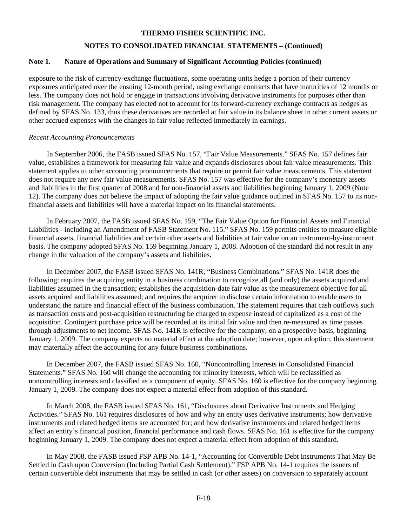# **THERMO FISHER SCIENTIFIC INC. NOTES TO CONSOLIDATED FINANCIAL STATEMENTS – (Continued)**

## **Note 1. Nature of Operations and Summary of Significant Accounting Policies (continued)**

exposure to the risk of currency-exchange fluctuations, some operating units hedge a portion of their currency exposures anticipated over the ensuing 12-month period, using exchange contracts that have maturities of 12 months or less. The company does not hold or engage in transactions involving derivative instruments for purposes other than risk management. The company has elected not to account for its forward-currency exchange contracts as hedges as defined by SFAS No. 133, thus these derivatives are recorded at fair value in its balance sheet in other current assets or other accrued expenses with the changes in fair value reflected immediately in earnings.

#### *Recent Accounting Pronouncements*

 In September 2006, the FASB issued SFAS No. 157, "Fair Value Measurements." SFAS No. 157 defines fair value, establishes a framework for measuring fair value and expands disclosures about fair value measurements. This statement applies to other accounting pronouncements that require or permit fair value measurements. This statement does not require any new fair value measurements. SFAS No. 157 was effective for the company's monetary assets and liabilities in the first quarter of 2008 and for non-financial assets and liabilities beginning January 1, 2009 (Note 12). The company does not believe the impact of adopting the fair value guidance outlined in SFAS No. 157 to its nonfinancial assets and liabilities will have a material impact on its financial statements.

 In February 2007, the FASB issued SFAS No. 159, "The Fair Value Option for Financial Assets and Financial Liabilities - including an Amendment of FASB Statement No. 115." SFAS No. 159 permits entities to measure eligible financial assets, financial liabilities and certain other assets and liabilities at fair value on an instrument-by-instrument basis. The company adopted SFAS No. 159 beginning January 1, 2008. Adoption of the standard did not result in any change in the valuation of the company's assets and liabilities.

 In December 2007, the FASB issued SFAS No. 141R, "Business Combinations." SFAS No. 141R does the following: requires the acquiring entity in a business combination to recognize all (and only) the assets acquired and liabilities assumed in the transaction; establishes the acquisition-date fair value as the measurement objective for all assets acquired and liabilities assumed; and requires the acquirer to disclose certain information to enable users to understand the nature and financial effect of the business combination. The statement requires that cash outflows such as transaction costs and post-acquisition restructuring be charged to expense instead of capitalized as a cost of the acquisition. Contingent purchase price will be recorded at its initial fair value and then re-measured as time passes through adjustments to net income. SFAS No. 141R is effective for the company, on a prospective basis, beginning January 1, 2009. The company expects no material effect at the adoption date; however, upon adoption, this statement may materially affect the accounting for any future business combinations.

 In December 2007, the FASB issued SFAS No. 160, "Noncontrolling Interests in Consolidated Financial Statements." SFAS No. 160 will change the accounting for minority interests, which will be reclassified as noncontrolling interests and classified as a component of equity. SFAS No. 160 is effective for the company beginning January 1, 2009. The company does not expect a material effect from adoption of this standard.

 In March 2008, the FASB issued SFAS No. 161, "Disclosures about Derivative Instruments and Hedging Activities." SFAS No. 161 requires disclosures of how and why an entity uses derivative instruments; how derivative instruments and related hedged items are accounted for; and how derivative instruments and related hedged items affect an entity's financial position, financial performance and cash flows. SFAS No. 161 is effective for the company beginning January 1, 2009. The company does not expect a material effect from adoption of this standard.

 In May 2008, the FASB issued FSP APB No. 14-1, "Accounting for Convertible Debt Instruments That May Be Settled in Cash upon Conversion (Including Partial Cash Settlement)." FSP APB No. 14-1 requires the issuers of certain convertible debt instruments that may be settled in cash (or other assets) on conversion to separately account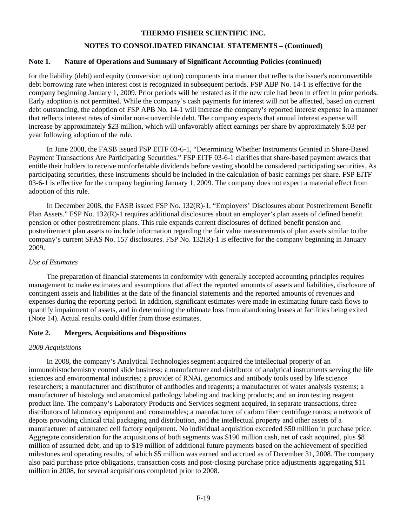## **NOTES TO CONSOLIDATED FINANCIAL STATEMENTS – (Continued)**

## **Note 1. Nature of Operations and Summary of Significant Accounting Policies (continued)**

for the liability (debt) and equity (conversion option) components in a manner that reflects the issuer's nonconvertible debt borrowing rate when interest cost is recognized in subsequent periods. FSP ABP No. 14-1 is effective for the company beginning January 1, 2009. Prior periods will be restated as if the new rule had been in effect in prior periods. Early adoption is not permitted. While the company's cash payments for interest will not be affected, based on current debt outstanding, the adoption of FSP APB No. 14-1 will increase the company's reported interest expense in a manner that reflects interest rates of similar non-convertible debt. The company expects that annual interest expense will increase by approximately \$23 million, which will unfavorably affect earnings per share by approximately \$.03 per year following adoption of the rule.

 In June 2008, the FASB issued FSP EITF 03-6-1, "Determining Whether Instruments Granted in Share-Based Payment Transactions Are Participating Securities." FSP EITF 03-6-1 clarifies that share-based payment awards that entitle their holders to receive nonforfeitable dividends before vesting should be considered participating securities. As participating securities, these instruments should be included in the calculation of basic earnings per share. FSP EITF 03-6-1 is effective for the company beginning January 1, 2009. The company does not expect a material effect from adoption of this rule.

 In December 2008, the FASB issued FSP No. 132(R)-1, "Employers' Disclosures about Postretirement Benefit Plan Assets." FSP No. 132(R)-1 requires additional disclosures about an employer's plan assets of defined benefit pension or other postretirement plans. This rule expands current disclosures of defined benefit pension and postretirement plan assets to include information regarding the fair value measurements of plan assets similar to the company's current SFAS No. 157 disclosures. FSP No. 132(R)-1 is effective for the company beginning in January 2009.

#### *Use of Estimates*

 The preparation of financial statements in conformity with generally accepted accounting principles requires management to make estimates and assumptions that affect the reported amounts of assets and liabilities, disclosure of contingent assets and liabilities at the date of the financial statements and the reported amounts of revenues and expenses during the reporting period. In addition, significant estimates were made in estimating future cash flows to quantify impairment of assets, and in determining the ultimate loss from abandoning leases at facilities being exited (Note 14). Actual results could differ from those estimates.

#### **Note 2. Mergers, Acquisitions and Dispositions**

#### *2008 Acquisitions*

 In 2008, the company's Analytical Technologies segment acquired the intellectual property of an immunohistochemistry control slide business; a manufacturer and distributor of analytical instruments serving the life sciences and environmental industries; a provider of RNAi, genomics and antibody tools used by life science researchers; a manufacturer and distributor of antibodies and reagents; a manufacturer of water analysis systems; a manufacturer of histology and anatomical pathology labeling and tracking products; and an iron testing reagent product line. The company's Laboratory Products and Services segment acquired, in separate transactions, three distributors of laboratory equipment and consumables; a manufacturer of carbon fiber centrifuge rotors; a network of depots providing clinical trial packaging and distribution, and the intellectual property and other assets of a manufacturer of automated cell factory equipment. No individual acquisition exceeded \$50 million in purchase price. Aggregate consideration for the acquisitions of both segments was \$190 million cash, net of cash acquired, plus \$8 million of assumed debt, and up to \$19 million of additional future payments based on the achievement of specified milestones and operating results, of which \$5 million was earned and accrued as of December 31, 2008. The company also paid purchase price obligations, transaction costs and post-closing purchase price adjustments aggregating \$11 million in 2008, for several acquisitions completed prior to 2008.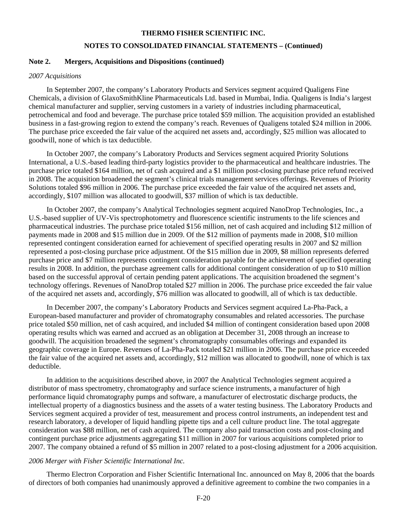# **THERMO FISHER SCIENTIFIC INC. NOTES TO CONSOLIDATED FINANCIAL STATEMENTS – (Continued)**

## **Note 2. Mergers, Acquisitions and Dispositions (continued)**

#### *2007 Acquisitions*

 In September 2007, the company's Laboratory Products and Services segment acquired Qualigens Fine Chemicals, a division of GlaxoSmithKline Pharmaceuticals Ltd. based in Mumbai, India. Qualigens is India's largest chemical manufacturer and supplier, serving customers in a variety of industries including pharmaceutical, petrochemical and food and beverage. The purchase price totaled \$59 million. The acquisition provided an established business in a fast-growing region to extend the company's reach. Revenues of Qualigens totaled \$24 million in 2006. The purchase price exceeded the fair value of the acquired net assets and, accordingly, \$25 million was allocated to goodwill, none of which is tax deductible.

 In October 2007, the company's Laboratory Products and Services segment acquired Priority Solutions International, a U.S.-based leading third-party logistics provider to the pharmaceutical and healthcare industries. The purchase price totaled \$164 million, net of cash acquired and a \$1 million post-closing purchase price refund received in 2008. The acquisition broadened the segment's clinical trials management services offerings. Revenues of Priority Solutions totaled \$96 million in 2006. The purchase price exceeded the fair value of the acquired net assets and, accordingly, \$107 million was allocated to goodwill, \$37 million of which is tax deductible.

 In October 2007, the company's Analytical Technologies segment acquired NanoDrop Technologies, Inc., a U.S.-based supplier of UV-Vis spectrophotometry and fluorescence scientific instruments to the life sciences and pharmaceutical industries. The purchase price totaled \$156 million, net of cash acquired and including \$12 million of payments made in 2008 and \$15 million due in 2009. Of the \$12 million of payments made in 2008, \$10 million represented contingent consideration earned for achievement of specified operating results in 2007 and \$2 million represented a post-closing purchase price adjustment. Of the \$15 million due in 2009, \$8 million represents deferred purchase price and \$7 million represents contingent consideration payable for the achievement of specified operating results in 2008. In addition, the purchase agreement calls for additional contingent consideration of up to \$10 million based on the successful approval of certain pending patent applications. The acquisition broadened the segment's technology offerings. Revenues of NanoDrop totaled \$27 million in 2006. The purchase price exceeded the fair value of the acquired net assets and, accordingly, \$76 million was allocated to goodwill, all of which is tax deductible.

 In December 2007, the company's Laboratory Products and Services segment acquired La-Pha-Pack, a European-based manufacturer and provider of chromatography consumables and related accessories. The purchase price totaled \$50 million, net of cash acquired, and included \$4 million of contingent consideration based upon 2008 operating results which was earned and accrued as an obligation at December 31, 2008 through an increase to goodwill. The acquisition broadened the segment's chromatography consumables offerings and expanded its geographic coverage in Europe. Revenues of La-Pha-Pack totaled \$21 million in 2006. The purchase price exceeded the fair value of the acquired net assets and, accordingly, \$12 million was allocated to goodwill, none of which is tax deductible.

 In addition to the acquisitions described above, in 2007 the Analytical Technologies segment acquired a distributor of mass spectrometry, chromatography and surface science instruments, a manufacturer of high performance liquid chromatography pumps and software, a manufacturer of electrostatic discharge products, the intellectual property of a diagnostics business and the assets of a water testing business. The Laboratory Products and Services segment acquired a provider of test, measurement and process control instruments, an independent test and research laboratory, a developer of liquid handling pipette tips and a cell culture product line. The total aggregate consideration was \$88 million, net of cash acquired. The company also paid transaction costs and post-closing and contingent purchase price adjustments aggregating \$11 million in 2007 for various acquisitions completed prior to 2007. The company obtained a refund of \$5 million in 2007 related to a post-closing adjustment for a 2006 acquisition.

## *2006 Merger with Fisher Scientific International Inc.*

 Thermo Electron Corporation and Fisher Scientific International Inc. announced on May 8, 2006 that the boards of directors of both companies had unanimously approved a definitive agreement to combine the two companies in a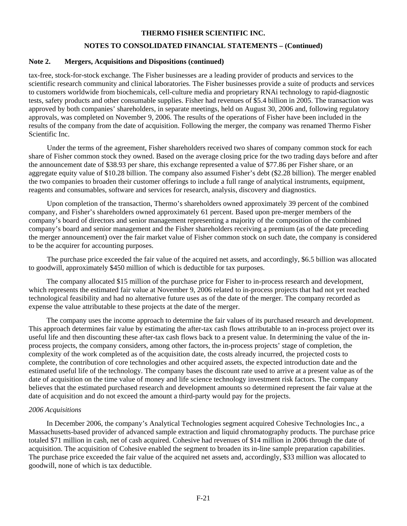# **NOTES TO CONSOLIDATED FINANCIAL STATEMENTS – (Continued)**

#### **Note 2. Mergers, Acquisitions and Dispositions (continued)**

tax-free, stock-for-stock exchange. The Fisher businesses are a leading provider of products and services to the scientific research community and clinical laboratories. The Fisher businesses provide a suite of products and services to customers worldwide from biochemicals, cell-culture media and proprietary RNAi technology to rapid-diagnostic tests, safety products and other consumable supplies. Fisher had revenues of \$5.4 billion in 2005. The transaction was approved by both companies' shareholders, in separate meetings, held on August 30, 2006 and, following regulatory approvals, was completed on November 9, 2006. The results of the operations of Fisher have been included in the results of the company from the date of acquisition. Following the merger, the company was renamed Thermo Fisher Scientific Inc.

 Under the terms of the agreement, Fisher shareholders received two shares of company common stock for each share of Fisher common stock they owned. Based on the average closing price for the two trading days before and after the announcement date of \$38.93 per share, this exchange represented a value of \$77.86 per Fisher share, or an aggregate equity value of \$10.28 billion. The company also assumed Fisher's debt (\$2.28 billion). The merger enabled the two companies to broaden their customer offerings to include a full range of analytical instruments, equipment, reagents and consumables, software and services for research, analysis, discovery and diagnostics.

 Upon completion of the transaction, Thermo's shareholders owned approximately 39 percent of the combined company, and Fisher's shareholders owned approximately 61 percent. Based upon pre-merger members of the company's board of directors and senior management representing a majority of the composition of the combined company's board and senior management and the Fisher shareholders receiving a premium (as of the date preceding the merger announcement) over the fair market value of Fisher common stock on such date, the company is considered to be the acquirer for accounting purposes.

 The purchase price exceeded the fair value of the acquired net assets, and accordingly, \$6.5 billion was allocated to goodwill, approximately \$450 million of which is deductible for tax purposes.

 The company allocated \$15 million of the purchase price for Fisher to in-process research and development, which represents the estimated fair value at November 9, 2006 related to in-process projects that had not yet reached technological feasibility and had no alternative future uses as of the date of the merger. The company recorded as expense the value attributable to these projects at the date of the merger.

 The company uses the income approach to determine the fair values of its purchased research and development. This approach determines fair value by estimating the after-tax cash flows attributable to an in-process project over its useful life and then discounting these after-tax cash flows back to a present value. In determining the value of the inprocess projects, the company considers, among other factors, the in-process projects' stage of completion, the complexity of the work completed as of the acquisition date, the costs already incurred, the projected costs to complete, the contribution of core technologies and other acquired assets, the expected introduction date and the estimated useful life of the technology. The company bases the discount rate used to arrive at a present value as of the date of acquisition on the time value of money and life science technology investment risk factors. The company believes that the estimated purchased research and development amounts so determined represent the fair value at the date of acquisition and do not exceed the amount a third-party would pay for the projects.

#### *2006 Acquisitions*

 In December 2006, the company's Analytical Technologies segment acquired Cohesive Technologies Inc., a Massachusetts-based provider of advanced sample extraction and liquid chromatography products. The purchase price totaled \$71 million in cash, net of cash acquired. Cohesive had revenues of \$14 million in 2006 through the date of acquisition. The acquisition of Cohesive enabled the segment to broaden its in-line sample preparation capabilities. The purchase price exceeded the fair value of the acquired net assets and, accordingly, \$33 million was allocated to goodwill, none of which is tax deductible.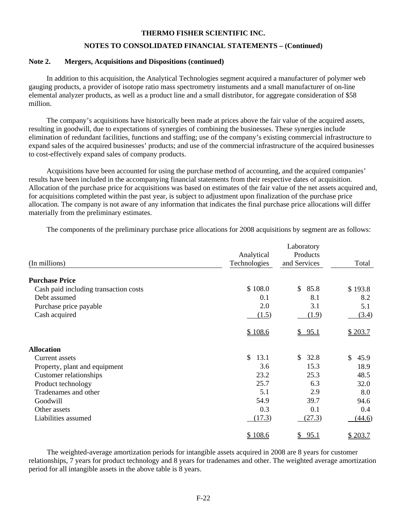## **NOTES TO CONSOLIDATED FINANCIAL STATEMENTS – (Continued)**

## **Note 2. Mergers, Acquisitions and Dispositions (continued)**

 In addition to this acquisition, the Analytical Technologies segment acquired a manufacturer of polymer web gauging products, a provider of isotope ratio mass spectrometry instuments and a small manufacturer of on-line elemental analyzer products, as well as a product line and a small distributor, for aggregate consideration of \$58 million.

 The company's acquisitions have historically been made at prices above the fair value of the acquired assets, resulting in goodwill, due to expectations of synergies of combining the businesses. These synergies include elimination of redundant facilities, functions and staffing; use of the company's existing commercial infrastructure to expand sales of the acquired businesses' products; and use of the commercial infrastructure of the acquired businesses to cost-effectively expand sales of company products.

 Acquisitions have been accounted for using the purchase method of accounting, and the acquired companies' results have been included in the accompanying financial statements from their respective dates of acquisition. Allocation of the purchase price for acquisitions was based on estimates of the fair value of the net assets acquired and, for acquisitions completed within the past year, is subject to adjustment upon finalization of the purchase price allocation. The company is not aware of any information that indicates the final purchase price allocations will differ materially from the preliminary estimates.

The components of the preliminary purchase price allocations for 2008 acquisitions by segment are as follows:

| (In millions)                         | Analytical<br>Technologies | Laboratory<br>Products<br>and Services | Total      |
|---------------------------------------|----------------------------|----------------------------------------|------------|
| <b>Purchase Price</b>                 |                            |                                        |            |
| Cash paid including transaction costs | \$108.0                    | 85.8<br>$\mathcal{S}$                  | \$193.8    |
| Debt assumed                          | 0.1                        | 8.1                                    | 8.2        |
| Purchase price payable                | 2.0                        | 3.1                                    | 5.1        |
| Cash acquired                         | (1.5)                      | (1.9)                                  | (3.4)      |
|                                       | \$108.6                    | \$95.1                                 | \$203.7    |
| <b>Allocation</b>                     |                            |                                        |            |
| Current assets                        | \$<br>13.1                 | \$32.8                                 | \$<br>45.9 |
| Property, plant and equipment         | 3.6                        | 15.3                                   | 18.9       |
| Customer relationships                | 23.2                       | 25.3                                   | 48.5       |
| Product technology                    | 25.7                       | 6.3                                    | 32.0       |
| Tradenames and other                  | 5.1                        | 2.9                                    | 8.0        |
| Goodwill                              | 54.9                       | 39.7                                   | 94.6       |
| Other assets                          | 0.3                        | 0.1                                    | 0.4        |
| Liabilities assumed                   | (17.3)                     | (27.3)                                 | (44.6)     |
|                                       | \$108.6                    | 95.1<br>\$                             | \$203.7    |

 The weighted-average amortization periods for intangible assets acquired in 2008 are 8 years for customer relationships, 7 years for product technology and 8 years for tradenames and other. The weighted average amortization period for all intangible assets in the above table is 8 years.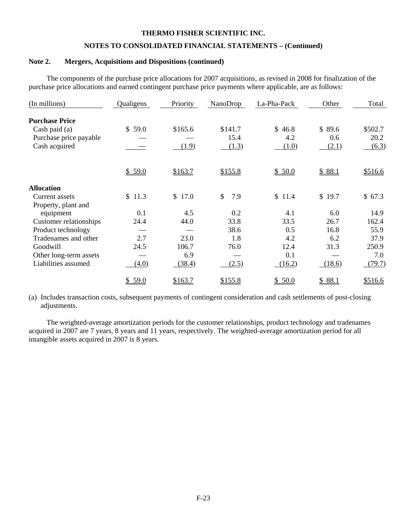# **NOTES TO CONSOLIDATED FINANCIAL STATEMENTS – (Continued)**

#### **Note 2. Mergers, Acquisitions and Dispositions (continued)**

 The components of the purchase price allocations for 2007 acquisitions, as revised in 2008 for finalization of the purchase price allocations and earned contingent purchase price payments where applicable, are as follows:

| (In millions)          | Qualigens | Priority               | NanoDrop  | La-Pha-Pack | Other  | Total   |
|------------------------|-----------|------------------------|-----------|-------------|--------|---------|
| <b>Purchase Price</b>  |           |                        |           |             |        |         |
| Cash paid (a)          | \$59.0    | \$165.6                | \$141.7   | \$46.8      | \$89.6 | \$502.7 |
| Purchase price payable |           |                        | 15.4      | 4.2         | 0.6    | 20.2    |
| Cash acquired          |           | (1.9)                  | (1.3)     | (1.0)       | (2.1)  | (6.3)   |
|                        |           |                        |           |             |        |         |
|                        | \$59.0    | \$163.7                | \$155.8   | \$50.0      | \$88.1 | \$516.6 |
| <b>Allocation</b>      |           |                        |           |             |        |         |
| Current assets         | \$11.3    | 17.0<br>$\mathbb{S}^-$ | \$<br>7.9 | \$11.4      | \$19.7 | \$67.3  |
| Property, plant and    |           |                        |           |             |        |         |
| equipment              | 0.1       | 4.5                    | 0.2       | 4.1         | 6.0    | 14.9    |
| Customer relationships | 24.4      | 44.0                   | 33.8      | 33.5        | 26.7   | 162.4   |
| Product technology     |           |                        | 38.6      | 0.5         | 16.8   | 55.9    |
| Tradenames and other   | 2.7       | 23.0                   | 1.8       | 4.2         | 6.2    | 37.9    |
| Goodwill               | 24.5      | 106.7                  | 76.0      | 12.4        | 31.3   | 250.9   |
| Other long-term assets |           | 6.9                    |           | 0.1         |        | 7.0     |
| Liabilities assumed    | (4.0)     | (38.4)                 | (2.5)     | (16.2)      | (18.6) | (79.7)  |
|                        | \$59.0    | \$163.7                | \$155.8   | \$50.0      | \$88.1 | \$516.6 |

(a) Includes transaction costs, subsequent payments of contingent consideration and cash settlements of post-closing adjustments.

 The weighted-average amortization periods for the customer relationships, product technology and tradenames acquired in 2007 are 7 years, 8 years and 11 years, respectively. The weighted-average amortization period for all intangible assets acquired in 2007 is 8 years.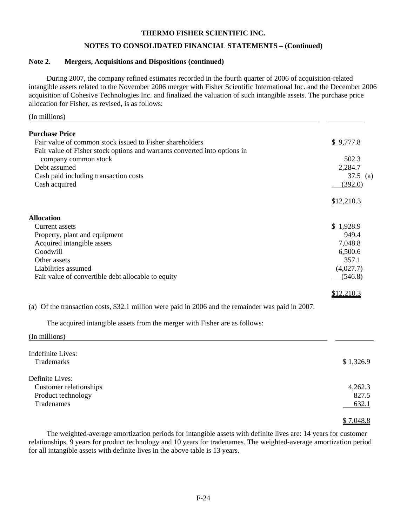# **NOTES TO CONSOLIDATED FINANCIAL STATEMENTS – (Continued)**

#### **Note 2. Mergers, Acquisitions and Dispositions (continued)**

 During 2007, the company refined estimates recorded in the fourth quarter of 2006 of acquisition-related intangible assets related to the November 2006 merger with Fisher Scientific International Inc. and the December 2006 acquisition of Cohesive Technologies Inc. and finalized the valuation of such intangible assets. The purchase price allocation for Fisher, as revised, is as follows:

#### (In millions)

| <b>Purchase Price</b>                                                                              |            |
|----------------------------------------------------------------------------------------------------|------------|
| Fair value of common stock issued to Fisher shareholders                                           | \$9,777.8  |
| Fair value of Fisher stock options and warrants converted into options in                          |            |
| company common stock                                                                               | 502.3      |
| Debt assumed                                                                                       | 2,284.7    |
| Cash paid including transaction costs                                                              | 37.5 (a)   |
| Cash acquired                                                                                      | (392.0)    |
|                                                                                                    | \$12,210.3 |
| <b>Allocation</b>                                                                                  |            |
| Current assets                                                                                     | \$1,928.9  |
| Property, plant and equipment                                                                      | 949.4      |
| Acquired intangible assets                                                                         | 7,048.8    |
| Goodwill                                                                                           | 6,500.6    |
| Other assets                                                                                       | 357.1      |
| Liabilities assumed                                                                                | (4,027.7)  |
| Fair value of convertible debt allocable to equity                                                 | (546.8)    |
|                                                                                                    | \$12,210.3 |
| (a) Of the transaction costs, \$32.1 million were paid in 2006 and the remainder was paid in 2007. |            |

The acquired intangible assets from the merger with Fisher are as follows:

(In millions)

| Indefinite Lives:<br>Trademarks | \$1,326.9 |
|---------------------------------|-----------|
| Definite Lives:                 |           |
| Customer relationships          | 4,262.3   |
| Product technology              | 827.5     |
| Tradenames                      | 632.1     |

## \$ 7,048.8

 The weighted-average amortization periods for intangible assets with definite lives are: 14 years for customer relationships, 9 years for product technology and 10 years for tradenames. The weighted-average amortization period for all intangible assets with definite lives in the above table is 13 years.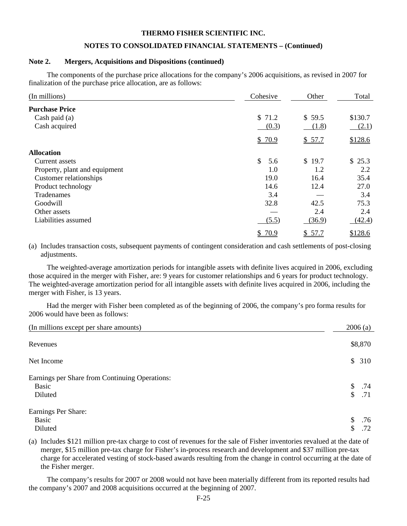## **NOTES TO CONSOLIDATED FINANCIAL STATEMENTS – (Continued)**

#### **Note 2. Mergers, Acquisitions and Dispositions (continued)**

 The components of the purchase price allocations for the company's 2006 acquisitions, as revised in 2007 for finalization of the purchase price allocation, are as follows:

| (In millions)                 | Cohesive  | Other  | Total   |
|-------------------------------|-----------|--------|---------|
| <b>Purchase Price</b>         |           |        |         |
| Cash paid (a)                 | \$71.2    | \$59.5 | \$130.7 |
| Cash acquired                 | (0.3)     | (1.8)  | (2.1)   |
|                               | \$70.9    | \$57.7 | \$128.6 |
| <b>Allocation</b>             |           |        |         |
| Current assets                | \$<br>5.6 | \$19.7 | \$25.3  |
| Property, plant and equipment | 1.0       | 1.2    | 2.2     |
| Customer relationships        | 19.0      | 16.4   | 35.4    |
| Product technology            | 14.6      | 12.4   | 27.0    |
| Tradenames                    | 3.4       |        | 3.4     |
| Goodwill                      | 32.8      | 42.5   | 75.3    |
| Other assets                  |           | 2.4    | 2.4     |
| Liabilities assumed           | (5.5)     | (36.9) | (42.4)  |
|                               | \$70.9    | \$57.7 | \$128.6 |

(a) Includes transaction costs, subsequent payments of contingent consideration and cash settlements of post-closing adjustments.

 The weighted-average amortization periods for intangible assets with definite lives acquired in 2006, excluding those acquired in the merger with Fisher, are: 9 years for customer relationships and 6 years for product technology. The weighted-average amortization period for all intangible assets with definite lives acquired in 2006, including the merger with Fisher, is 13 years.

 Had the merger with Fisher been completed as of the beginning of 2006, the company's pro forma results for 2006 would have been as follows:

| (In millions except per share amounts)                             | 2006(a)                |
|--------------------------------------------------------------------|------------------------|
| Revenues                                                           | \$8,870                |
| Net Income                                                         | \$310                  |
| Earnings per Share from Continuing Operations:<br>Basic<br>Diluted | \$<br>.74<br>\$<br>.71 |
| Earnings Per Share:<br>Basic<br>Diluted                            | .76<br>.72             |

(a) Includes \$121 million pre-tax charge to cost of revenues for the sale of Fisher inventories revalued at the date of merger, \$15 million pre-tax charge for Fisher's in-process research and development and \$37 million pre-tax charge for accelerated vesting of stock-based awards resulting from the change in control occurring at the date of the Fisher merger.

 The company's results for 2007 or 2008 would not have been materially different from its reported results had the company's 2007 and 2008 acquisitions occurred at the beginning of 2007.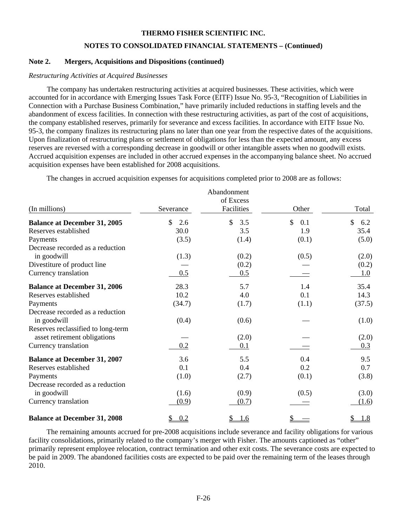# **THERMO FISHER SCIENTIFIC INC. NOTES TO CONSOLIDATED FINANCIAL STATEMENTS – (Continued)**

## **Note 2. Mergers, Acquisitions and Dispositions (continued)**

#### *Restructuring Activities at Acquired Businesses*

 The company has undertaken restructuring activities at acquired businesses. These activities, which were accounted for in accordance with Emerging Issues Task Force (EITF) Issue No. 95-3, "Recognition of Liabilities in Connection with a Purchase Business Combination," have primarily included reductions in staffing levels and the abandonment of excess facilities. In connection with these restructuring activities, as part of the cost of acquisitions, the company established reserves, primarily for severance and excess facilities. In accordance with EITF Issue No. 95-3, the company finalizes its restructuring plans no later than one year from the respective dates of the acquisitions. Upon finalization of restructuring plans or settlement of obligations for less than the expected amount, any excess reserves are reversed with a corresponding decrease in goodwill or other intangible assets when no goodwill exists. Accrued acquisition expenses are included in other accrued expenses in the accompanying balance sheet. No accrued acquisition expenses have been established for 2008 acquisitions.

The changes in accrued acquisition expenses for acquisitions completed prior to 2008 are as follows:

| (In millions)                                                      | Severance | Abandonment<br>of Excess<br>Facilities | Other                | Total     |
|--------------------------------------------------------------------|-----------|----------------------------------------|----------------------|-----------|
| <b>Balance at December 31, 2005</b>                                | \$<br>2.6 | \$<br>3.5                              | $\mathcal{S}$<br>0.1 | \$<br>6.2 |
| Reserves established                                               | 30.0      | 3.5                                    | 1.9                  | 35.4      |
| Payments                                                           | (3.5)     | (1.4)                                  | (0.1)                | (5.0)     |
| Decrease recorded as a reduction                                   |           |                                        |                      |           |
| in goodwill                                                        | (1.3)     | (0.2)                                  | (0.5)                | (2.0)     |
| Divestiture of product line                                        |           | (0.2)                                  |                      | (0.2)     |
| Currency translation                                               | 0.5       | 0.5                                    |                      | 1.0       |
| <b>Balance at December 31, 2006</b>                                | 28.3      | 5.7                                    | 1.4                  | 35.4      |
| Reserves established                                               | 10.2      | 4.0                                    | 0.1                  | 14.3      |
| Payments                                                           | (34.7)    | (1.7)                                  | (1.1)                | (37.5)    |
| Decrease recorded as a reduction                                   |           |                                        |                      |           |
| in goodwill                                                        | (0.4)     | (0.6)                                  |                      | (1.0)     |
| Reserves reclassified to long-term<br>asset retirement obligations |           | (2.0)                                  |                      | (2.0)     |
| Currency translation                                               | 0.2       | 0.1                                    |                      | 0.3       |
| <b>Balance at December 31, 2007</b>                                | 3.6       | 5.5                                    | 0.4                  | 9.5       |
| Reserves established                                               | 0.1       | 0.4                                    | 0.2                  | 0.7       |
| Payments                                                           | (1.0)     | (2.7)                                  | (0.1)                | (3.8)     |
| Decrease recorded as a reduction                                   |           |                                        |                      |           |
| in goodwill                                                        | (1.6)     | (0.9)                                  | (0.5)                | (3.0)     |
| Currency translation                                               | (0.9)     | (0.7)                                  |                      | (1.6)     |
| <b>Balance at December 31, 2008</b>                                | 0.2<br>\$ | 1.6<br>\$                              |                      | 1.8<br>\$ |

 The remaining amounts accrued for pre-2008 acquisitions include severance and facility obligations for various facility consolidations, primarily related to the company's merger with Fisher. The amounts captioned as "other" primarily represent employee relocation, contract termination and other exit costs. The severance costs are expected to be paid in 2009. The abandoned facilities costs are expected to be paid over the remaining term of the leases through 2010.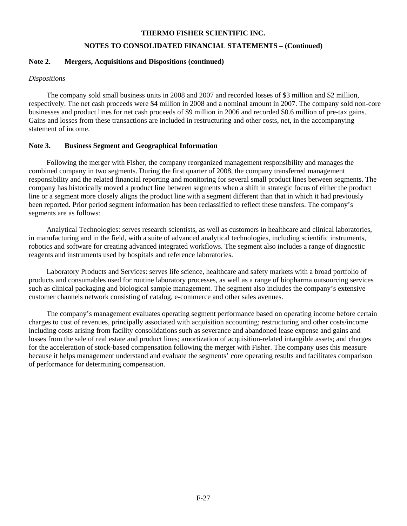#### **NOTES TO CONSOLIDATED FINANCIAL STATEMENTS – (Continued)**

## **Note 2. Mergers, Acquisitions and Dispositions (continued)**

#### *Dispositions*

 The company sold small business units in 2008 and 2007 and recorded losses of \$3 million and \$2 million, respectively. The net cash proceeds were \$4 million in 2008 and a nominal amount in 2007. The company sold non-core businesses and product lines for net cash proceeds of \$9 million in 2006 and recorded \$0.6 million of pre-tax gains. Gains and losses from these transactions are included in restructuring and other costs, net, in the accompanying statement of income.

#### **Note 3. Business Segment and Geographical Information**

 Following the merger with Fisher, the company reorganized management responsibility and manages the combined company in two segments. During the first quarter of 2008, the company transferred management responsibility and the related financial reporting and monitoring for several small product lines between segments. The company has historically moved a product line between segments when a shift in strategic focus of either the product line or a segment more closely aligns the product line with a segment different than that in which it had previously been reported. Prior period segment information has been reclassified to reflect these transfers. The company's segments are as follows:

 Analytical Technologies: serves research scientists, as well as customers in healthcare and clinical laboratories, in manufacturing and in the field, with a suite of advanced analytical technologies, including scientific instruments, robotics and software for creating advanced integrated workflows. The segment also includes a range of diagnostic reagents and instruments used by hospitals and reference laboratories.

 Laboratory Products and Services: serves life science, healthcare and safety markets with a broad portfolio of products and consumables used for routine laboratory processes, as well as a range of biopharma outsourcing services such as clinical packaging and biological sample management. The segment also includes the company's extensive customer channels network consisting of catalog, e-commerce and other sales avenues.

 The company's management evaluates operating segment performance based on operating income before certain charges to cost of revenues, principally associated with acquisition accounting; restructuring and other costs/income including costs arising from facility consolidations such as severance and abandoned lease expense and gains and losses from the sale of real estate and product lines; amortization of acquisition-related intangible assets; and charges for the acceleration of stock-based compensation following the merger with Fisher. The company uses this measure because it helps management understand and evaluate the segments' core operating results and facilitates comparison of performance for determining compensation.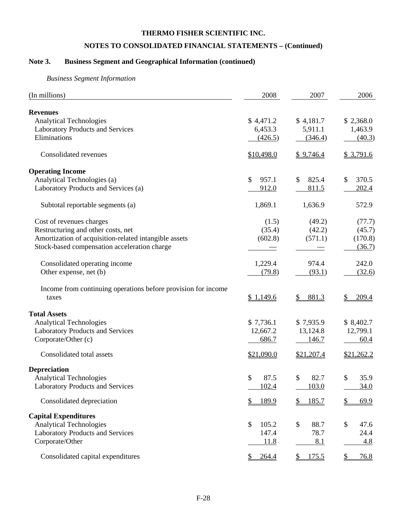# **NOTES TO CONSOLIDATED FINANCIAL STATEMENTS – (Continued)**

# **Note 3. Business Segment and Geographical Information (continued)**

 *Business Segment Information* 

| (In millions)                                                 | 2008        | 2007                   | 2006                  |
|---------------------------------------------------------------|-------------|------------------------|-----------------------|
| <b>Revenues</b>                                               |             |                        |                       |
| <b>Analytical Technologies</b>                                | \$4,471.2   | \$4,181.7              | \$2,368.0             |
| <b>Laboratory Products and Services</b>                       | 6,453.3     | 5,911.1                | 1,463.9               |
| Eliminations                                                  | (426.5)     | (346.4)                | (40.3)                |
| Consolidated revenues                                         | \$10,498.0  | \$9,746.4              | \$ 3,791.6            |
| <b>Operating Income</b>                                       |             |                        |                       |
| Analytical Technologies (a)                                   | \$<br>957.1 | 825.4<br>\$            | 370.5<br>\$           |
| Laboratory Products and Services (a)                          | 912.0       | 811.5                  | 202.4                 |
| Subtotal reportable segments (a)                              | 1,869.1     | 1,636.9                | 572.9                 |
| Cost of revenues charges                                      | (1.5)       | (49.2)                 | (77.7)                |
| Restructuring and other costs, net                            | (35.4)      | (42.2)                 | (45.7)                |
| Amortization of acquisition-related intangible assets         | (602.8)     | (571.1)                | (170.8)               |
| Stock-based compensation acceleration charge                  |             |                        | (36.7)                |
| Consolidated operating income                                 | 1,229.4     | 974.4                  | 242.0                 |
| Other expense, net (b)                                        | (79.8)      | (93.1)                 | (32.6)                |
| Income from continuing operations before provision for income |             |                        |                       |
| taxes                                                         | \$1,149.6   | 881.3<br>\$            | 209.4<br>\$           |
| <b>Total Assets</b>                                           |             |                        |                       |
| <b>Analytical Technologies</b>                                | \$7,736.1   | \$7,935.9              | \$8,402.7             |
| <b>Laboratory Products and Services</b>                       | 12,667.2    | 13,124.8               | 12,799.1              |
| Corporate/Other (c)                                           | 686.7       | 146.7                  | 60.4                  |
| Consolidated total assets                                     | \$21,090.0  | \$21,207.4             | \$21,262.2            |
| <b>Depreciation</b>                                           |             |                        |                       |
| <b>Analytical Technologies</b>                                | \$<br>87.5  | \$<br>82.7             | \$<br>35.9            |
| <b>Laboratory Products and Services</b>                       | 102.4       | 103.0                  | 34.0                  |
| Consolidated depreciation                                     | 189.9<br>\$ | $\frac{1}{2}$<br>185.7 | $\frac{1}{2}$<br>69.9 |
| <b>Capital Expenditures</b>                                   |             |                        |                       |
| <b>Analytical Technologies</b>                                | \$<br>105.2 | \$<br>88.7             | \$<br>47.6            |
| <b>Laboratory Products and Services</b>                       | 147.4       | 78.7                   | 24.4                  |
| Corporate/Other                                               | 11.8        | 8.1                    | 4.8                   |
| Consolidated capital expenditures                             | 264.4       | 175.5                  | 76.8<br>\$            |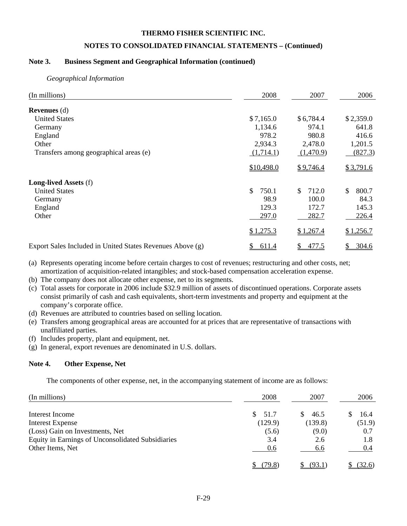## **NOTES TO CONSOLIDATED FINANCIAL STATEMENTS – (Continued)**

## **Note 3. Business Segment and Geographical Information (continued)**

 *Geographical Information* 

| (In millions)                                             | 2008        | 2007        | 2006        |
|-----------------------------------------------------------|-------------|-------------|-------------|
| <b>Revenues</b> $(d)$                                     |             |             |             |
| <b>United States</b>                                      | \$7,165.0   | \$6,784.4   | \$2,359.0   |
| Germany                                                   | 1,134.6     | 974.1       | 641.8       |
| England                                                   | 978.2       | 980.8       | 416.6       |
| Other                                                     | 2,934.3     | 2,478.0     | 1,201.5     |
| Transfers among geographical areas (e)                    | (1,714.1)   | (1,470.9)   | (827.3)     |
|                                                           | \$10,498.0  | \$9,746.4   | \$3,791.6   |
| <b>Long-lived Assets (f)</b>                              |             |             |             |
| <b>United States</b>                                      | \$<br>750.1 | 712.0<br>\$ | \$<br>800.7 |
| Germany                                                   | 98.9        | 100.0       | 84.3        |
| England                                                   | 129.3       | 172.7       | 145.3       |
| Other                                                     | 297.0       | 282.7       | 226.4       |
|                                                           | \$1,275.3   | \$1,267.4   | \$1,256.7   |
| Export Sales Included in United States Revenues Above (g) | 611.4<br>\$ | 477.5<br>\$ | \$<br>304.6 |

(a) Represents operating income before certain charges to cost of revenues; restructuring and other costs, net; amortization of acquisition-related intangibles; and stock-based compensation acceleration expense.

- (b) The company does not allocate other expense, net to its segments.
- (c) Total assets for corporate in 2006 include \$32.9 million of assets of discontinued operations. Corporate assets consist primarily of cash and cash equivalents, short-term investments and property and equipment at the company's corporate office.
- (d) Revenues are attributed to countries based on selling location.
- (e) Transfers among geographical areas are accounted for at prices that are representative of transactions with unaffiliated parties.
- (f) Includes property, plant and equipment, net.
- (g) In general, export revenues are denominated in U.S. dollars.

## **Note 4. Other Expense, Net**

The components of other expense, net, in the accompanying statement of income are as follows:

| (In millions)                                     | 2008       | 2007    | 2006   |
|---------------------------------------------------|------------|---------|--------|
| Interest Income                                   | 51.7<br>S. | 46.5    | 16.4   |
| <b>Interest Expense</b>                           | (129.9)    | (139.8) | (51.9) |
| (Loss) Gain on Investments, Net                   | (5.6)      | (9.0)   | 0.7    |
| Equity in Earnings of Unconsolidated Subsidiaries | 3.4        | 2.6     | 1.8    |
| Other Items, Net                                  | 0.6        | 6.6     | 0.4    |
|                                                   | (79.8)     | (93.1)  | (32.6) |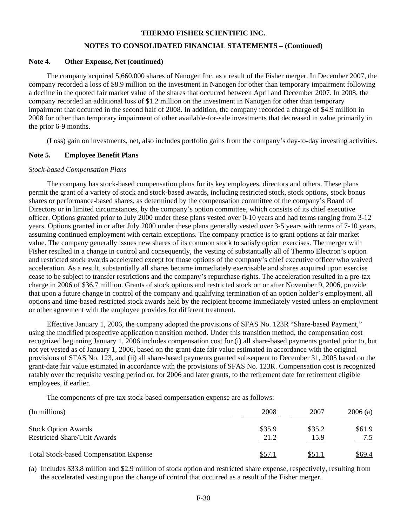# **THERMO FISHER SCIENTIFIC INC. NOTES TO CONSOLIDATED FINANCIAL STATEMENTS – (Continued)**

## **Note 4. Other Expense, Net (continued)**

 The company acquired 5,660,000 shares of Nanogen Inc. as a result of the Fisher merger. In December 2007, the company recorded a loss of \$8.9 million on the investment in Nanogen for other than temporary impairment following a decline in the quoted fair market value of the shares that occurred between April and December 2007. In 2008, the company recorded an additional loss of \$1.2 million on the investment in Nanogen for other than temporary impairment that occurred in the second half of 2008. In addition, the company recorded a charge of \$4.9 million in 2008 for other than temporary impairment of other available-for-sale investments that decreased in value primarily in the prior 6-9 months.

(Loss) gain on investments, net, also includes portfolio gains from the company's day-to-day investing activities.

## **Note 5. Employee Benefit Plans**

#### *Stock-based Compensation Plans*

 The company has stock-based compensation plans for its key employees, directors and others. These plans permit the grant of a variety of stock and stock-based awards, including restricted stock, stock options, stock bonus shares or performance-based shares, as determined by the compensation committee of the company's Board of Directors or in limited circumstances, by the company's option committee, which consists of its chief executive officer. Options granted prior to July 2000 under these plans vested over 0-10 years and had terms ranging from 3-12 years. Options granted in or after July 2000 under these plans generally vested over 3-5 years with terms of 7-10 years, assuming continued employment with certain exceptions. The company practice is to grant options at fair market value. The company generally issues new shares of its common stock to satisfy option exercises. The merger with Fisher resulted in a change in control and consequently, the vesting of substantially all of Thermo Electron's option and restricted stock awards accelerated except for those options of the company's chief executive officer who waived acceleration. As a result, substantially all shares became immediately exercisable and shares acquired upon exercise cease to be subject to transfer restrictions and the company's repurchase rights. The acceleration resulted in a pre-tax charge in 2006 of \$36.7 million. Grants of stock options and restricted stock on or after November 9, 2006, provide that upon a future change in control of the company and qualifying termination of an option holder's employment, all options and time-based restricted stock awards held by the recipient become immediately vested unless an employment or other agreement with the employee provides for different treatment.

 Effective January 1, 2006, the company adopted the provisions of SFAS No. 123R "Share-based Payment," using the modified prospective application transition method. Under this transition method, the compensation cost recognized beginning January 1, 2006 includes compensation cost for (i) all share-based payments granted prior to, but not yet vested as of January 1, 2006, based on the grant-date fair value estimated in accordance with the original provisions of SFAS No. 123, and (ii) all share-based payments granted subsequent to December 31, 2005 based on the grant-date fair value estimated in accordance with the provisions of SFAS No. 123R. Compensation cost is recognized ratably over the requisite vesting period or, for 2006 and later grants, to the retirement date for retirement eligible employees, if earlier.

The components of pre-tax stock-based compensation expense are as follows:

| (In millions)                                                     | 2008           | 2007           | 2006(a)       |
|-------------------------------------------------------------------|----------------|----------------|---------------|
| <b>Stock Option Awards</b><br><b>Restricted Share/Unit Awards</b> | \$35.9<br>21.2 | \$35.2<br>15.9 | \$61.9<br>7.5 |
| <b>Total Stock-based Compensation Expense</b>                     | - S57.         | \$51.1         | \$69.4        |

(a) Includes \$33.8 million and \$2.9 million of stock option and restricted share expense, respectively, resulting from the accelerated vesting upon the change of control that occurred as a result of the Fisher merger.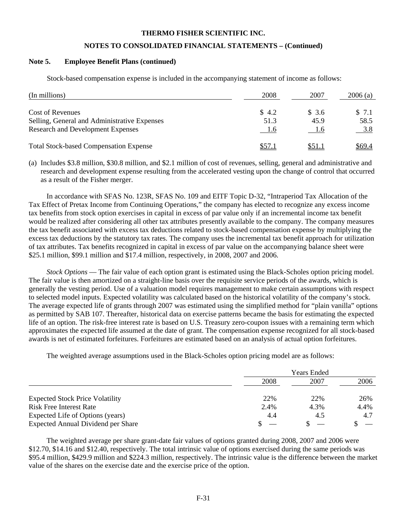#### **NOTES TO CONSOLIDATED FINANCIAL STATEMENTS – (Continued)**

#### **Note 5. Employee Benefit Plans (continued)**

Stock-based compensation expense is included in the accompanying statement of income as follows:

| (In millions)                                 | 2008  | 2007   | 2006(a) |
|-----------------------------------------------|-------|--------|---------|
| <b>Cost of Revenues</b>                       | \$4.2 | \$ 3.6 | \$ 7.1  |
| Selling, General and Administrative Expenses  | 51.3  | 45.9   | 58.5    |
| <b>Research and Development Expenses</b>      | 1.6   |        | 3.8     |
| <b>Total Stock-based Compensation Expense</b> |       | \$51.1 | \$69.4  |

(a) Includes \$3.8 million, \$30.8 million, and \$2.1 million of cost of revenues, selling, general and administrative and research and development expense resulting from the accelerated vesting upon the change of control that occurred as a result of the Fisher merger.

 In accordance with SFAS No. 123R, SFAS No. 109 and EITF Topic D-32, "Intraperiod Tax Allocation of the Tax Effect of Pretax Income from Continuing Operations," the company has elected to recognize any excess income tax benefits from stock option exercises in capital in excess of par value only if an incremental income tax benefit would be realized after considering all other tax attributes presently available to the company. The company measures the tax benefit associated with excess tax deductions related to stock-based compensation expense by multiplying the excess tax deductions by the statutory tax rates. The company uses the incremental tax benefit approach for utilization of tax attributes. Tax benefits recognized in capital in excess of par value on the accompanying balance sheet were \$25.1 million, \$99.1 million and \$17.4 million, respectively, in 2008, 2007 and 2006.

 *Stock Options* — The fair value of each option grant is estimated using the Black-Scholes option pricing model. The fair value is then amortized on a straight-line basis over the requisite service periods of the awards, which is generally the vesting period. Use of a valuation model requires management to make certain assumptions with respect to selected model inputs. Expected volatility was calculated based on the historical volatility of the company's stock. The average expected life of grants through 2007 was estimated using the simplified method for "plain vanilla" options as permitted by SAB 107. Thereafter, historical data on exercise patterns became the basis for estimating the expected life of an option. The risk-free interest rate is based on U.S. Treasury zero-coupon issues with a remaining term which approximates the expected life assumed at the date of grant. The compensation expense recognized for all stock-based awards is net of estimated forfeitures. Forfeitures are estimated based on an analysis of actual option forfeitures.

The weighted average assumptions used in the Black-Scholes option pricing model are as follows:

|                                        | Years Ended |      |      |
|----------------------------------------|-------------|------|------|
|                                        | 2008        | 2007 | 2006 |
| <b>Expected Stock Price Volatility</b> | 22%         | 22%  | 26%  |
| <b>Risk Free Interest Rate</b>         | 2.4%        | 4.3% | 4.4% |
| Expected Life of Options (years)       | 4.4         | 4.5  | 4.7  |
| Expected Annual Dividend per Share     |             |      |      |

 The weighted average per share grant-date fair values of options granted during 2008, 2007 and 2006 were \$12.70, \$14.16 and \$12.40, respectively. The total intrinsic value of options exercised during the same periods was \$95.4 million, \$429.9 million and \$224.3 million, respectively. The intrinsic value is the difference between the market value of the shares on the exercise date and the exercise price of the option.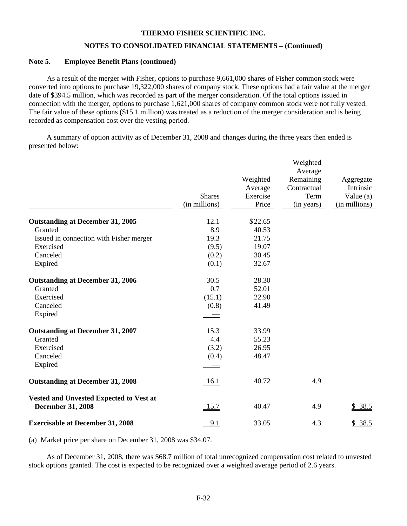#### **NOTES TO CONSOLIDATED FINANCIAL STATEMENTS – (Continued)**

#### **Note 5. Employee Benefit Plans (continued)**

 As a result of the merger with Fisher, options to purchase 9,661,000 shares of Fisher common stock were converted into options to purchase 19,322,000 shares of company stock. These options had a fair value at the merger date of \$394.5 million, which was recorded as part of the merger consideration. Of the total options issued in connection with the merger, options to purchase 1,621,000 shares of company common stock were not fully vested. The fair value of these options (\$15.1 million) was treated as a reduction of the merger consideration and is being recorded as compensation cost over the vesting period.

 A summary of option activity as of December 31, 2008 and changes during the three years then ended is presented below:

|                                         |               |                     | Weighted<br>Average      |                        |
|-----------------------------------------|---------------|---------------------|--------------------------|------------------------|
|                                         |               | Weighted<br>Average | Remaining<br>Contractual | Aggregate<br>Intrinsic |
|                                         | <b>Shares</b> | Exercise            | Term                     | Value $(a)$            |
|                                         | (in millions) | Price               | (in years)               | (in millions)          |
| <b>Outstanding at December 31, 2005</b> | 12.1          | \$22.65             |                          |                        |
| Granted                                 | 8.9           | 40.53               |                          |                        |
| Issued in connection with Fisher merger | 19.3          | 21.75               |                          |                        |
| Exercised                               | (9.5)         | 19.07               |                          |                        |
| Canceled                                | (0.2)         | 30.45               |                          |                        |
| Expired                                 | (0.1)         | 32.67               |                          |                        |
| <b>Outstanding at December 31, 2006</b> | 30.5          | 28.30               |                          |                        |
| Granted                                 | 0.7           | 52.01               |                          |                        |
| Exercised                               | (15.1)        | 22.90               |                          |                        |
| Canceled                                | (0.8)         | 41.49               |                          |                        |
| Expired                                 |               |                     |                          |                        |
| <b>Outstanding at December 31, 2007</b> | 15.3          | 33.99               |                          |                        |
| Granted                                 | 4.4           | 55.23               |                          |                        |
| Exercised                               | (3.2)         | 26.95               |                          |                        |
| Canceled                                | (0.4)         | 48.47               |                          |                        |
| Expired                                 |               |                     |                          |                        |
| <b>Outstanding at December 31, 2008</b> | 16.1          | 40.72               | 4.9                      |                        |
| Vested and Unvested Expected to Vest at |               |                     |                          |                        |
| <b>December 31, 2008</b>                | 15.7          | 40.47               | 4.9                      | \$38.5                 |
| <b>Exercisable at December 31, 2008</b> | 9.1           | 33.05               | 4.3                      | \$38.5                 |

(a) Market price per share on December 31, 2008 was \$34.07.

 As of December 31, 2008, there was \$68.7 million of total unrecognized compensation cost related to unvested stock options granted. The cost is expected to be recognized over a weighted average period of 2.6 years.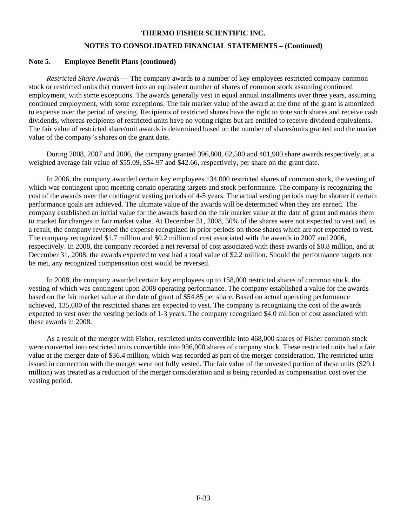# **THERMO FISHER SCIENTIFIC INC. NOTES TO CONSOLIDATED FINANCIAL STATEMENTS – (Continued)**

## **Note 5. Employee Benefit Plans (continued)**

 *Restricted Share Awards* — The company awards to a number of key employees restricted company common stock or restricted units that convert into an equivalent number of shares of common stock assuming continued employment, with some exceptions. The awards generally vest in equal annual installments over three years, assuming continued employment, with some exceptions. The fair market value of the award at the time of the grant is amortized to expense over the period of vesting. Recipients of restricted shares have the right to vote such shares and receive cash dividends, whereas recipients of restricted units have no voting rights but are entitled to receive dividend equivalents. The fair value of restricted share/unit awards is determined based on the number of shares/units granted and the market value of the company's shares on the grant date.

 During 2008, 2007 and 2006, the company granted 396,800, 62,500 and 401,900 share awards respectively, at a weighted average fair value of \$55.09, \$54.97 and \$42.66, respectively, per share on the grant date.

 In 2006, the company awarded certain key employees 134,000 restricted shares of common stock, the vesting of which was contingent upon meeting certain operating targets and stock performance. The company is recognizing the cost of the awards over the contingent vesting periods of 4-5 years. The actual vesting periods may be shorter if certain performance goals are achieved. The ultimate value of the awards will be determined when they are earned. The company established an initial value for the awards based on the fair market value at the date of grant and marks them to market for changes in fair market value. At December 31, 2008, 50% of the shares were not expected to vest and, as a result, the company reversed the expense recognized in prior periods on those shares which are not expected to vest. The company recognized \$1.7 million and \$0.2 million of cost associated with the awards in 2007 and 2006, respectively. In 2008, the company recorded a net reversal of cost associated with these awards of \$0.8 million, and at December 31, 2008, the awards expected to vest had a total value of \$2.2 million. Should the performance targets not be met, any recognized compensation cost would be reversed.

 In 2008, the company awarded certain key employees up to 158,000 restricted shares of common stock, the vesting of which was contingent upon 2008 operating performance. The company established a value for the awards based on the fair market value at the date of grant of \$54.85 per share. Based on actual operating performance achieved, 135,600 of the restricted shares are expected to vest. The company is recognizing the cost of the awards expected to vest over the vesting periods of 1-3 years. The company recognized \$4.0 million of cost associated with these awards in 2008.

 As a result of the merger with Fisher, restricted units convertible into 468,000 shares of Fisher common stock were converted into restricted units convertible into 936,000 shares of company stock. These restricted units had a fair value at the merger date of \$36.4 million, which was recorded as part of the merger consideration. The restricted units issued in connection with the merger were not fully vested. The fair value of the unvested portion of these units (\$29.1 million) was treated as a reduction of the merger consideration and is being recorded as compensation cost over the vesting period.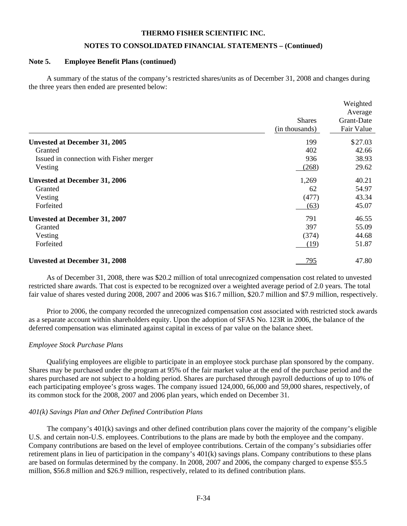#### **NOTES TO CONSOLIDATED FINANCIAL STATEMENTS – (Continued)**

#### **Note 5. Employee Benefit Plans (continued)**

A summary of the status of the company's restricted shares/units as of December 31, 2008 and changes during the three years then ended are presented below:

Weighted

|                                         |                                 | Weighted                            |
|-----------------------------------------|---------------------------------|-------------------------------------|
|                                         | <b>Shares</b><br>(in thousands) | Average<br>Grant-Date<br>Fair Value |
| <b>Unvested at December 31, 2005</b>    | 199                             | \$27.03                             |
| Granted                                 | 402                             | 42.66                               |
| Issued in connection with Fisher merger | 936                             | 38.93                               |
| Vesting                                 | (268)                           | 29.62                               |
| <b>Unvested at December 31, 2006</b>    | 1,269                           | 40.21                               |
| Granted                                 | 62                              | 54.97                               |
| Vesting                                 | (477)                           | 43.34                               |
| Forfeited                               | (63)                            | 45.07                               |
| <b>Unvested at December 31, 2007</b>    | 791                             | 46.55                               |
| Granted                                 | 397                             | 55.09                               |
| Vesting                                 | (374)                           | 44.68                               |
| Forfeited                               | (19)                            | 51.87                               |
| <b>Unvested at December 31, 2008</b>    | <u>795</u>                      | 47.80                               |

 As of December 31, 2008, there was \$20.2 million of total unrecognized compensation cost related to unvested restricted share awards. That cost is expected to be recognized over a weighted average period of 2.0 years. The total fair value of shares vested during 2008, 2007 and 2006 was \$16.7 million, \$20.7 million and \$7.9 million, respectively.

 Prior to 2006, the company recorded the unrecognized compensation cost associated with restricted stock awards as a separate account within shareholders equity. Upon the adoption of SFAS No. 123R in 2006, the balance of the deferred compensation was eliminated against capital in excess of par value on the balance sheet.

#### *Employee Stock Purchase Plans*

 Qualifying employees are eligible to participate in an employee stock purchase plan sponsored by the company. Shares may be purchased under the program at 95% of the fair market value at the end of the purchase period and the shares purchased are not subject to a holding period. Shares are purchased through payroll deductions of up to 10% of each participating employee's gross wages. The company issued 124,000, 66,000 and 59,000 shares, respectively, of its common stock for the 2008, 2007 and 2006 plan years, which ended on December 31.

#### *401(k) Savings Plan and Other Defined Contribution Plans*

 The company's 401(k) savings and other defined contribution plans cover the majority of the company's eligible U.S. and certain non-U.S. employees. Contributions to the plans are made by both the employee and the company. Company contributions are based on the level of employee contributions. Certain of the company's subsidiaries offer retirement plans in lieu of participation in the company's 401(k) savings plans. Company contributions to these plans are based on formulas determined by the company. In 2008, 2007 and 2006, the company charged to expense \$55.5 million, \$56.8 million and \$26.9 million, respectively, related to its defined contribution plans.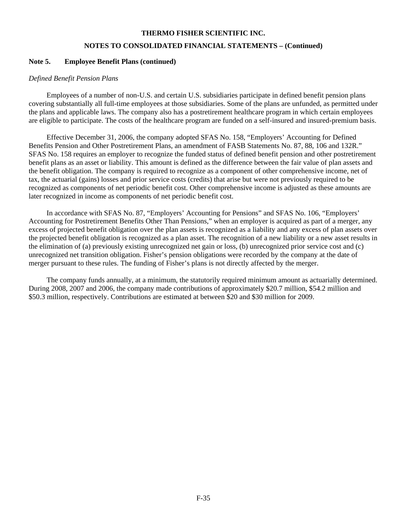# **THERMO FISHER SCIENTIFIC INC. NOTES TO CONSOLIDATED FINANCIAL STATEMENTS – (Continued)**

## **Note 5. Employee Benefit Plans (continued)**

#### *Defined Benefit Pension Plans*

 Employees of a number of non-U.S. and certain U.S. subsidiaries participate in defined benefit pension plans covering substantially all full-time employees at those subsidiaries. Some of the plans are unfunded, as permitted under the plans and applicable laws. The company also has a postretirement healthcare program in which certain employees are eligible to participate. The costs of the healthcare program are funded on a self-insured and insured-premium basis.

 Effective December 31, 2006, the company adopted SFAS No. 158, "Employers' Accounting for Defined Benefits Pension and Other Postretirement Plans, an amendment of FASB Statements No. 87, 88, 106 and 132R." SFAS No. 158 requires an employer to recognize the funded status of defined benefit pension and other postretirement benefit plans as an asset or liability. This amount is defined as the difference between the fair value of plan assets and the benefit obligation. The company is required to recognize as a component of other comprehensive income, net of tax, the actuarial (gains) losses and prior service costs (credits) that arise but were not previously required to be recognized as components of net periodic benefit cost. Other comprehensive income is adjusted as these amounts are later recognized in income as components of net periodic benefit cost.

 In accordance with SFAS No. 87, "Employers' Accounting for Pensions" and SFAS No. 106, "Employers' Accounting for Postretirement Benefits Other Than Pensions," when an employer is acquired as part of a merger, any excess of projected benefit obligation over the plan assets is recognized as a liability and any excess of plan assets over the projected benefit obligation is recognized as a plan asset. The recognition of a new liability or a new asset results in the elimination of (a) previously existing unrecognized net gain or loss, (b) unrecognized prior service cost and (c) unrecognized net transition obligation. Fisher's pension obligations were recorded by the company at the date of merger pursuant to these rules. The funding of Fisher's plans is not directly affected by the merger.

 The company funds annually, at a minimum, the statutorily required minimum amount as actuarially determined. During 2008, 2007 and 2006, the company made contributions of approximately \$20.7 million, \$54.2 million and \$50.3 million, respectively. Contributions are estimated at between \$20 and \$30 million for 2009.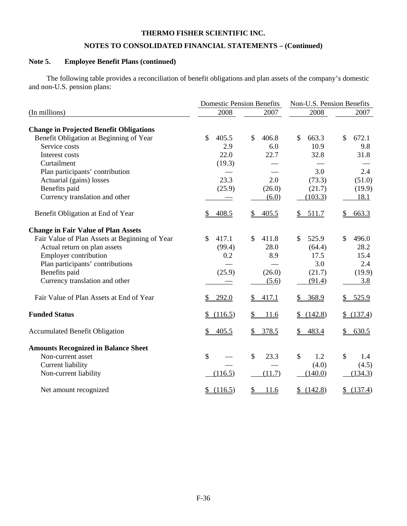# **NOTES TO CONSOLIDATED FINANCIAL STATEMENTS – (Continued)**

# **Note 5. Employee Benefit Plans (continued)**

 The following table provides a reconciliation of benefit obligations and plan assets of the company's domestic and non-U.S. pension plans:

|                                                | <b>Domestic Pension Benefits</b> |                       | Non-U.S. Pension Benefits |                       |
|------------------------------------------------|----------------------------------|-----------------------|---------------------------|-----------------------|
| (In millions)                                  | 2008                             | 2007                  | 2008                      | 2007                  |
| <b>Change in Projected Benefit Obligations</b> |                                  |                       |                           |                       |
| Benefit Obligation at Beginning of Year        | \$<br>405.5                      | $\mathbb{S}$<br>406.8 | $\mathcal{S}$<br>663.3    | \$<br>672.1           |
| Service costs                                  | 2.9                              | 6.0                   | 10.9                      | 9.8                   |
| Interest costs                                 | 22.0                             | 22.7                  | 32.8                      | 31.8                  |
| Curtailment                                    | (19.3)                           |                       |                           |                       |
| Plan participants' contribution                |                                  |                       | 3.0                       | 2.4                   |
| Actuarial (gains) losses                       | 23.3                             | 2.0                   | (73.3)                    | (51.0)                |
| Benefits paid                                  | (25.9)                           | (26.0)                | (21.7)                    | (19.9)                |
| Currency translation and other                 |                                  | (6.0)                 | (103.3)                   | 18.1                  |
| Benefit Obligation at End of Year              | 408.5                            | 405.5                 | \$511.7                   | $\mathbb{S}$<br>663.3 |
| <b>Change in Fair Value of Plan Assets</b>     |                                  |                       |                           |                       |
| Fair Value of Plan Assets at Beginning of Year | \$<br>417.1                      | \$<br>411.8           | \$<br>525.9               | \$<br>496.0           |
| Actual return on plan assets                   | (99.4)                           | 28.0                  | (64.4)                    | 28.2                  |
| <b>Employer contribution</b>                   | 0.2                              | 8.9                   | 17.5                      | 15.4                  |
| Plan participants' contributions               |                                  |                       | 3.0                       | 2.4                   |
| Benefits paid                                  | (25.9)                           | (26.0)                | (21.7)                    | (19.9)                |
| Currency translation and other                 |                                  | (5.6)                 | (91.4)                    | 3.8                   |
| Fair Value of Plan Assets at End of Year       | 292.0<br>\$                      | $\mathbb{S}$<br>417.1 | 368.9<br>$\mathfrak{D}$   | \$525.9               |
| <b>Funded Status</b>                           | \$(116.5)                        | 11.6                  | \$(142.8)                 | \$(137.4)             |
| <b>Accumulated Benefit Obligation</b>          | 405.5                            | \$378.5               | 483.4<br>$S_{-}$          | S<br>630.5            |
| <b>Amounts Recognized in Balance Sheet</b>     |                                  |                       |                           |                       |
| Non-current asset                              | \$                               | \$<br>23.3            | \$<br>1.2                 | \$<br>1.4             |
| Current liability                              |                                  |                       | (4.0)                     | (4.5)                 |
| Non-current liability                          | (116.5)                          | (11.7)                | (140.0)                   | (134.3)               |
| Net amount recognized                          | \$(116.5)                        | $\frac{1}{2}$<br>11.6 | (142.8)<br>$\mathsf{S}$   | \$(137.4)             |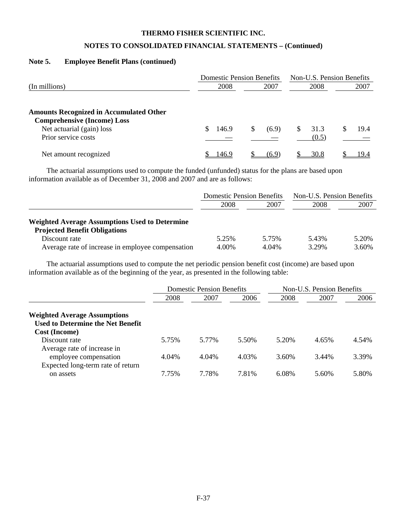# **NOTES TO CONSOLIDATED FINANCIAL STATEMENTS – (Continued)**

#### **Note 5. Employee Benefit Plans (continued)**

|                                                                                      | <b>Domestic Pension Benefits</b> |       | Non-U.S. Pension Benefits |      |
|--------------------------------------------------------------------------------------|----------------------------------|-------|---------------------------|------|
| (In millions)                                                                        | 2008                             | 2007  | 2008                      | 2007 |
| <b>Amounts Recognized in Accumulated Other</b><br><b>Comprehensive (Income) Loss</b> |                                  |       |                           |      |
| Net actuarial (gain) loss                                                            | 146.9                            | (6.9) | 31.3<br>S.                | 19.4 |
| Prior service costs                                                                  |                                  |       | (0.5)                     |      |
| Net amount recognized                                                                | 146.9                            | (6.9) | 30.8                      | 19.4 |

 The actuarial assumptions used to compute the funded (unfunded) status for the plans are based upon information available as of December 31, 2008 and 2007 and are as follows:

|                                                       |       | <b>Domestic Pension Benefits</b> |       | Non-U.S. Pension Benefits |  |
|-------------------------------------------------------|-------|----------------------------------|-------|---------------------------|--|
|                                                       | 2008  | 2007                             | 2008  | 2007                      |  |
| <b>Weighted Average Assumptions Used to Determine</b> |       |                                  |       |                           |  |
| <b>Projected Benefit Obligations</b>                  |       |                                  |       |                           |  |
| Discount rate                                         | 5.25% | 5.75%                            | 5.43% | 5.20%                     |  |
| Average rate of increase in employee compensation     | 4.00% | 4.04%                            | 3.29% | 3.60%                     |  |

 The actuarial assumptions used to compute the net periodic pension benefit cost (income) are based upon information available as of the beginning of the year, as presented in the following table:

| <b>Domestic Pension Benefits</b> |       |              | Non-U.S. Pension Benefits |       |       |
|----------------------------------|-------|--------------|---------------------------|-------|-------|
| 2008                             |       | 2006<br>2007 |                           | 2007  | 2006  |
|                                  |       |              |                           |       |       |
|                                  |       |              |                           |       |       |
|                                  |       |              |                           |       |       |
| 5.75%                            | 5.77% | 5.50%        | 5.20%                     | 4.65% | 4.54% |
|                                  |       |              |                           |       |       |
| 4.04%                            | 4.04% | 4.03%        | 3.60%                     | 3.44% | 3.39% |
|                                  |       |              |                           |       |       |
| 7.75%                            | 7.78% | 7.81%        | 6.08%                     | 5.60% | 5.80% |
|                                  |       |              |                           | 2008  |       |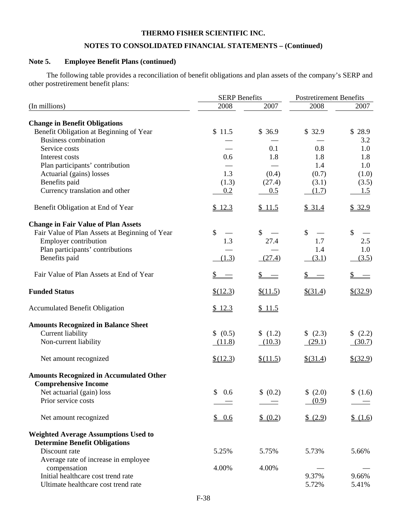# **NOTES TO CONSOLIDATED FINANCIAL STATEMENTS – (Continued)**

# **Note 5. Employee Benefit Plans (continued)**

 The following table provides a reconciliation of benefit obligations and plan assets of the company's SERP and other postretirement benefit plans:

|                                                | <b>SERP Benefits</b> |          | <b>Postretirement Benefits</b> |           |  |
|------------------------------------------------|----------------------|----------|--------------------------------|-----------|--|
| (In millions)                                  | 2008                 | 2007     | 2008                           | 2007      |  |
| <b>Change in Benefit Obligations</b>           |                      |          |                                |           |  |
| Benefit Obligation at Beginning of Year        | \$11.5               | \$36.9   | \$32.9                         | \$28.9    |  |
| <b>Business combination</b>                    |                      |          |                                | 3.2       |  |
| Service costs                                  |                      | 0.1      | 0.8                            | 1.0       |  |
| Interest costs                                 | 0.6                  | 1.8      | 1.8                            | 1.8       |  |
| Plan participants' contribution                |                      |          | 1.4                            | 1.0       |  |
| Actuarial (gains) losses                       | 1.3                  | (0.4)    | (0.7)                          | (1.0)     |  |
| Benefits paid                                  | (1.3)                | (27.4)   | (3.1)                          | (3.5)     |  |
| Currency translation and other                 | 0.2                  | 0.5      | (1.7)                          | 1.5       |  |
| Benefit Obligation at End of Year              | \$12.3               | \$11.5   | \$31.4                         | \$32.9    |  |
| <b>Change in Fair Value of Plan Assets</b>     |                      |          |                                |           |  |
| Fair Value of Plan Assets at Beginning of Year | $\$$                 | \$       | \$                             | \$        |  |
| <b>Employer contribution</b>                   | 1.3                  | 27.4     | 1.7                            | 2.5       |  |
| Plan participants' contributions               |                      |          | 1.4                            | 1.0       |  |
| Benefits paid                                  | (1.3)                | (27.4)   | (3.1)                          | (3.5)     |  |
| Fair Value of Plan Assets at End of Year       | $\frac{\S}{}$ —      | $s =$    | $\frac{1}{2}$                  | S.        |  |
| <b>Funded Status</b>                           | \$(12.3)             | \$(11.5) | $$$ (31.4)                     | \$ (32.9) |  |
| <b>Accumulated Benefit Obligation</b>          | \$12.3               | \$11.5   |                                |           |  |
| <b>Amounts Recognized in Balance Sheet</b>     |                      |          |                                |           |  |
| Current liability                              | \$ (0.5)             | (1.2)    | (2.3)                          | (2.2)     |  |
| Non-current liability                          | (11.8)               | (10.3)   | (29.1)                         | (30.7)    |  |
| Net amount recognized                          | \$(12.3)             | \$(11.5) | $$$ (31.4)                     | \$ (32.9) |  |
| <b>Amounts Recognized in Accumulated Other</b> |                      |          |                                |           |  |
| <b>Comprehensive Income</b>                    |                      |          |                                |           |  |
| Net actuarial (gain) loss                      | \$0.6                | (0.2)    | (2.0)                          | (1.6)     |  |
| Prior service costs                            |                      |          | (0.9)                          |           |  |
| Net amount recognized                          | \$0.6                | 6(0.2)   | (2.9)                          | (1.6)     |  |
| <b>Weighted Average Assumptions Used to</b>    |                      |          |                                |           |  |
| <b>Determine Benefit Obligations</b>           |                      |          |                                |           |  |
| Discount rate                                  | 5.25%                | 5.75%    | 5.73%                          | 5.66%     |  |
| Average rate of increase in employee           |                      |          |                                |           |  |
| compensation                                   | 4.00%                | 4.00%    |                                |           |  |
| Initial healthcare cost trend rate             |                      |          | 9.37%                          | 9.66%     |  |
| Ultimate healthcare cost trend rate            |                      |          | 5.72%                          | 5.41%     |  |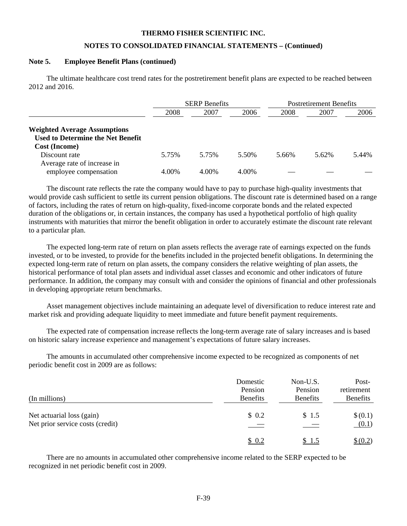#### **NOTES TO CONSOLIDATED FINANCIAL STATEMENTS – (Continued)**

#### **Note 5. Employee Benefit Plans (continued)**

 The ultimate healthcare cost trend rates for the postretirement benefit plans are expected to be reached between 2012 and 2016.

|                                                                  | <b>SERP Benefits</b> |       |       | <b>Postretirement Benefits</b> |       |       |  |
|------------------------------------------------------------------|----------------------|-------|-------|--------------------------------|-------|-------|--|
|                                                                  | 2008<br>2007         |       | 2006  | 2008                           | 2007  | 2006  |  |
| <b>Weighted Average Assumptions</b>                              |                      |       |       |                                |       |       |  |
| <b>Used to Determine the Net Benefit</b><br><b>Cost (Income)</b> |                      |       |       |                                |       |       |  |
| Discount rate                                                    | 5.75%                | 5.75% | 5.50% | 5.66%                          | 5.62% | 5.44% |  |
| Average rate of increase in                                      |                      |       |       |                                |       |       |  |
| employee compensation                                            | 4.00%                | 4.00% | 4.00% |                                |       |       |  |

 The discount rate reflects the rate the company would have to pay to purchase high-quality investments that would provide cash sufficient to settle its current pension obligations. The discount rate is determined based on a range of factors, including the rates of return on high-quality, fixed-income corporate bonds and the related expected duration of the obligations or, in certain instances, the company has used a hypothetical portfolio of high quality instruments with maturities that mirror the benefit obligation in order to accurately estimate the discount rate relevant to a particular plan.

 The expected long-term rate of return on plan assets reflects the average rate of earnings expected on the funds invested, or to be invested, to provide for the benefits included in the projected benefit obligations. In determining the expected long-term rate of return on plan assets, the company considers the relative weighting of plan assets, the historical performance of total plan assets and individual asset classes and economic and other indicators of future performance. In addition, the company may consult with and consider the opinions of financial and other professionals in developing appropriate return benchmarks.

 Asset management objectives include maintaining an adequate level of diversification to reduce interest rate and market risk and providing adequate liquidity to meet immediate and future benefit payment requirements.

 The expected rate of compensation increase reflects the long-term average rate of salary increases and is based on historic salary increase experience and management's expectations of future salary increases.

 The amounts in accumulated other comprehensive income expected to be recognized as components of net periodic benefit cost in 2009 are as follows:

| (In millions)                                                 | Domestic<br>Pension<br><b>Benefits</b> | Non-U.S.<br>Pension<br><b>Benefits</b> | Post-<br>retirement<br><b>Benefits</b> |
|---------------------------------------------------------------|----------------------------------------|----------------------------------------|----------------------------------------|
| Net actuarial loss (gain)<br>Net prior service costs (credit) | \$0.2                                  | \$1.5                                  | \$(0.1)<br>(0.1)                       |
|                                                               | \$0.2                                  | \$ 1.5                                 | \$ (0.2)                               |

 There are no amounts in accumulated other comprehensive income related to the SERP expected to be recognized in net periodic benefit cost in 2009.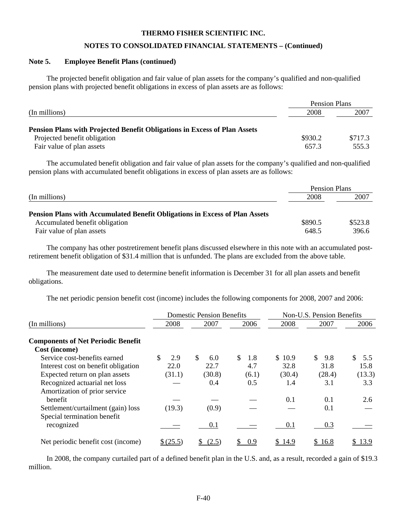## **NOTES TO CONSOLIDATED FINANCIAL STATEMENTS – (Continued)**

#### **Note 5. Employee Benefit Plans (continued)**

 The projected benefit obligation and fair value of plan assets for the company's qualified and non-qualified pension plans with projected benefit obligations in excess of plan assets are as follows:

|                                                                                  | Pension Plans |         |  |
|----------------------------------------------------------------------------------|---------------|---------|--|
| (In millions)                                                                    | 2008          | 2007    |  |
| <b>Pension Plans with Projected Benefit Obligations in Excess of Plan Assets</b> |               |         |  |
| Projected benefit obligation                                                     | \$930.2       | \$717.3 |  |
| Fair value of plan assets                                                        | 657.3         | 555.3   |  |

 The accumulated benefit obligation and fair value of plan assets for the company's qualified and non-qualified pension plans with accumulated benefit obligations in excess of plan assets are as follows:

|                                                                                                                                                   | Pension Plans    |                  |  |
|---------------------------------------------------------------------------------------------------------------------------------------------------|------------------|------------------|--|
| (In millions)                                                                                                                                     | 2008             | 2007             |  |
| <b>Pension Plans with Accumulated Benefit Obligations in Excess of Plan Assets</b><br>Accumulated benefit obligation<br>Fair value of plan assets | \$890.5<br>648.5 | \$523.8<br>396.6 |  |

 The company has other postretirement benefit plans discussed elsewhere in this note with an accumulated postretirement benefit obligation of \$31.4 million that is unfunded. The plans are excluded from the above table.

 The measurement date used to determine benefit information is December 31 for all plan assets and benefit obligations.

The net periodic pension benefit cost (income) includes the following components for 2008, 2007 and 2006:

|                                           |           | <b>Domestic Pension Benefits</b> |           | Non-U.S. Pension Benefits |           |        |  |
|-------------------------------------------|-----------|----------------------------------|-----------|---------------------------|-----------|--------|--|
| (In millions)                             | 2008      | 2007                             | 2006      | 2008                      | 2007      | 2006   |  |
| <b>Components of Net Periodic Benefit</b> |           |                                  |           |                           |           |        |  |
| Cost (income)                             |           |                                  |           |                           |           |        |  |
| Service cost-benefits earned              | 2.9       | \$<br>6.0                        | \$<br>1.8 | \$10.9                    | S.<br>9.8 | 5.5    |  |
| Interest cost on benefit obligation       | 22.0      | 22.7                             | 4.7       | 32.8                      | 31.8      | 15.8   |  |
| Expected return on plan assets            | (31.1)    | (30.8)                           | (6.1)     | (30.4)                    | (28.4)    | (13.3) |  |
| Recognized actuarial net loss             |           | 0.4                              | 0.5       | 1.4                       | 3.1       | 3.3    |  |
| Amortization of prior service             |           |                                  |           |                           |           |        |  |
| henefit                                   |           |                                  |           | 0.1                       | 0.1       | 2.6    |  |
| Settlement/curtailment (gain) loss        | (19.3)    | (0.9)                            |           |                           | 0.1       |        |  |
| Special termination benefit               |           |                                  |           |                           |           |        |  |
| recognized                                |           | 0.1                              |           | 0.1                       | 0.3       |        |  |
|                                           |           |                                  |           |                           |           |        |  |
| Net periodic benefit cost (income)        | \$ (25.5) | (2.5)                            | 0.9       | \$14.9                    | \$16.8    | \$13.9 |  |
|                                           |           |                                  |           |                           |           |        |  |

 In 2008, the company curtailed part of a defined benefit plan in the U.S. and, as a result, recorded a gain of \$19.3 million.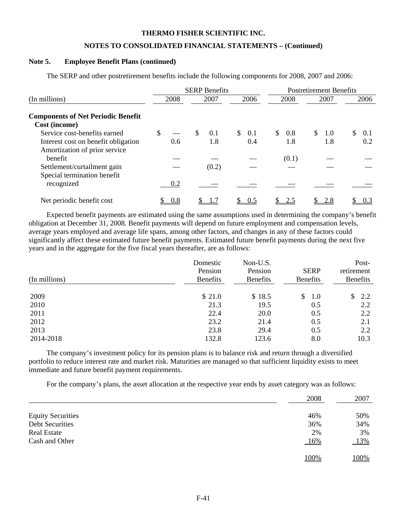#### **NOTES TO CONSOLIDATED FINANCIAL STATEMENTS – (Continued)**

#### **Note 5. Employee Benefit Plans (continued)**

The SERP and other postretirement benefits include the following components for 2008, 2007 and 2006:

|                                                                      |      | <b>SERP Benefits</b> |    |       |     |      | <b>Postretirement Benefits</b> |            |     |      |    |      |  |
|----------------------------------------------------------------------|------|----------------------|----|-------|-----|------|--------------------------------|------------|-----|------|----|------|--|
| (In millions)                                                        | 2008 |                      |    | 2007  |     | 2006 |                                | 2008       |     | 2007 |    | 2006 |  |
| <b>Components of Net Periodic Benefit</b><br>Cost (income)           |      |                      |    |       |     |      |                                |            |     |      |    |      |  |
| Service cost-benefits earned                                         | \$   |                      | \$ | 0.1   | \$. | 0.1  | \$.                            | $0.8\,$    | \$. | 1.0  | \$ | 0.1  |  |
| Interest cost on benefit obligation<br>Amortization of prior service |      | 0.6                  |    | 1.8   |     | 0.4  |                                | 1.8        |     | 1.8  |    | 0.2  |  |
| benefit                                                              |      |                      |    |       |     |      |                                | (0.1)      |     |      |    |      |  |
| Settlement/curtailment gain<br>Special termination benefit           |      |                      |    | (0.2) |     |      |                                |            |     |      |    |      |  |
| recognized                                                           |      | 0.2                  |    |       |     |      |                                |            |     |      |    |      |  |
| Net periodic benefit cost                                            |      | 0.8                  |    |       |     | 0.5  |                                | <u>2.5</u> |     | 2.8  |    | 0.3  |  |

 Expected benefit payments are estimated using the same assumptions used in determining the company's benefit obligation at December 31, 2008. Benefit payments will depend on future employment and compensation levels, average years employed and average life spans, among other factors, and changes in any of these factors could significantly affect these estimated future benefit payments. Estimated future benefit payments during the next five years and in the aggregate for the five fiscal years thereafter, are as follows:

| (In millions) | Domestic<br>Pension<br><b>Benefits</b> | Non-U.S.<br>Pension<br>Benefits | <b>SERP</b><br><b>Benefits</b> | Post-<br>retirement<br>Benefits |
|---------------|----------------------------------------|---------------------------------|--------------------------------|---------------------------------|
| 2009          | \$21.0                                 | \$18.5                          | S.<br>- 1.0                    | <sup>\$</sup><br>2.2            |
| 2010          | 21.3                                   | 19.5                            | 0.5                            | 2.2                             |
| 2011          | 22.4                                   | 20.0                            | 0.5                            | 2.2                             |
| 2012          | 23.2                                   | 21.4                            | 0.5                            | 2.1                             |
| 2013          | 23.8                                   | 29.4                            | 0.5                            | 2.2                             |
| 2014-2018     | 132.8                                  | 123.6                           | 8.0                            | 10.3                            |

 The company's investment policy for its pension plans is to balance risk and return through a diversified portfolio to reduce interest rate and market risk. Maturities are managed so that sufficient liquidity exists to meet immediate and future benefit payment requirements.

For the company's plans, the asset allocation at the respective year ends by asset category was as follows:

|                          | 2008             | 2007 |
|--------------------------|------------------|------|
| <b>Equity Securities</b> | 46%              | 50%  |
| <b>Debt Securities</b>   | 36%              | 34%  |
| <b>Real Estate</b>       | 2%               | 3%   |
| Cash and Other           | <u>16%</u>       | 13%  |
|                          | 100 <sup>%</sup> | 100% |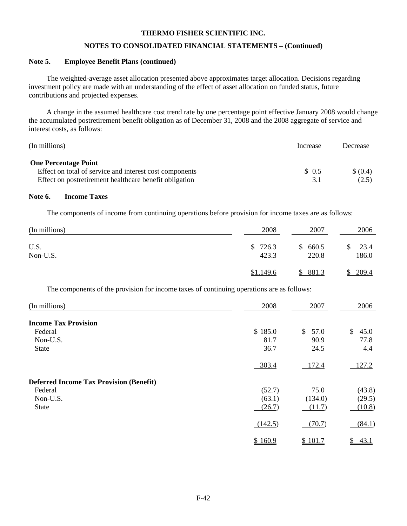## **NOTES TO CONSOLIDATED FINANCIAL STATEMENTS – (Continued)**

#### **Note 5. Employee Benefit Plans (continued)**

 The weighted-average asset allocation presented above approximates target allocation. Decisions regarding investment policy are made with an understanding of the effect of asset allocation on funded status, future contributions and projected expenses.

 A change in the assumed healthcare cost trend rate by one percentage point effective January 2008 would change the accumulated postretirement benefit obligation as of December 31, 2008 and the 2008 aggregate of service and interest costs, as follows:

| (In millions)                                                                                                                                    | Increase      | Decrease         |
|--------------------------------------------------------------------------------------------------------------------------------------------------|---------------|------------------|
| <b>One Percentage Point</b><br>Effect on total of service and interest cost components<br>Effect on postretirement healthcare benefit obligation | \$ 0.5<br>3.1 | \$(0.4)<br>(2.5) |
|                                                                                                                                                  |               |                  |

## **Note 6. Income Taxes**

The components of income from continuing operations before provision for income taxes are as follows:

| (In millions)    | 2008             | 2007                 | 2006                |
|------------------|------------------|----------------------|---------------------|
| U.S.<br>Non-U.S. | \$726.3<br>423.3 | 660.5<br>\$<br>220.8 | 23.4<br>\$<br>186.0 |
|                  | \$1,149.6        | 881.3                | 209.4               |

The components of the provision for income taxes of continuing operations are as follows:

| (In millions)                                  | 2008    | 2007       | 2006                 |
|------------------------------------------------|---------|------------|----------------------|
| <b>Income Tax Provision</b>                    |         |            |                      |
| Federal                                        | \$185.0 | 57.0<br>\$ | $\mathbb{S}$<br>45.0 |
| Non-U.S.                                       | 81.7    | 90.9       | 77.8                 |
| <b>State</b>                                   | 36.7    | 24.5       | 4.4                  |
|                                                | 303.4   | 172.4      | 127.2                |
| <b>Deferred Income Tax Provision (Benefit)</b> |         |            |                      |
| Federal                                        | (52.7)  | 75.0       | (43.8)               |
| Non-U.S.                                       | (63.1)  | (134.0)    | (29.5)               |
| <b>State</b>                                   | (26.7)  | (11.7)     | (10.8)               |
|                                                | (142.5) | (70.7)     | (84.1)               |
|                                                | \$160.9 | \$101.7    | 43.1<br>\$           |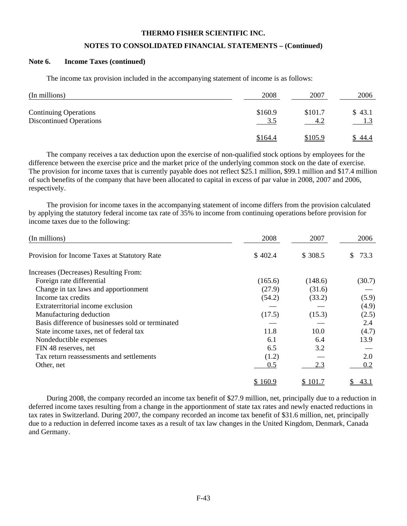## **NOTES TO CONSOLIDATED FINANCIAL STATEMENTS – (Continued)**

#### **Note 6. Income Taxes (continued)**

The income tax provision included in the accompanying statement of income is as follows:

| (In millions)                                                  | 2008                  | 2007           | 2006   |
|----------------------------------------------------------------|-----------------------|----------------|--------|
| <b>Continuing Operations</b><br><b>Discontinued Operations</b> | \$160.9<br><u>3.5</u> | \$101.7<br>4.2 | \$43.1 |
|                                                                | \$164.4               | \$105.9        | \$44.4 |

 The company receives a tax deduction upon the exercise of non-qualified stock options by employees for the difference between the exercise price and the market price of the underlying common stock on the date of exercise. The provision for income taxes that is currently payable does not reflect \$25.1 million, \$99.1 million and \$17.4 million of such benefits of the company that have been allocated to capital in excess of par value in 2008, 2007 and 2006, respectively.

 The provision for income taxes in the accompanying statement of income differs from the provision calculated by applying the statutory federal income tax rate of 35% to income from continuing operations before provision for income taxes due to the following:

| (In millions)                                     | 2008    | 2007    | 2006        |
|---------------------------------------------------|---------|---------|-------------|
| Provision for Income Taxes at Statutory Rate      | \$402.4 | \$308.5 | 73.3<br>\$  |
| Increases (Decreases) Resulting From:             |         |         |             |
| Foreign rate differential                         | (165.6) | (148.6) | (30.7)      |
| Change in tax laws and apportionment              | (27.9)  | (31.6)  |             |
| Income tax credits                                | (54.2)  | (33.2)  | (5.9)       |
| Extraterritorial income exclusion                 |         |         | (4.9)       |
| Manufacturing deduction                           | (17.5)  | (15.3)  | (2.5)       |
| Basis difference of businesses sold or terminated |         |         | 2.4         |
| State income taxes, net of federal tax            | 11.8    | 10.0    | (4.7)       |
| Nondeductible expenses                            | 6.1     | 6.4     | 13.9        |
| FIN 48 reserves, net                              | 6.5     | 3.2     |             |
| Tax return reassessments and settlements          | (1.2)   |         | 2.0         |
| Other, net                                        | 0.5     | 2.3     | 0.2         |
|                                                   | \$160.9 | \$101.7 | <u>43.1</u> |

 During 2008, the company recorded an income tax benefit of \$27.9 million, net, principally due to a reduction in deferred income taxes resulting from a change in the apportionment of state tax rates and newly enacted reductions in tax rates in Switzerland. During 2007, the company recorded an income tax benefit of \$31.6 million, net, principally due to a reduction in deferred income taxes as a result of tax law changes in the United Kingdom, Denmark, Canada and Germany.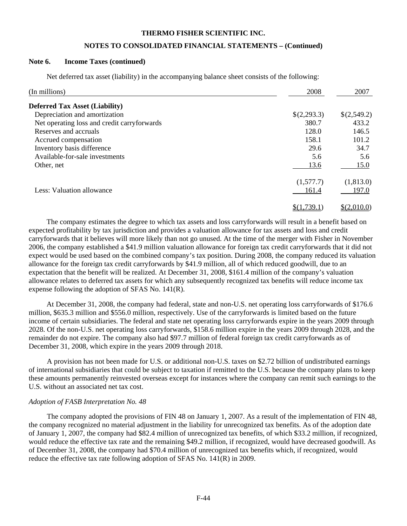#### **NOTES TO CONSOLIDATED FINANCIAL STATEMENTS – (Continued)**

#### **Note 6. Income Taxes (continued)**

Net deferred tax asset (liability) in the accompanying balance sheet consists of the following:

| (In millions)                               | 2008        | 2007        |
|---------------------------------------------|-------------|-------------|
| <b>Deferred Tax Asset (Liability)</b>       |             |             |
| Depreciation and amortization               | \$(2,293.3) | \$(2,549.2) |
| Net operating loss and credit carryforwards | 380.7       | 433.2       |
| Reserves and accruals                       | 128.0       | 146.5       |
| Accrued compensation                        | 158.1       | 101.2       |
| Inventory basis difference                  | 29.6        | 34.7        |
| Available-for-sale investments              | 5.6         | 5.6         |
| Other, net                                  | 13.6        | 15.0        |
|                                             | (1,577.7)   | (1,813.0)   |
| Less: Valuation allowance                   | 161.4       | 197.0       |
|                                             | \$(1,739.1) | \$(2,010.0) |

 The company estimates the degree to which tax assets and loss carryforwards will result in a benefit based on expected profitability by tax jurisdiction and provides a valuation allowance for tax assets and loss and credit carryforwards that it believes will more likely than not go unused. At the time of the merger with Fisher in November 2006, the company established a \$41.9 million valuation allowance for foreign tax credit carryforwards that it did not expect would be used based on the combined company's tax position. During 2008, the company reduced its valuation allowance for the foreign tax credit carryforwards by \$41.9 million, all of which reduced goodwill, due to an expectation that the benefit will be realized. At December 31, 2008, \$161.4 million of the company's valuation allowance relates to deferred tax assets for which any subsequently recognized tax benefits will reduce income tax expense following the adoption of SFAS No. 141(R).

 At December 31, 2008, the company had federal, state and non-U.S. net operating loss carryforwards of \$176.6 million, \$635.3 million and \$556.0 million, respectively. Use of the carryforwards is limited based on the future income of certain subsidiaries. The federal and state net operating loss carryforwards expire in the years 2009 through 2028. Of the non-U.S. net operating loss carryforwards, \$158.6 million expire in the years 2009 through 2028, and the remainder do not expire. The company also had \$97.7 million of federal foreign tax credit carryforwards as of December 31, 2008, which expire in the years 2009 through 2018.

 A provision has not been made for U.S. or additional non-U.S. taxes on \$2.72 billion of undistributed earnings of international subsidiaries that could be subject to taxation if remitted to the U.S. because the company plans to keep these amounts permanently reinvested overseas except for instances where the company can remit such earnings to the U.S. without an associated net tax cost.

#### *Adoption of FASB Interpretation No. 48*

 The company adopted the provisions of FIN 48 on January 1, 2007. As a result of the implementation of FIN 48, the company recognized no material adjustment in the liability for unrecognized tax benefits. As of the adoption date of January 1, 2007, the company had \$82.4 million of unrecognized tax benefits, of which \$33.2 million, if recognized, would reduce the effective tax rate and the remaining \$49.2 million, if recognized, would have decreased goodwill. As of December 31, 2008, the company had \$70.4 million of unrecognized tax benefits which, if recognized, would reduce the effective tax rate following adoption of SFAS No. 141(R) in 2009.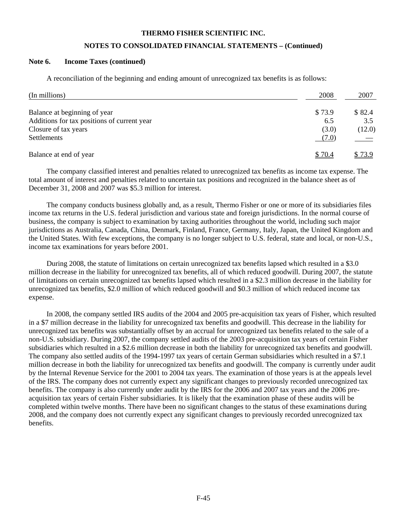## **NOTES TO CONSOLIDATED FINANCIAL STATEMENTS – (Continued)**

#### **Note 6. Income Taxes (continued)**

A reconciliation of the beginning and ending amount of unrecognized tax benefits is as follows:

| (In millions)                               | 2008   | 2007   |
|---------------------------------------------|--------|--------|
| Balance at beginning of year                | \$73.9 | \$82.4 |
| Additions for tax positions of current year | 6.5    | 3.5    |
| Closure of tax years                        | (3.0)  | (12.0) |
| Settlements                                 | (7.0)  |        |
| Balance at end of year                      | \$70.4 | 5 73.9 |

 The company classified interest and penalties related to unrecognized tax benefits as income tax expense. The total amount of interest and penalties related to uncertain tax positions and recognized in the balance sheet as of December 31, 2008 and 2007 was \$5.3 million for interest.

 The company conducts business globally and, as a result, Thermo Fisher or one or more of its subsidiaries files income tax returns in the U.S. federal jurisdiction and various state and foreign jurisdictions. In the normal course of business, the company is subject to examination by taxing authorities throughout the world, including such major jurisdictions as Australia, Canada, China, Denmark, Finland, France, Germany, Italy, Japan, the United Kingdom and the United States. With few exceptions, the company is no longer subject to U.S. federal, state and local, or non-U.S., income tax examinations for years before 2001.

 During 2008, the statute of limitations on certain unrecognized tax benefits lapsed which resulted in a \$3.0 million decrease in the liability for unrecognized tax benefits, all of which reduced goodwill. During 2007, the statute of limitations on certain unrecognized tax benefits lapsed which resulted in a \$2.3 million decrease in the liability for unrecognized tax benefits, \$2.0 million of which reduced goodwill and \$0.3 million of which reduced income tax expense.

 In 2008, the company settled IRS audits of the 2004 and 2005 pre-acquisition tax years of Fisher, which resulted in a \$7 million decrease in the liability for unrecognized tax benefits and goodwill. This decrease in the liability for unrecognized tax benefits was substantially offset by an accrual for unrecognized tax benefits related to the sale of a non-U.S. subsidiary. During 2007, the company settled audits of the 2003 pre-acquisition tax years of certain Fisher subsidiaries which resulted in a \$2.6 million decrease in both the liability for unrecognized tax benefits and goodwill. The company also settled audits of the 1994-1997 tax years of certain German subsidiaries which resulted in a \$7.1 million decrease in both the liability for unrecognized tax benefits and goodwill. The company is currently under audit by the Internal Revenue Service for the 2001 to 2004 tax years. The examination of those years is at the appeals level of the IRS. The company does not currently expect any significant changes to previously recorded unrecognized tax benefits. The company is also currently under audit by the IRS for the 2006 and 2007 tax years and the 2006 preacquisition tax years of certain Fisher subsidiaries. It is likely that the examination phase of these audits will be completed within twelve months. There have been no significant changes to the status of these examinations during 2008, and the company does not currently expect any significant changes to previously recorded unrecognized tax benefits.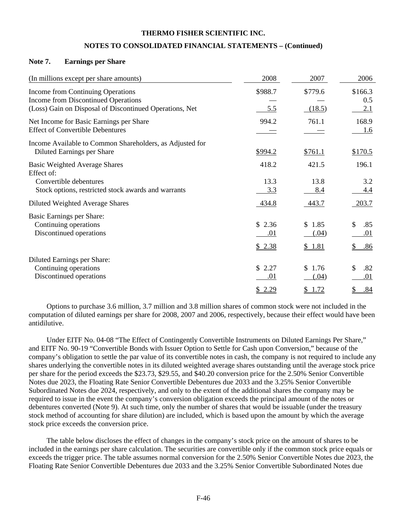## **NOTES TO CONSOLIDATED FINANCIAL STATEMENTS – (Continued)**

## **Note 7. Earnings per Share**

| (In millions except per share amounts)                                             | 2008    | 2007              | 2006           |
|------------------------------------------------------------------------------------|---------|-------------------|----------------|
| Income from Continuing Operations<br><b>Income from Discontinued Operations</b>    | \$988.7 | \$779.6           | \$166.3<br>0.5 |
| (Loss) Gain on Disposal of Discontinued Operations, Net                            | 5.5     | (18.5)            | 2.1            |
| Net Income for Basic Earnings per Share<br><b>Effect of Convertible Debentures</b> | 994.2   | 761.1             | 168.9<br>1.6   |
| Income Available to Common Shareholders, as Adjusted for                           |         |                   |                |
| Diluted Earnings per Share                                                         | \$994.2 | \$761.1           | \$170.5        |
| <b>Basic Weighted Average Shares</b><br>Effect of:                                 | 418.2   | 421.5             | 196.1          |
| Convertible debentures                                                             | 13.3    | 13.8              | 3.2            |
| Stock options, restricted stock awards and warrants                                | 3.3     | 8.4               | 4.4            |
| Diluted Weighted Average Shares                                                    | 434.8   | 443.7             | 203.7          |
| Basic Earnings per Share:                                                          |         |                   |                |
| Continuing operations                                                              | \$2.36  | \$<br>1.85        | \$<br>.85      |
| Discontinued operations                                                            | .01     | (.04)             | .01            |
|                                                                                    | \$2.38  | \$1.81            | .86            |
| Diluted Earnings per Share:                                                        |         |                   |                |
| Continuing operations                                                              | \$2.27  | \$<br>1.76        | \$<br>.82      |
| Discontinued operations                                                            | .01     | (.04)             | .01            |
|                                                                                    | \$2.29  | 1.72<br><u>\$</u> | .84<br>\$      |

 Options to purchase 3.6 million, 3.7 million and 3.8 million shares of common stock were not included in the computation of diluted earnings per share for 2008, 2007 and 2006, respectively, because their effect would have been antidilutive.

 Under EITF No. 04-08 "The Effect of Contingently Convertible Instruments on Diluted Earnings Per Share," and EITF No. 90-19 "Convertible Bonds with Issuer Option to Settle for Cash upon Conversion," because of the company's obligation to settle the par value of its convertible notes in cash, the company is not required to include any shares underlying the convertible notes in its diluted weighted average shares outstanding until the average stock price per share for the period exceeds the \$23.73, \$29.55, and \$40.20 conversion price for the 2.50% Senior Convertible Notes due 2023, the Floating Rate Senior Convertible Debentures due 2033 and the 3.25% Senior Convertible Subordinated Notes due 2024, respectively, and only to the extent of the additional shares the company may be required to issue in the event the company's conversion obligation exceeds the principal amount of the notes or debentures converted (Note 9). At such time, only the number of shares that would be issuable (under the treasury stock method of accounting for share dilution) are included, which is based upon the amount by which the average stock price exceeds the conversion price.

 The table below discloses the effect of changes in the company's stock price on the amount of shares to be included in the earnings per share calculation. The securities are convertible only if the common stock price equals or exceeds the trigger price. The table assumes normal conversion for the 2.50% Senior Convertible Notes due 2023, the Floating Rate Senior Convertible Debentures due 2033 and the 3.25% Senior Convertible Subordinated Notes due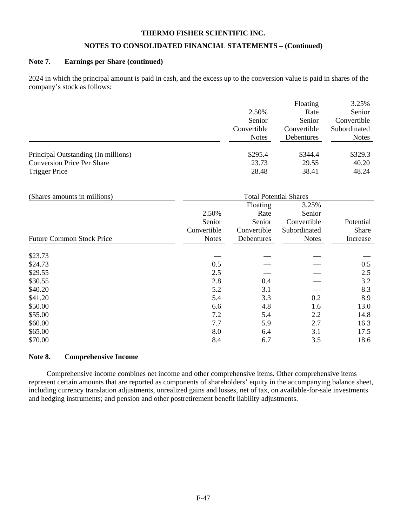# **NOTES TO CONSOLIDATED FINANCIAL STATEMENTS – (Continued)**

#### **Note 7. Earnings per Share (continued)**

2024 in which the principal amount is paid in cash, and the excess up to the conversion value is paid in shares of the company's stock as follows:

|                                     |              | Floating    | 3.25%        |
|-------------------------------------|--------------|-------------|--------------|
|                                     | 2.50%        | Rate        | Senior       |
|                                     | Senior       | Senior      | Convertible  |
|                                     | Convertible  | Convertible | Subordinated |
|                                     | <b>Notes</b> | Debentures  | <b>Notes</b> |
| Principal Outstanding (In millions) | \$295.4      | \$344.4     | \$329.3      |
| <b>Conversion Price Per Share</b>   | 23.73        | 29.55       | 40.20        |
| <b>Trigger Price</b>                | 28.48        | 38.41       | 48.24        |

| (Shares amounts in millions)     | <b>Total Potential Shares</b> |             |              |           |
|----------------------------------|-------------------------------|-------------|--------------|-----------|
|                                  |                               | Floating    | 3.25%        |           |
|                                  | 2.50%                         | Rate        | Senior       |           |
|                                  | Senior                        | Senior      | Convertible  | Potential |
|                                  | Convertible                   | Convertible | Subordinated | Share     |
| <b>Future Common Stock Price</b> | <b>Notes</b>                  | Debentures  | <b>Notes</b> | Increase  |
| \$23.73                          |                               |             |              |           |
| \$24.73                          | 0.5                           |             |              | 0.5       |
| \$29.55                          | 2.5                           |             |              | 2.5       |
| \$30.55                          | 2.8                           | 0.4         |              | 3.2       |
| \$40.20                          | 5.2                           | 3.1         |              | 8.3       |
| \$41.20                          | 5.4                           | 3.3         | 0.2          | 8.9       |
| \$50.00                          | 6.6                           | 4.8         | 1.6          | 13.0      |
| \$55.00                          | 7.2                           | 5.4         | 2.2          | 14.8      |
| \$60.00                          | 7.7                           | 5.9         | 2.7          | 16.3      |
| \$65.00                          | 8.0                           | 6.4         | 3.1          | 17.5      |
| \$70.00                          | 8.4                           | 6.7         | 3.5          | 18.6      |

# **Note 8. Comprehensive Income**

 Comprehensive income combines net income and other comprehensive items. Other comprehensive items represent certain amounts that are reported as components of shareholders' equity in the accompanying balance sheet, including currency translation adjustments, unrealized gains and losses, net of tax, on available-for-sale investments and hedging instruments; and pension and other postretirement benefit liability adjustments.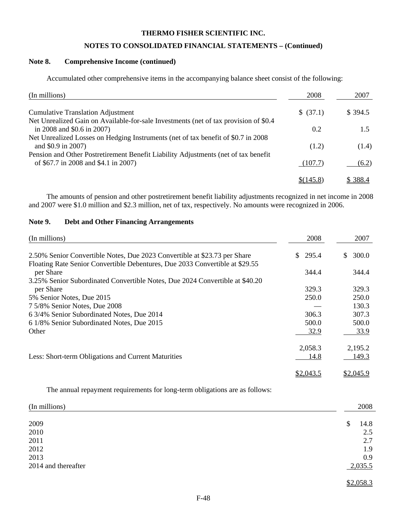# **NOTES TO CONSOLIDATED FINANCIAL STATEMENTS – (Continued)**

#### **Note 8. Comprehensive Income (continued)**

Accumulated other comprehensive items in the accompanying balance sheet consist of the following:

| (In millions)                                                                                                              | 2008      | 2007          |
|----------------------------------------------------------------------------------------------------------------------------|-----------|---------------|
| <b>Cumulative Translation Adjustment</b>                                                                                   | \$ (37.1) | \$394.5       |
| Net Unrealized Gain on Available-for-sale Investments (net of tax provision of \$0.4<br>in 2008 and $$0.6$ in 2007)        | 0.2       | $1.5^{\circ}$ |
| Net Unrealized Losses on Hedging Instruments (net of tax benefit of \$0.7 in 2008)<br>and \$0.9 in 2007)                   | (1.2)     | (1.4)         |
| Pension and Other Postretirement Benefit Liability Adjustments (net of tax benefit<br>of \$67.7 in 2008 and \$4.1 in 2007) | (107.7)   | (6.2)         |
|                                                                                                                            | \$(145.8) | \$388.4       |

 The amounts of pension and other postretirement benefit liability adjustments recognized in net income in 2008 and 2007 were \$1.0 million and \$2.3 million, net of tax, respectively. No amounts were recognized in 2006.

#### **Note 9. Debt and Other Financing Arrangements**

| (In millions)                                                                | 2008                  | 2007      |
|------------------------------------------------------------------------------|-----------------------|-----------|
| 2.50% Senior Convertible Notes, Due 2023 Convertible at \$23.73 per Share    | 295.4<br><sup>S</sup> | 300.0     |
| Floating Rate Senior Convertible Debentures, Due 2033 Convertible at \$29.55 |                       |           |
| per Share                                                                    | 344.4                 | 344.4     |
| 3.25% Senior Subordinated Convertible Notes, Due 2024 Convertible at \$40.20 |                       |           |
| per Share                                                                    | 329.3                 | 329.3     |
| 5% Senior Notes, Due 2015                                                    | 250.0                 | 250.0     |
| 7 5/8% Senior Notes, Due 2008                                                |                       | 130.3     |
| 6 3/4% Senior Subordinated Notes, Due 2014                                   | 306.3                 | 307.3     |
| 6 1/8% Senior Subordinated Notes, Due 2015                                   | 500.0                 | 500.0     |
| Other                                                                        | 32.9                  | 33.9      |
|                                                                              | 2,058.3               | 2,195.2   |
| Less: Short-term Obligations and Current Maturities                          | 14.8                  | 149.3     |
|                                                                              |                       | \$2,045.9 |

The annual repayment requirements for long-term obligations are as follows:

| (In millions)       | 2008       |
|---------------------|------------|
| 2009                | 14.8<br>\$ |
| 2010                | 2.5        |
| 2011                | 2.7        |
| 2012                | 1.9        |
| 2013                | 0.9        |
| 2014 and thereafter | 2,035.5    |
|                     |            |

\$ 2,058.3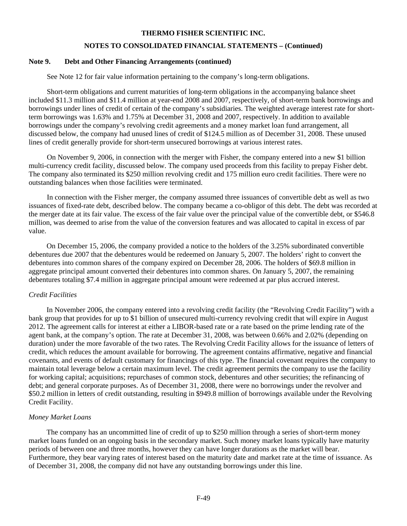# **Note 9. Debt and Other Financing Arrangements (continued)**

See Note 12 for fair value information pertaining to the company's long-term obligations.

 Short-term obligations and current maturities of long-term obligations in the accompanying balance sheet included \$11.3 million and \$11.4 million at year-end 2008 and 2007, respectively, of short-term bank borrowings and borrowings under lines of credit of certain of the company's subsidiaries. The weighted average interest rate for shortterm borrowings was 1.63% and 1.75% at December 31, 2008 and 2007, respectively. In addition to available borrowings under the company's revolving credit agreements and a money market loan fund arrangement, all discussed below, the company had unused lines of credit of \$124.5 million as of December 31, 2008. These unused lines of credit generally provide for short-term unsecured borrowings at various interest rates.

 On November 9, 2006, in connection with the merger with Fisher, the company entered into a new \$1 billion multi-currency credit facility, discussed below. The company used proceeds from this facility to prepay Fisher debt. The company also terminated its \$250 million revolving credit and 175 million euro credit facilities. There were no outstanding balances when those facilities were terminated.

 In connection with the Fisher merger, the company assumed three issuances of convertible debt as well as two issuances of fixed-rate debt, described below. The company became a co-obligor of this debt. The debt was recorded at the merger date at its fair value. The excess of the fair value over the principal value of the convertible debt, or \$546.8 million, was deemed to arise from the value of the conversion features and was allocated to capital in excess of par value.

 On December 15, 2006, the company provided a notice to the holders of the 3.25% subordinated convertible debentures due 2007 that the debentures would be redeemed on January 5, 2007. The holders' right to convert the debentures into common shares of the company expired on December 28, 2006. The holders of \$69.8 million in aggregate principal amount converted their debentures into common shares. On January 5, 2007, the remaining debentures totaling \$7.4 million in aggregate principal amount were redeemed at par plus accrued interest.

# *Credit Facilities*

 In November 2006, the company entered into a revolving credit facility (the "Revolving Credit Facility") with a bank group that provides for up to \$1 billion of unsecured multi-currency revolving credit that will expire in August 2012. The agreement calls for interest at either a LIBOR-based rate or a rate based on the prime lending rate of the agent bank, at the company's option. The rate at December 31, 2008, was between 0.66% and 2.02% (depending on duration) under the more favorable of the two rates. The Revolving Credit Facility allows for the issuance of letters of credit, which reduces the amount available for borrowing. The agreement contains affirmative, negative and financial covenants, and events of default customary for financings of this type. The financial covenant requires the company to maintain total leverage below a certain maximum level. The credit agreement permits the company to use the facility for working capital; acquisitions; repurchases of common stock, debentures and other securities; the refinancing of debt; and general corporate purposes. As of December 31, 2008, there were no borrowings under the revolver and \$50.2 million in letters of credit outstanding, resulting in \$949.8 million of borrowings available under the Revolving Credit Facility.

#### *Money Market Loans*

 The company has an uncommitted line of credit of up to \$250 million through a series of short-term money market loans funded on an ongoing basis in the secondary market. Such money market loans typically have maturity periods of between one and three months, however they can have longer durations as the market will bear. Furthermore, they bear varying rates of interest based on the maturity date and market rate at the time of issuance. As of December 31, 2008, the company did not have any outstanding borrowings under this line.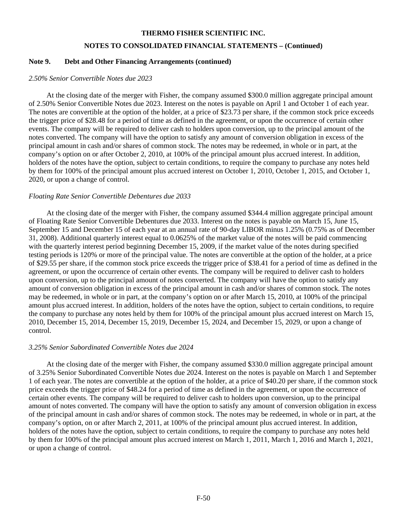# **Note 9. Debt and Other Financing Arrangements (continued)**

### *2.50% Senior Convertible Notes due 2023*

 At the closing date of the merger with Fisher, the company assumed \$300.0 million aggregate principal amount of 2.50% Senior Convertible Notes due 2023. Interest on the notes is payable on April 1 and October 1 of each year. The notes are convertible at the option of the holder, at a price of \$23.73 per share, if the common stock price exceeds the trigger price of \$28.48 for a period of time as defined in the agreement, or upon the occurrence of certain other events. The company will be required to deliver cash to holders upon conversion, up to the principal amount of the notes converted. The company will have the option to satisfy any amount of conversion obligation in excess of the principal amount in cash and/or shares of common stock. The notes may be redeemed, in whole or in part, at the company's option on or after October 2, 2010, at 100% of the principal amount plus accrued interest. In addition, holders of the notes have the option, subject to certain conditions, to require the company to purchase any notes held by them for 100% of the principal amount plus accrued interest on October 1, 2010, October 1, 2015, and October 1, 2020, or upon a change of control.

# *Floating Rate Senior Convertible Debentures due 2033*

 At the closing date of the merger with Fisher, the company assumed \$344.4 million aggregate principal amount of Floating Rate Senior Convertible Debentures due 2033. Interest on the notes is payable on March 15, June 15, September 15 and December 15 of each year at an annual rate of 90-day LIBOR minus 1.25% (0.75% as of December 31, 2008). Additional quarterly interest equal to 0.0625% of the market value of the notes will be paid commencing with the quarterly interest period beginning December 15, 2009, if the market value of the notes during specified testing periods is 120% or more of the principal value. The notes are convertible at the option of the holder, at a price of \$29.55 per share, if the common stock price exceeds the trigger price of \$38.41 for a period of time as defined in the agreement, or upon the occurrence of certain other events. The company will be required to deliver cash to holders upon conversion, up to the principal amount of notes converted. The company will have the option to satisfy any amount of conversion obligation in excess of the principal amount in cash and/or shares of common stock. The notes may be redeemed, in whole or in part, at the company's option on or after March 15, 2010, at 100% of the principal amount plus accrued interest. In addition, holders of the notes have the option, subject to certain conditions, to require the company to purchase any notes held by them for 100% of the principal amount plus accrued interest on March 15, 2010, December 15, 2014, December 15, 2019, December 15, 2024, and December 15, 2029, or upon a change of control.

# *3.25% Senior Subordinated Convertible Notes due 2024*

 At the closing date of the merger with Fisher, the company assumed \$330.0 million aggregate principal amount of 3.25% Senior Subordinated Convertible Notes due 2024. Interest on the notes is payable on March 1 and September 1 of each year. The notes are convertible at the option of the holder, at a price of \$40.20 per share, if the common stock price exceeds the trigger price of \$48.24 for a period of time as defined in the agreement, or upon the occurrence of certain other events. The company will be required to deliver cash to holders upon conversion, up to the principal amount of notes converted. The company will have the option to satisfy any amount of conversion obligation in excess of the principal amount in cash and/or shares of common stock. The notes may be redeemed, in whole or in part, at the company's option, on or after March 2, 2011, at 100% of the principal amount plus accrued interest. In addition, holders of the notes have the option, subject to certain conditions, to require the company to purchase any notes held by them for 100% of the principal amount plus accrued interest on March 1, 2011, March 1, 2016 and March 1, 2021, or upon a change of control.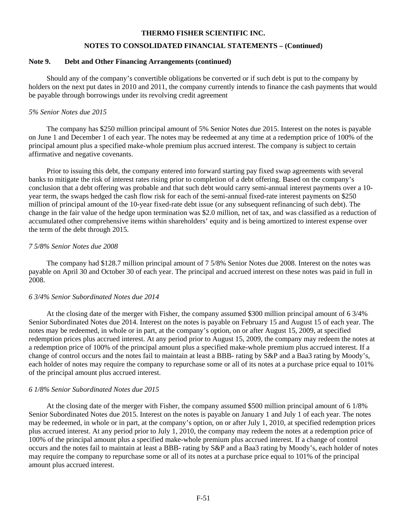#### **NOTES TO CONSOLIDATED FINANCIAL STATEMENTS – (Continued)**

#### **Note 9. Debt and Other Financing Arrangements (continued)**

 Should any of the company's convertible obligations be converted or if such debt is put to the company by holders on the next put dates in 2010 and 2011, the company currently intends to finance the cash payments that would be payable through borrowings under its revolving credit agreement

#### *5% Senior Notes due 2015*

 The company has \$250 million principal amount of 5% Senior Notes due 2015. Interest on the notes is payable on June 1 and December 1 of each year. The notes may be redeemed at any time at a redemption price of 100% of the principal amount plus a specified make-whole premium plus accrued interest. The company is subject to certain affirmative and negative covenants.

 Prior to issuing this debt, the company entered into forward starting pay fixed swap agreements with several banks to mitigate the risk of interest rates rising prior to completion of a debt offering. Based on the company's conclusion that a debt offering was probable and that such debt would carry semi-annual interest payments over a 10 year term, the swaps hedged the cash flow risk for each of the semi-annual fixed-rate interest payments on \$250 million of principal amount of the 10-year fixed-rate debt issue (or any subsequent refinancing of such debt). The change in the fair value of the hedge upon termination was \$2.0 million, net of tax, and was classified as a reduction of accumulated other comprehensive items within shareholders' equity and is being amortized to interest expense over the term of the debt through 2015.

#### *7 5/8% Senior Notes due 2008*

 The company had \$128.7 million principal amount of 7 5/8% Senior Notes due 2008. Interest on the notes was payable on April 30 and October 30 of each year. The principal and accrued interest on these notes was paid in full in 2008.

#### *6 3/4% Senior Subordinated Notes due 2014*

 At the closing date of the merger with Fisher, the company assumed \$300 million principal amount of 6 3/4% Senior Subordinated Notes due 2014. Interest on the notes is payable on February 15 and August 15 of each year. The notes may be redeemed, in whole or in part, at the company's option, on or after August 15, 2009, at specified redemption prices plus accrued interest. At any period prior to August 15, 2009, the company may redeem the notes at a redemption price of 100% of the principal amount plus a specified make-whole premium plus accrued interest. If a change of control occurs and the notes fail to maintain at least a BBB- rating by S&P and a Baa3 rating by Moody's, each holder of notes may require the company to repurchase some or all of its notes at a purchase price equal to 101% of the principal amount plus accrued interest.

#### *6 1/8% Senior Subordinated Notes due 2015*

 At the closing date of the merger with Fisher, the company assumed \$500 million principal amount of 6 1/8% Senior Subordinated Notes due 2015. Interest on the notes is payable on January 1 and July 1 of each year. The notes may be redeemed, in whole or in part, at the company's option, on or after July 1, 2010, at specified redemption prices plus accrued interest. At any period prior to July 1, 2010, the company may redeem the notes at a redemption price of 100% of the principal amount plus a specified make-whole premium plus accrued interest. If a change of control occurs and the notes fail to maintain at least a BBB- rating by S&P and a Baa3 rating by Moody's, each holder of notes may require the company to repurchase some or all of its notes at a purchase price equal to 101% of the principal amount plus accrued interest.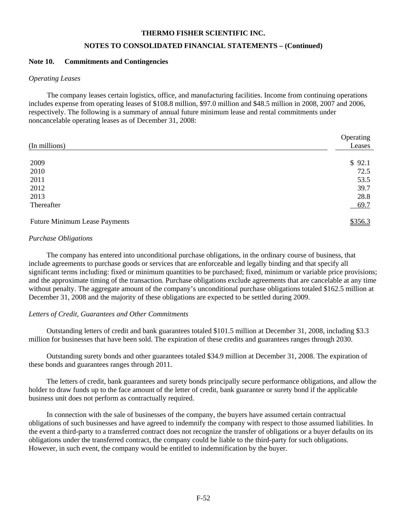# **Note 10. Commitments and Contingencies**

# *Operating Leases*

 The company leases certain logistics, office, and manufacturing facilities. Income from continuing operations includes expense from operating leases of \$108.8 million, \$97.0 million and \$48.5 million in 2008, 2007 and 2006, respectively. The following is a summary of annual future minimum lease and rental commitments under noncancelable operating leases as of December 31, 2008:

|                                      | Operating |
|--------------------------------------|-----------|
| (In millions)                        | Leases    |
| 2009                                 | \$92.1    |
| 2010                                 | 72.5      |
| 2011                                 | 53.5      |
| 2012                                 | 39.7      |
| 2013                                 | 28.8      |
| Thereafter                           | 69.7      |
| <b>Future Minimum Lease Payments</b> | \$356.3   |

# *Purchase Obligations*

 The company has entered into unconditional purchase obligations, in the ordinary course of business, that include agreements to purchase goods or services that are enforceable and legally binding and that specify all significant terms including: fixed or minimum quantities to be purchased; fixed, minimum or variable price provisions; and the approximate timing of the transaction. Purchase obligations exclude agreements that are cancelable at any time without penalty. The aggregate amount of the company's unconditional purchase obligations totaled \$162.5 million at December 31, 2008 and the majority of these obligations are expected to be settled during 2009.

# *Letters of Credit, Guarantees and Other Commitments*

 Outstanding letters of credit and bank guarantees totaled \$101.5 million at December 31, 2008, including \$3.3 million for businesses that have been sold. The expiration of these credits and guarantees ranges through 2030.

 Outstanding surety bonds and other guarantees totaled \$34.9 million at December 31, 2008. The expiration of these bonds and guarantees ranges through 2011.

 The letters of credit, bank guarantees and surety bonds principally secure performance obligations, and allow the holder to draw funds up to the face amount of the letter of credit, bank guarantee or surety bond if the applicable business unit does not perform as contractually required.

 In connection with the sale of businesses of the company, the buyers have assumed certain contractual obligations of such businesses and have agreed to indemnify the company with respect to those assumed liabilities. In the event a third-party to a transferred contract does not recognize the transfer of obligations or a buyer defaults on its obligations under the transferred contract, the company could be liable to the third-party for such obligations. However, in such event, the company would be entitled to indemnification by the buyer.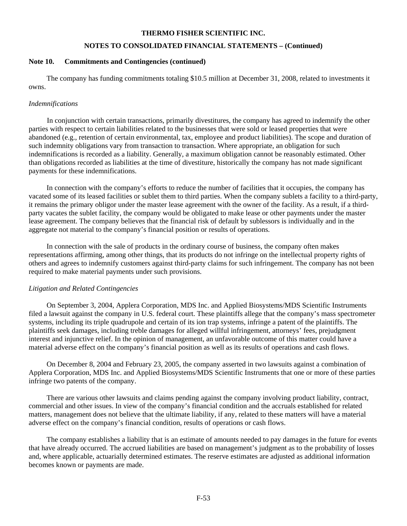# **NOTES TO CONSOLIDATED FINANCIAL STATEMENTS – (Continued)**

# **Note 10. Commitments and Contingencies (continued)**

 The company has funding commitments totaling \$10.5 million at December 31, 2008, related to investments it owns.

# *Indemnifications*

 In conjunction with certain transactions, primarily divestitures, the company has agreed to indemnify the other parties with respect to certain liabilities related to the businesses that were sold or leased properties that were abandoned (e.g., retention of certain environmental, tax, employee and product liabilities). The scope and duration of such indemnity obligations vary from transaction to transaction. Where appropriate, an obligation for such indemnifications is recorded as a liability. Generally, a maximum obligation cannot be reasonably estimated. Other than obligations recorded as liabilities at the time of divestiture, historically the company has not made significant payments for these indemnifications.

 In connection with the company's efforts to reduce the number of facilities that it occupies, the company has vacated some of its leased facilities or sublet them to third parties. When the company sublets a facility to a third-party, it remains the primary obligor under the master lease agreement with the owner of the facility. As a result, if a thirdparty vacates the sublet facility, the company would be obligated to make lease or other payments under the master lease agreement. The company believes that the financial risk of default by sublessors is individually and in the aggregate not material to the company's financial position or results of operations.

 In connection with the sale of products in the ordinary course of business, the company often makes representations affirming, among other things, that its products do not infringe on the intellectual property rights of others and agrees to indemnify customers against third-party claims for such infringement. The company has not been required to make material payments under such provisions.

# *Litigation and Related Contingencies*

 On September 3, 2004, Applera Corporation, MDS Inc. and Applied Biosystems/MDS Scientific Instruments filed a lawsuit against the company in U.S. federal court. These plaintiffs allege that the company's mass spectrometer systems, including its triple quadrupole and certain of its ion trap systems, infringe a patent of the plaintiffs. The plaintiffs seek damages, including treble damages for alleged willful infringement, attorneys' fees, prejudgment interest and injunctive relief. In the opinion of management, an unfavorable outcome of this matter could have a material adverse effect on the company's financial position as well as its results of operations and cash flows.

 On December 8, 2004 and February 23, 2005, the company asserted in two lawsuits against a combination of Applera Corporation, MDS Inc. and Applied Biosystems/MDS Scientific Instruments that one or more of these parties infringe two patents of the company.

 There are various other lawsuits and claims pending against the company involving product liability, contract, commercial and other issues. In view of the company's financial condition and the accruals established for related matters, management does not believe that the ultimate liability, if any, related to these matters will have a material adverse effect on the company's financial condition, results of operations or cash flows.

 The company establishes a liability that is an estimate of amounts needed to pay damages in the future for events that have already occurred. The accrued liabilities are based on management's judgment as to the probability of losses and, where applicable, actuarially determined estimates. The reserve estimates are adjusted as additional information becomes known or payments are made.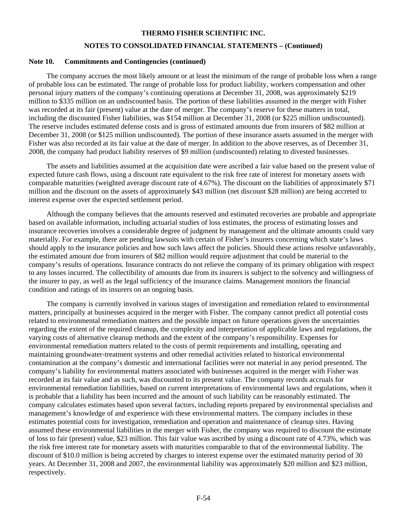#### **Note 10. Commitments and Contingencies (continued)**

 The company accrues the most likely amount or at least the minimum of the range of probable loss when a range of probable loss can be estimated. The range of probable loss for product liability, workers compensation and other personal injury matters of the company's continuing operations at December 31, 2008, was approximately \$219 million to \$335 million on an undiscounted basis. The portion of these liabilities assumed in the merger with Fisher was recorded at its fair (present) value at the date of merger. The company's reserve for these matters in total, including the discounted Fisher liabilities, was \$154 million at December 31, 2008 (or \$225 million undiscounted). The reserve includes estimated defense costs and is gross of estimated amounts due from insurers of \$82 million at December 31, 2008 (or \$125 million undiscounted). The portion of these insurance assets assumed in the merger with Fisher was also recorded at its fair value at the date of merger. In addition to the above reserves, as of December 31, 2008, the company had product liability reserves of \$9 million (undiscounted) relating to divested businesses.

 The assets and liabilities assumed at the acquisition date were ascribed a fair value based on the present value of expected future cash flows, using a discount rate equivalent to the risk free rate of interest for monetary assets with comparable maturities (weighted average discount rate of 4.67%). The discount on the liabilities of approximately \$71 million and the discount on the assets of approximately \$43 million (net discount \$28 million) are being accreted to interest expense over the expected settlement period.

 Although the company believes that the amounts reserved and estimated recoveries are probable and appropriate based on available information, including actuarial studies of loss estimates, the process of estimating losses and insurance recoveries involves a considerable degree of judgment by management and the ultimate amounts could vary materially. For example, there are pending lawsuits with certain of Fisher's insurers concerning which state's laws should apply to the insurance policies and how such laws affect the policies. Should these actions resolve unfavorably, the estimated amount due from insurers of \$82 million would require adjustment that could be material to the company's results of operations. Insurance contracts do not relieve the company of its primary obligation with respect to any losses incurred. The collectibility of amounts due from its insurers is subject to the solvency and willingness of the insurer to pay, as well as the legal sufficiency of the insurance claims. Management monitors the financial condition and ratings of its insurers on an ongoing basis.

 The company is currently involved in various stages of investigation and remediation related to environmental matters, principally at businesses acquired in the merger with Fisher. The company cannot predict all potential costs related to environmental remediation matters and the possible impact on future operations given the uncertainties regarding the extent of the required cleanup, the complexity and interpretation of applicable laws and regulations, the varying costs of alternative cleanup methods and the extent of the company's responsibility. Expenses for environmental remediation matters related to the costs of permit requirements and installing, operating and maintaining groundwater-treatment systems and other remedial activities related to historical environmental contamination at the company's domestic and international facilities were not material in any period presented. The company's liability for environmental matters associated with businesses acquired in the merger with Fisher was recorded at its fair value and as such, was discounted to its present value. The company records accruals for environmental remediation liabilities, based on current interpretations of environmental laws and regulations, when it is probable that a liability has been incurred and the amount of such liability can be reasonably estimated. The company calculates estimates based upon several factors, including reports prepared by environmental specialists and management's knowledge of and experience with these environmental matters. The company includes in these estimates potential costs for investigation, remediation and operation and maintenance of cleanup sites. Having assumed these environmental liabilities in the merger with Fisher, the company was required to discount the estimate of loss to fair (present) value, \$23 million. This fair value was ascribed by using a discount rate of 4.73%, which was the risk free interest rate for monetary assets with maturities comparable to that of the environmental liability. The discount of \$10.0 million is being accreted by charges to interest expense over the estimated maturity period of 30 years. At December 31, 2008 and 2007, the environmental liability was approximately \$20 million and \$23 million, respectively.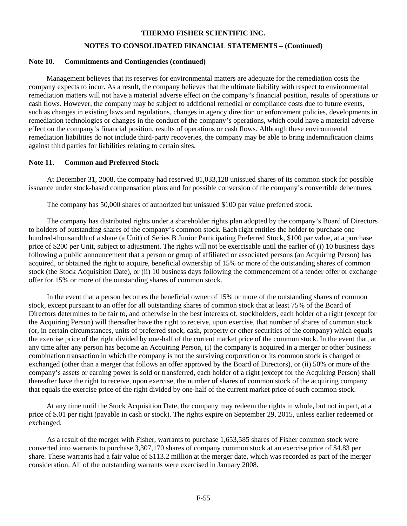#### **Note 10. Commitments and Contingencies (continued)**

 Management believes that its reserves for environmental matters are adequate for the remediation costs the company expects to incur. As a result, the company believes that the ultimate liability with respect to environmental remediation matters will not have a material adverse effect on the company's financial position, results of operations or cash flows. However, the company may be subject to additional remedial or compliance costs due to future events, such as changes in existing laws and regulations, changes in agency direction or enforcement policies, developments in remediation technologies or changes in the conduct of the company's operations, which could have a material adverse effect on the company's financial position, results of operations or cash flows. Although these environmental remediation liabilities do not include third-party recoveries, the company may be able to bring indemnification claims against third parties for liabilities relating to certain sites.

#### **Note 11. Common and Preferred Stock**

 At December 31, 2008, the company had reserved 81,033,128 unissued shares of its common stock for possible issuance under stock-based compensation plans and for possible conversion of the company's convertible debentures.

The company has 50,000 shares of authorized but unissued \$100 par value preferred stock.

 The company has distributed rights under a shareholder rights plan adopted by the company's Board of Directors to holders of outstanding shares of the company's common stock. Each right entitles the holder to purchase one hundred-thousandth of a share (a Unit) of Series B Junior Participating Preferred Stock, \$100 par value, at a purchase price of \$200 per Unit, subject to adjustment. The rights will not be exercisable until the earlier of (i) 10 business days following a public announcement that a person or group of affiliated or associated persons (an Acquiring Person) has acquired, or obtained the right to acquire, beneficial ownership of 15% or more of the outstanding shares of common stock (the Stock Acquisition Date), or (ii) 10 business days following the commencement of a tender offer or exchange offer for 15% or more of the outstanding shares of common stock.

 In the event that a person becomes the beneficial owner of 15% or more of the outstanding shares of common stock, except pursuant to an offer for all outstanding shares of common stock that at least 75% of the Board of Directors determines to be fair to, and otherwise in the best interests of, stockholders, each holder of a right (except for the Acquiring Person) will thereafter have the right to receive, upon exercise, that number of shares of common stock (or, in certain circumstances, units of preferred stock, cash, property or other securities of the company) which equals the exercise price of the right divided by one-half of the current market price of the common stock. In the event that, at any time after any person has become an Acquiring Person, (i) the company is acquired in a merger or other business combination transaction in which the company is not the surviving corporation or its common stock is changed or exchanged (other than a merger that follows an offer approved by the Board of Directors), or (ii) 50% or more of the company's assets or earning power is sold or transferred, each holder of a right (except for the Acquiring Person) shall thereafter have the right to receive, upon exercise, the number of shares of common stock of the acquiring company that equals the exercise price of the right divided by one-half of the current market price of such common stock.

 At any time until the Stock Acquisition Date, the company may redeem the rights in whole, but not in part, at a price of \$.01 per right (payable in cash or stock). The rights expire on September 29, 2015, unless earlier redeemed or exchanged.

 As a result of the merger with Fisher, warrants to purchase 1,653,585 shares of Fisher common stock were converted into warrants to purchase 3,307,170 shares of company common stock at an exercise price of \$4.83 per share. These warrants had a fair value of \$113.2 million at the merger date, which was recorded as part of the merger consideration. All of the outstanding warrants were exercised in January 2008.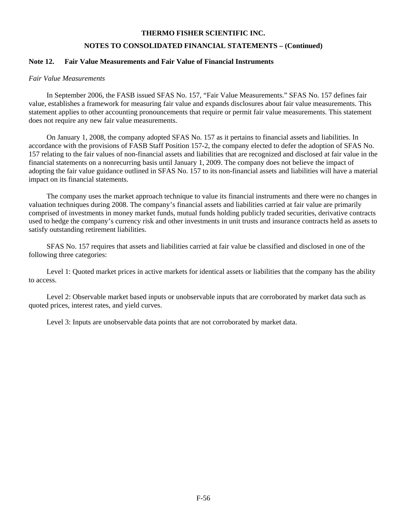# **NOTES TO CONSOLIDATED FINANCIAL STATEMENTS – (Continued)**

### **Note 12. Fair Value Measurements and Fair Value of Financial Instruments**

#### *Fair Value Measurements*

 In September 2006, the FASB issued SFAS No. 157, "Fair Value Measurements." SFAS No. 157 defines fair value, establishes a framework for measuring fair value and expands disclosures about fair value measurements. This statement applies to other accounting pronouncements that require or permit fair value measurements. This statement does not require any new fair value measurements.

 On January 1, 2008, the company adopted SFAS No. 157 as it pertains to financial assets and liabilities. In accordance with the provisions of FASB Staff Position 157-2, the company elected to defer the adoption of SFAS No. 157 relating to the fair values of non-financial assets and liabilities that are recognized and disclosed at fair value in the financial statements on a nonrecurring basis until January 1, 2009. The company does not believe the impact of adopting the fair value guidance outlined in SFAS No. 157 to its non-financial assets and liabilities will have a material impact on its financial statements.

 The company uses the market approach technique to value its financial instruments and there were no changes in valuation techniques during 2008. The company's financial assets and liabilities carried at fair value are primarily comprised of investments in money market funds, mutual funds holding publicly traded securities, derivative contracts used to hedge the company's currency risk and other investments in unit trusts and insurance contracts held as assets to satisfy outstanding retirement liabilities.

 SFAS No. 157 requires that assets and liabilities carried at fair value be classified and disclosed in one of the following three categories:

 Level 1: Quoted market prices in active markets for identical assets or liabilities that the company has the ability to access.

 Level 2: Observable market based inputs or unobservable inputs that are corroborated by market data such as quoted prices, interest rates, and yield curves.

Level 3: Inputs are unobservable data points that are not corroborated by market data.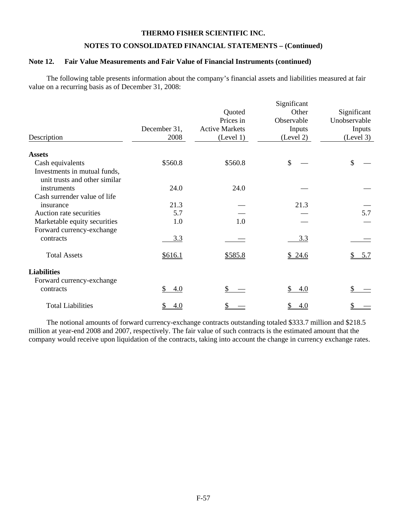# **NOTES TO CONSOLIDATED FINANCIAL STATEMENTS – (Continued)**

#### **Note 12. Fair Value Measurements and Fair Value of Financial Instruments (continued)**

 The following table presents information about the company's financial assets and liabilities measured at fair value on a recurring basis as of December 31, 2008:

| Description                                                                       | December 31,<br>2008 | Quoted<br>Prices in<br><b>Active Markets</b><br>(Level 1) | Significant<br>Other<br>Observable<br>Inputs<br>(Level 2) | Significant<br>Unobservable<br>Inputs<br>(Level 3) |
|-----------------------------------------------------------------------------------|----------------------|-----------------------------------------------------------|-----------------------------------------------------------|----------------------------------------------------|
| <b>Assets</b>                                                                     |                      |                                                           |                                                           |                                                    |
| Cash equivalents<br>Investments in mutual funds,<br>unit trusts and other similar | \$560.8              | \$560.8                                                   | \$                                                        | \$                                                 |
| instruments                                                                       | 24.0                 | 24.0                                                      |                                                           |                                                    |
| Cash surrender value of life                                                      |                      |                                                           |                                                           |                                                    |
| insurance                                                                         | 21.3                 |                                                           | 21.3                                                      |                                                    |
| Auction rate securities                                                           | 5.7                  |                                                           |                                                           | 5.7                                                |
| Marketable equity securities                                                      | 1.0                  | 1.0                                                       |                                                           |                                                    |
| Forward currency-exchange                                                         |                      |                                                           |                                                           |                                                    |
| contracts                                                                         | <u>3.3</u>           |                                                           | 3.3                                                       |                                                    |
| <b>Total Assets</b>                                                               | \$616.1              | \$585.8                                                   | \$24.6                                                    | 5.7                                                |
| <b>Liabilities</b>                                                                |                      |                                                           |                                                           |                                                    |
| Forward currency-exchange                                                         |                      |                                                           |                                                           |                                                    |
| contracts                                                                         | \$<br>4.0            |                                                           | \$<br>4.0                                                 |                                                    |
| <b>Total Liabilities</b>                                                          | <u>4.0</u>           |                                                           | <u>4.0</u>                                                |                                                    |

The notional amounts of forward currency-exchange contracts outstanding totaled \$333.7 million and \$218.5 million at year-end 2008 and 2007, respectively. The fair value of such contracts is the estimated amount that the company would receive upon liquidation of the contracts, taking into account the change in currency exchange rates.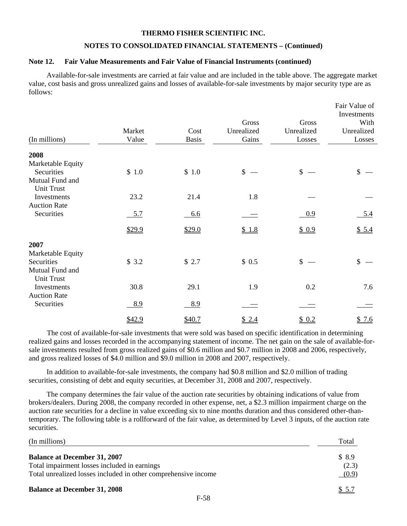#### **NOTES TO CONSOLIDATED FINANCIAL STATEMENTS – (Continued)**

#### **Note 12. Fair Value Measurements and Fair Value of Financial Instruments (continued)**

Available-for-sale investments are carried at fair value and are included in the table above. The aggregate market value, cost basis and gross unrealized gains and losses of available-for-sale investments by major security type are as follows:

| (In millions)                        | Market<br>Value | Cost<br><b>Basis</b> | Gross<br>Unrealized<br>Gains | Gross<br>Unrealized<br>Losses | Fair Value of<br>Investments<br>With<br>Unrealized<br>Losses |
|--------------------------------------|-----------------|----------------------|------------------------------|-------------------------------|--------------------------------------------------------------|
| 2008                                 |                 |                      |                              |                               |                                                              |
| Marketable Equity                    |                 |                      |                              |                               |                                                              |
| Securities                           | \$1.0           | \$1.0                | \$                           | \$                            | \$                                                           |
| Mutual Fund and                      |                 |                      |                              |                               |                                                              |
| <b>Unit Trust</b>                    |                 |                      |                              |                               |                                                              |
| Investments                          | 23.2            | 21.4                 | 1.8                          |                               |                                                              |
| <b>Auction Rate</b><br>Securities    |                 | <u>6.6</u>           |                              | 0.9                           | 5.4                                                          |
|                                      | <u>5.7</u>      |                      |                              |                               |                                                              |
|                                      | \$29.9          | \$29.0               | \$1.8                        | \$0.9                         | \$5.4                                                        |
| 2007                                 |                 |                      |                              |                               |                                                              |
| Marketable Equity                    |                 |                      |                              |                               |                                                              |
| Securities                           | \$3.2           | \$2.7                | \$0.5                        | \$                            | \$                                                           |
| Mutual Fund and<br><b>Unit Trust</b> |                 |                      |                              |                               |                                                              |
| Investments                          | 30.8            | 29.1                 | 1.9                          | 0.2                           | 7.6                                                          |
| <b>Auction Rate</b>                  |                 |                      |                              |                               |                                                              |
| Securities                           | 8.9             | 8.9                  |                              |                               |                                                              |
|                                      | \$42.9          | \$40.7               | \$2.4                        | \$0.2                         | \$7.6                                                        |

 The cost of available-for-sale investments that were sold was based on specific identification in determining realized gains and losses recorded in the accompanying statement of income. The net gain on the sale of available-forsale investments resulted from gross realized gains of \$0.6 million and \$0.7 million in 2008 and 2006, respectively, and gross realized losses of \$4.0 million and \$9.0 million in 2008 and 2007, respectively.

 In addition to available-for-sale investments, the company had \$0.8 million and \$2.0 million of trading securities, consisting of debt and equity securities, at December 31, 2008 and 2007, respectively.

The company determines the fair value of the auction rate securities by obtaining indications of value from brokers/dealers. During 2008, the company recorded in other expense, net, a \$2.3 million impairment charge on the auction rate securities for a decline in value exceeding six to nine months duration and thus considered other-thantemporary. The following table is a rollforward of the fair value, as determined by Level 3 inputs, of the auction rate securities.

| (In millions)                                                  | Total  |
|----------------------------------------------------------------|--------|
| <b>Balance at December 31, 2007</b>                            | \$ 8.9 |
| Total impairment losses included in earnings                   | (2.3)  |
| Total unrealized losses included in other comprehensive income | (0.9)  |
| <b>Balance at December 31, 2008</b>                            | \$5.7  |
|                                                                |        |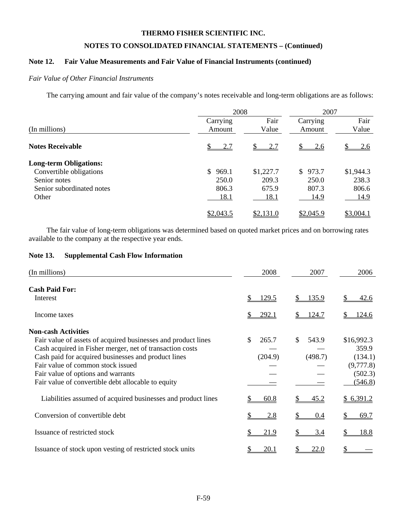# **NOTES TO CONSOLIDATED FINANCIAL STATEMENTS – (Continued)**

# **Note 12. Fair Value Measurements and Fair Value of Financial Instruments (continued)**

#### *Fair Value of Other Financial Instruments*

The carrying amount and fair value of the company's notes receivable and long-term obligations are as follows:

|                               |             | 2008      |             |           |
|-------------------------------|-------------|-----------|-------------|-----------|
|                               | Carrying    | Fair      | Carrying    | Fair      |
| (In millions)                 | Amount      | Value     | Amount      | Value     |
| <b>Notes Receivable</b>       | 2.7         | 2.7       | 2.6         | 2.6       |
| <b>Long-term Obligations:</b> |             |           |             |           |
| Convertible obligations       | \$<br>969.1 | \$1,227.7 | 973.7<br>\$ | \$1,944.3 |
| Senior notes                  | 250.0       | 209.3     | 250.0       | 238.3     |
| Senior subordinated notes     | 806.3       | 675.9     | 807.3       | 806.6     |
| Other                         | 18.1        | 18.1      | 14.9        | 14.9      |
|                               | \$2,043.5   | \$2,131.0 | \$2,045.9   | \$3,004.1 |

 The fair value of long-term obligations was determined based on quoted market prices and on borrowing rates available to the company at the respective year ends.

# **Note 13. Supplemental Cash Flow Information**

| (In millions)                                                 | 2008          | 2007         | 2006        |
|---------------------------------------------------------------|---------------|--------------|-------------|
| <b>Cash Paid For:</b>                                         |               |              |             |
| Interest                                                      | <u> 129.5</u> | <u>135.9</u> | <u>42.6</u> |
| Income taxes                                                  | 292.1         | 124.7        | 124.6       |
| <b>Non-cash Activities</b>                                    |               |              |             |
| Fair value of assets of acquired businesses and product lines | \$<br>265.7   | 543.9<br>\$. | \$16,992.3  |
| Cash acquired in Fisher merger, net of transaction costs      |               |              | 359.9       |
| Cash paid for acquired businesses and product lines           | (204.9)       | (498.7)      | (134.1)     |
| Fair value of common stock issued                             |               |              | (9,777.8)   |
| Fair value of options and warrants                            |               |              | (502.3)     |
| Fair value of convertible debt allocable to equity            |               |              | (546.8)     |
| Liabilities assumed of acquired businesses and product lines  | 60.8          | <u>45.2</u>  | \$6,391.2   |
| Conversion of convertible debt                                | <u>2.8</u>    | 0.4          | S<br>69.7   |
| Issuance of restricted stock                                  | 21.9          | 3.4          | 18.8        |
| Issuance of stock upon vesting of restricted stock units      | 20.1          | 22.0         |             |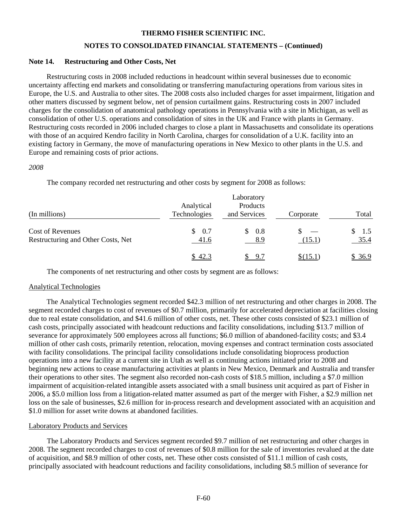# **Note 14. Restructuring and Other Costs, Net**

 Restructuring costs in 2008 included reductions in headcount within several businesses due to economic uncertainty affecting end markets and consolidating or transferring manufacturing operations from various sites in Europe, the U.S. and Australia to other sites. The 2008 costs also included charges for asset impairment, litigation and other matters discussed by segment below, net of pension curtailment gains. Restructuring costs in 2007 included charges for the consolidation of anatomical pathology operations in Pennsylvania with a site in Michigan, as well as consolidation of other U.S. operations and consolidation of sites in the UK and France with plants in Germany. Restructuring costs recorded in 2006 included charges to close a plant in Massachusetts and consolidate its operations with those of an acquired Kendro facility in North Carolina, charges for consolidation of a U.K. facility into an existing factory in Germany, the move of manufacturing operations in New Mexico to other plants in the U.S. and Europe and remaining costs of prior actions.

# *2008*

The company recorded net restructuring and other costs by segment for 2008 as follows:

| (In millions)                      | Analytical<br>Technologies | Laboratory<br>Products<br>and Services | Corporate | Total  |
|------------------------------------|----------------------------|----------------------------------------|-----------|--------|
| <b>Cost of Revenues</b>            | 0.7<br>S.                  | 0.8<br>S.                              |           | 1.5    |
| Restructuring and Other Costs, Net | <u>41.6</u>                | 8.9                                    | (15.1)    | 35.4   |
|                                    | \$42.3                     | 9.7                                    | \$(15.1)  | \$36.9 |

The components of net restructuring and other costs by segment are as follows:

# Analytical Technologies

 The Analytical Technologies segment recorded \$42.3 million of net restructuring and other charges in 2008. The segment recorded charges to cost of revenues of \$0.7 million, primarily for accelerated depreciation at facilities closing due to real estate consolidation, and \$41.6 million of other costs, net. These other costs consisted of \$23.1 million of cash costs, principally associated with headcount reductions and facility consolidations, including \$13.7 million of severance for approximately 500 employees across all functions; \$6.0 million of abandoned-facility costs; and \$3.4 million of other cash costs, primarily retention, relocation, moving expenses and contract termination costs associated with facility consolidations. The principal facility consolidations include consolidating bioprocess production operations into a new facility at a current site in Utah as well as continuing actions initiated prior to 2008 and beginning new actions to cease manufacturing activities at plants in New Mexico, Denmark and Australia and transfer their operations to other sites. The segment also recorded non-cash costs of \$18.5 million, including a \$7.0 million impairment of acquisition-related intangible assets associated with a small business unit acquired as part of Fisher in 2006, a \$5.0 million loss from a litigation-related matter assumed as part of the merger with Fisher, a \$2.9 million net loss on the sale of businesses, \$2.6 million for in-process research and development associated with an acquisition and \$1.0 million for asset write downs at abandoned facilities.

# Laboratory Products and Services

 The Laboratory Products and Services segment recorded \$9.7 million of net restructuring and other charges in 2008. The segment recorded charges to cost of revenues of \$0.8 million for the sale of inventories revalued at the date of acquisition, and \$8.9 million of other costs, net. These other costs consisted of \$11.1 million of cash costs, principally associated with headcount reductions and facility consolidations, including \$8.5 million of severance for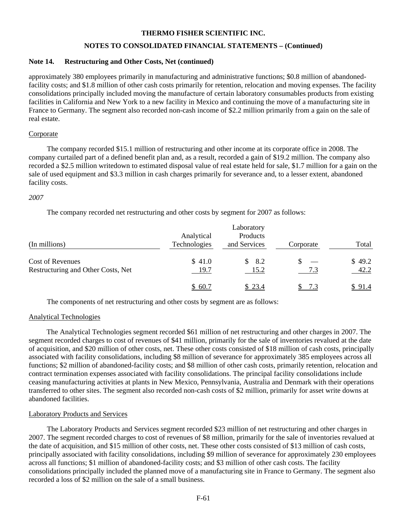# **NOTES TO CONSOLIDATED FINANCIAL STATEMENTS – (Continued)**

#### **Note 14. Restructuring and Other Costs, Net (continued)**

approximately 380 employees primarily in manufacturing and administrative functions; \$0.8 million of abandonedfacility costs; and \$1.8 million of other cash costs primarily for retention, relocation and moving expenses. The facility consolidations principally included moving the manufacture of certain laboratory consumables products from existing facilities in California and New York to a new facility in Mexico and continuing the move of a manufacturing site in France to Germany. The segment also recorded non-cash income of \$2.2 million primarily from a gain on the sale of real estate.

#### **Corporate**

 The company recorded \$15.1 million of restructuring and other income at its corporate office in 2008. The company curtailed part of a defined benefit plan and, as a result, recorded a gain of \$19.2 million. The company also recorded a \$2.5 million writedown to estimated disposal value of real estate held for sale, \$1.7 million for a gain on the sale of used equipment and \$3.3 million in cash charges primarily for severance and, to a lesser extent, abandoned facility costs.

#### *2007*

The company recorded net restructuring and other costs by segment for 2007 as follows:

| (In millions)                                                 | Analytical<br>Technologies | Laboratory<br>Products<br>and Services | Corporate | Total          |
|---------------------------------------------------------------|----------------------------|----------------------------------------|-----------|----------------|
| <b>Cost of Revenues</b><br>Restructuring and Other Costs, Net | \$41.0<br>19.7             | 8.2<br><sup>\$</sup><br>15.2           | 7.3       | \$49.2<br>42.2 |
|                                                               | \$60.7                     | \$23.4                                 | \$ 7.3    | \$91.4         |

The components of net restructuring and other costs by segment are as follows:

# Analytical Technologies

 The Analytical Technologies segment recorded \$61 million of net restructuring and other charges in 2007. The segment recorded charges to cost of revenues of \$41 million, primarily for the sale of inventories revalued at the date of acquisition, and \$20 million of other costs, net. These other costs consisted of \$18 million of cash costs, principally associated with facility consolidations, including \$8 million of severance for approximately 385 employees across all functions; \$2 million of abandoned-facility costs; and \$8 million of other cash costs, primarily retention, relocation and contract termination expenses associated with facility consolidations. The principal facility consolidations include ceasing manufacturing activities at plants in New Mexico, Pennsylvania, Australia and Denmark with their operations transferred to other sites. The segment also recorded non-cash costs of \$2 million, primarily for asset write downs at abandoned facilities.

#### Laboratory Products and Services

 The Laboratory Products and Services segment recorded \$23 million of net restructuring and other charges in 2007. The segment recorded charges to cost of revenues of \$8 million, primarily for the sale of inventories revalued at the date of acquisition, and \$15 million of other costs, net. These other costs consisted of \$13 million of cash costs, principally associated with facility consolidations, including \$9 million of severance for approximately 230 employees across all functions; \$1 million of abandoned-facility costs; and \$3 million of other cash costs. The facility consolidations principally included the planned move of a manufacturing site in France to Germany. The segment also recorded a loss of \$2 million on the sale of a small business.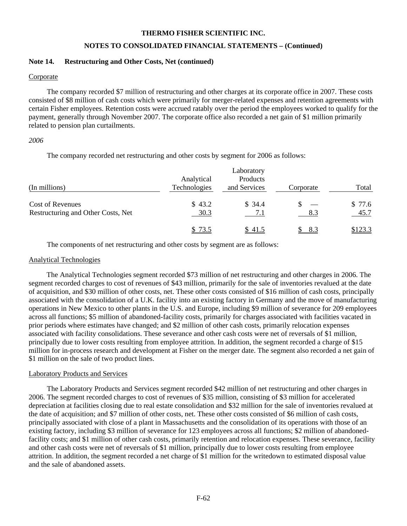### **NOTES TO CONSOLIDATED FINANCIAL STATEMENTS – (Continued)**

#### **Note 14. Restructuring and Other Costs, Net (continued)**

#### **Corporate**

 The company recorded \$7 million of restructuring and other charges at its corporate office in 2007. These costs consisted of \$8 million of cash costs which were primarily for merger-related expenses and retention agreements with certain Fisher employees. Retention costs were accrued ratably over the period the employees worked to qualify for the payment, generally through November 2007. The corporate office also recorded a net gain of \$1 million primarily related to pension plan curtailments.

# *2006*

The company recorded net restructuring and other costs by segment for 2006 as follows:

| (In millions)                                                 | Analytical<br>Technologies | Laboratory<br>Products<br>and Services | Corporate | Total          |
|---------------------------------------------------------------|----------------------------|----------------------------------------|-----------|----------------|
| <b>Cost of Revenues</b><br>Restructuring and Other Costs, Net | \$43.2<br>30.3             | \$34.4<br>7.1                          | 8.3       | \$77.6<br>45.7 |
|                                                               | <u>\$73.5</u>              | <u>\$41.5</u>                          | 8.3       | \$123.3        |

The components of net restructuring and other costs by segment are as follows:

### Analytical Technologies

 The Analytical Technologies segment recorded \$73 million of net restructuring and other charges in 2006. The segment recorded charges to cost of revenues of \$43 million, primarily for the sale of inventories revalued at the date of acquisition, and \$30 million of other costs, net. These other costs consisted of \$16 million of cash costs, principally associated with the consolidation of a U.K. facility into an existing factory in Germany and the move of manufacturing operations in New Mexico to other plants in the U.S. and Europe, including \$9 million of severance for 209 employees across all functions; \$5 million of abandoned-facility costs, primarily for charges associated with facilities vacated in prior periods where estimates have changed; and \$2 million of other cash costs, primarily relocation expenses associated with facility consolidations. These severance and other cash costs were net of reversals of \$1 million, principally due to lower costs resulting from employee attrition. In addition, the segment recorded a charge of \$15 million for in-process research and development at Fisher on the merger date. The segment also recorded a net gain of \$1 million on the sale of two product lines.

#### Laboratory Products and Services

 The Laboratory Products and Services segment recorded \$42 million of net restructuring and other charges in 2006. The segment recorded charges to cost of revenues of \$35 million, consisting of \$3 million for accelerated depreciation at facilities closing due to real estate consolidation and \$32 million for the sale of inventories revalued at the date of acquisition; and \$7 million of other costs, net. These other costs consisted of \$6 million of cash costs, principally associated with close of a plant in Massachusetts and the consolidation of its operations with those of an existing factory, including \$3 million of severance for 123 employees across all functions; \$2 million of abandonedfacility costs; and \$1 million of other cash costs, primarily retention and relocation expenses. These severance, facility and other cash costs were net of reversals of \$1 million, principally due to lower costs resulting from employee attrition. In addition, the segment recorded a net charge of \$1 million for the writedown to estimated disposal value and the sale of abandoned assets.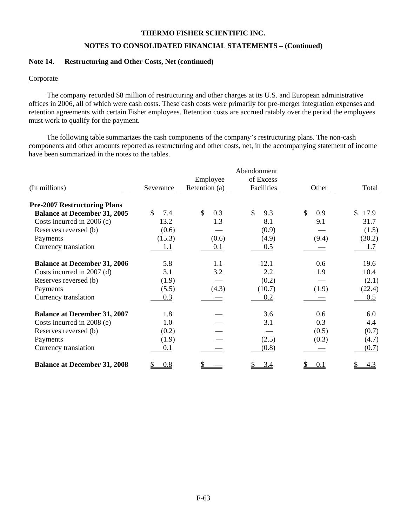# **NOTES TO CONSOLIDATED FINANCIAL STATEMENTS – (Continued)**

#### **Note 14. Restructuring and Other Costs, Net (continued)**

#### Corporate

 The company recorded \$8 million of restructuring and other charges at its U.S. and European administrative offices in 2006, all of which were cash costs. These cash costs were primarily for pre-merger integration expenses and retention agreements with certain Fisher employees. Retention costs are accrued ratably over the period the employees must work to qualify for the payment.

 The following table summarizes the cash components of the company's restructuring plans. The non-cash components and other amounts reported as restructuring and other costs, net, in the accompanying statement of income have been summarized in the notes to the tables.

|                                     |           |               | Abandonment |           |            |
|-------------------------------------|-----------|---------------|-------------|-----------|------------|
|                                     |           | Employee      | of Excess   |           |            |
| (In millions)                       | Severance | Retention (a) | Facilities  | Other     | Total      |
| <b>Pre-2007 Restructuring Plans</b> |           |               |             |           |            |
| <b>Balance at December 31, 2005</b> | \$<br>7.4 | \$<br>0.3     | \$<br>9.3   | \$<br>0.9 | \$<br>17.9 |
| Costs incurred in $2006(c)$         | 13.2      | 1.3           | 8.1         | 9.1       | 31.7       |
| Reserves reversed (b)               | (0.6)     |               | (0.9)       |           | (1.5)      |
| Payments                            | (15.3)    | (0.6)         | (4.9)       | (9.4)     | (30.2)     |
| Currency translation                | 1.1       | 0.1           | 0.5         |           | 1.7        |
| <b>Balance at December 31, 2006</b> | 5.8       | 1.1           | 12.1        | 0.6       | 19.6       |
| Costs incurred in 2007 (d)          | 3.1       | 3.2           | 2.2         | 1.9       | 10.4       |
| Reserves reversed (b)               | (1.9)     |               | (0.2)       |           | (2.1)      |
| Payments                            | (5.5)     | (4.3)         | (10.7)      | (1.9)     | (22.4)     |
| Currency translation                | 0.3       |               | 0.2         |           | 0.5        |
| <b>Balance at December 31, 2007</b> | 1.8       |               | 3.6         | 0.6       | 6.0        |
| Costs incurred in 2008 (e)          | 1.0       |               | 3.1         | 0.3       | 4.4        |
| Reserves reversed (b)               | (0.2)     |               |             | (0.5)     | (0.7)      |
| Payments                            | (1.9)     |               | (2.5)       | (0.3)     | (4.7)      |
| Currency translation                | 0.1       |               | (0.8)       |           | (0.7)      |
| <b>Balance at December 31, 2008</b> | 0.8       |               | 3.4         | 0.1       | <u>4.3</u> |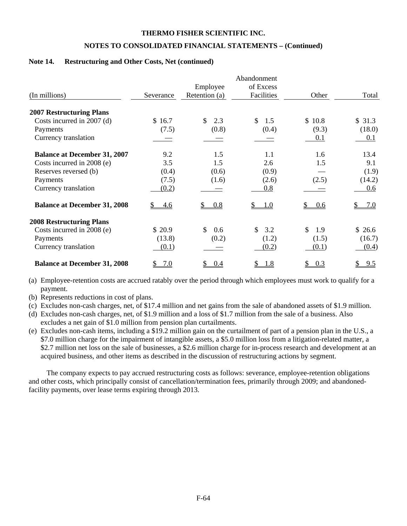# **NOTES TO CONSOLIDATED FINANCIAL STATEMENTS – (Continued)**

#### **Note 14. Restructuring and Other Costs, Net (continued)**

|                                     |           |                     | Abandonment         |           |        |
|-------------------------------------|-----------|---------------------|---------------------|-----------|--------|
|                                     |           | Employee            | of Excess           |           |        |
| (In millions)                       | Severance | Retention (a)       | Facilities          | Other     | Total  |
| <b>2007 Restructuring Plans</b>     |           |                     |                     |           |        |
| Costs incurred in 2007 (d)          | \$16.7    | $\mathbb{S}$<br>2.3 | $\mathbb{S}$<br>1.5 | \$10.8    | \$31.3 |
| Payments                            | (7.5)     | (0.8)               | (0.4)               | (9.3)     | (18.0) |
| Currency translation                |           |                     |                     | 0.1       | 0.1    |
| <b>Balance at December 31, 2007</b> | 9.2       | 1.5                 | 1.1                 | 1.6       | 13.4   |
| Costs incurred in 2008 (e)          | 3.5       | 1.5                 | 2.6                 | 1.5       | 9.1    |
| Reserves reversed (b)               | (0.4)     | (0.6)               | (0.9)               |           | (1.9)  |
| Payments                            | (7.5)     | (1.6)               | (2.6)               | (2.5)     | (14.2) |
| Currency translation                | (0.2)     |                     | 0.8                 |           | 0.6    |
| <b>Balance at December 31, 2008</b> | 4.6       | 0.8                 | 1.0<br>\$           | 0.6       | 7.0    |
| <b>2008 Restructuring Plans</b>     |           |                     |                     |           |        |
| Costs incurred in 2008 (e)          | \$20.9    | \$<br>0.6           | \$<br>3.2           | \$<br>1.9 | \$26.6 |
| Payments                            | (13.8)    | (0.2)               | (1.2)               | (1.5)     | (16.7) |
| Currency translation                | (0.1)     |                     | (0.2)               | (0.1)     | (0.4)  |
| <b>Balance at December 31, 2008</b> | 7.0       | 0.4                 | 1.8                 | 0.3<br>S. | 9.5    |

(a) Employee-retention costs are accrued ratably over the period through which employees must work to qualify for a payment.

- (b) Represents reductions in cost of plans.
- (c) Excludes non-cash charges, net, of \$17.4 million and net gains from the sale of abandoned assets of \$1.9 million.
- (d) Excludes non-cash charges, net, of \$1.9 million and a loss of \$1.7 million from the sale of a business. Also excludes a net gain of \$1.0 million from pension plan curtailments.
- (e) Excludes non-cash items, including a \$19.2 million gain on the curtailment of part of a pension plan in the U.S., a \$7.0 million charge for the impairment of intangible assets, a \$5.0 million loss from a litigation-related matter, a \$2.7 million net loss on the sale of businesses, a \$2.6 million charge for in-process research and development at an acquired business, and other items as described in the discussion of restructuring actions by segment.

The company expects to pay accrued restructuring costs as follows: severance, employee-retention obligations and other costs, which principally consist of cancellation/termination fees, primarily through 2009; and abandonedfacility payments, over lease terms expiring through 2013.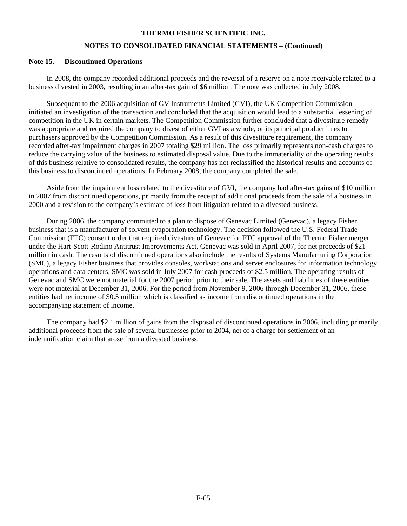# **Note 15. Discontinued Operations**

 In 2008, the company recorded additional proceeds and the reversal of a reserve on a note receivable related to a business divested in 2003, resulting in an after-tax gain of \$6 million. The note was collected in July 2008.

 Subsequent to the 2006 acquisition of GV Instruments Limited (GVI), the UK Competition Commission initiated an investigation of the transaction and concluded that the acquisition would lead to a substantial lessening of competition in the UK in certain markets. The Competition Commission further concluded that a divestiture remedy was appropriate and required the company to divest of either GVI as a whole, or its principal product lines to purchasers approved by the Competition Commission. As a result of this divestiture requirement, the company recorded after-tax impairment charges in 2007 totaling \$29 million. The loss primarily represents non-cash charges to reduce the carrying value of the business to estimated disposal value. Due to the immateriality of the operating results of this business relative to consolidated results, the company has not reclassified the historical results and accounts of this business to discontinued operations. In February 2008, the company completed the sale.

 Aside from the impairment loss related to the divestiture of GVI, the company had after-tax gains of \$10 million in 2007 from discontinued operations, primarily from the receipt of additional proceeds from the sale of a business in 2000 and a revision to the company's estimate of loss from litigation related to a divested business.

 During 2006, the company committed to a plan to dispose of Genevac Limited (Genevac), a legacy Fisher business that is a manufacturer of solvent evaporation technology. The decision followed the U.S. Federal Trade Commission (FTC) consent order that required divesture of Genevac for FTC approval of the Thermo Fisher merger under the Hart-Scott-Rodino Antitrust Improvements Act. Genevac was sold in April 2007, for net proceeds of \$21 million in cash. The results of discontinued operations also include the results of Systems Manufacturing Corporation (SMC), a legacy Fisher business that provides consoles, workstations and server enclosures for information technology operations and data centers. SMC was sold in July 2007 for cash proceeds of \$2.5 million. The operating results of Genevac and SMC were not material for the 2007 period prior to their sale. The assets and liabilities of these entities were not material at December 31, 2006. For the period from November 9, 2006 through December 31, 2006, these entities had net income of \$0.5 million which is classified as income from discontinued operations in the accompanying statement of income.

 The company had \$2.1 million of gains from the disposal of discontinued operations in 2006, including primarily additional proceeds from the sale of several businesses prior to 2004, net of a charge for settlement of an indemnification claim that arose from a divested business.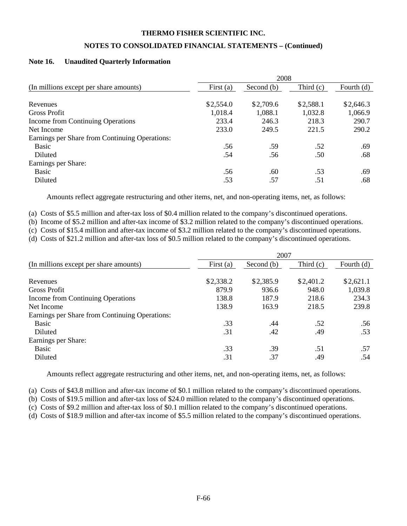# **NOTES TO CONSOLIDATED FINANCIAL STATEMENTS – (Continued)**

#### **Note 16. Unaudited Quarterly Information**

|                                                | 2008        |            |           |              |  |
|------------------------------------------------|-------------|------------|-----------|--------------|--|
| (In millions except per share amounts)         | First $(a)$ | Second (b) | Third (c) | Fourth $(d)$ |  |
|                                                |             |            |           |              |  |
| Revenues                                       | \$2,554.0   | \$2,709.6  | \$2,588.1 | \$2,646.3    |  |
| Gross Profit                                   | 1,018.4     | 1,088.1    | 1,032.8   | 1,066.9      |  |
| Income from Continuing Operations              | 233.4       | 246.3      | 218.3     | 290.7        |  |
| Net Income                                     | 233.0       | 249.5      | 221.5     | 290.2        |  |
| Earnings per Share from Continuing Operations: |             |            |           |              |  |
| Basic                                          | .56         | .59        | .52       | .69          |  |
| Diluted                                        | .54         | .56        | .50       | .68          |  |
| Earnings per Share:                            |             |            |           |              |  |
| Basic                                          | .56         | .60        | .53       | .69          |  |
| Diluted                                        | .53         | .57        | .51       | .68          |  |

Amounts reflect aggregate restructuring and other items, net, and non-operating items, net, as follows:

(a) Costs of \$5.5 million and after-tax loss of \$0.4 million related to the company's discontinued operations.

(b) Income of \$5.2 million and after-tax income of \$3.2 million related to the company's discontinued operations.

(c) Costs of \$15.4 million and after-tax income of \$3.2 million related to the company's discontinued operations.

(d) Costs of \$21.2 million and after-tax loss of \$0.5 million related to the company's discontinued operations.

|                                                | 2007        |            |           |              |  |
|------------------------------------------------|-------------|------------|-----------|--------------|--|
| (In millions except per share amounts)         | First $(a)$ | Second (b) | Third (c) | Fourth $(d)$ |  |
|                                                |             |            |           |              |  |
| Revenues                                       | \$2,338.2   | \$2,385.9  | \$2,401.2 | \$2,621.1    |  |
| Gross Profit                                   | 879.9       | 936.6      | 948.0     | 1,039.8      |  |
| Income from Continuing Operations              | 138.8       | 187.9      | 218.6     | 234.3        |  |
| Net Income                                     | 138.9       | 163.9      | 218.5     | 239.8        |  |
| Earnings per Share from Continuing Operations: |             |            |           |              |  |
| <b>Basic</b>                                   | .33         | .44        | .52       | .56          |  |
| Diluted                                        | .31         | .42        | .49       | .53          |  |
| Earnings per Share:                            |             |            |           |              |  |
| <b>Basic</b>                                   | .33         | .39        | .51       | .57          |  |
| Diluted                                        | .31         | .37        | .49       | .54          |  |

Amounts reflect aggregate restructuring and other items, net, and non-operating items, net, as follows:

(a) Costs of \$43.8 million and after-tax income of \$0.1 million related to the company's discontinued operations.

(b) Costs of \$19.5 million and after-tax loss of \$24.0 million related to the company's discontinued operations.

(c) Costs of \$9.2 million and after-tax loss of \$0.1 million related to the company's discontinued operations.

(d) Costs of \$18.9 million and after-tax income of \$5.5 million related to the company's discontinued operations.